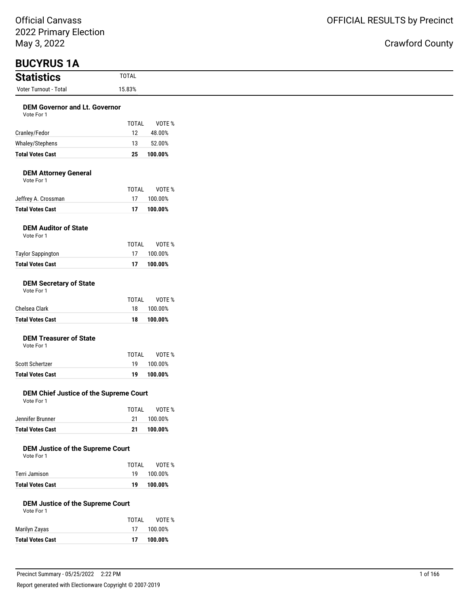### Crawford County

| <b>BUCYRUS 1A</b>                                  |              |         |
|----------------------------------------------------|--------------|---------|
| <b>Statistics</b>                                  | <b>TOTAL</b> |         |
| Voter Turnout - Total                              | 15.83%       |         |
| <b>DEM Governor and Lt. Governor</b><br>Vote For 1 |              |         |
|                                                    | <b>TOTAL</b> | VOTE %  |
| Cranley/Fedor                                      | 12           | 48.00%  |
| Whaley/Stephens                                    | 13           | 52.00%  |
| <b>Total Votes Cast</b>                            | 25           | 100.00% |
| <b>DEM Attorney General</b><br>Vote For 1          |              |         |
|                                                    | <b>TOTAL</b> | VOTE %  |
| Jeffrey A. Crossman                                | 17           | 100.00% |
| <b>Total Votes Cast</b>                            | 17           | 100.00% |

#### **DEM Auditor of State** Vote For 1

| <b>Total Votes Cast</b>  | 17    | 100.00% |
|--------------------------|-------|---------|
| <b>Taylor Sappington</b> | 17    | 100.00% |
|                          | TOTAI | VOTE %  |
| VOLE FOI T               |       |         |

#### **DEM Secretary of State**

| Vote For 1 |  |  |
|------------|--|--|
|------------|--|--|

| <b>Total Votes Cast</b> | 18    | 100.00% |
|-------------------------|-------|---------|
| Chelsea Clark           | 18.   | 100.00% |
|                         | TOTAI | VOTE %  |

### **DEM Treasurer of State**

Vote For 1

|                         | TOTAI | VOTE %     |
|-------------------------|-------|------------|
| Scott Schertzer         |       | 19 100.00% |
| <b>Total Votes Cast</b> | 19    | 100.00%    |

#### **DEM Chief Justice of the Supreme Court** Vote For 1

|                  | TOTAI | VOTE %     |
|------------------|-------|------------|
| Jennifer Brunner |       | 21 100.00% |
| Total Votes Cast | -21   | 100.00%    |

#### **DEM Justice of the Supreme Court**

| Vote For 1 |  |  |
|------------|--|--|

|                         | TOTAI | VOTE %  |
|-------------------------|-------|---------|
| Terri Jamison           | 19    | 100.00% |
| <b>Total Votes Cast</b> | 19    | 100.00% |

### **DEM Justice of the Supreme Court**

| Vote For 1 |  |
|------------|--|
|            |  |

|                         | TOTAL | VOTE %  |
|-------------------------|-------|---------|
| Marilyn Zayas           | 17    | 100.00% |
| <b>Total Votes Cast</b> | 17    | 100.00% |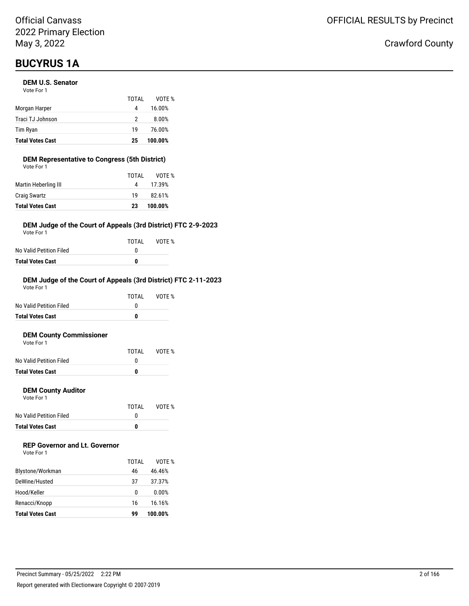## **BUCYRUS 1A**

#### **DEM U.S. Senator**

| <b>Total Votes Cast</b> | 25    | 100.00% |
|-------------------------|-------|---------|
| Tim Ryan                | 19    | 76.00%  |
| Traci TJ Johnson        | 2     | 8.00%   |
| Morgan Harper           | 4     | 16.00%  |
|                         | TOTAI | VOTE %  |
| Vote For 1              |       |         |

#### **DEM Representative to Congress (5th District)** Vote For 1

| Martin Heberling III<br>4<br><b>Craig Swartz</b><br>19 | 17.39%<br>82.61% |  |
|--------------------------------------------------------|------------------|--|
|                                                        |                  |  |
|                                                        |                  |  |
| TOTAL                                                  | VOTE %           |  |

#### **DEM Judge of the Court of Appeals (3rd District) FTC 2-9-2023**

Vote For 1

|                         | TOTAI | VOTE % |
|-------------------------|-------|--------|
| No Valid Petition Filed |       |        |
| Total Votes Cast        | n     |        |

#### **DEM Judge of the Court of Appeals (3rd District) FTC 2-11-2023**

| <b>Total Votes Cast</b> | 0     |        |
|-------------------------|-------|--------|
| No Valid Petition Filed | O     |        |
|                         | TOTAI | VOTF % |
| Vote For 1              |       |        |

#### **DEM County Commissioner**  $V$ ote

| <b>Total Votes Cast</b> | O     |        |
|-------------------------|-------|--------|
| No Valid Petition Filed |       |        |
|                         | TOTAL | VOTE % |
| VOLE FOI T              |       |        |

#### **DEM County Auditor**

Vote For 1

|                         | TOTAL | VOTE % |
|-------------------------|-------|--------|
| No Valid Petition Filed |       |        |
| <b>Total Votes Cast</b> | o     |        |

### **REP Governor and Lt. Governor**

| Vote For 1 |  |
|------------|--|
|------------|--|

|                         | TOTAI | VOTF %  |
|-------------------------|-------|---------|
| Blystone/Workman        | 46    | 46.46%  |
| DeWine/Husted           | 37    | 37.37%  |
| Hood/Keller             | 0     | 0.00%   |
| Renacci/Knopp           | 16    | 16.16%  |
| <b>Total Votes Cast</b> | 99    | 100.00% |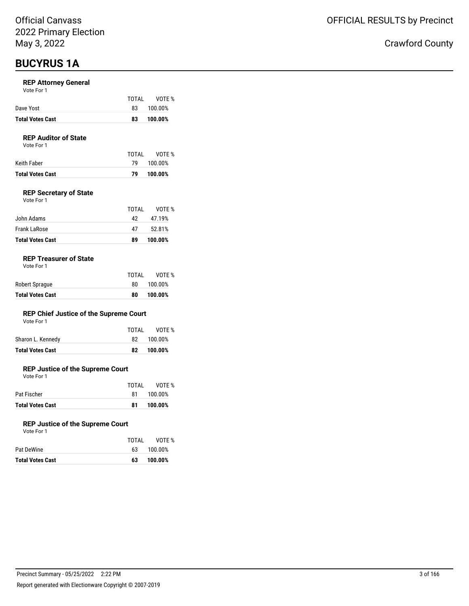## **BUCYRUS 1A**

#### **REP Attorney General**

| Vote For 1 |  |
|------------|--|
|------------|--|

|                         | TOTAI | VOTE %  |
|-------------------------|-------|---------|
| Dave Yost               | 83    | 100.00% |
| <b>Total Votes Cast</b> | 83    | 100.00% |

### **REP Auditor of State**

Vote For 1

| Keith Faber      |    | 79 100.00% |
|------------------|----|------------|
| Total Votes Cast | 79 | 100.00%    |

#### **REP Secretary of State**

| Vote For 1 |  |
|------------|--|
|            |  |

|                         | TOTAI | VOTF %  |
|-------------------------|-------|---------|
| John Adams              | 42    | 47.19%  |
| Frank LaRose            | 47    | 52.81%  |
| <b>Total Votes Cast</b> | 89    | 100.00% |

#### **REP Treasurer of State**

| <b>Total Votes Cast</b> | 80    | 100.00% |
|-------------------------|-------|---------|
| Robert Sprague          | 80.   | 100.00% |
|                         | TOTAL | VOTE %  |

#### **REP Chief Justice of the Supreme Court**

| Vote For 1 |  |  |
|------------|--|--|
|------------|--|--|

| Sharon L. Kennedy<br>82 100.00% |  |
|---------------------------------|--|
|---------------------------------|--|

#### **REP Justice of the Supreme Court**

Vote For 1

|                         | TOTAI | VOTE %  |
|-------------------------|-------|---------|
| Pat Fischer             | 81.   | 100.00% |
| <b>Total Votes Cast</b> | 81    | 100.00% |

#### **REP Justice of the Supreme Court**

| Vote For 1 |  |
|------------|--|
|            |  |

|                         | TOTAL | VOTE %  |
|-------------------------|-------|---------|
| Pat DeWine              | 63.   | 100.00% |
| <b>Total Votes Cast</b> | 63    | 100.00% |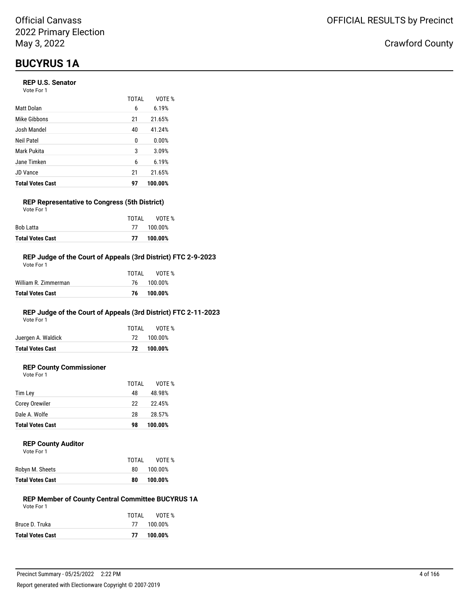## **BUCYRUS 1A**

#### **REP U.S. Senator**

| Vote For 1 |  |
|------------|--|
|------------|--|

|                         | TOTAL | VOTF %  |
|-------------------------|-------|---------|
| Matt Dolan              | 6     | 6.19%   |
| Mike Gibbons            | 21    | 21.65%  |
| Josh Mandel             | 40    | 41.24%  |
| Neil Patel              | 0     | 0.00%   |
| Mark Pukita             | 3     | 3.09%   |
| Jane Timken             | 6     | 6.19%   |
| <b>JD</b> Vance         | 21    | 21.65%  |
| <b>Total Votes Cast</b> | 97    | 100.00% |

#### **REP Representative to Congress (5th District)** Vote For 1

|                         | TOTAI | VOTE %     |
|-------------------------|-------|------------|
| Bob Latta               |       | 77 100.00% |
| <b>Total Votes Cast</b> | 77    | 100.00%    |

#### **REP Judge of the Court of Appeals (3rd District) FTC 2-9-2023**

| Total Votes Cast     | 76    | 100.00%    |
|----------------------|-------|------------|
| William R. Zimmerman |       | 76 100.00% |
|                      | TOTAI | VOTF %     |
| Vote For 1           |       |            |

### **REP Judge of the Court of Appeals (3rd District) FTC 2-11-2023**

Vote For 1

| <b>Total Votes Cast</b> |       | 72 100.00% |
|-------------------------|-------|------------|
| Juergen A. Waldick      |       | 72 100.00% |
|                         | TOTAI | VOTE %     |

### **REP County Commissioner**

Vote For 1

|                         | TOTAL | VOTE %  |
|-------------------------|-------|---------|
| Tim Ley                 | 48    | 48.98%  |
| Corey Orewiler          | 22    | 22.45%  |
| Dale A. Wolfe           | 28    | 28.57%  |
| <b>Total Votes Cast</b> | 98    | 100.00% |

#### **REP County Auditor**

|                         | TOTAL | VOTE %  |
|-------------------------|-------|---------|
| Robyn M. Sheets         | 80    | 100.00% |
| <b>Total Votes Cast</b> | 80    | 100.00% |

#### **REP Member of County Central Committee BUCYRUS 1A** Vote For 1

|                         | TOTAI | VOTE %     |
|-------------------------|-------|------------|
| Bruce D. Truka          |       | 77 100.00% |
| <b>Total Votes Cast</b> | 77    | 100.00%    |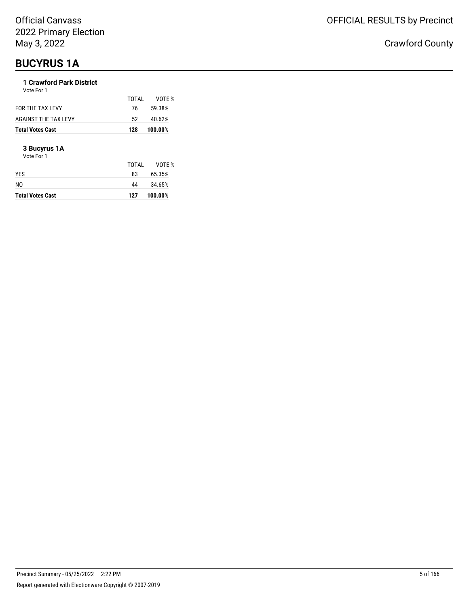## **BUCYRUS 1A**

### **1 Crawford Park District**

| Total Votes Cast     | 128   | 100.00% |
|----------------------|-------|---------|
| AGAINST THE TAX LEVY | 52.   | 40.62%  |
| FOR THE TAX LEVY     | 76    | 59.38%  |
| Vote For 1           | TOTAL | VOTF %  |
|                      |       |         |

#### **3 Bucyrus 1A**

Vote For 1

| <b>Total Votes Cast</b> | 127   | 100.00% |
|-------------------------|-------|---------|
| N <sub>0</sub>          | 44    | 34.65%  |
| <b>YES</b>              | 83    | 65.35%  |
|                         | TOTAL | VOTE %  |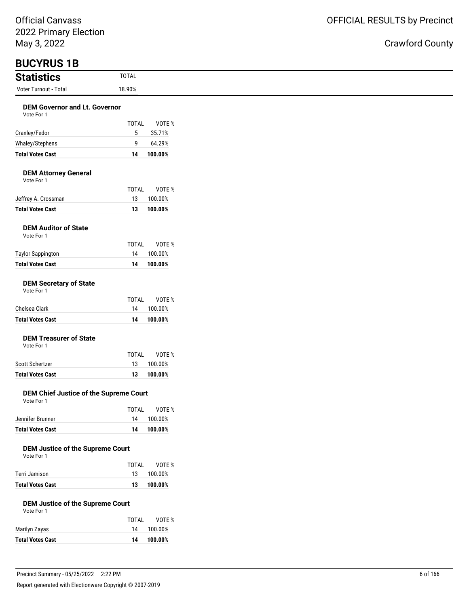| ZUZZ I TIMULJ LICCUON<br>May 3, 2022               |              |         |
|----------------------------------------------------|--------------|---------|
| <b>BUCYRUS 1B</b>                                  |              |         |
| <b>Statistics</b>                                  | <b>TOTAL</b> |         |
| Voter Turnout - Total                              | 18.90%       |         |
| <b>DEM Governor and Lt. Governor</b><br>Vote For 1 |              |         |
|                                                    | <b>TOTAL</b> | VOTE %  |
| Cranley/Fedor                                      | 5            | 35.71%  |
| Whaley/Stephens                                    | 9            | 64.29%  |
| <b>Total Votes Cast</b>                            | 14           | 100.00% |
| <b>DEM Attorney General</b><br>Vote For 1          |              |         |
|                                                    | <b>TOTAL</b> | VOTE %  |
| Jeffrey A. Crossman                                | 13           | 100.00% |
| <b>Total Votes Cast</b>                            | 13           | 100.00% |
| <b>DEM Auditor of State</b><br>Vote For 1          |              |         |
|                                                    | <b>TOTAL</b> | VOTE %  |
| <b>Taylor Sappington</b>                           | 14           | 100.00% |
| <b>Total Votes Cast</b>                            | 14           | 100.00% |
| <b>DEM Secretary of State</b><br>Vote For 1        |              |         |
|                                                    | <b>TOTAL</b> | VOTE %  |
| Chelsea Clark                                      | 14           | 100.00% |
| <b>Total Votes Cast</b>                            | 14           | 100.00% |
| <b>DEM Treasurer of State</b><br>Vote For 1        |              |         |
|                                                    | <b>TOTAL</b> | VOTE %  |
| Scott Schertzer                                    | 13           | 100.00% |
| <b>Total Votes Cast</b>                            | 13           | 100.00% |

#### **DEM Chief Justice of the Supreme Court** Vote For 1

|                         | TOTAI | VOTE %     |
|-------------------------|-------|------------|
| Jennifer Brunner        |       | 14 100.00% |
| <b>Total Votes Cast</b> | 14    | 100.00%    |

#### **DEM Justice of the Supreme Court**

| Vote For 1 |  |
|------------|--|
|            |  |

|                         | TOTAI | VOTE %     |
|-------------------------|-------|------------|
| Terri Jamison           |       | 13 100.00% |
| <b>Total Votes Cast</b> | 13    | 100.00%    |

#### **DEM Justice of the Supreme Court**

| Vote For 1 |  |
|------------|--|
|------------|--|

|                         | TOTAI | VOTE %  |
|-------------------------|-------|---------|
| Marilyn Zayas           | 14    | 100.00% |
| <b>Total Votes Cast</b> | 14    | 100.00% |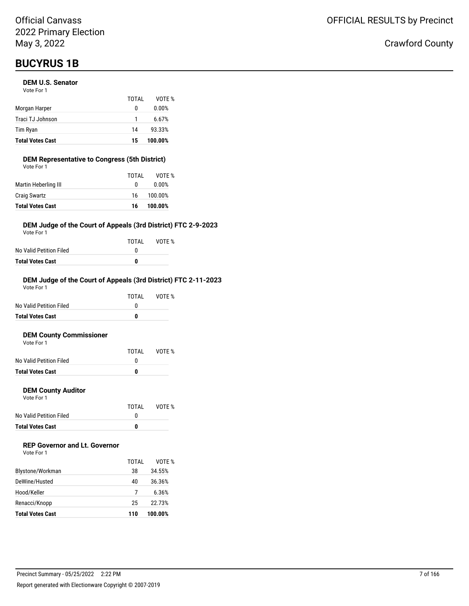## **BUCYRUS 1B**

#### **DEM U.S. Senator**

| <b>Total Votes Cast</b> | 15    | 100.00% |
|-------------------------|-------|---------|
| Tim Ryan                | 14    | 93.33%  |
| Traci TJ Johnson        | 1     | 6.67%   |
| Morgan Harper           | 0     | 0.00%   |
|                         | TOTAI | VOTF %  |
| Vote For 1              |       |         |

### **DEM Representative to Congress (5th District)**

| <b>Total Votes Cast</b> | 16    | 100.00% |
|-------------------------|-------|---------|
| <b>Craig Swartz</b>     | 16    | 100.00% |
| Martin Heberling III    | 0     | 0.00%   |
|                         | TOTAL | VOTE %  |
| Vote For 1              |       |         |

#### **DEM Judge of the Court of Appeals (3rd District) FTC 2-9-2023**

Vote For 1

|                         | TOTAI | VOTE % |
|-------------------------|-------|--------|
| No Valid Petition Filed |       |        |
| Total Votes Cast        | n     |        |

#### **DEM Judge of the Court of Appeals (3rd District) FTC 2-11-2023**

| <b>Total Votes Cast</b> |       |        |
|-------------------------|-------|--------|
| No Valid Petition Filed |       |        |
|                         | TOTAI | VOTF % |
| Vote For 1              |       |        |

#### **DEM County Commissioner**

| <b>Total Votes Cast</b> | n     |        |
|-------------------------|-------|--------|
| No Valid Petition Filed |       |        |
|                         | TOTAI | VOTE % |
| Vote For 1              |       |        |

#### **DEM County Auditor**

Vote For 1

|                         | TOTAL | VOTE % |
|-------------------------|-------|--------|
| No Valid Petition Filed |       |        |
| <b>Total Votes Cast</b> | o     |        |

### **REP Governor and Lt. Governor**

| Vote For 1 |  |
|------------|--|
|------------|--|

|                         | TOTAI | VOTF %  |
|-------------------------|-------|---------|
| Blystone/Workman        | 38    | 34.55%  |
| DeWine/Husted           | 40    | 36.36%  |
| Hood/Keller             |       | 6.36%   |
| Renacci/Knopp           | 25    | 22.73%  |
| <b>Total Votes Cast</b> | 110   | 100.00% |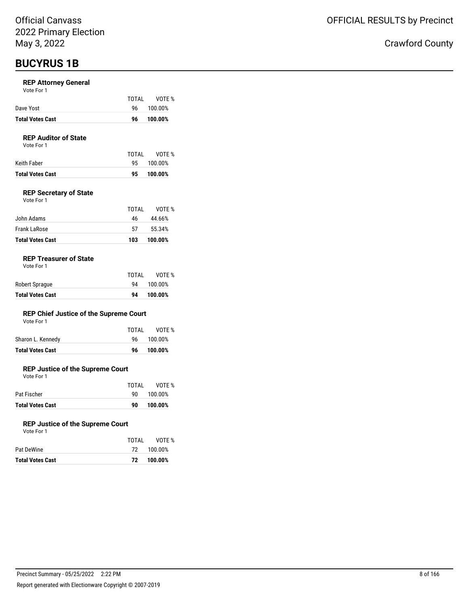## **BUCYRUS 1B**

#### **REP Attorney General**

| <b>Total Votes Cast</b> |       | 96 100.00% |
|-------------------------|-------|------------|
| Dave Yost               |       | 96 100.00% |
|                         | TOTAL | VOTE %     |

#### **REP Auditor of State**

Vote For 1

|                  | TOTAI | VOTE %     |
|------------------|-------|------------|
| Keith Faber      |       | 95 100.00% |
| Total Votes Cast |       | 95 100.00% |
|                  |       |            |

#### **REP Secretary of State**

| <b>Total Votes Cast</b> | 103   | 100.00% |
|-------------------------|-------|---------|
| Frank LaRose            | 57    | 55.34%  |
| John Adams              | 46    | 44.66%  |
|                         | TOTAL | VOTE %  |
| Vote For 1              |       |         |

#### **REP Treasurer of State**

| TOTAL | VOTE %  |
|-------|---------|
| 94    | 100.00% |
| 94    | 100.00% |
|       |         |

#### **REP Chief Justice of the Supreme Court**

| Vote For 1 |  |
|------------|--|
|------------|--|

| Total Votes Cast  | 96.   | 100.00%    |
|-------------------|-------|------------|
| Sharon L. Kennedy |       | 96 100.00% |
|                   | TOTAI | VOTE %     |

#### **REP Justice of the Supreme Court**

Vote For 1

| <b>Total Votes Cast</b> | 90.   | 100.00% |
|-------------------------|-------|---------|
| Pat Fischer             | an a  | 100.00% |
|                         | TOTAI | VOTE %  |

#### **REP Justice of the Supreme Court**

| Vote For 1 |  |
|------------|--|
|            |  |

| <b>Total Votes Cast</b> |       | 72 100.00% |
|-------------------------|-------|------------|
| Pat DeWine              |       | 72 100.00% |
|                         | TOTAI | VOTE %     |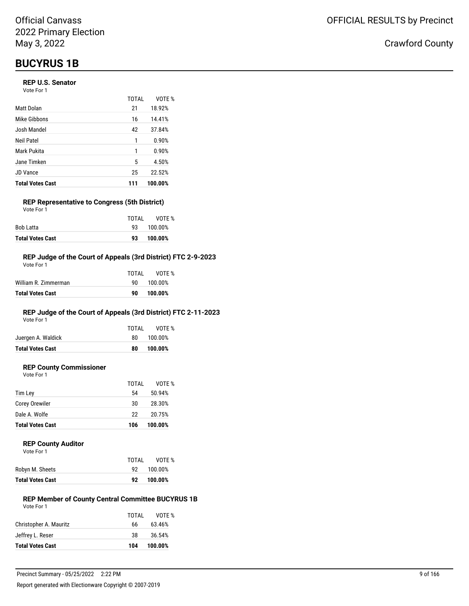## **BUCYRUS 1B**

#### **REP U.S. Senator**

Vote For 1

|                         | TOTAL | VOTE %  |
|-------------------------|-------|---------|
| <b>Matt Dolan</b>       | 21    | 18.92%  |
| Mike Gibbons            | 16    | 14.41%  |
| Josh Mandel             | 42    | 37.84%  |
| Neil Patel              | 1     | 0.90%   |
| Mark Pukita             | 1     | 0.90%   |
| Jane Timken             | 5     | 4.50%   |
| <b>JD Vance</b>         | 25    | 22.52%  |
| <b>Total Votes Cast</b> | 111   | 100.00% |

#### **REP Representative to Congress (5th District)** Vote For 1

|                         | TOTAI | VOTE %  |
|-------------------------|-------|---------|
| Bob Latta               | ଦ?    | 100.00% |
| <b>Total Votes Cast</b> | 93    | 100.00% |

#### **REP Judge of the Court of Appeals (3rd District) FTC 2-9-2023**

| Total Votes Cast     | 90    | 100.00% |
|----------------------|-------|---------|
| William R. Zimmerman | 90.   | 100.00% |
|                      | TOTAL | VOTF %  |
| Vote For 1           |       |         |

### **REP Judge of the Court of Appeals (3rd District) FTC 2-11-2023**

Vote For 1

|                         | TOTAL | VOTE %  |
|-------------------------|-------|---------|
| Juergen A. Waldick      | 80    | 100.00% |
| <b>Total Votes Cast</b> | 80    | 100.00% |
|                         |       |         |

#### **REP County Commissioner**

Vote For 1

|                         | TOTAL | VOTE %  |
|-------------------------|-------|---------|
| Tim Ley                 | 54    | 50.94%  |
| Corey Orewiler          | 30    | 28.30%  |
| Dale A. Wolfe           | 22    | 20.75%  |
| <b>Total Votes Cast</b> | 106   | 100.00% |

#### **REP County Auditor**

| Vote For 1 |  |
|------------|--|
|            |  |

|                         | TOTAL | VOTE %  |
|-------------------------|-------|---------|
| Robyn M. Sheets         | 92.   | 100.00% |
| <b>Total Votes Cast</b> | 92.   | 100.00% |

#### **REP Member of County Central Committee BUCYRUS 1B** Vote For 1

|                         | TOTAL | VOTE %  |
|-------------------------|-------|---------|
| Christopher A. Mauritz  | 66    | 63.46%  |
| Jeffrey L. Reser        | 38    | 36.54%  |
| <b>Total Votes Cast</b> | 104   | 100.00% |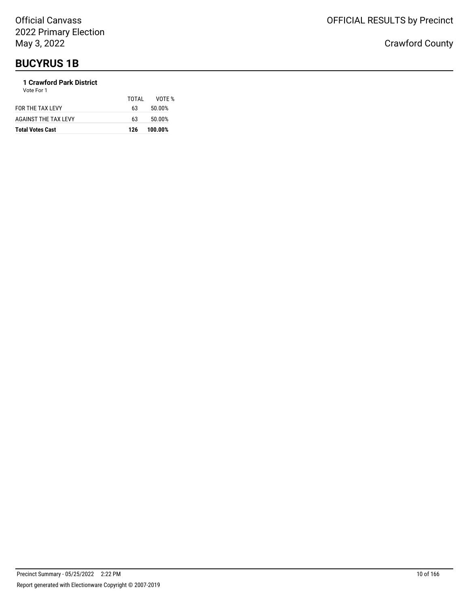## **BUCYRUS 1B**

### **1 Crawford Park District**

| <b>Total Votes Cast</b> | 126   | 100.00% |
|-------------------------|-------|---------|
| AGAINST THE TAX LEVY    | 63    | 50.00%  |
| FOR THE TAX LEVY        | 63    | 50.00%  |
| Vote For 1              | TOTAL | VOTF %  |
|                         |       |         |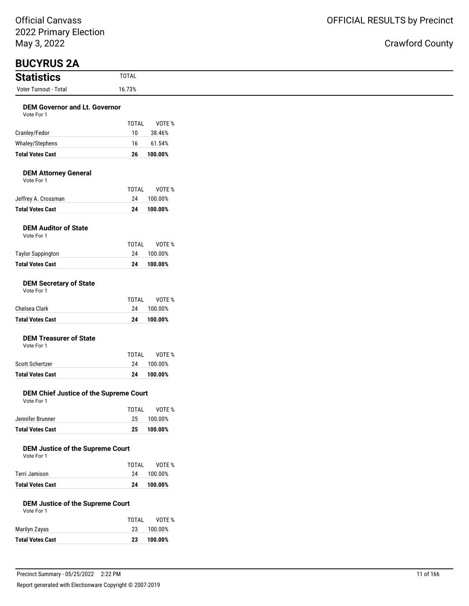### ınty

| May 3, 2022                                           |                        | <b>Crawford Cou</b> |
|-------------------------------------------------------|------------------------|---------------------|
| <b>BUCYRUS 2A</b>                                     |                        |                     |
| <b>Statistics</b>                                     | <b>TOTAL</b>           |                     |
| Voter Turnout - Total                                 | 16.73%                 |                     |
| <b>DEM Governor and Lt. Governor</b><br>Vote For 1    |                        |                     |
|                                                       | <b>TOTAL</b><br>VOTE % |                     |
| Cranley/Fedor                                         | 38.46%<br>10           |                     |
| Whaley/Stephens                                       | 61.54%<br>16           |                     |
| <b>Total Votes Cast</b>                               | 100.00%<br>26          |                     |
| <b>DEM Attorney General</b><br>Vote For 1             |                        |                     |
|                                                       | <b>TOTAL</b><br>VOTE % |                     |
| Jeffrey A. Crossman                                   | 24<br>100.00%          |                     |
| <b>Total Votes Cast</b>                               | 100.00%<br>24          |                     |
| <b>DEM Auditor of State</b><br>Vote For 1             |                        |                     |
|                                                       | <b>TOTAL</b><br>VOTE % |                     |
| <b>Taylor Sappington</b>                              | 24<br>100.00%          |                     |
| <b>Total Votes Cast</b>                               | 100.00%<br>24          |                     |
| <b>DEM Secretary of State</b><br>Vote For 1           |                        |                     |
|                                                       | <b>TOTAL</b><br>VOTE % |                     |
| Chelsea Clark                                         | 24<br>100.00%          |                     |
| <b>Total Votes Cast</b>                               | 100.00%<br>24          |                     |
| <b>DEM Treasurer of State</b><br>Vote For 1           |                        |                     |
|                                                       | <b>TOTAL</b><br>VOTE % |                     |
| Scott Schertzer                                       | 100.00%<br>24          |                     |
| <b>Total Votes Cast</b>                               | 24<br>100.00%          |                     |
| DEM Chief Justice of the Supreme Court<br>Vote For 1  |                        |                     |
|                                                       | TOTAL<br>VOTE %        |                     |
| Jennifer Brunner                                      | 25<br>100.00%          |                     |
| <b>Total Votes Cast</b>                               | 100.00%<br>25          |                     |
| <b>DEM Justice of the Supreme Court</b><br>Vote For 1 |                        |                     |
|                                                       | <b>TOTAL</b><br>VOTE % |                     |
| Terri Jamison                                         | 100.00%<br>24          |                     |
| <b>Total Votes Cast</b>                               | 100.00%<br>24          |                     |
| <b>DEM Justice of the Supreme Court</b><br>Vote For 1 |                        |                     |
|                                                       | <b>TOTAL</b><br>VOTE % |                     |
| Marilyn Zayas                                         | 23<br>100.00%          |                     |

**Total Votes Cast 23 100.00%**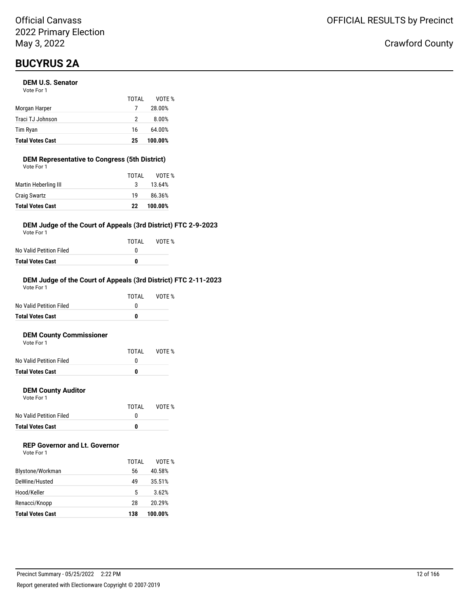## **BUCYRUS 2A**

#### **DEM U.S. Senator**

| Vote For 1       |       |        |
|------------------|-------|--------|
|                  | TOTAI | VOTE % |
| Morgan Harper    |       | 28.00% |
| Traci TJ Johnson | າ     | 8.00%  |

| <b>Total Votes Cast</b> | 25 | 100.00% |
|-------------------------|----|---------|
| Tim Ryan                | 16 | 64.00%  |
| Traci TJ Johnson        |    | 8.00%   |

#### **DEM Representative to Congress (5th District)** Vote For 1

| <b>Total Votes Cast</b> | 22    | 100.00% |
|-------------------------|-------|---------|
| <b>Craig Swartz</b>     | 19    | 86.36%  |
| Martin Heberling III    | 3     | 13.64%  |
|                         | TOTAL | VOTE %  |
| VULE FUI I              |       |         |

#### **DEM Judge of the Court of Appeals (3rd District) FTC 2-9-2023**

Vote For 1

|                         | TOTAI | VOTE % |
|-------------------------|-------|--------|
| No Valid Petition Filed |       |        |
| Total Votes Cast        | n     |        |

#### **DEM Judge of the Court of Appeals (3rd District) FTC 2-11-2023**

| <b>Total Votes Cast</b> | 0     |        |
|-------------------------|-------|--------|
| No Valid Petition Filed | O     |        |
|                         | TOTAI | VOTF % |
| Vote For 1              |       |        |

#### **DEM County Commissioner**  $V$ ote

| <b>Total Votes Cast</b> | n     |        |
|-------------------------|-------|--------|
| No Valid Petition Filed |       |        |
|                         | TOTAL | VOTE % |
| VOTE FOL L              |       |        |

#### **DEM County Auditor**

Vote For 1

|                         | TOTAI | VOTE % |
|-------------------------|-------|--------|
| No Valid Petition Filed |       |        |
| <b>Total Votes Cast</b> | n     |        |

### **REP Governor and Lt. Governor**

| Vote For 1 |  |
|------------|--|
|------------|--|

|                         | TOTAI | VOTF %  |
|-------------------------|-------|---------|
| Blystone/Workman        | 56    | 40.58%  |
| DeWine/Husted           | 49    | 35.51%  |
| Hood/Keller             | 5     | 3.62%   |
| Renacci/Knopp           | 28    | 20.29%  |
| <b>Total Votes Cast</b> | 138   | 100.00% |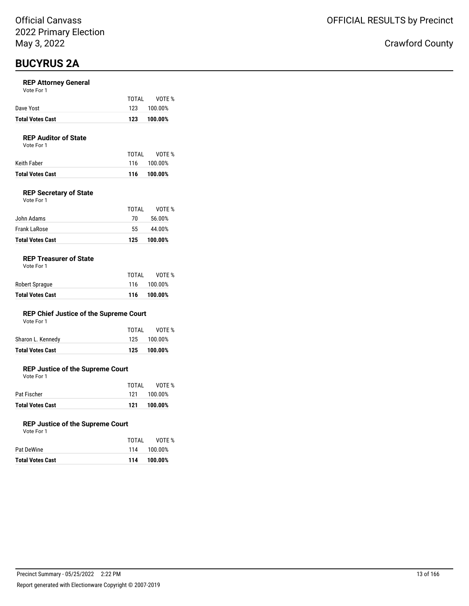## **BUCYRUS 2A**

#### **REP Attorney General**

| Vote For 1 |  |  |
|------------|--|--|
|------------|--|--|

|                         | TOTAL | VOTE %  |
|-------------------------|-------|---------|
| Dave Yost               | 123   | 100.00% |
| <b>Total Votes Cast</b> | 123   | 100.00% |

### **REP Auditor of State**

Vote For 1

|                  | TOTAI | VOTE %      |
|------------------|-------|-------------|
| Keith Faber      |       | 116 100.00% |
| Total Votes Cast |       | 116 100.00% |

#### **REP Secretary of State**

| Vote For 1 |  |  |
|------------|--|--|
|            |  |  |

| <b>Total Votes Cast</b> | 125   | 100.00% |
|-------------------------|-------|---------|
| Frank LaRose            | 55.   | 44.00%  |
| John Adams              | 70    | 56.00%  |
|                         | TOTAI | VOTF %  |

#### **REP Treasurer of State**

| <b>Total Votes Cast</b> | 116   | 100.00%     |
|-------------------------|-------|-------------|
| Robert Sprague          |       | 116 100.00% |
|                         | TOTAI | VOTE %      |

#### **REP Chief Justice of the Supreme Court**

| Total Votes Cast  | 125 100.00%  |
|-------------------|--------------|
| Sharon L. Kennedy | 125 100.00%  |
|                   | TOTAL VOTE % |

#### **REP Justice of the Supreme Court**

Vote For 1

|                  | TOTAI | VOTE %      |
|------------------|-------|-------------|
| Pat Fischer      |       | 121 100.00% |
| Total Votes Cast | 121   | 100.00%     |

#### **REP Justice of the Supreme Court**

|                         | TOTAI | VOTE %      |
|-------------------------|-------|-------------|
| Pat DeWine              |       | 114 100.00% |
| <b>Total Votes Cast</b> | 114   | 100.00%     |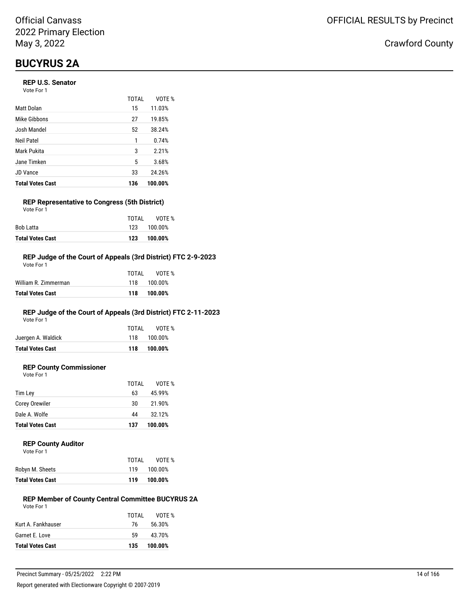## **BUCYRUS 2A**

#### **REP U.S. Senator**

Vote For 1

|                         | <b>TOTAL</b> | VOTE %  |
|-------------------------|--------------|---------|
| Matt Dolan              | 15           | 11.03%  |
| Mike Gibbons            | 27           | 19.85%  |
| Josh Mandel             | 52           | 38.24%  |
| Neil Patel              | 1            | 0.74%   |
| Mark Pukita             | 3            | 2.21%   |
| Jane Timken             | 5            | 3.68%   |
| JD Vance                | 33           | 24.26%  |
| <b>Total Votes Cast</b> | 136          | 100.00% |

### **REP Representative to Congress (5th District)**

| <b>Total Votes Cast</b> | 123   | 100.00%     |
|-------------------------|-------|-------------|
| Bob Latta               |       | 123 100.00% |
|                         | TOTAI | VOTE %      |
| Vote For 1              |       |             |

#### **REP Judge of the Court of Appeals (3rd District) FTC 2-9-2023**

| Total Votes Cast     | 118   | 100.00%     |
|----------------------|-------|-------------|
| William R. Zimmerman |       | 118 100.00% |
|                      | TOTAL | VOTF %      |
| Vote For 1           |       |             |

### **REP Judge of the Court of Appeals (3rd District) FTC 2-11-2023**

Vote For 1

|                         | TOTAL | VOTE %      |
|-------------------------|-------|-------------|
| Juergen A. Waldick      |       | 118 100.00% |
| <b>Total Votes Cast</b> | 118   | 100.00%     |

### **REP County Commissioner**

Vote For 1

|                         | TOTAL | VOTE %  |
|-------------------------|-------|---------|
| Tim Ley                 | 63    | 45.99%  |
| <b>Corey Orewiler</b>   | 30    | 21.90%  |
| Dale A. Wolfe           | 44    | 32.12%  |
| <b>Total Votes Cast</b> | 137   | 100.00% |

#### **REP County Auditor**

| Vote For 1 |  |  |
|------------|--|--|
|            |  |  |

|                         | TOTAL | VOTE %  |
|-------------------------|-------|---------|
| Robyn M. Sheets         | 119   | 100.00% |
| <b>Total Votes Cast</b> | 119   | 100.00% |

#### **REP Member of County Central Committee BUCYRUS 2A** Vote For 1

| Garnet E. Love     | 59           | 43.70%           |
|--------------------|--------------|------------------|
|                    |              |                  |
| Kurt A. Fankhauser | TOTAL<br>76. | VOTE %<br>56.30% |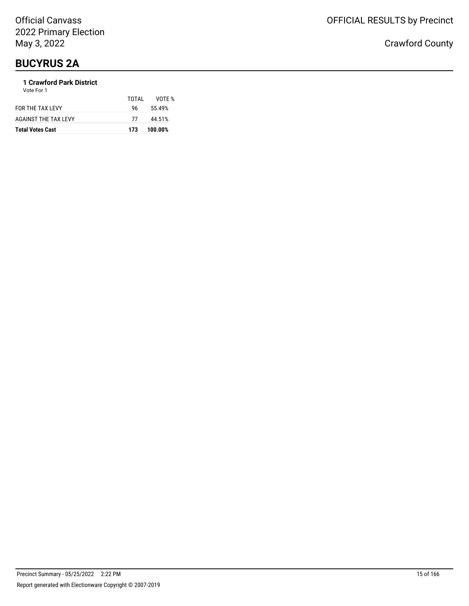## **BUCYRUS 2A**

### **1 Crawford Park District**

| <b>Total Votes Cast</b> | 173   | 100.00% |
|-------------------------|-------|---------|
| AGAINST THE TAX LEVY    | 77    | 44.51%  |
| FOR THE TAX LEVY        | 96.   | 55.49%  |
| Vote For 1              | TOTAL | VOTF %  |
|                         |       |         |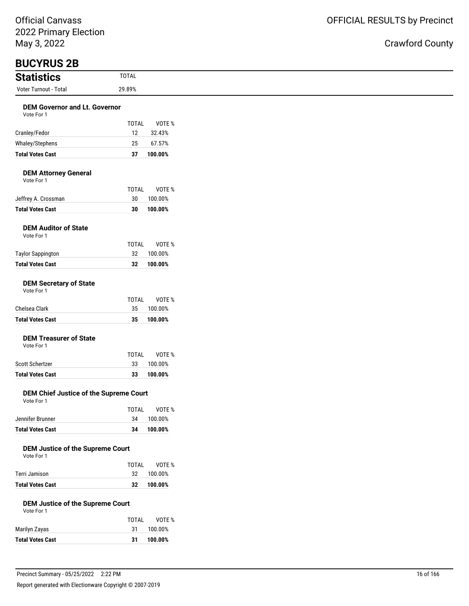| <b>Statistics</b>                                            | <b>TOTAL</b>       |                   |
|--------------------------------------------------------------|--------------------|-------------------|
| Voter Turnout - Total                                        | 29.89%             |                   |
| <b>DEM Governor and Lt. Governor</b><br>Vote For 1           |                    |                   |
|                                                              | <b>TOTAL</b><br>12 | VOTE %            |
| Cranley/Fedor<br>Whaley/Stephens                             | 25                 | 32.43%<br>67.57%  |
| <b>Total Votes Cast</b>                                      | 37                 | 100.00%           |
| <b>DEM Attorney General</b><br>Vote For 1                    |                    |                   |
| Jeffrey A. Crossman                                          | <b>TOTAL</b><br>30 | VOTE %<br>100.00% |
| <b>Total Votes Cast</b>                                      | 30                 | 100.00%           |
| <b>DEM Auditor of State</b><br>Vote For 1                    |                    |                   |
| <b>Taylor Sappington</b>                                     | TOTAL<br>32        | VOTE %<br>100.00% |
| <b>Total Votes Cast</b>                                      | 32                 | 100.00%           |
| <b>DEM Secretary of State</b><br>Vote For 1<br>Chelsea Clark | TOTAL<br>35        | VOTE %<br>100.00% |
| <b>Total Votes Cast</b>                                      | 35                 | 100.00%           |
| <b>DEM Treasurer of State</b><br>Vote For 1                  | TOTAL              | VOTE %            |
| Scott Schertzer                                              | 33                 | 100.00%           |
| <b>Total Votes Cast</b>                                      | 33                 | 100.00%           |
| DEM Chief Justice of the Supreme Court<br>Vote For 1         |                    |                   |
| Jennifer Brunner                                             | <b>TOTAL</b><br>34 | VOTE %<br>100.00% |
| <b>Total Votes Cast</b>                                      | 34                 | 100.00%           |
| <b>DEM Justice of the Supreme Court</b><br>Vote For 1        | <b>TOTAL</b>       | VOTE %            |
| Terri Jamison                                                | 32                 | 100.00%           |
| <b>Total Votes Cast</b>                                      | 32                 | 100.00%           |
| <b>DEM Justice of the Supreme Court</b><br>Vote For 1        |                    |                   |
|                                                              | <b>TOTAL</b>       | VOTE %            |
| Marilyn Zayas                                                | 31                 | 100.00%           |
| <b>Total Votes Cast</b>                                      | 31                 | 100.00%           |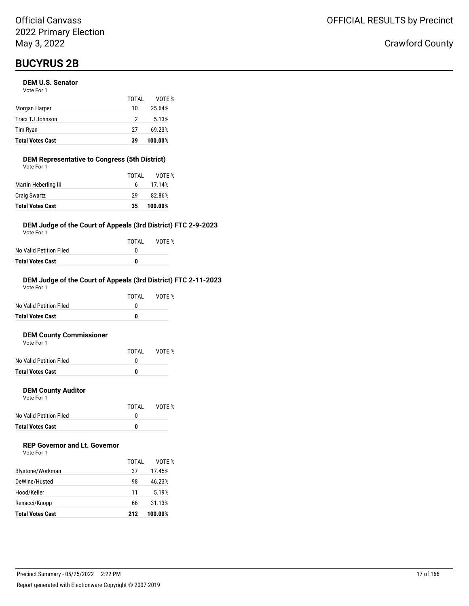#### **DEM U.S. Senator**

| <b>Total Votes Cast</b> | 39    | 100.00% |
|-------------------------|-------|---------|
| Tim Ryan                | 27    | 69.23%  |
| Traci TJ Johnson        | 2     | 5.13%   |
| Morgan Harper           | 10    | 25.64%  |
|                         | TOTAI | VOTE %  |
| Vote For 1              |       |         |

#### **DEM Representative to Congress (5th District)** Vote For 1

| <b>Total Votes Cast</b> | 35    | 100.00% |
|-------------------------|-------|---------|
| <b>Craig Swartz</b>     | 29    | 82.86%  |
| Martin Heberling III    | 6.    | 17.14%  |
|                         | TOTAL | VOTE %  |
| VULE FUI I              |       |         |

#### **DEM Judge of the Court of Appeals (3rd District) FTC 2-9-2023**

Vote For 1

|                         | TOTAL | VOTE % |
|-------------------------|-------|--------|
| No Valid Petition Filed |       |        |
| Total Votes Cast        | n     |        |

#### **DEM Judge of the Court of Appeals (3rd District) FTC 2-11-2023**

| <b>Total Votes Cast</b> | 0     |        |
|-------------------------|-------|--------|
| No Valid Petition Filed | O     |        |
|                         | TOTAI | VOTF % |
| Vote For 1              |       |        |

#### **DEM County Commissioner**  $\sim$ te Fo

| <b>Total Votes Cast</b> | o     |        |
|-------------------------|-------|--------|
| No Valid Petition Filed |       |        |
|                         | TOTAL | VOTE % |
| VOLE FOI T              |       |        |

#### **DEM County Auditor**

Vote For 1

|                         | TOTAL | VOTE % |
|-------------------------|-------|--------|
| No Valid Petition Filed |       |        |
| <b>Total Votes Cast</b> | o     |        |

### **REP Governor and Lt. Governor**

|                         | TOTAL | VOTF %  |
|-------------------------|-------|---------|
| Blystone/Workman        | 37    | 17.45%  |
| DeWine/Husted           | 98    | 46.23%  |
| Hood/Keller             | 11    | 5.19%   |
| Renacci/Knopp           | 66    | 31.13%  |
| <b>Total Votes Cast</b> | 212   | 100.00% |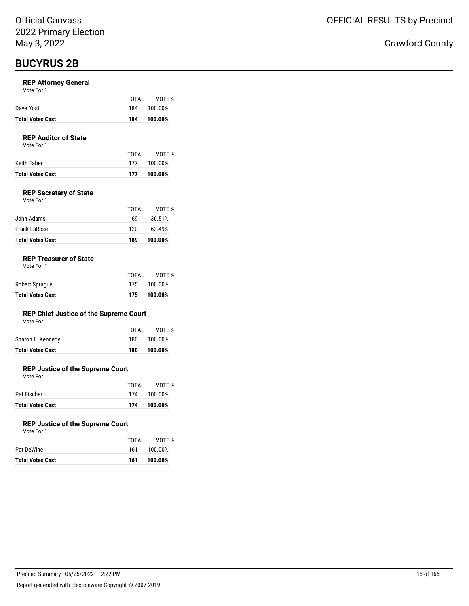#### **REP Attorney General**

| Vote For 1 |  |
|------------|--|
|------------|--|

| Dave Yost               | TOTAI | VOTE %<br>184 100.00% |
|-------------------------|-------|-----------------------|
| <b>Total Votes Cast</b> | 184   | 100.00%               |

#### **REP Auditor of State**

Vote For 1

|                  | TOTAI | VOTE %      |
|------------------|-------|-------------|
| Keith Faber      |       | 177 100.00% |
| Total Votes Cast | 177   | 100.00%     |

#### **REP Secretary of State**

| <b>Total Votes Cast</b> | 189   | 100.00% |
|-------------------------|-------|---------|
| Frank LaRose            | 120   | 63.49%  |
| John Adams              | 69    | 36.51%  |
|                         | TOTAL | VOTE %  |
| Vote For 1              |       |         |

#### **REP Treasurer of State**

Vote For 1

|                         | TOTAL | VOTE %      |
|-------------------------|-------|-------------|
| Robert Sprague          |       | 175 100.00% |
| <b>Total Votes Cast</b> |       | 175 100.00% |

#### **REP Chief Justice of the Supreme Court**

| Vote For 1 |  |
|------------|--|
|------------|--|

| Total Votes Cast  | 180   | 100.00% |
|-------------------|-------|---------|
| Sharon L. Kennedy | 180.  | 100.00% |
|                   | TOTAI | VOTE %  |

#### **REP Justice of the Supreme Court**

Vote For 1

| <b>Total Votes Cast</b> |       | 174 100.00% |
|-------------------------|-------|-------------|
| Pat Fischer             |       | 174 100.00% |
|                         | TOTAI | VOTE %      |

#### **REP Justice of the Supreme Court**

| <b>Total Votes Cast</b> | 100.00%<br>161 |        |
|-------------------------|----------------|--------|
| Pat DeWine              | 100.00%<br>161 |        |
|                         | TOTAL          | VOTE % |
| Vote For 1              |                |        |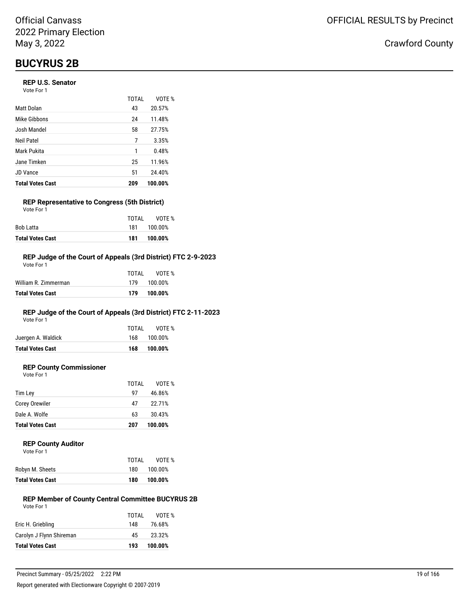#### **REP U.S. Senator**

Vote For 1

|                         | TOTAI | VOTE %  |
|-------------------------|-------|---------|
| Matt Dolan              | 43    | 20.57%  |
| Mike Gibbons            | 24    | 11.48%  |
| Josh Mandel             | 58    | 27.75%  |
| Neil Patel              | 7     | 3.35%   |
| Mark Pukita             | 1     | 0.48%   |
| Jane Timken             | 25    | 11.96%  |
| JD Vance                | 51    | 24.40%  |
| <b>Total Votes Cast</b> | 209   | 100.00% |

#### **REP Representative to Congress (5th District)** Vote For 1

|                         | TOTAI | VOTE %  |
|-------------------------|-------|---------|
| Bob Latta               | 181   | 100.00% |
| <b>Total Votes Cast</b> | 181   | 100.00% |

#### **REP Judge of the Court of Appeals (3rd District) FTC 2-9-2023**

| <b>Total Votes Cast</b> | 179   | 100.00%     |
|-------------------------|-------|-------------|
| William R. Zimmerman    |       | 179 100.00% |
|                         | TOTAL | VOTF %      |
| Vote For 1              |       |             |

### **REP Judge of the Court of Appeals (3rd District) FTC 2-11-2023**

Vote For 1

| <b>Total Votes Cast</b> | 168   | 100.00%     |
|-------------------------|-------|-------------|
| Juergen A. Waldick      |       | 168 100.00% |
|                         | TOTAI | VOTE %      |

### **REP County Commissioner**

Vote For 1

|                         | TOTAL | VOTE %  |
|-------------------------|-------|---------|
| Tim Ley                 | 97    | 46.86%  |
| <b>Corey Orewiler</b>   | 47    | 22.71%  |
| Dale A. Wolfe           | 63    | 30.43%  |
| <b>Total Votes Cast</b> | 207   | 100.00% |

#### **REP County Auditor**

| Vote For 1 |  |  |
|------------|--|--|
|            |  |  |
|            |  |  |

|     | VOTE %  |
|-----|---------|
| 180 | 100.00% |
| 180 | 100.00% |
|     | TOTAI   |

#### **REP Member of County Central Committee BUCYRUS 2B** Vote For 1

|                          | TOTAL | VOTE %  |
|--------------------------|-------|---------|
| Eric H. Griebling        | 148   | 76.68%  |
| Carolyn J Flynn Shireman | 45    | 23.32%  |
| <b>Total Votes Cast</b>  | 193   | 100.00% |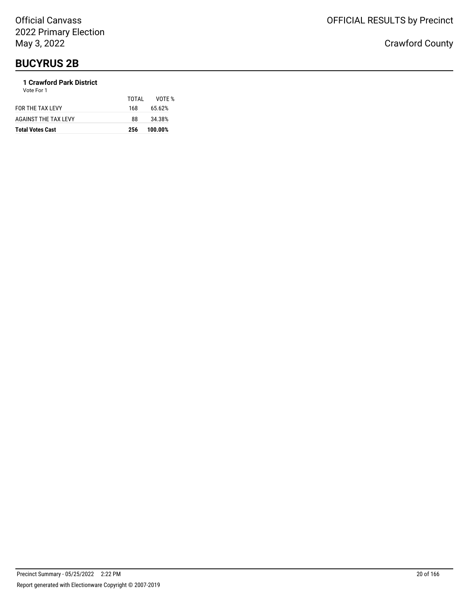### **1 Crawford Park District**

| <b>Total Votes Cast</b> | 256   | 100.00% |
|-------------------------|-------|---------|
| AGAINST THE TAX LEVY    | 88    | 34.38%  |
| FOR THE TAX LEVY        | 168   | 65.62%  |
|                         | TOTAL | VOTE %  |
| Vote For 1              |       |         |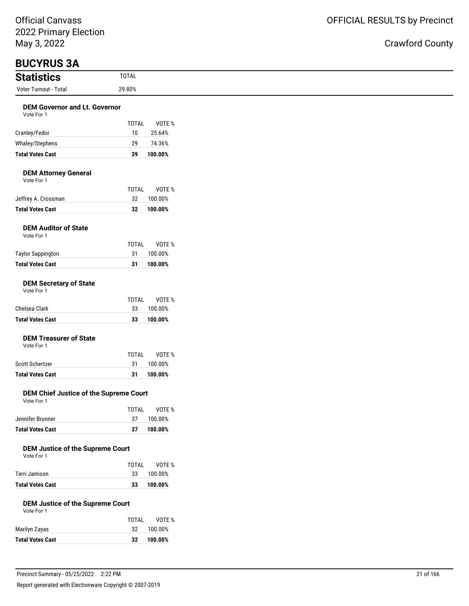| May 3, 2022                                           |                    |                    |
|-------------------------------------------------------|--------------------|--------------------|
| <b>BUCYRUS 3A</b>                                     |                    |                    |
| <b>Statistics</b>                                     | <b>TOTAL</b>       |                    |
| Voter Turnout - Total                                 | 29.80%             |                    |
| <b>DEM Governor and Lt. Governor</b><br>Vote For 1    |                    |                    |
|                                                       | <b>TOTAL</b>       | VOTE %             |
| Cranley/Fedor                                         | 10                 | 25.64%             |
| Whaley/Stephens                                       | 29                 | 74.36%             |
| <b>Total Votes Cast</b>                               | 39                 | 100.00%            |
| <b>DEM Attorney General</b><br>Vote For 1             |                    |                    |
|                                                       | <b>TOTAL</b>       | VOTE %             |
| Jeffrey A. Crossman                                   | 32                 | 100.00%            |
| <b>Total Votes Cast</b>                               | 32                 | 100.00%            |
| <b>DEM Auditor of State</b><br>Vote For 1             |                    |                    |
|                                                       | <b>TOTAL</b>       | VOTE %             |
| <b>Taylor Sappington</b>                              | 31                 | 100.00%            |
| <b>Total Votes Cast</b>                               | 31                 | 100.00%            |
| <b>DEM Secretary of State</b><br>Vote For 1           |                    |                    |
| Chelsea Clark                                         | <b>TOTAL</b>       | VOTE %             |
| <b>Total Votes Cast</b>                               | 33<br>33           | 100.00%<br>100.00% |
|                                                       |                    |                    |
| <b>DEM Treasurer of State</b><br>Vote For 1           |                    |                    |
|                                                       | <b>TOTAL</b>       | VOTE %             |
| Scott Schertzer                                       | 31                 | 100.00%            |
| <b>Total Votes Cast</b>                               | 31                 | 100.00%            |
| DEM Chief Justice of the Supreme Court<br>Vote For 1  |                    |                    |
|                                                       | <b>TOTAL</b>       | VOTE %             |
| Jennifer Brunner                                      | 37                 | 100.00%            |
| <b>Total Votes Cast</b>                               | 37                 | 100.00%            |
| <b>DEM Justice of the Supreme Court</b><br>Vote For 1 |                    |                    |
| Terri Jamison                                         | <b>TOTAL</b><br>33 | VOTE %<br>100.00%  |
| <b>Total Votes Cast</b>                               | 33                 | 100.00%            |
| <b>DEM Justice of the Supreme Court</b><br>Vote For 1 |                    |                    |
|                                                       | <b>TOTAL</b>       | VOTE %             |
| Marilyn Zayas                                         | 32                 | 100.00%            |
| <b>Total Votes Cast</b>                               | 32                 | 100.00%            |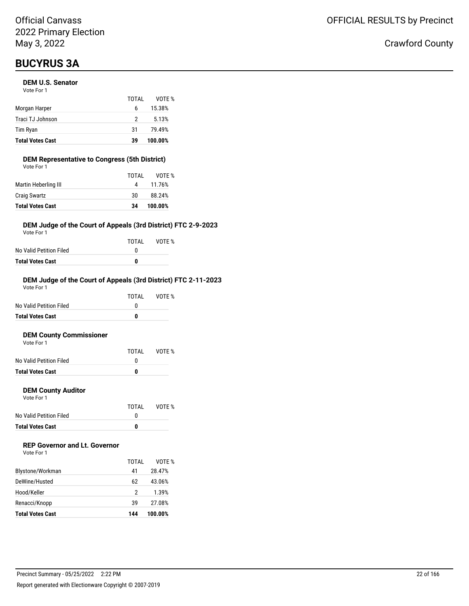## **BUCYRUS 3A**

#### **DEM U.S. Senator**

| <b>Total Votes Cast</b> | 39    | 100.00% |
|-------------------------|-------|---------|
| Tim Ryan                | 31    | 79.49%  |
| Traci TJ Johnson        | 2     | 5.13%   |
| Morgan Harper           | 6     | 15.38%  |
|                         | TOTAI | VOTE %  |
| Vote For 1              |       |         |

#### **DEM Representative to Congress (5th District)** Vote For 1

| <b>Total Votes Cast</b> | 34    | 100.00% |
|-------------------------|-------|---------|
| <b>Craig Swartz</b>     | 30    | 88.24%  |
| Martin Heberling III    |       | 11.76%  |
|                         | TOTAL | VOTF %  |
| VULE FUI I              |       |         |

#### **DEM Judge of the Court of Appeals (3rd District) FTC 2-9-2023**

Vote For 1

|                         | TOTAI | VOTE % |
|-------------------------|-------|--------|
| No Valid Petition Filed |       |        |
| Total Votes Cast        | n     |        |

#### **DEM Judge of the Court of Appeals (3rd District) FTC 2-11-2023**

| <b>Total Votes Cast</b> | 0     |        |
|-------------------------|-------|--------|
| No Valid Petition Filed | O     |        |
|                         | TOTAI | VOTF % |
| Vote For 1              |       |        |

#### **DEM County Commissioner**  $V \cap$ te

| <b>Total Votes Cast</b> | n     |        |
|-------------------------|-------|--------|
| No Valid Petition Filed |       |        |
|                         | TOTAL | VOTE % |
| VOTE FOL L              |       |        |

#### **DEM County Auditor**

Vote For 1

|                         | TOTAL | VOTE % |
|-------------------------|-------|--------|
| No Valid Petition Filed |       |        |
| <b>Total Votes Cast</b> | o     |        |

### **REP Governor and Lt. Governor**

| Vote For 1 |  |
|------------|--|
|------------|--|

| Renacci/Knopp<br><b>Total Votes Cast</b> | 39<br>144   | 27.08%<br>100.00% |
|------------------------------------------|-------------|-------------------|
| Hood/Keller                              | 2           | 1.39%             |
| DeWine/Husted                            | 62          | 43.06%            |
| Blystone/Workman                         | TOTAI<br>41 | VOTF %<br>28.47%  |
|                                          |             |                   |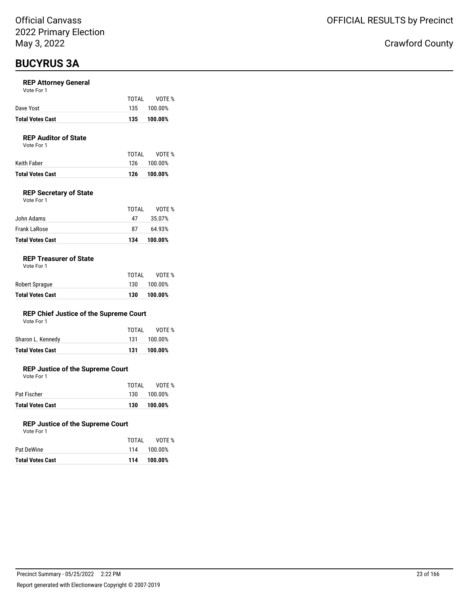## **BUCYRUS 3A**

#### **REP Attorney General**

| Vote For 1 |  |  |
|------------|--|--|
|------------|--|--|

| <b>Total Votes Cast</b> |       | 135 100.00% |
|-------------------------|-------|-------------|
| Dave Yost               |       | 135 100.00% |
|                         | TOTAI | VOTE %      |

### **REP Auditor of State**

Vote For 1

| Total Votes Cast |       | 126 100.00% |
|------------------|-------|-------------|
| Keith Faber      |       | 126 100.00% |
|                  | TOTAI | VOTE %      |

#### **REP Secretary of State**

| Vote For 1 |  |  |
|------------|--|--|
|            |  |  |

| <b>Total Votes Cast</b> | 134   | 100.00% |
|-------------------------|-------|---------|
| Frank LaRose            | 87    | 64.93%  |
| John Adams              | 47    | 35.07%  |
|                         | TOTAL | VOTF %  |

#### **REP Treasurer of State**

| <b>Total Votes Cast</b> | 130   | 100.00% |
|-------------------------|-------|---------|
| Robert Sprague          | 130   | 100.00% |
|                         | TOTAL | VOTE %  |

#### **REP Chief Justice of the Supreme Court**

| Vote For 1 |  |
|------------|--|
|------------|--|

| Total Votes Cast  | 131   | 100.00%     |
|-------------------|-------|-------------|
| Sharon L. Kennedy |       | 131 100.00% |
|                   | TOTAI | VOTE %      |

#### **REP Justice of the Supreme Court**

Vote For 1

| Pat Fischer             |     | 130 100.00% |
|-------------------------|-----|-------------|
| <b>Total Votes Cast</b> | 130 | 100.00%     |

#### **REP Justice of the Supreme Court**

| Vote For 1 |
|------------|
|------------|

|                  | TOTAL | VOTE %      |
|------------------|-------|-------------|
| Pat DeWine       |       | 114 100.00% |
| Total Votes Cast | 114   | 100.00%     |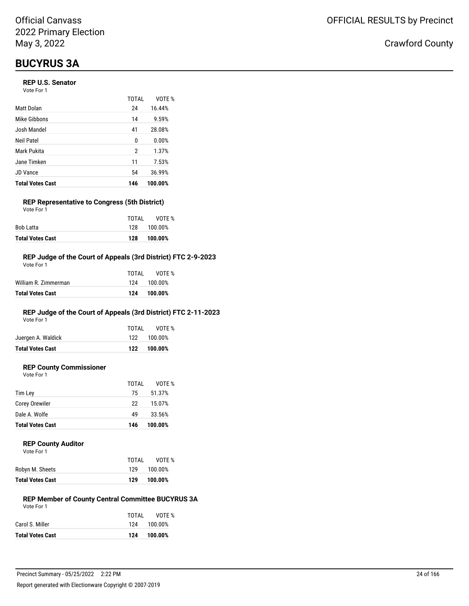## **BUCYRUS 3A**

#### **REP U.S. Senator**

Vote For 1

|                         | <b>TOTAL</b> | VOTE %  |
|-------------------------|--------------|---------|
| Matt Dolan              | 24           | 16.44%  |
| Mike Gibbons            | 14           | 9.59%   |
| Josh Mandel             | 41           | 28.08%  |
| Neil Patel              | 0            | 0.00%   |
| Mark Pukita             | 2            | 1.37%   |
| Jane Timken             | 11           | 7.53%   |
| <b>JD Vance</b>         | 54           | 36.99%  |
| <b>Total Votes Cast</b> | 146          | 100.00% |

#### **REP Representative to Congress (5th District)** Vote For 1

| <b>Total Votes Cast</b> | 128   | 100.00%     |
|-------------------------|-------|-------------|
| Bob Latta               |       | 128 100.00% |
|                         | TOTAL | VOTE %      |

#### **REP Judge of the Court of Appeals (3rd District) FTC 2-9-2023**

| Total Votes Cast     | 124   | 100.00%     |
|----------------------|-------|-------------|
| William R. Zimmerman |       | 124 100.00% |
|                      | TOTAL | VOTF %      |
| Vote For 1           |       |             |

### **REP Judge of the Court of Appeals (3rd District) FTC 2-11-2023**

Vote For 1

| <b>Total Votes Cast</b> |       | 122 100.00% |
|-------------------------|-------|-------------|
| Juergen A. Waldick      |       | 122 100.00% |
|                         | TOTAI | VOTE %      |

### **REP County Commissioner**

Vote For 1

|                         | TOTAL | VOTE %  |
|-------------------------|-------|---------|
| Tim Ley                 | 75    | 51.37%  |
| Corey Orewiler          | 22    | 15.07%  |
| Dale A. Wolfe           | 49    | 33.56%  |
| <b>Total Votes Cast</b> | 146   | 100.00% |

#### **REP County Auditor**

| Vote For 1 |  |
|------------|--|
|------------|--|

| TOTAI | VOTE %  |
|-------|---------|
| 129   | 100.00% |
| 129   | 100.00% |
|       |         |

#### **REP Member of County Central Committee BUCYRUS 3A** Vote For 1

| TOTAI | VOTE %      |
|-------|-------------|
|       | 124 100.00% |
| 124   | 100.00%     |
|       |             |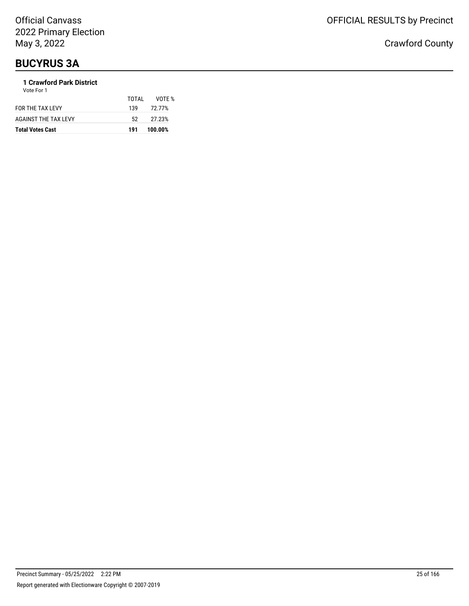## **BUCYRUS 3A**

#### **1 Crawford Park District** Vote For 1

| <b>Total Votes Cast</b>     | 191   | 100.00% |
|-----------------------------|-------|---------|
| <b>AGAINST THE TAX LEVY</b> | 52.   | 27.23%  |
| FOR THE TAX LEVY            | 139   | 72.77%  |
|                             | TOTAL | VOTF %  |
| .                           |       |         |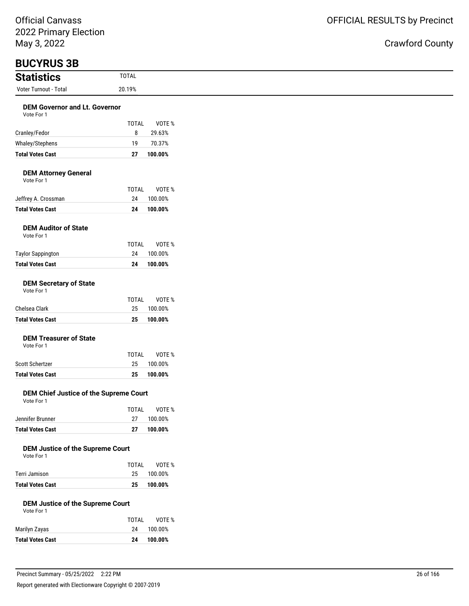| May 3, 2022                                           |                    |                   |
|-------------------------------------------------------|--------------------|-------------------|
| <b>BUCYRUS 3B</b>                                     |                    |                   |
| <b>Statistics</b>                                     | <b>TOTAL</b>       |                   |
| Voter Turnout - Total                                 | 20.19%             |                   |
| <b>DEM Governor and Lt. Governor</b><br>Vote For 1    |                    |                   |
|                                                       | <b>TOTAL</b>       | VOTE %            |
| Cranley/Fedor                                         | 8                  | 29.63%            |
| Whaley/Stephens                                       | 19                 | 70.37%            |
| <b>Total Votes Cast</b>                               | 27                 | 100.00%           |
| <b>DEM Attorney General</b><br>Vote For 1             |                    |                   |
|                                                       | <b>TOTAL</b>       | VOTE %            |
| Jeffrey A. Crossman                                   | 24                 | 100.00%           |
| <b>Total Votes Cast</b>                               | 24                 | 100.00%           |
| <b>DEM Auditor of State</b><br>Vote For 1             |                    |                   |
|                                                       | <b>TOTAL</b>       | VOTE %            |
| <b>Taylor Sappington</b>                              | 24                 | 100.00%           |
| <b>Total Votes Cast</b>                               | 24                 | 100.00%           |
| <b>DEM Secretary of State</b><br>Vote For 1           |                    |                   |
| Chelsea Clark                                         | <b>TOTAL</b><br>25 | VOTE %<br>100.00% |
| <b>Total Votes Cast</b>                               | 25                 | 100.00%           |
| <b>DEM Treasurer of State</b><br>Vote For 1           | <b>TOTAL</b>       | VOTE %            |
| Scott Schertzer                                       | 25                 | 100.00%           |
| <b>Total Votes Cast</b>                               | 25                 | 100.00%           |
| DEM Chief Justice of the Supreme Court<br>Vote For 1  |                    |                   |
|                                                       | <b>TOTAL</b>       | VOTE %            |
| Jennifer Brunner                                      | 27                 | 100.00%           |
| <b>Total Votes Cast</b>                               | 27                 | 100.00%           |
| <b>DEM Justice of the Supreme Court</b><br>Vote For 1 | <b>TOTAL</b>       | VOTE %            |
| Terri Jamison                                         | 25                 | 100.00%           |
| <b>Total Votes Cast</b>                               | 25                 | 100.00%           |
| <b>DEM Justice of the Supreme Court</b><br>Vote For 1 |                    |                   |
|                                                       | <b>TOTAL</b>       | VOTE %            |
| Marilyn Zayas                                         | 24                 | 100.00%           |
| <b>Total Votes Cast</b>                               | 24                 | 100.00%           |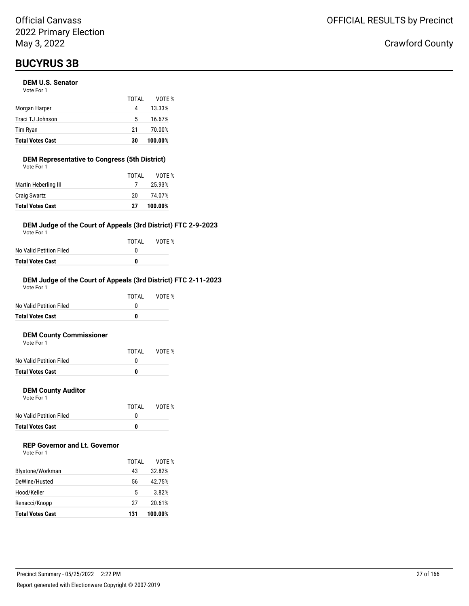## **BUCYRUS 3B**

#### **DEM U.S. Senator**

| <b>Total Votes Cast</b> | 30    | 100.00% |
|-------------------------|-------|---------|
| Tim Ryan                | 21    | 70.00%  |
| Traci TJ Johnson        | 5     | 16.67%  |
| Morgan Harper           | 4     | 13.33%  |
|                         | TOTAI | VOTF %  |
| Vote For 1              |       |         |

### **DEM Representative to Congress (5th District)**

| <b>Total Votes Cast</b> | 27    | 100.00% |
|-------------------------|-------|---------|
| <b>Craig Swartz</b>     | 20    | 74.07%  |
| Martin Heberling III    | 7     | 25.93%  |
|                         | TOTAL | VOTF %  |
| Vote For 1              |       |         |

#### **DEM Judge of the Court of Appeals (3rd District) FTC 2-9-2023**

Vote For 1

|                         | TOTAL | VOTE % |
|-------------------------|-------|--------|
| No Valid Petition Filed |       |        |
| Total Votes Cast        | n     |        |

#### **DEM Judge of the Court of Appeals (3rd District) FTC 2-11-2023** Vote For 1

|                         | TOTAL | VOTF % |
|-------------------------|-------|--------|
| No Valid Petition Filed |       |        |
| <b>Total Votes Cast</b> | 0     |        |
|                         |       |        |

#### **DEM County Commissioner**  $V \cap$ te

| <b>Total Votes Cast</b> | O     |        |
|-------------------------|-------|--------|
| No Valid Petition Filed |       |        |
|                         | TOTAL | VOTE % |
| VOLE FOI T              |       |        |

#### **DEM County Auditor**

Vote For 1

|                         | TOTAL | VOTE % |
|-------------------------|-------|--------|
| No Valid Petition Filed |       |        |
| <b>Total Votes Cast</b> | o     |        |

### **REP Governor and Lt. Governor**

| Vote For 1 |  |
|------------|--|
|------------|--|

|                         | TOTAI | VOTF %  |
|-------------------------|-------|---------|
| Blystone/Workman        | 43    | 32.82%  |
| DeWine/Husted           | 56    | 42.75%  |
| Hood/Keller             | 5     | 3.82%   |
| Renacci/Knopp           | 27    | 20.61%  |
| <b>Total Votes Cast</b> | 131   | 100.00% |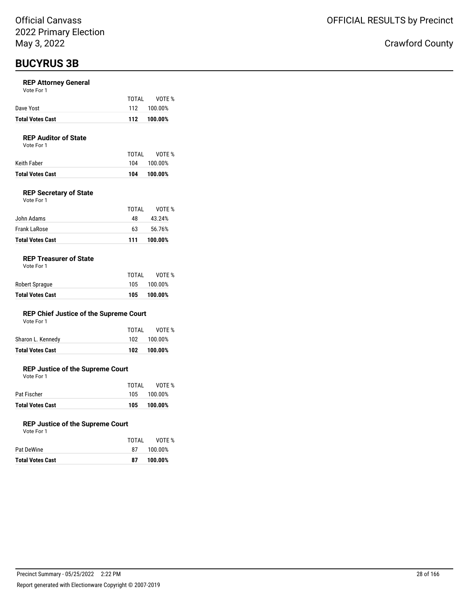### **BUCYRUS 3B**

#### **REP Attorney General**

|  | Vote For 1 |  |
|--|------------|--|
|  |            |  |

| <b>Total Votes Cast</b> |       | 112 100.00% |
|-------------------------|-------|-------------|
| Dave Yost               |       | 112 100.00% |
|                         | TOTAI | VOTE %      |

### **REP Auditor of State**

Vote For 1

| Total Votes Cast | 104   | 100.00%     |
|------------------|-------|-------------|
| Keith Faber      |       | 104 100.00% |
|                  | TOTAL | VOTE %      |

#### **REP Secretary of State**

| Vote For 1 |  |
|------------|--|
|            |  |

| <b>Total Votes Cast</b> | 111   | 100.00% |
|-------------------------|-------|---------|
| Frank LaRose            | 63    | 56.76%  |
| John Adams              | 48    | 43.24%  |
|                         | TOTAL | VOTF %  |

#### **REP Treasurer of State**

| <b>Total Votes Cast</b> | 105   | 100.00%     |
|-------------------------|-------|-------------|
| Robert Sprague          |       | 105 100.00% |
|                         | TOTAI | VOTE %      |

#### **REP Chief Justice of the Supreme Court** Vote For 1

| <b>Total Votes Cast</b> | 102   | 100.00%     |
|-------------------------|-------|-------------|
| Sharon L. Kennedy       |       | 102 100.00% |
|                         | TOTAL | VOTE %      |
| VOLE FOI I              |       |             |

#### **REP Justice of the Supreme Court**

Vote For 1

|                         | TOTAI | VOTE %      |
|-------------------------|-------|-------------|
| Pat Fischer             |       | 105 100.00% |
| <b>Total Votes Cast</b> | 105   | 100.00%     |

#### **REP Justice of the Supreme Court**

| Vote For 1 |  |
|------------|--|

| <b>Total Votes Cast</b> | 87    | 100.00% |
|-------------------------|-------|---------|
| Pat DeWine              | 87    | 100.00% |
|                         | TOTAI | VOTE %  |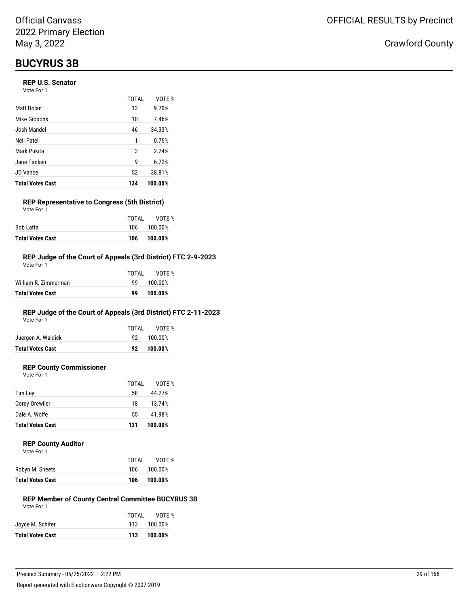## **BUCYRUS 3B**

#### **REP U.S. Senator**

| Vote For 1 |  |
|------------|--|
|------------|--|

|                         | TOTAL | VOTF %  |
|-------------------------|-------|---------|
| Matt Dolan              | 13    | 9.70%   |
| Mike Gibbons            | 10    | 7.46%   |
| Josh Mandel             | 46    | 34.33%  |
| Neil Patel              | 1     | 0.75%   |
| Mark Pukita             | 3     | 2.24%   |
| Jane Timken             | 9     | 6.72%   |
| <b>JD Vance</b>         | 52    | 38.81%  |
| <b>Total Votes Cast</b> | 134   | 100.00% |

#### **REP Representative to Congress (5th District)** Vote For 1

|                         | TOTAL | VOTE %      |
|-------------------------|-------|-------------|
| Bob Latta               |       | 106 100.00% |
| <b>Total Votes Cast</b> | 106   | 100.00%     |

#### **REP Judge of the Court of Appeals (3rd District) FTC 2-9-2023**

| Total Votes Cast     | 99    | 100.00% |
|----------------------|-------|---------|
| William R. Zimmerman | ٩q    | 100.00% |
|                      | TOTAL | VOTF %  |
| Vote For 1           |       |         |

### **REP Judge of the Court of Appeals (3rd District) FTC 2-11-2023**

Vote For 1

|                         | TOTAL | VOTE %     |
|-------------------------|-------|------------|
| Juergen A. Waldick      |       | 92 100.00% |
| <b>Total Votes Cast</b> |       | 92 100.00% |
|                         |       |            |

### **REP County Commissioner**

Vote For 1

|                         | TOTAL | VOTE %  |
|-------------------------|-------|---------|
| Tim Lev                 | 58    | 44.27%  |
| Corey Orewiler          | 18    | 13.74%  |
| Dale A. Wolfe           | 55    | 41.98%  |
| <b>Total Votes Cast</b> | 131   | 100.00% |
|                         |       |         |

#### **REP County Auditor**

|                         | TOTAI | VOTE %  |
|-------------------------|-------|---------|
| Robyn M. Sheets         | 106   | 100.00% |
| <b>Total Votes Cast</b> | 106   | 100.00% |

#### **REP Member of County Central Committee BUCYRUS 3B** Vote For 1

| VOTE %      |
|-------------|
| 113 100.00% |
| 113 100.00% |
|             |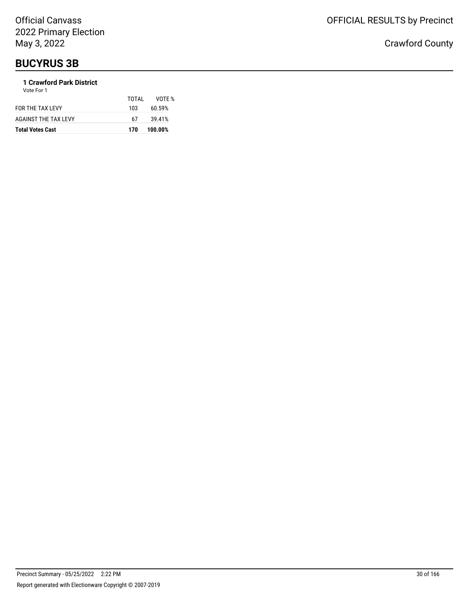## **BUCYRUS 3B**

### **1 Crawford Park District**

| <b>Total Votes Cast</b> | 170   | 100.00% |
|-------------------------|-------|---------|
| AGAINST THE TAX LEVY    | 67    | 39.41%  |
| FOR THE TAX LEVY        | 103   | 60.59%  |
|                         | TOTAL | VOTE %  |
| Vote For 1              |       |         |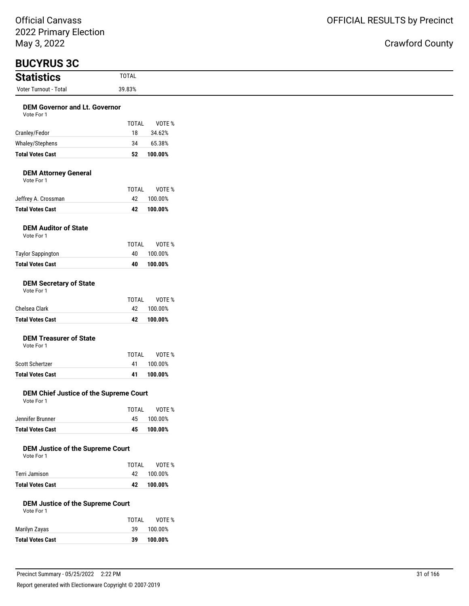## Crawford County

 $\overline{\phantom{0}}$ 

| <b>BUCYRUS 3C</b>                                     |                    |         |
|-------------------------------------------------------|--------------------|---------|
| <b>Statistics</b>                                     | <b>TOTAL</b>       |         |
| Voter Turnout - Total                                 | 39.83%             |         |
| <b>DEM Governor and Lt. Governor</b>                  |                    |         |
| Vote For 1                                            |                    |         |
|                                                       | <b>TOTAL</b>       | VOTE %  |
| Cranley/Fedor                                         | 18                 | 34.62%  |
| Whaley/Stephens                                       | 34                 | 65.38%  |
| <b>Total Votes Cast</b>                               | 52                 | 100.00% |
| <b>DEM Attorney General</b><br>Vote For 1             |                    |         |
|                                                       | <b>TOTAL</b><br>42 | VOTE %  |
| Jeffrey A. Crossman<br><b>Total Votes Cast</b>        |                    | 100.00% |
|                                                       | 42                 | 100.00% |
| <b>DEM Auditor of State</b><br>Vote For 1             |                    |         |
|                                                       | TOTAL              | VOTE %  |
| <b>Taylor Sappington</b>                              | 40                 | 100.00% |
| <b>Total Votes Cast</b>                               | 40                 | 100.00% |
| <b>DEM Secretary of State</b><br>Vote For 1           |                    |         |
|                                                       | <b>TOTAL</b>       | VOTE %  |
| Chelsea Clark                                         | 42                 | 100.00% |
| <b>Total Votes Cast</b>                               | 42                 | 100.00% |
| <b>DEM Treasurer of State</b><br>Vote For 1           |                    |         |
|                                                       | <b>TOTAL</b>       | VOTE %  |
| Scott Schertzer                                       | 41                 | 100.00% |
| <b>Total Votes Cast</b>                               | 41                 | 100.00% |
| DEM Chief Justice of the Supreme Court<br>Vote For 1  |                    |         |
|                                                       | <b>TOTAL</b>       | VOTE %  |
| Jennifer Brunner                                      | 45                 | 100.00% |
| <b>Total Votes Cast</b>                               | 45                 | 100.00% |
| <b>DEM Justice of the Supreme Court</b><br>Vote For 1 | TOTAL              | VOTE %  |
| Terri Jamison                                         | 42                 | 100.00% |
| <b>Total Votes Cast</b>                               | 42                 | 100.00% |
| <b>DEM Justice of the Supreme Court</b><br>Vote For 1 |                    |         |
|                                                       | TOTAL              | VOTE %  |
| Marilyn Zayas                                         | 39                 | 100.00% |
| <b>Total Votes Cast</b>                               | 39                 | 100.00% |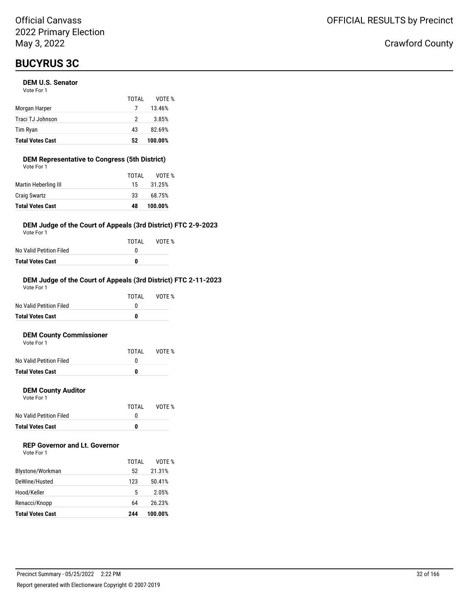#### **DEM U.S. Senator**

| <b>Total Votes Cast</b> | 52    | 100.00% |
|-------------------------|-------|---------|
| Tim Ryan                | 43    | 82.69%  |
| Traci TJ Johnson        | 2     | 3.85%   |
| Morgan Harper           |       | 13.46%  |
|                         | TOTAI | VOTE %  |
| Vote For 1              |       |         |

#### **DEM Representative to Congress (5th District)** Vote For 1

| <b>Total Votes Cast</b> | 48    | 100.00% |
|-------------------------|-------|---------|
| <b>Craig Swartz</b>     | 33    | 68.75%  |
| Martin Heberling III    | 15    | 31.25%  |
|                         | TOTAL | VOTE %  |
| VULE FUI I              |       |         |

#### **DEM Judge of the Court of Appeals (3rd District) FTC 2-9-2023**

Vote For 1

|                         | TOTAI | VOTE % |
|-------------------------|-------|--------|
| No Valid Petition Filed |       |        |
| Total Votes Cast        | n     |        |

#### **DEM Judge of the Court of Appeals (3rd District) FTC 2-11-2023**

| <b>Total Votes Cast</b> | 0     |        |
|-------------------------|-------|--------|
| No Valid Petition Filed | O     |        |
|                         | TOTAI | VOTF % |
| Vote For 1              |       |        |

#### **DEM County Commissioner**  $V \cap$ te

| <b>Total Votes Cast</b> | O     |        |
|-------------------------|-------|--------|
| No Valid Petition Filed |       |        |
|                         | TOTAI | VOTE % |
| VOLE FOI I              |       |        |

#### **DEM County Auditor**

Vote For 1

|                         | TOTAL | VOTE % |
|-------------------------|-------|--------|
| No Valid Petition Filed |       |        |
| <b>Total Votes Cast</b> | n     |        |

### **REP Governor and Lt. Governor**

|                         | TOTAI | VOTF %  |
|-------------------------|-------|---------|
| Blystone/Workman        | 52    | 21.31%  |
| DeWine/Husted           | 123   | 50.41%  |
| Hood/Keller             | 5     | 2.05%   |
| Renacci/Knopp           | 64    | 26.23%  |
| <b>Total Votes Cast</b> | 244   | 100.00% |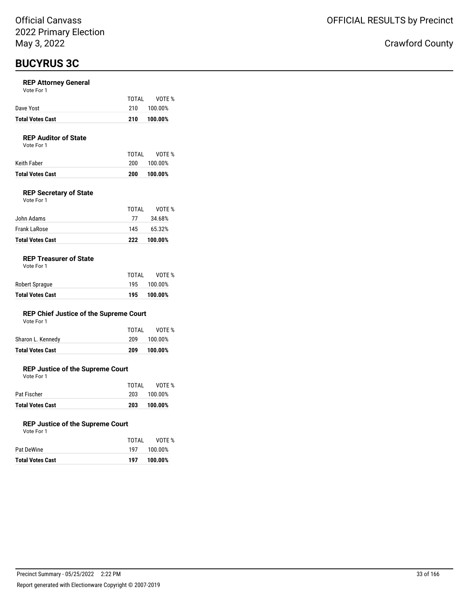#### **REP Attorney General**

| Vote For 1 |  |  |
|------------|--|--|
|------------|--|--|

| <b>Total Votes Cast</b> | 210   | 100.00% |
|-------------------------|-------|---------|
| Dave Yost               | 21 O  | 100.00% |
|                         | TOTAI | VOTE %  |

#### **REP Auditor of State**

Vote For 1

|                  | TOTAI | VOTE %  |
|------------------|-------|---------|
| Keith Faber      | 200   | 100.00% |
| Total Votes Cast | 200   | 100.00% |

VOTE %

### **REP Secretary of State**

| Vote For 1   |       |        |
|--------------|-------|--------|
|              | TOTAI | VOTE   |
| John Adams   | 77    | 34.68% |
| Frank LaRose | 145   | 65.32% |

#### **REP Treasurer of State**

|  | Vote For 1 |  |  |
|--|------------|--|--|
|--|------------|--|--|

| <b>Total Votes Cast</b> | 195   | 100.00%     |
|-------------------------|-------|-------------|
| Robert Sprague          |       | 195 100.00% |
|                         | TOTAI | VOTE %      |

**Total Votes Cast 222 100.00%**

#### **REP Chief Justice of the Supreme Court**

|  |  | Vote For 1 |  |  |
|--|--|------------|--|--|
|  |  |            |  |  |

| <b>Total Votes Cast</b> | 209 | 100.00%      |
|-------------------------|-----|--------------|
| Sharon L. Kennedy       |     | 209 100.00%  |
|                         |     | TOTAL VOTE % |

#### **REP Justice of the Supreme Court**

Vote For 1

| <b>Total Votes Cast</b> | 203   | 100.00%     |
|-------------------------|-------|-------------|
| Pat Fischer             |       | 203 100.00% |
|                         | TOTAI | VOTE %      |

#### **REP Justice of the Supreme Court**

|                  | TOTAI | VOTE %      |
|------------------|-------|-------------|
| Pat DeWine       |       | 197 100.00% |
| Total Votes Cast | 197   | 100.00%     |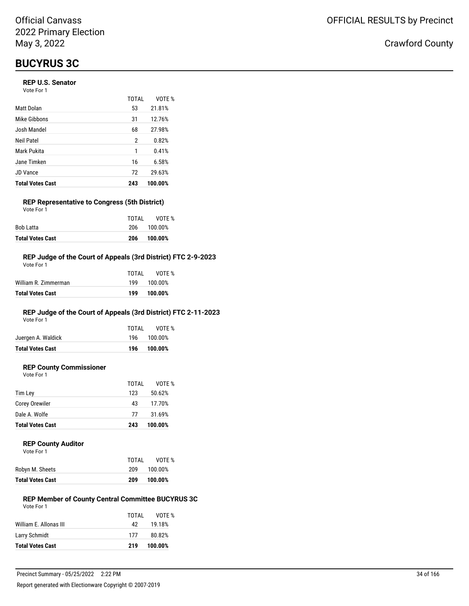#### **REP U.S. Senator**

| Vote For 1 |  |
|------------|--|
|------------|--|

|                         | TOTAL | VOTF %  |
|-------------------------|-------|---------|
| Matt Dolan              | 53    | 21.81%  |
| Mike Gibbons            | 31    | 12.76%  |
| Josh Mandel             | 68    | 27.98%  |
| Neil Patel              | 2     | 0.82%   |
| Mark Pukita             | 1     | 0.41%   |
| Jane Timken             | 16    | 6.58%   |
| <b>JD Vance</b>         | 72    | 29.63%  |
| <b>Total Votes Cast</b> | 243   | 100.00% |

#### **REP Representative to Congress (5th District)** Vote For 1

|                         | TOTAI | VOTE %      |
|-------------------------|-------|-------------|
| Bob Latta               |       | 206 100.00% |
| <b>Total Votes Cast</b> | 206   | 100.00%     |

#### **REP Judge of the Court of Appeals (3rd District) FTC 2-9-2023**

| Total Votes Cast     | 199   | 100.00% |
|----------------------|-------|---------|
| William R. Zimmerman | 199   | 100.00% |
|                      | TOTAL | VOTF %  |
| Vote For 1           |       |         |

### **REP Judge of the Court of Appeals (3rd District) FTC 2-11-2023**

Vote For 1

| <b>Total Votes Cast</b> |       | 196 100.00% |
|-------------------------|-------|-------------|
| Juergen A. Waldick      |       | 196 100.00% |
|                         | TOTAI | VOTE %      |

#### **REP County Commissioner**

Vote For 1

|                         | TOTAL | VOTE %  |
|-------------------------|-------|---------|
| Tim Ley                 | 123   | 50.62%  |
| Corey Orewiler          | 43    | 17.70%  |
| Dale A. Wolfe           | 77    | 31.69%  |
| <b>Total Votes Cast</b> | 243   | 100.00% |

#### **REP County Auditor**

|--|

|                  | TOTAL | VOTE %  |
|------------------|-------|---------|
| Robyn M. Sheets  | 209   | 100.00% |
| Total Votes Cast | 209   | 100.00% |

#### **REP Member of County Central Committee BUCYRUS 3C** Vote For 1

| <b>Total Votes Cast</b> | 219   | 100.00% |
|-------------------------|-------|---------|
| Larry Schmidt           | 177   | 80.82%  |
| William E. Allonas III  | 42.   | 19.18%  |
|                         | TOTAL | VOTE %  |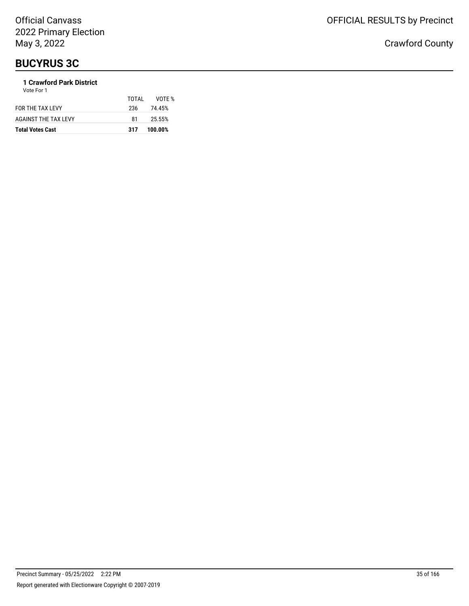### **1 Crawford Park District**

| <b>Total Votes Cast</b> | 317   | 100.00% |
|-------------------------|-------|---------|
| AGAINST THE TAX LEVY    | 81    | 25.55%  |
| FOR THE TAX LEVY        | 236   | 74.45%  |
| Vote For 1              | TOTAI | VOTF %  |
|                         |       |         |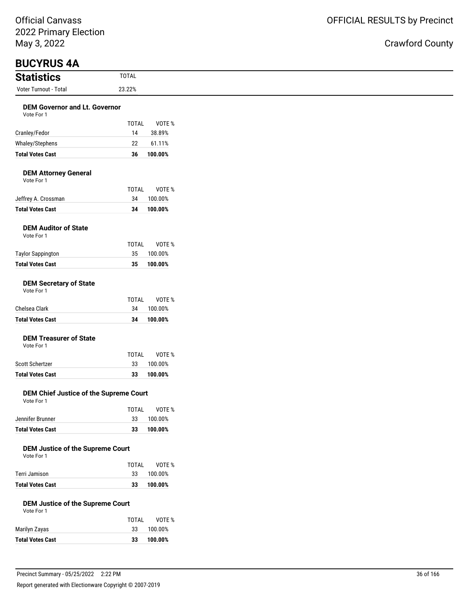| ividy J, ZUZZ                                                |                    |                    |
|--------------------------------------------------------------|--------------------|--------------------|
| <b>BUCYRUS 4A</b>                                            |                    |                    |
| <b>Statistics</b>                                            | <b>TOTAL</b>       |                    |
| Voter Turnout - Total                                        | 23.22%             |                    |
| <b>DEM Governor and Lt. Governor</b>                         |                    |                    |
| Vote For 1                                                   |                    |                    |
|                                                              | <b>TOTAL</b>       | VOTE %             |
| Cranley/Fedor                                                | 14                 | 38.89%             |
| Whaley/Stephens                                              | 22                 | 61.11%             |
| <b>Total Votes Cast</b>                                      | 36                 | 100.00%            |
| <b>DEM Attorney General</b><br>Vote For 1                    |                    |                    |
|                                                              | <b>TOTAL</b>       | VOTE %             |
| Jeffrey A. Crossman                                          | 34                 | 100.00%            |
| <b>Total Votes Cast</b>                                      | 34                 | 100.00%            |
| <b>DEM Auditor of State</b><br>Vote For 1                    |                    |                    |
|                                                              | <b>TOTAL</b>       | VOTE %             |
| <b>Taylor Sappington</b><br><b>Total Votes Cast</b>          | 35<br>35           | 100.00%<br>100.00% |
| <b>DEM Secretary of State</b><br>Vote For 1<br>Chelsea Clark | <b>TOTAL</b><br>34 | VOTE %<br>100.00%  |
| <b>Total Votes Cast</b>                                      | 34                 | 100.00%            |
| <b>DEM Treasurer of State</b><br>Vote For 1                  | <b>TOTAL</b>       | VOTE %             |
| Scott Schertzer                                              | 33                 | 100.00%            |
| <b>Total Votes Cast</b>                                      | 33                 | 100.00%            |
| DEM Chief Justice of the Supreme Court<br>Vote For 1         |                    |                    |
| Jennifer Brunner                                             | <b>TOTAL</b><br>33 | VOTE %<br>100.00%  |
| <b>Total Votes Cast</b>                                      | 33                 | 100.00%            |
| <b>DEM Justice of the Supreme Court</b><br>Vote For 1        | <b>TOTAL</b>       | VOTE %             |
| Terri Jamison                                                | 33                 | 100.00%            |
| <b>Total Votes Cast</b>                                      | 33                 | 100.00%            |
| <b>DEM Justice of the Supreme Court</b><br>Vote For 1        |                    |                    |
|                                                              | TOTAL              | VOTE %             |
| Marilyn Zayas                                                | 33                 | 100.00%            |
| <b>Total Votes Cast</b>                                      | 33                 | 100.00%            |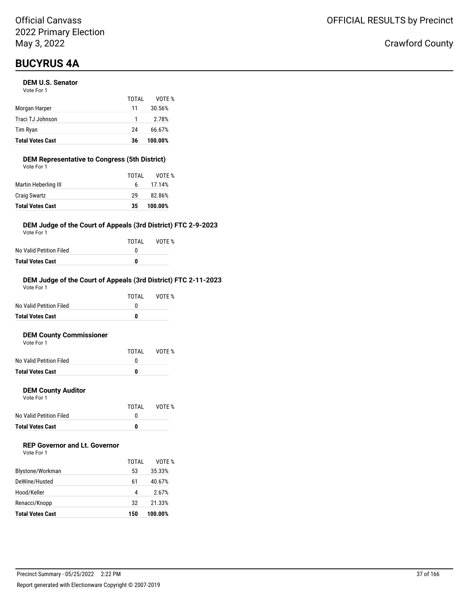## **BUCYRUS 4A**

#### **DEM U.S. Senator**

| <b>Total Votes Cast</b> | 36    | 100.00% |
|-------------------------|-------|---------|
| Tim Ryan                | 24    | 66.67%  |
| Traci TJ Johnson        | 1     | 2.78%   |
| Morgan Harper           | 11    | 30.56%  |
|                         | TOTAI | VOTE %  |
| Vote For 1              |       |         |

#### **DEM Representative to Congress (5th District)** Vote For 1

| <b>Total Votes Cast</b> | 35    | 100.00% |
|-------------------------|-------|---------|
| <b>Craig Swartz</b>     | 29    | 82.86%  |
| Martin Heberling III    | 6.    | 17.14%  |
|                         | TOTAI | VOTE %  |
| VULE FUI I              |       |         |

#### **DEM Judge of the Court of Appeals (3rd District) FTC 2-9-2023**

Vote For 1

|                         | TOTAI | VOTE % |
|-------------------------|-------|--------|
| No Valid Petition Filed |       |        |
| Total Votes Cast        | n     |        |

#### **DEM Judge of the Court of Appeals (3rd District) FTC 2-11-2023**

| <b>Total Votes Cast</b> | 0     |        |
|-------------------------|-------|--------|
| No Valid Petition Filed | O     |        |
|                         | TOTAI | VOTF % |
| Vote For 1              |       |        |

#### **DEM County Commissioner**  $V$ ote

| <b>Total Votes Cast</b> | n     |        |
|-------------------------|-------|--------|
| No Valid Petition Filed |       |        |
|                         | TOTAL | VOTE % |
| VOLE FOI T              |       |        |

#### **DEM County Auditor**

Vote For 1

|                         | TOTAL | VOTE % |
|-------------------------|-------|--------|
| No Valid Petition Filed |       |        |
| <b>Total Votes Cast</b> | o     |        |

### **REP Governor and Lt. Governor**

|                         | TOTAI | VOTF %  |
|-------------------------|-------|---------|
| Blystone/Workman        | 53    | 35.33%  |
| DeWine/Husted           | 61    | 40.67%  |
| Hood/Keller             | 4     | 2.67%   |
| Renacci/Knopp           | 32    | 21.33%  |
| <b>Total Votes Cast</b> | 150   | 100.00% |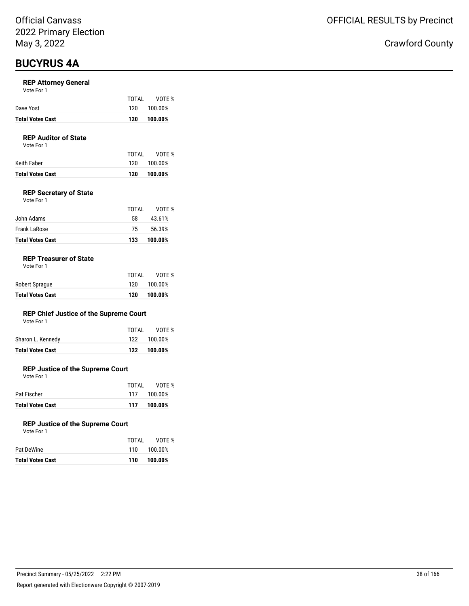## **BUCYRUS 4A**

#### **REP Attorney General**

| <b>Total Votes Cast</b> | 120   | 100.00% |
|-------------------------|-------|---------|
| Dave Yost               | 120 L | 100.00% |
|                         | TOTAI | VOTE %  |

#### **REP Auditor of State**

Vote For 1

| Total Votes Cast | 120   | 100.00%     |
|------------------|-------|-------------|
| Keith Faber      |       | 120 100.00% |
|                  | TOTAI | VOTE %      |

#### **REP Secretary of State**

| Vote For 1 |  |
|------------|--|
|            |  |

|                         | TOTAL | VOTF %  |
|-------------------------|-------|---------|
| John Adams              | 58    | 43.61%  |
| Frank LaRose            | 75    | 56.39%  |
| <b>Total Votes Cast</b> | 133   | 100.00% |

#### **REP Treasurer of State**

| <b>Total Votes Cast</b> | 120   | 100.00% |
|-------------------------|-------|---------|
| Robert Sprague          | 120   | 100.00% |
|                         | TOTAL | VOTE %  |

#### **REP Chief Justice of the Supreme Court**

| Vote For 1 |  |  |
|------------|--|--|
|------------|--|--|

| Total Votes Cast  |       | 122 100.00% |
|-------------------|-------|-------------|
| Sharon L. Kennedy |       | 122 100.00% |
|                   | TOTAI | VOTE %      |

#### **REP Justice of the Supreme Court**

Vote For 1

|                         | TOTAI | VOTE %      |
|-------------------------|-------|-------------|
| Pat Fischer             |       | 117 100.00% |
| <b>Total Votes Cast</b> | 117   | 100.00%     |

#### **REP Justice of the Supreme Court**

| Vote For 1 |
|------------|
|------------|

|     | VOTE %      |
|-----|-------------|
|     | 110 100.00% |
| 110 | 100.00%     |
|     | TOTAL       |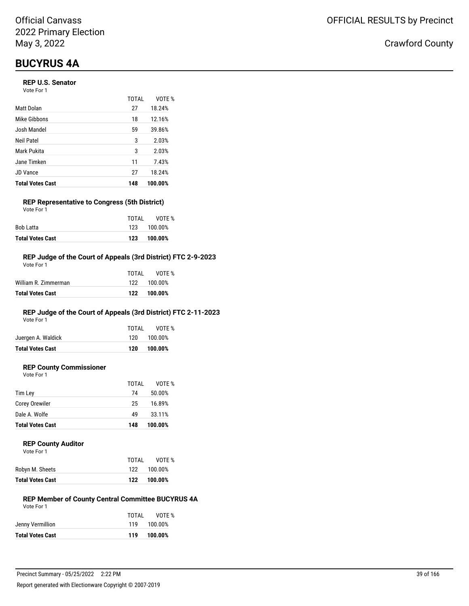## **BUCYRUS 4A**

#### **REP U.S. Senator**

Vote For 1

|                         | <b>TOTAL</b> | VOTE %  |
|-------------------------|--------------|---------|
| Matt Dolan              | 27           | 18.24%  |
| Mike Gibbons            | 18           | 12.16%  |
| Josh Mandel             | 59           | 39.86%  |
| Neil Patel              | 3            | 2.03%   |
| Mark Pukita             | 3            | 2.03%   |
| Jane Timken             | 11           | 7.43%   |
| <b>JD Vance</b>         | 27           | 18.24%  |
| <b>Total Votes Cast</b> | 148          | 100.00% |

#### **REP Representative to Congress (5th District)** Vote For 1

| 123   | 100.00%     |
|-------|-------------|
|       | 123 100.00% |
| TOTAI | VOTE %      |
|       |             |

#### **REP Judge of the Court of Appeals (3rd District) FTC 2-9-2023**

| Total Votes Cast     | 122   | 100.00%     |
|----------------------|-------|-------------|
| William R. Zimmerman |       | 122 100.00% |
|                      | TOTAL | VOTF %      |
| Vote For 1           |       |             |

### **REP Judge of the Court of Appeals (3rd District) FTC 2-11-2023**

Vote For 1

| <b>Total Votes Cast</b> | 120   | 100.00%     |
|-------------------------|-------|-------------|
| Juergen A. Waldick      |       | 120 100.00% |
|                         | TOTAI | VOTE %      |

### **REP County Commissioner**

Vote For 1

|                         | TOTAL | VOTE %  |
|-------------------------|-------|---------|
| Tim Lev                 | 74    | 50.00%  |
| <b>Corey Orewiler</b>   | 25    | 16.89%  |
| Dale A. Wolfe           | 49    | 33.11%  |
| <b>Total Votes Cast</b> | 148   | 100.00% |
|                         |       |         |

#### **REP County Auditor**

| Vote For 1                |  |  |
|---------------------------|--|--|
|                           |  |  |
| المقدام المتلقط المستملكة |  |  |

| Total Votes Cast | 122 100.00% |  |
|------------------|-------------|--|
| Robyn M. Sheets  | 122 100.00% |  |

#### **REP Member of County Central Committee BUCYRUS 4A** Vote For 1

TOTAL VOTE %

|                         | TOTAI | VOTE %      |
|-------------------------|-------|-------------|
| Jenny Vermillion        |       | 119 100.00% |
| <b>Total Votes Cast</b> |       | 119 100.00% |
|                         |       |             |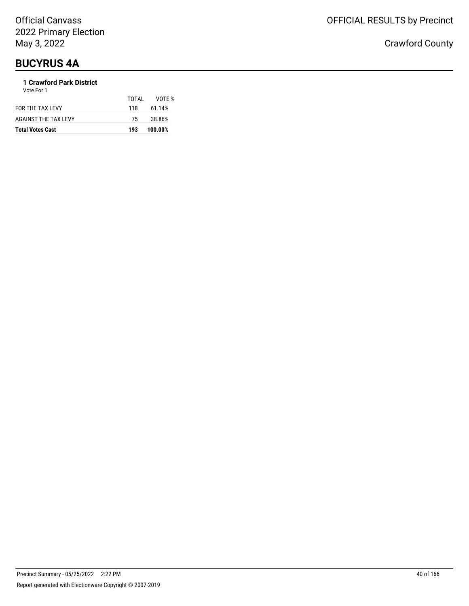# **BUCYRUS 4A**

### **1 Crawford Park District**

| <b>Total Votes Cast</b> | 193   | 100.00% |
|-------------------------|-------|---------|
| AGAINST THE TAX LEVY    | 75    | 38.86%  |
| FOR THE TAX LEVY        | 118   | 61.14%  |
|                         | TOTAL | VOTE %  |
| Vote For 1              |       |         |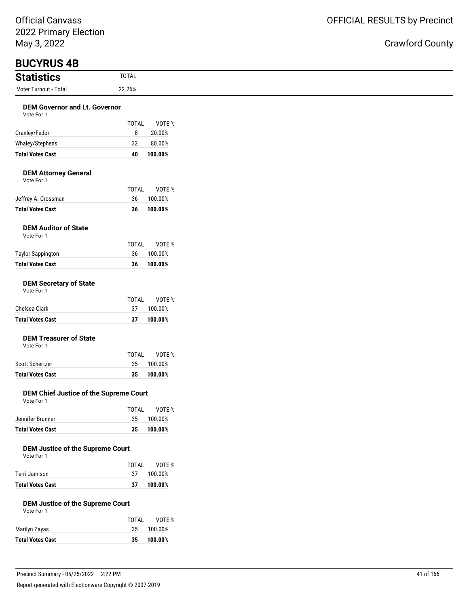# Crawford County

L

| <b>Statistics</b>                                     | <b>TOTAL</b>       |                   |
|-------------------------------------------------------|--------------------|-------------------|
| Voter Turnout - Total                                 | 22.26%             |                   |
| <b>DEM Governor and Lt. Governor</b>                  |                    |                   |
| Vote For 1                                            |                    |                   |
|                                                       | TOTAL              | VOTE %            |
| Cranley/Fedor                                         | 8                  | 20.00%            |
| Whaley/Stephens                                       | 32                 | 80.00%            |
| <b>Total Votes Cast</b>                               | 40                 | 100.00%           |
| <b>DEM Attorney General</b><br>Vote For 1             |                    |                   |
| Jeffrey A. Crossman                                   | <b>TOTAL</b><br>36 | VOTE %<br>100.00% |
| <b>Total Votes Cast</b>                               | 36                 | 100.00%           |
|                                                       |                    |                   |
| <b>DEM Auditor of State</b><br>Vote For 1             |                    |                   |
|                                                       | <b>TOTAL</b>       | VOTE %            |
| <b>Taylor Sappington</b>                              | 36                 | 100.00%           |
| <b>Total Votes Cast</b>                               | 36                 | 100.00%           |
| <b>DEM Secretary of State</b><br>Vote For 1           |                    |                   |
|                                                       | <b>TOTAL</b>       | VOTE %            |
| Chelsea Clark                                         | 37                 | 100.00%           |
| <b>Total Votes Cast</b>                               | 37                 | 100.00%           |
| <b>DEM Treasurer of State</b><br>Vote For 1           |                    |                   |
|                                                       | <b>TOTAL</b>       | VOTE %            |
| Scott Schertzer                                       | 35                 | 100.00%           |
| <b>Total Votes Cast</b>                               | 35                 | 100.00%           |
| DEM Chief Justice of the Supreme Court<br>Vote For 1  |                    |                   |
|                                                       | <b>TOTAL</b>       | VOTE %            |
| Jennifer Brunner                                      | 35                 | 100.00%           |
| <b>Total Votes Cast</b>                               | 35                 | 100.00%           |
| <b>DEM Justice of the Supreme Court</b><br>Vote For 1 | <b>TOTAL</b>       | VOTE %            |
| Terri Jamison                                         | 37                 | 100.00%           |
| <b>Total Votes Cast</b>                               | 37                 | 100.00%           |
| <b>DEM Justice of the Supreme Court</b><br>Vote For 1 |                    |                   |
|                                                       | <b>TOTAL</b>       | VOTE %            |
| Marilyn Zayas                                         | 35                 | 100.00%           |
| <b>Total Votes Cast</b>                               | 35                 | 100.00%           |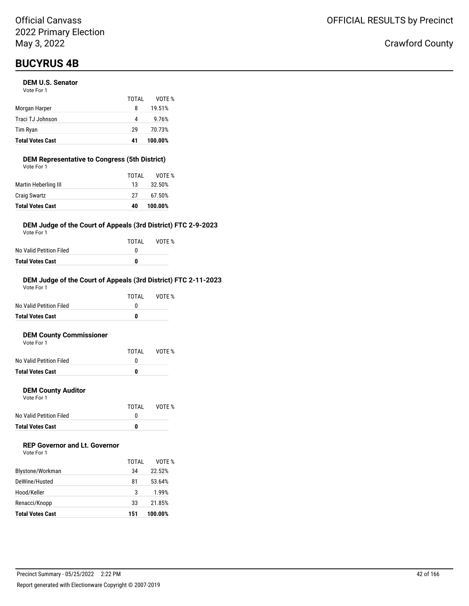## **BUCYRUS 4B**

#### **DEM U.S. Senator**

| <b>Total Votes Cast</b> | 41    | 100.00% |
|-------------------------|-------|---------|
| Tim Ryan                | 29    | 70.73%  |
| Traci TJ Johnson        | 4     | 9.76%   |
| Morgan Harper           | 8     | 19.51%  |
|                         | TOTAI | VOTE %  |
| Vote For 1              |       |         |

### **DEM Representative to Congress (5th District)**

| <b>Total Votes Cast</b> | 40    | 100.00% |
|-------------------------|-------|---------|
| <b>Craig Swartz</b>     | 27    | 67.50%  |
| Martin Heberling III    | 13    | 32.50%  |
|                         | TOTAL | VOTE %  |
| Vote For 1              |       |         |

#### **DEM Judge of the Court of Appeals (3rd District) FTC 2-9-2023**

Vote For 1

|                         | TOTAI | VOTE % |
|-------------------------|-------|--------|
| No Valid Petition Filed | n     |        |
| <b>Total Votes Cast</b> | n     |        |

#### **DEM Judge of the Court of Appeals (3rd District) FTC 2-11-2023**

| <b>Total Votes Cast</b> | 0     |        |
|-------------------------|-------|--------|
| No Valid Petition Filed | O     |        |
|                         | TOTAI | VOTF % |
| Vote For 1              |       |        |

#### **DEM County Commissioner**  $V$ ote

| <b>Total Votes Cast</b> | n     |        |
|-------------------------|-------|--------|
| No Valid Petition Filed |       |        |
|                         | TOTAL | VOTE % |
| VOTE FOL L              |       |        |

#### **DEM County Auditor**

Vote For 1

|                         | TOTAL | VOTE % |
|-------------------------|-------|--------|
| No Valid Petition Filed |       |        |
| <b>Total Votes Cast</b> | o     |        |

### **REP Governor and Lt. Governor**

| Vote For 1 |  |
|------------|--|
|------------|--|

|                         | TOTAI | VOTF %  |
|-------------------------|-------|---------|
| Blystone/Workman        | 34    | 22.52%  |
| DeWine/Husted           | 81    | 53.64%  |
| Hood/Keller             | 3     | 1.99%   |
| Renacci/Knopp           | 33    | 21.85%  |
| <b>Total Votes Cast</b> | 151   | 100.00% |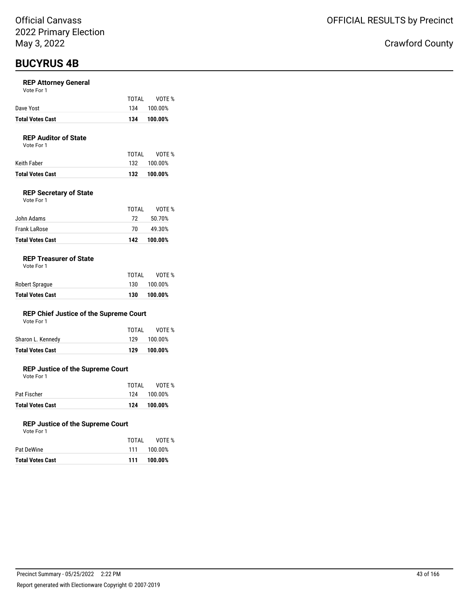## **BUCYRUS 4B**

#### **REP Attorney General**

|  | Vote For 1 |  |
|--|------------|--|
|--|------------|--|

| <b>Total Votes Cast</b> |       | 134 100.00% |
|-------------------------|-------|-------------|
| Dave Yost               |       | 134 100.00% |
|                         | TOTAI | VOTE %      |

#### **REP Auditor of State**

Vote For 1

|                  | TOTAI | VOTE %      |
|------------------|-------|-------------|
| Keith Faber      |       | 132 100.00% |
| Total Votes Cast |       | 132 100.00% |

#### **REP Secretary of State**

| Vote For 1 |  |  |
|------------|--|--|
|            |  |  |

| <b>Total Votes Cast</b> | 142   | 100.00% |
|-------------------------|-------|---------|
| <b>Frank LaRose</b>     | 70.   | 49.30%  |
| John Adams              | 72.   | 50.70%  |
|                         | TOTAL | VOTF %  |

#### **REP Treasurer of State**

| <b>Total Votes Cast</b> | 130   | 100.00% |
|-------------------------|-------|---------|
| Robert Sprague          | 130   | 100.00% |
|                         | TOTAL | VOTE %  |

#### **REP Chief Justice of the Supreme Court**

| Vote For 1 |  |
|------------|--|
|------------|--|

| <b>Total Votes Cast</b> | 129   | 100.00%     |
|-------------------------|-------|-------------|
| Sharon L. Kennedy       |       | 129 100.00% |
|                         | TOTAL | VOTE %      |

#### **REP Justice of the Supreme Court**

Vote For 1

| <b>Total Votes Cast</b> | 124   | 100.00%     |
|-------------------------|-------|-------------|
| Pat Fischer             |       | 124 100.00% |
|                         | TOTAI | VOTE %      |

#### **REP Justice of the Supreme Court**

Vote For 1

|                  | TOTAI | VOTE %      |
|------------------|-------|-------------|
| Pat DeWine       |       | 111 100.00% |
| Total Votes Cast | 111   | 100.00%     |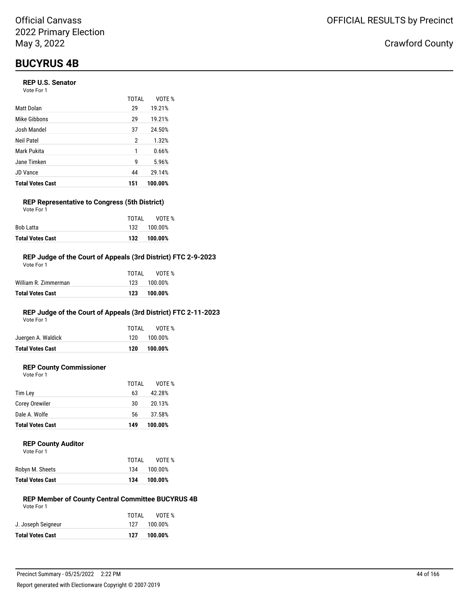## **BUCYRUS 4B**

#### **REP U.S. Senator**

| Vote For 1 |  |
|------------|--|
|------------|--|

|                         | TOTAI | VOTE %  |
|-------------------------|-------|---------|
| Matt Dolan              | 29    | 19.21%  |
| Mike Gibbons            | 29    | 19.21%  |
| Josh Mandel             | 37    | 24.50%  |
| Neil Patel              | 2     | 1.32%   |
| Mark Pukita             | 1     | 0.66%   |
| Jane Timken             | 9     | 5.96%   |
| <b>JD Vance</b>         | 44    | 29.14%  |
| <b>Total Votes Cast</b> | 151   | 100.00% |

#### **REP Representative to Congress (5th District)** Vote For 1

|                         | TOTAI | VOTE %      |
|-------------------------|-------|-------------|
| Bob Latta               |       | 132 100.00% |
| <b>Total Votes Cast</b> |       | 132 100.00% |

#### **REP Judge of the Court of Appeals (3rd District) FTC 2-9-2023**

| Total Votes Cast     | 123   | 100.00%     |
|----------------------|-------|-------------|
| William R. Zimmerman |       | 123 100.00% |
|                      | TOTAL | VOTF %      |
| Vote For 1           |       |             |

### **REP Judge of the Court of Appeals (3rd District) FTC 2-11-2023**

Vote For 1

| <b>Total Votes Cast</b> | 120   | 100.00%     |
|-------------------------|-------|-------------|
| Juergen A. Waldick      |       | 120 100.00% |
|                         | TOTAI | VOTE %      |

### **REP County Commissioner**

Vote For 1

|                         | TOTAL | VOTE %  |
|-------------------------|-------|---------|
| Tim Ley                 | 63    | 42.28%  |
| Corey Orewiler          | 30    | 20.13%  |
| Dale A. Wolfe           | 56    | 37.58%  |
| <b>Total Votes Cast</b> | 149   | 100.00% |

#### **REP County Auditor**

|                         | TOTAI | VOTE %  |
|-------------------------|-------|---------|
| Robyn M. Sheets         | 134   | 100.00% |
| <b>Total Votes Cast</b> | 134   | 100.00% |

#### **REP Member of County Central Committee BUCYRUS 4B** Vote For 1

| TOTAL | VOTE %      |
|-------|-------------|
|       | 127 100.00% |
| 127   | 100.00%     |
|       |             |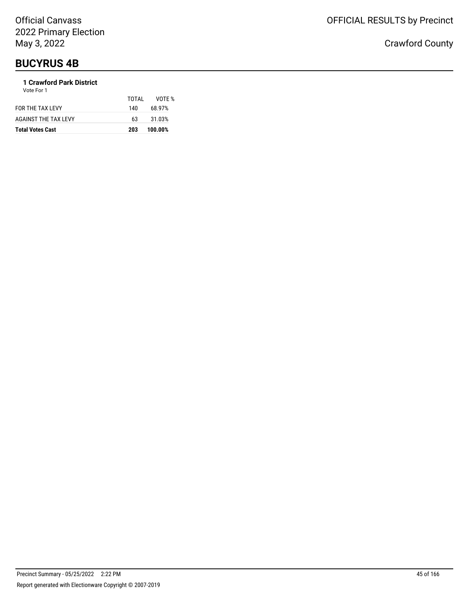# **BUCYRUS 4B**

### **1 Crawford Park District**

| <b>Total Votes Cast</b> | 203   | 100.00% |
|-------------------------|-------|---------|
| AGAINST THE TAX LEVY    | 63    | 31.03%  |
| FOR THE TAX LEVY        | 140   | 68.97%  |
| Vote For 1              | TOTAL | VOTF %  |
|                         |       |         |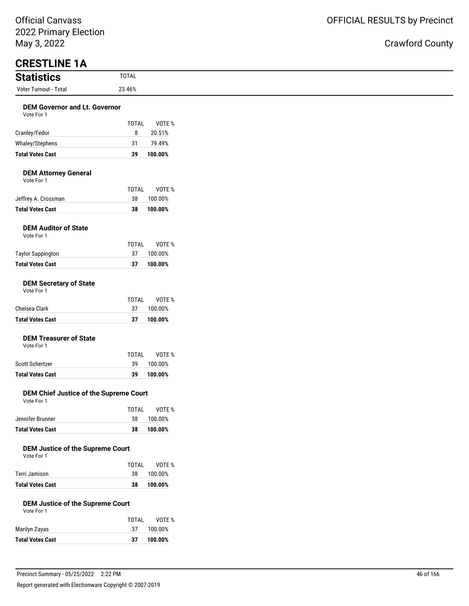### nty

| May 3, 2022                                           |              |         |
|-------------------------------------------------------|--------------|---------|
| <b>CRESTLINE 1A</b><br><b>Statistics</b>              | <b>TOTAL</b> |         |
| Voter Turnout - Total                                 | 23.46%       |         |
|                                                       |              |         |
| <b>DEM Governor and Lt. Governor</b><br>Vote For 1    |              |         |
|                                                       | <b>TOTAL</b> | VOTE %  |
| Cranley/Fedor                                         | 8            | 20.51%  |
| Whaley/Stephens                                       | 31           | 79.49%  |
| <b>Total Votes Cast</b>                               | 39           | 100.00% |
| <b>DEM Attorney General</b><br>Vote For 1             |              |         |
|                                                       | <b>TOTAL</b> | VOTE %  |
| Jeffrey A. Crossman                                   | 38           | 100.00% |
| <b>Total Votes Cast</b>                               | 38           | 100.00% |
| <b>DEM Auditor of State</b><br>Vote For 1             |              |         |
|                                                       | <b>TOTAL</b> | VOTE %  |
| <b>Taylor Sappington</b>                              | 37           | 100.00% |
| <b>Total Votes Cast</b>                               | 37           | 100.00% |
| <b>DEM Secretary of State</b><br>Vote For 1           |              |         |
|                                                       | <b>TOTAL</b> | VOTE %  |
| Chelsea Clark                                         | 37           | 100.00% |
| <b>Total Votes Cast</b>                               | 37           | 100.00% |
| <b>DEM Treasurer of State</b><br>Vote For 1           |              |         |
|                                                       | <b>TOTAL</b> | VOTE %  |
| <b>Scott Schertzer</b>                                | 39           | 100.00% |
| <b>Total Votes Cast</b>                               | 39           | 100.00% |
| DEM Chief Justice of the Supreme Court<br>Vote For 1  |              |         |
|                                                       | <b>TOTAL</b> | VOTE %  |
| Jennifer Brunner                                      | 38           | 100.00% |
| <b>Total Votes Cast</b>                               | 38           | 100.00% |
| <b>DEM Justice of the Supreme Court</b><br>Vote For 1 |              |         |
|                                                       | <b>TOTAL</b> | VOTE %  |
| Terri Jamison                                         | 38           | 100.00% |
| <b>Total Votes Cast</b>                               | 38           | 100.00% |
| <b>DEM Justice of the Supreme Court</b><br>Vote For 1 |              |         |
|                                                       | TOTAL        | VOTE %  |
|                                                       |              |         |

Marilyn Zayas 37 100.00% **Total Votes Cast 37 100.00%**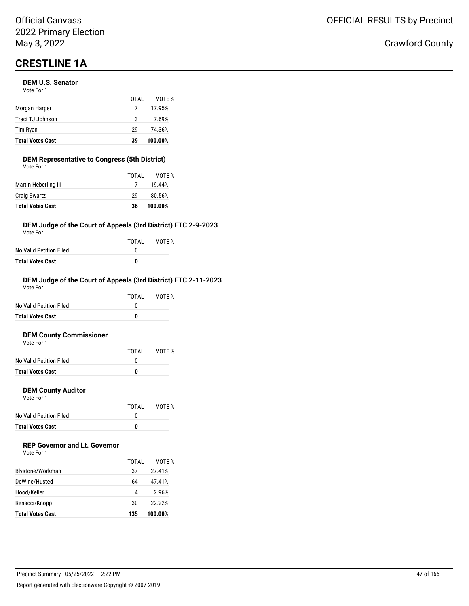# **CRESTLINE 1A**

#### **DEM U.S. Senator**  $V$ ote Formula in  $V$

| <b>Total Votes Cast</b> | 39    | 100.00% |
|-------------------------|-------|---------|
| Tim Ryan                | 29    | 74.36%  |
| Traci TJ Johnson        | 3     | 7.69%   |
| Morgan Harper           |       | 17.95%  |
| VOLE FOI I              | TOTAL | VOTE %  |

### **DEM Representative to Congress (5th District)**

| <b>Total Votes Cast</b> | 36    | 100.00% |
|-------------------------|-------|---------|
| <b>Craig Swartz</b>     | 29    | 80.56%  |
| Martin Heberling III    |       | 19.44%  |
|                         | TOTAL | VOTE %  |
| Vote For 1              |       |         |

#### **DEM Judge of the Court of Appeals (3rd District) FTC 2-9-2023**

Vote For 1

|                         | TOTAL | VOTE % |
|-------------------------|-------|--------|
| No Valid Petition Filed | n     |        |
| Total Votes Cast        | n     |        |

#### **DEM Judge of the Court of Appeals (3rd District) FTC 2-11-2023**

| <b>Total Votes Cast</b> | 0     |        |
|-------------------------|-------|--------|
| No Valid Petition Filed | O     |        |
|                         | TOTAI | VOTF % |
| Vote For 1              |       |        |

#### **DEM County Commissioner**  $V$ ote Formula in  $V$

| <b>Total Votes Cast</b> | o     |        |
|-------------------------|-------|--------|
| No Valid Petition Filed |       |        |
|                         | TOTAL | VOTE % |
| VOLE FOI T              |       |        |

#### **DEM County Auditor**

Vote For 1

|                         | TOTAL | VOTE % |
|-------------------------|-------|--------|
| No Valid Petition Filed |       |        |
| <b>Total Votes Cast</b> | o     |        |

### **REP Governor and Lt. Governor**

| Vote For 1 |  |
|------------|--|
|------------|--|

|                         | TOTAI | VOTF %  |
|-------------------------|-------|---------|
| Blystone/Workman        | 37    | 27.41%  |
| DeWine/Husted           | 64    | 47.41%  |
| Hood/Keller             | 4     | 2.96%   |
| Renacci/Knopp           | 30    | 22.22%  |
| <b>Total Votes Cast</b> | 135   | 100.00% |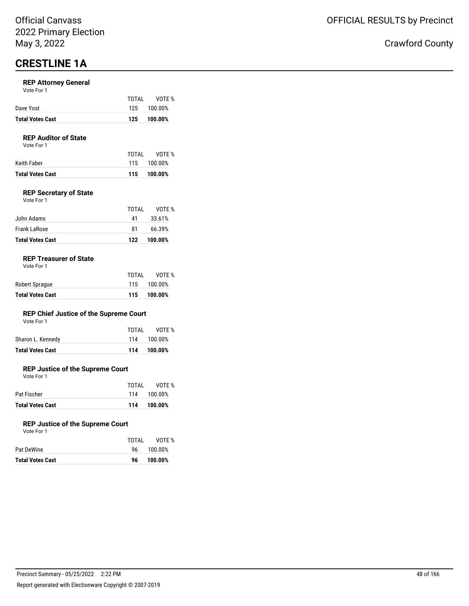## **CRESTLINE 1A**

#### **REP Attorney General**

|                  | TOTAI | VOTE %      |
|------------------|-------|-------------|
| Dave Yost        |       | 125 100.00% |
| Total Votes Cast |       | 125 100.00% |

#### **REP Auditor of State**

Vote For 1

|                  | TOTAI | VOTE %      |
|------------------|-------|-------------|
| Keith Faber      |       | 115 100.00% |
| Total Votes Cast |       | 115 100.00% |

#### **REP Secretary of State**

| Vote For 1 |  |  |
|------------|--|--|
|            |  |  |

| <b>Total Votes Cast</b> | 122   | 100.00% |
|-------------------------|-------|---------|
| Frank LaRose            | 81    | 66.39%  |
| John Adams              | 41    | 33.61%  |
|                         | TOTAI | VOTF %  |

#### **REP Treasurer of State**

| <b>Total Votes Cast</b> |       | 115 100.00% |
|-------------------------|-------|-------------|
| Robert Sprague          |       | 115 100.00% |
|                         | TOTAI | VOTE %      |

#### **REP Chief Justice of the Supreme Court**

| Vote For 1 |  |  |
|------------|--|--|
|------------|--|--|

| Total Votes Cast  | 114 100.00%  |
|-------------------|--------------|
| Sharon L. Kennedy | 114 100.00%  |
|                   | TOTAL VOTE % |

#### **REP Justice of the Supreme Court**

Vote For 1

| <b>Total Votes Cast</b> |       | 114 100.00% |
|-------------------------|-------|-------------|
| Pat Fischer             |       | 114 100.00% |
|                         | TOTAI | VOTE %      |

#### **REP Justice of the Supreme Court**

| <b>Total Votes Cast</b> | 100.00%<br>96  |        |
|-------------------------|----------------|--------|
| Pat DeWine              | 100.00%<br>96. |        |
|                         | TOTAI          | VOTE % |
| Vote For 1              |                |        |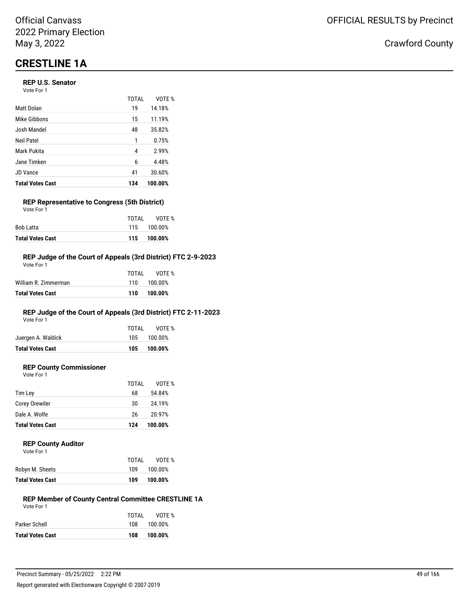# **CRESTLINE 1A**

#### **REP U.S. Senator**

Vote For 1

|                         | <b>TOTAL</b> | VOTE %  |
|-------------------------|--------------|---------|
| Matt Dolan              | 19           | 14.18%  |
| Mike Gibbons            | 15           | 11.19%  |
| Josh Mandel             | 48           | 35.82%  |
| Neil Patel              | 1            | 0.75%   |
| Mark Pukita             | 4            | 2.99%   |
| Jane Timken             | 6            | 4.48%   |
| <b>JD Vance</b>         | 41           | 30.60%  |
| <b>Total Votes Cast</b> | 134          | 100.00% |

### **REP Representative to Congress (5th District)**

| <b>Total Votes Cast</b> |       | 115 100.00% |
|-------------------------|-------|-------------|
| Bob Latta               |       | 115 100.00% |
|                         | TOTAI | VOTE %      |
| Vote For 1              |       |             |

#### **REP Judge of the Court of Appeals (3rd District) FTC 2-9-2023**

| Total Votes Cast     | 110   | 100.00%     |
|----------------------|-------|-------------|
| William R. Zimmerman |       | 110 100.00% |
|                      | TOTAI | VOTE %      |
| Vote For 1           |       |             |

### **REP Judge of the Court of Appeals (3rd District) FTC 2-11-2023**

Vote For 1

| <b>Total Votes Cast</b> |       | 105 100.00% |
|-------------------------|-------|-------------|
| Juergen A. Waldick      |       | 105 100.00% |
|                         | TOTAI | VOTE %      |

#### **REP County Commissioner**

Vote For 1

|                         | TOTAL | VOTE %  |
|-------------------------|-------|---------|
| Tim Lev                 | 68    | 54.84%  |
| Corey Orewiler          | 30    | 24.19%  |
| Dale A. Wolfe           | 26    | 20.97%  |
| <b>Total Votes Cast</b> | 124   | 100.00% |

#### **REP County Auditor**

|  | Vote For 1 |  |  |
|--|------------|--|--|
|--|------------|--|--|

|                         | TOTAL | VOTE %  |
|-------------------------|-------|---------|
| Robyn M. Sheets         | 109   | 100.00% |
| <b>Total Votes Cast</b> | 109   | 100.00% |

#### **REP Member of County Central Committee CRESTLINE 1A** Vote For 1

|                         | TOTAI | VOTE %  |
|-------------------------|-------|---------|
| Parker Schell           | 108   | 100.00% |
| <b>Total Votes Cast</b> | 108   | 100.00% |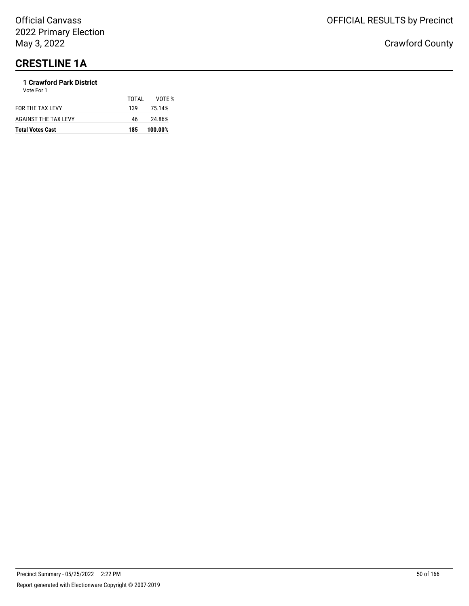# **CRESTLINE 1A**

### **1 Crawford Park District**

| <b>Total Votes Cast</b> | 185   | 100.00% |
|-------------------------|-------|---------|
| AGAINST THE TAX LEVY    | 46    | 24.86%  |
| FOR THE TAX LEVY        | 139   | 75.14%  |
| Vote For 1              | TOTAL | VOTE %  |
|                         |       |         |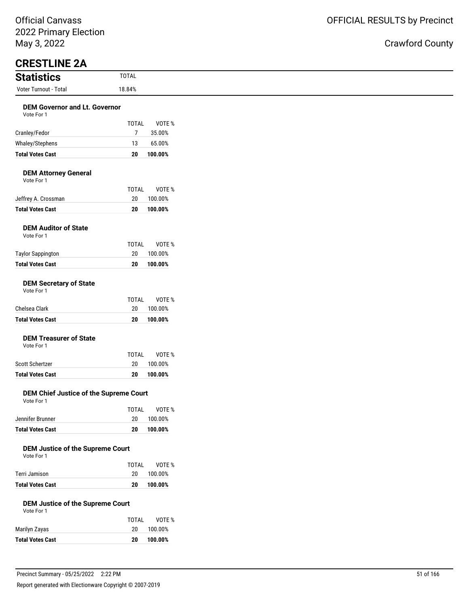| IVIdy J, ZUZZ                                                                    |                    |                   |
|----------------------------------------------------------------------------------|--------------------|-------------------|
| <b>CRESTLINE 2A</b>                                                              |                    |                   |
| <b>Statistics</b>                                                                | <b>TOTAL</b>       |                   |
| Voter Turnout - Total                                                            | 18.84%             |                   |
| <b>DEM Governor and Lt. Governor</b><br>Vote For 1                               |                    |                   |
|                                                                                  | <b>TOTAL</b>       | VOTE %            |
| Cranley/Fedor                                                                    | $\overline{7}$     | 35.00%            |
| Whaley/Stephens                                                                  | 13                 | 65.00%            |
| <b>Total Votes Cast</b>                                                          | 20                 | 100.00%           |
| <b>DEM Attorney General</b><br>Vote For 1                                        |                    |                   |
|                                                                                  | <b>TOTAL</b>       | VOTE %            |
| Jeffrey A. Crossman                                                              | 20                 | 100.00%           |
| <b>Total Votes Cast</b>                                                          | 20                 | 100.00%           |
| <b>DEM Auditor of State</b><br>Vote For 1                                        |                    |                   |
|                                                                                  | <b>TOTAL</b><br>20 | VOTE %<br>100.00% |
| <b>Taylor Sappington</b><br><b>Total Votes Cast</b>                              | 20                 | 100.00%           |
| <b>DEM Secretary of State</b><br>Vote For 1                                      | <b>TOTAL</b>       | VOTE %            |
| Chelsea Clark                                                                    | 20                 | 100.00%           |
| <b>Total Votes Cast</b>                                                          | 20                 | 100.00%           |
| <b>DEM Treasurer of State</b><br>Vote For 1                                      | <b>TOTAL</b>       | VOTE %            |
| Scott Schertzer                                                                  | 20                 | 100.00%           |
| <b>Total Votes Cast</b>                                                          | 20                 | 100.00%           |
| DEM Chief Justice of the Supreme Court<br>Vote For 1                             |                    |                   |
| Jennifer Brunner                                                                 | TOTAL<br>$20\,$    | VOTE %<br>100.00% |
| <b>Total Votes Cast</b>                                                          | 20                 | 100.00%           |
| <b>DEM Justice of the Supreme Court</b><br>Vote For 1                            |                    |                   |
|                                                                                  | TOTAL              | VOTE %            |
| Terri Jamison                                                                    | 20                 | 100.00%           |
| <b>Total Votes Cast</b><br><b>DEM Justice of the Supreme Court</b><br>Vote For 1 | 20                 | 100.00%           |
|                                                                                  | TOTAL              | VOTE %            |
| Marilyn Zayas                                                                    | $20\,$             | 100.00%           |
| <b>Total Votes Cast</b>                                                          | 20                 | 100.00%           |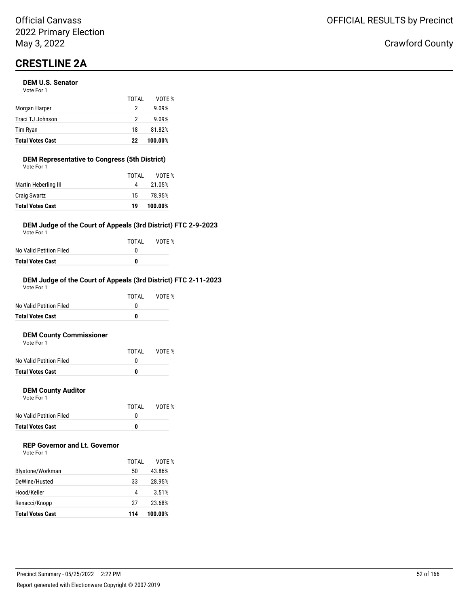# **CRESTLINE 2A**

#### **DEM U.S. Senator**

| <b>Total Votes Cast</b> | 22    | 100.00% |
|-------------------------|-------|---------|
| Tim Ryan                | 18    | 81.82%  |
| Traci TJ Johnson        | 2     | 9.09%   |
| Morgan Harper           | 2     | 9.09%   |
|                         | TOTAI | VOTF %  |
| Vote For 1              |       |         |

#### **DEM Representative to Congress (5th District)** Vote For 1

| <b>Total Votes Cast</b> | 19    | 100.00% |
|-------------------------|-------|---------|
| <b>Craig Swartz</b>     | 15    | 78.95%  |
| Martin Heberling III    | 4     | 21.05%  |
|                         | TOTAL | VOTE %  |
| VULE FUI I              |       |         |

#### **DEM Judge of the Court of Appeals (3rd District) FTC 2-9-2023**

Vote For 1

|                         | TOTAL | VOTE % |
|-------------------------|-------|--------|
| No Valid Petition Filed | n     |        |
| Total Votes Cast        | n     |        |

#### **DEM Judge of the Court of Appeals (3rd District) FTC 2-11-2023**

| <b>Total Votes Cast</b> | 0     |        |
|-------------------------|-------|--------|
| No Valid Petition Filed | O     |        |
|                         | TOTAI | VOTF % |
| Vote For 1              |       |        |

#### **DEM County Commissioner**  $V$ ot

| <b>Total Votes Cast</b> | 0     |        |
|-------------------------|-------|--------|
| No Valid Petition Filed |       |        |
|                         | TOTAI | VOTE % |
| VOTE FOL L              |       |        |

#### **DEM County Auditor**

Vote For 1

|                         | TOTAL | VOTE % |
|-------------------------|-------|--------|
| No Valid Petition Filed |       |        |
| <b>Total Votes Cast</b> | o     |        |

### **REP Governor and Lt. Governor**

| Vote For 1 |  |
|------------|--|
|------------|--|

|                         | TOTAI | VOTF %  |
|-------------------------|-------|---------|
| Blystone/Workman        | 50    | 43.86%  |
| DeWine/Husted           | 33    | 28.95%  |
| Hood/Keller             | 4     | 3.51%   |
| Renacci/Knopp           | 27    | 23.68%  |
| <b>Total Votes Cast</b> | 114   | 100.00% |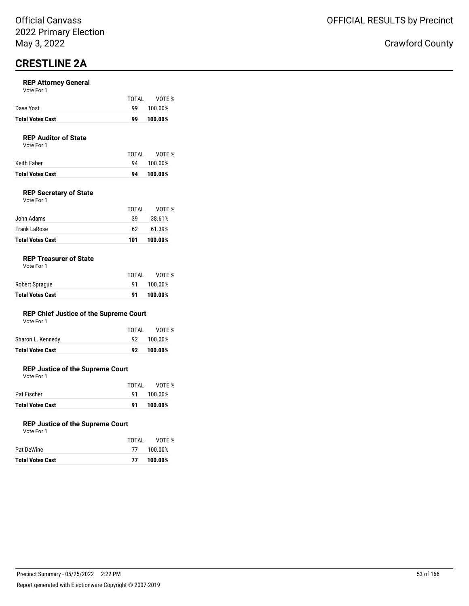## **CRESTLINE 2A**

#### **REP Attorney General**

|                         | TOTAI | VOTE %  |
|-------------------------|-------|---------|
| Dave Yost               | 99.   | 100.00% |
| <b>Total Votes Cast</b> | 99    | 100.00% |

### **REP Auditor of State**

Vote For 1

| Keith Faber             |    | VOTE %<br>94 100.00% |
|-------------------------|----|----------------------|
| <b>Total Votes Cast</b> | 94 | 100.00%              |

#### **REP Secretary of State**

| <b>Total Votes Cast</b> | 101   | 100.00% |
|-------------------------|-------|---------|
| Frank LaRose            | 62.   | 61.39%  |
| John Adams              | 39    | 38.61%  |
|                         | TOTAL | VOTE %  |
| Vote For 1              |       |         |

#### **REP Treasurer of State**

| Vote For 1 |
|------------|
|------------|

|                         | TOTAL | VOTE %  |
|-------------------------|-------|---------|
| Robert Sprague          | 91    | 100.00% |
| <b>Total Votes Cast</b> | 91    | 100.00% |

#### **REP Chief Justice of the Supreme Court** Vote For 1

| <b>Total Votes Cast</b> | 92    | 100.00% |
|-------------------------|-------|---------|
| Sharon L. Kennedy       | 92.   | 100.00% |
|                         | TOTAL | VOTE %  |
| <b>VOLE FOI</b> I       |       |         |

#### **REP Justice of the Supreme Court**

Vote For 1

|                         | TOTAI | VOTE %     |
|-------------------------|-------|------------|
| Pat Fischer             |       | 91 100.00% |
| <b>Total Votes Cast</b> | 91    | 100.00%    |

#### **REP Justice of the Supreme Court**

| <b>Total Votes Cast</b> | 77    | 100.00%    |
|-------------------------|-------|------------|
| Pat DeWine              |       | 77 100.00% |
|                         | TOTAL | VOTE %     |
| Vote For 1              |       |            |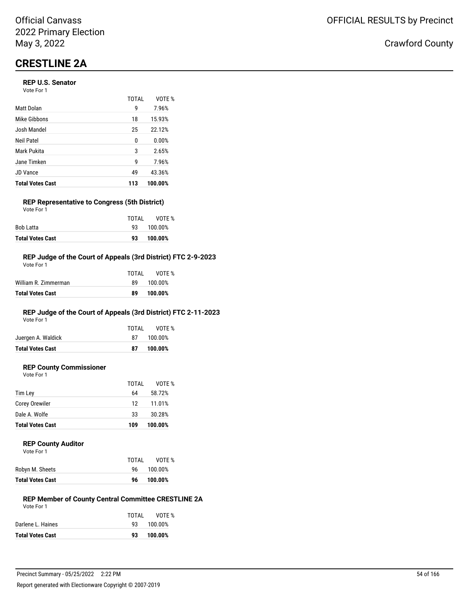# **CRESTLINE 2A**

#### **REP U.S. Senator**

| Vote For 1 |  |
|------------|--|
|------------|--|

|                         | TOTAL | VOTF %  |
|-------------------------|-------|---------|
| Matt Dolan              | 9     | 7.96%   |
| Mike Gibbons            | 18    | 15.93%  |
| Josh Mandel             | 25    | 22.12%  |
| Neil Patel              | 0     | 0.00%   |
| Mark Pukita             | 3     | 2.65%   |
| Jane Timken             | g     | 7.96%   |
| <b>JD Vance</b>         | 49    | 43.36%  |
| <b>Total Votes Cast</b> | 113   | 100.00% |

### **REP Representative to Congress (5th District)**

| <b>Total Votes Cast</b> | 93    | 100.00%    |
|-------------------------|-------|------------|
| <b>Bob Latta</b>        |       | 93 100.00% |
|                         | TOTAI | VOTE %     |
| Vote For 1              |       |            |

#### **REP Judge of the Court of Appeals (3rd District) FTC 2-9-2023**

| Total Votes Cast     | 89    | 100.00% |
|----------------------|-------|---------|
| William R. Zimmerman | 89.   | 100.00% |
|                      | TOTAL | VOTE %  |
| Vote For 1           |       |         |

### **REP Judge of the Court of Appeals (3rd District) FTC 2-11-2023**

Vote For 1

|                         | TOTAL | VOTE %  |
|-------------------------|-------|---------|
| Juergen A. Waldick      | 87    | 100.00% |
| <b>Total Votes Cast</b> | 87    | 100.00% |

### **REP County Commissioner**

Vote For 1

|                         | TOTAL | VOTE %  |
|-------------------------|-------|---------|
| Tim Ley                 | 64    | 58.72%  |
| Corey Orewiler          | 12    | 11.01%  |
| Dale A. Wolfe           | 33    | 30.28%  |
| <b>Total Votes Cast</b> | 109   | 100.00% |

#### **REP County Auditor**

| Vote For 1 |  |  |
|------------|--|--|
|            |  |  |

| TOTAI | VOTE %  |
|-------|---------|
| 96.   | 100.00% |
| 96    | 100.00% |
|       |         |

#### **REP Member of County Central Committee CRESTLINE 2A** Vote For 1

| TOTAI | VOTE %     |
|-------|------------|
|       | 93 100.00% |
| 93    | 100.00%    |
|       |            |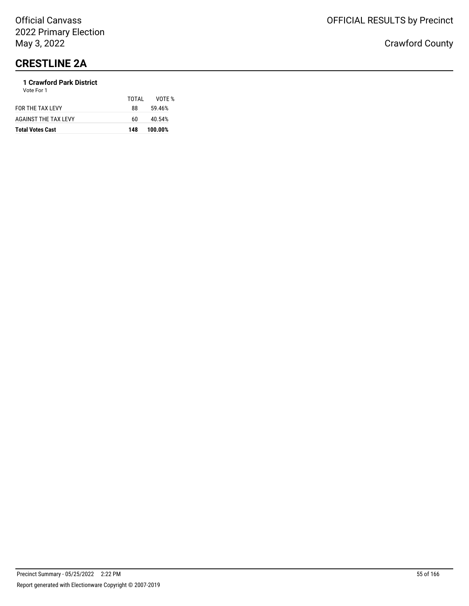# **CRESTLINE 2A**

### **1 Crawford Park District**

| <b>Total Votes Cast</b> | 148   | 100.00% |
|-------------------------|-------|---------|
| AGAINST THE TAX LEVY    | 60    | 40.54%  |
| FOR THE TAX LEVY        | 88    | 59.46%  |
|                         | TOTAL | VOTF %  |
| Vote For 1              |       |         |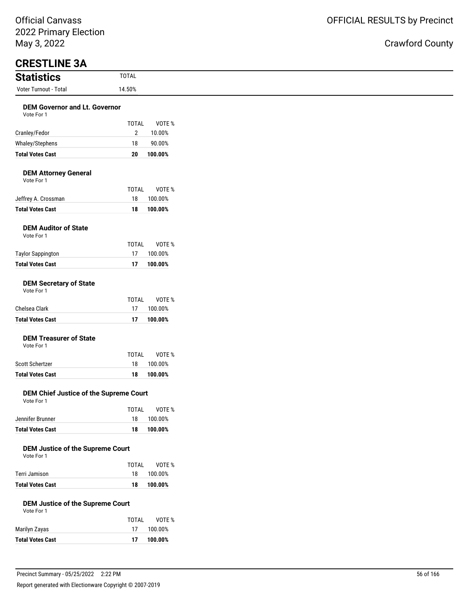# Crawford County

| May 3, 2022                                           |                                         |  |
|-------------------------------------------------------|-----------------------------------------|--|
| <b>CRESTLINE 3A</b><br><b>Statistics</b>              | <b>TOTAL</b>                            |  |
| Voter Turnout - Total                                 | 14.50%                                  |  |
|                                                       |                                         |  |
| <b>DEM Governor and Lt. Governor</b><br>Vote For 1    |                                         |  |
|                                                       | <b>TOTAL</b><br>VOTE %                  |  |
| Cranley/Fedor                                         | $\overline{2}$<br>10.00%                |  |
| Whaley/Stephens                                       | 90.00%<br>18                            |  |
| <b>Total Votes Cast</b>                               | 20<br>100.00%                           |  |
| <b>DEM Attorney General</b><br>Vote For 1             |                                         |  |
|                                                       | <b>TOTAL</b><br>VOTE %                  |  |
| Jeffrey A. Crossman                                   | 18<br>100.00%                           |  |
| <b>Total Votes Cast</b>                               | 18<br>100.00%                           |  |
| <b>DEM Auditor of State</b><br>Vote For 1             |                                         |  |
|                                                       | <b>TOTAL</b><br>VOTE %                  |  |
| <b>Taylor Sappington</b><br><b>Total Votes Cast</b>   | 17<br>100.00%<br>17<br>100.00%          |  |
|                                                       |                                         |  |
| <b>DEM Secretary of State</b><br>Vote For 1           |                                         |  |
| Chelsea Clark                                         | <b>TOTAL</b><br>VOTE %<br>17<br>100.00% |  |
| <b>Total Votes Cast</b>                               | 17<br>100.00%                           |  |
|                                                       |                                         |  |
| <b>DEM Treasurer of State</b><br>Vote For 1           |                                         |  |
|                                                       | <b>TOTAL</b><br>VOTE %                  |  |
| Scott Schertzer                                       | 18<br>100.00%                           |  |
| <b>Total Votes Cast</b>                               | 100.00%<br>18                           |  |
| DEM Chief Justice of the Supreme Court<br>Vote For 1  |                                         |  |
|                                                       | <b>TOTAL</b><br>VOTE %                  |  |
| Jennifer Brunner                                      | 18<br>100.00%                           |  |
| <b>Total Votes Cast</b>                               | 18<br>100.00%                           |  |
| <b>DEM Justice of the Supreme Court</b><br>Vote For 1 | <b>TOTAL</b><br>VOTE %                  |  |
| Terri Jamison                                         | 18<br>100.00%                           |  |
| <b>Total Votes Cast</b>                               | 18<br>100.00%                           |  |
|                                                       |                                         |  |
| <b>DEM Justice of the Supreme Court</b><br>Vote For 1 |                                         |  |
|                                                       | <b>TOTAL</b><br>VOTE %                  |  |
| Marilyn Zayas                                         | 17<br>100.00%                           |  |

**Total Votes Cast 17 100.00%**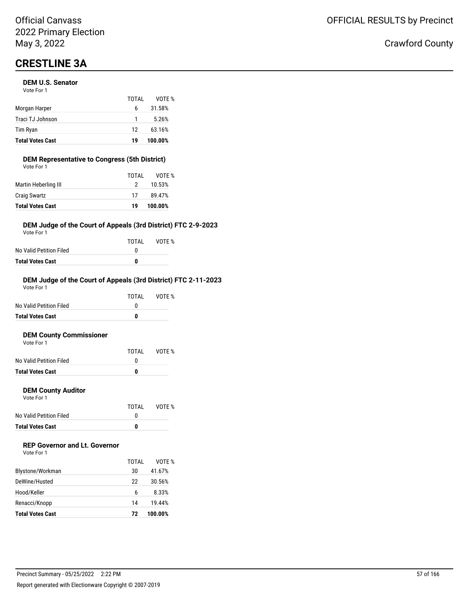# **CRESTLINE 3A**

#### **DEM U.S. Senator**

| <b>Total Votes Cast</b> | 19    | 100.00% |
|-------------------------|-------|---------|
| Tim Ryan                | 12    | 63.16%  |
| Traci TJ Johnson        | 1     | 5.26%   |
| Morgan Harper           | 6     | 31.58%  |
|                         | TOTAI | VOTF %  |
| Vote For 1              |       |         |

### **DEM Representative to Congress (5th District)**

| <b>Total Votes Cast</b> | 19    | 100.00% |
|-------------------------|-------|---------|
| <b>Craig Swartz</b>     | 17    | 89.47%  |
| Martin Heberling III    | 2     | 10.53%  |
|                         | TOTAL | VOTE %  |
| Vote For 1              |       |         |

#### **DEM Judge of the Court of Appeals (3rd District) FTC 2-9-2023**

Vote For 1

|                         | TOTAI | VOTE % |
|-------------------------|-------|--------|
| No Valid Petition Filed | n     |        |
| <b>Total Votes Cast</b> | n     |        |

#### **DEM Judge of the Court of Appeals (3rd District) FTC 2-11-2023**

| <b>Total Votes Cast</b> | 0     |        |
|-------------------------|-------|--------|
| No Valid Petition Filed | O     |        |
|                         | TOTAI | VOTF % |
| Vote For 1              |       |        |

#### **DEM County Commissioner**  $V$ ot

| <b>Total Votes Cast</b> | O     |        |
|-------------------------|-------|--------|
| No Valid Petition Filed |       |        |
|                         | TOTAI | VOTE % |
| VOLE FOI I              |       |        |

#### **DEM County Auditor**

Vote For 1

|                         | TOTAL | VOTE % |
|-------------------------|-------|--------|
| No Valid Petition Filed |       |        |
| <b>Total Votes Cast</b> | o     |        |

### **REP Governor and Lt. Governor**

| Vote For 1 |  |
|------------|--|
|------------|--|

|                         | TOTAI | VOTF %  |
|-------------------------|-------|---------|
| Blystone/Workman        | 30    | 41.67%  |
| DeWine/Husted           | 22    | 30.56%  |
| Hood/Keller             | 6     | 8.33%   |
| Renacci/Knopp           | 14    | 19.44%  |
| <b>Total Votes Cast</b> | 72    | 100.00% |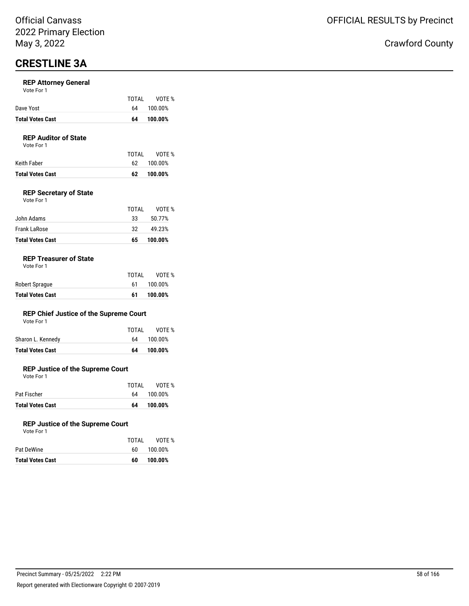## **CRESTLINE 3A**

#### **REP Attorney General**

| Vote For 1 |  |
|------------|--|
|------------|--|

| Dave Yost               | TOTAI | VOTE %<br>64 100.00% |
|-------------------------|-------|----------------------|
|                         |       |                      |
| <b>Total Votes Cast</b> | 64    | 100.00%              |

### **REP Auditor of State**

Vote For 1

| <b>Total Votes Cast</b> | 62.   | 100.00%    |
|-------------------------|-------|------------|
| Keith Faber             |       | 62 100.00% |
|                         | TOTAI | VOTE %     |

#### **REP Secretary of State**

| <b>Total Votes Cast</b> | 65    | 100.00% |
|-------------------------|-------|---------|
| Frank LaRose            | 32    | 49.23%  |
| John Adams              | 33    | 50.77%  |
|                         | TOTAL | VOTF %  |
| Vote For 1              |       |         |

#### **REP Treasurer of State**

|  | Vote For 1 |  |  |
|--|------------|--|--|
|--|------------|--|--|

|                         | TOTAL | VOTE %  |
|-------------------------|-------|---------|
| Robert Sprague          | 61    | 100.00% |
| <b>Total Votes Cast</b> | 61    | 100.00% |

#### **REP Chief Justice of the Supreme Court** Vote For 1

| <b>Total Votes Cast</b> | 64    | 100.00% |
|-------------------------|-------|---------|
| Sharon L. Kennedy       | 64    | 100.00% |
|                         | TOTAL | VOTE %  |
| VOLE FOI I              |       |         |

#### **REP Justice of the Supreme Court**

Vote For 1

| <b>Total Votes Cast</b> | 64    | 100.00%    |
|-------------------------|-------|------------|
| Pat Fischer             |       | 64 100.00% |
|                         | TOTAI | VOTE %     |

#### **REP Justice of the Supreme Court**

| <b>Total Votes Cast</b> | 60    | 100.00% |
|-------------------------|-------|---------|
| Pat DeWine              | 60.   | 100.00% |
|                         | TOTAL | VOTE %  |
| Vote For 1              |       |         |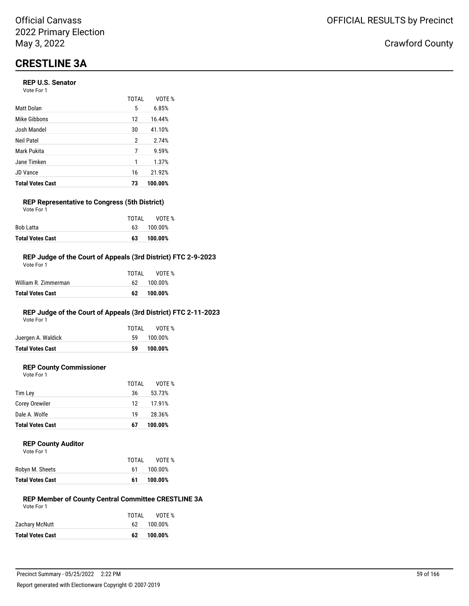# **CRESTLINE 3A**

#### **REP U.S. Senator**

| Vote For 1 |  |
|------------|--|
|------------|--|

|                         | TOTAL | VOTF %  |
|-------------------------|-------|---------|
| Matt Dolan              | 5     | 6.85%   |
| Mike Gibbons            | 12    | 16.44%  |
| Josh Mandel             | 30    | 41.10%  |
| Neil Patel              | 2     | 2.74%   |
| Mark Pukita             | 7     | 9.59%   |
| Jane Timken             | 1     | 1.37%   |
| <b>JD Vance</b>         | 16    | 21.92%  |
| <b>Total Votes Cast</b> | 73    | 100.00% |

### **REP Representative to Congress (5th District)**

| <b>Total Votes Cast</b> | 63    | 100.00% |
|-------------------------|-------|---------|
| <b>Bob Latta</b>        | 63.   | 100.00% |
|                         | TOTAI | VOTE %  |
| Vote For 1              |       |         |

#### **REP Judge of the Court of Appeals (3rd District) FTC 2-9-2023**

| Total Votes Cast     | 62.   | 100.00%    |
|----------------------|-------|------------|
| William R. Zimmerman |       | 62 100.00% |
|                      | TOTAL | VOTE %     |
| Vote For 1           |       |            |

### **REP Judge of the Court of Appeals (3rd District) FTC 2-11-2023**

Vote For 1

|                         | TOTAL | VOTE %  |
|-------------------------|-------|---------|
| Juergen A. Waldick      | 59.   | 100.00% |
| <b>Total Votes Cast</b> | 59    | 100.00% |
|                         |       |         |

### **REP County Commissioner**

Vote For 1

|                         | TOTAL | VOTE %  |
|-------------------------|-------|---------|
| Tim Ley                 | 36    | 53.73%  |
| Corey Orewiler          | 12    | 17.91%  |
| Dale A. Wolfe           | 19    | 28.36%  |
| <b>Total Votes Cast</b> | 67    | 100.00% |

#### **REP County Auditor** Vote For 1

| <b>Total Votes Cast</b> | 61    | 100.00% |
|-------------------------|-------|---------|
| Robyn M. Sheets         | 61    | 100.00% |
|                         | TOTAL | VOTE %  |
| VULE FUI I              |       |         |

#### **REP Member of County Central Committee CRESTLINE 3A** Vote For 1

| TOTAL | VOTE %     |
|-------|------------|
|       | 62 100.00% |
| 62.   | 100.00%    |
|       |            |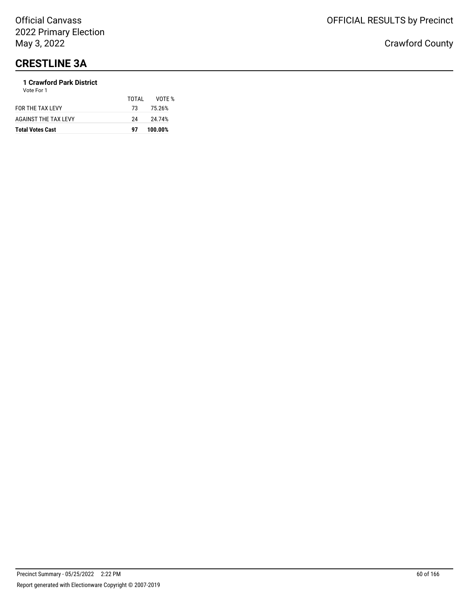# **CRESTLINE 3A**

#### **1 Crawford Park District** Vote For 1

| <b>Total Votes Cast</b>     | 97    | 100.00% |
|-----------------------------|-------|---------|
| <b>AGAINST THE TAX LEVY</b> | 24    | 24.74%  |
| FOR THE TAX LEVY            | 73.   | 75.26%  |
|                             | TOTAL | VOTF %  |
| .                           |       |         |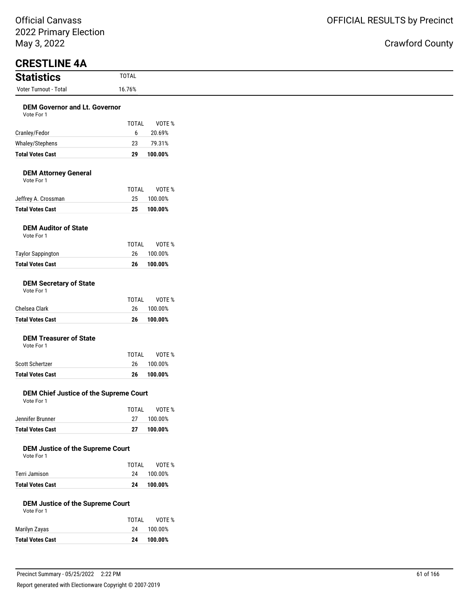| May 3, 2022                                           |                    |                   |
|-------------------------------------------------------|--------------------|-------------------|
| <b>CRESTLINE 4A</b>                                   |                    |                   |
| <b>Statistics</b>                                     | <b>TOTAL</b>       |                   |
| Voter Turnout - Total                                 | 16.76%             |                   |
| <b>DEM Governor and Lt. Governor</b>                  |                    |                   |
| Vote For 1                                            | <b>TOTAL</b>       | VOTE %            |
| Cranley/Fedor                                         | 6                  | 20.69%            |
| Whaley/Stephens                                       | 23                 | 79.31%            |
| <b>Total Votes Cast</b>                               | 29                 | 100.00%           |
| <b>DEM Attorney General</b><br>Vote For 1             |                    |                   |
|                                                       | TOTAL              | VOTE %            |
| Jeffrey A. Crossman                                   | 25                 | 100.00%           |
| <b>Total Votes Cast</b>                               | 25                 | 100.00%           |
| <b>DEM Auditor of State</b><br>Vote For 1             |                    |                   |
|                                                       | <b>TOTAL</b>       | VOTE %            |
| <b>Taylor Sappington</b>                              | 26                 | 100.00%           |
| <b>Total Votes Cast</b>                               | 26                 | 100.00%           |
| <b>DEM Secretary of State</b><br>Vote For 1           | <b>TOTAL</b>       | VOTE %            |
| Chelsea Clark                                         | 26                 | 100.00%           |
| <b>Total Votes Cast</b>                               | 26                 | 100.00%           |
| <b>DEM Treasurer of State</b><br>Vote For 1           | <b>TOTAL</b>       | VOTE %            |
| Scott Schertzer                                       | 26                 | 100.00%           |
| <b>Total Votes Cast</b>                               | 26                 | 100.00%           |
| DEM Chief Justice of the Supreme Court<br>Vote For 1  |                    |                   |
| Jennifer Brunner                                      | <b>TOTAL</b><br>27 | VOTE %<br>100.00% |
| <b>Total Votes Cast</b>                               | 27                 | 100.00%           |
| <b>DEM Justice of the Supreme Court</b><br>Vote For 1 | <b>TOTAL</b>       | VOTE %            |
| Terri Jamison                                         | 24                 | 100.00%           |
| <b>Total Votes Cast</b>                               | 24                 | 100.00%           |
| <b>DEM Justice of the Supreme Court</b><br>Vote For 1 |                    |                   |
|                                                       | <b>TOTAL</b>       | VOTE %            |
| Marilyn Zayas                                         | 24                 | 100.00%           |
| <b>Total Votes Cast</b>                               | 24                 | 100.00%           |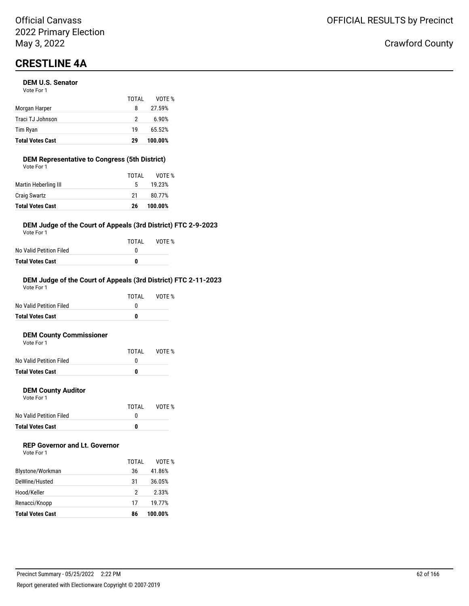# **CRESTLINE 4A**

#### **DEM U.S. Senator**

| <b>Total Votes Cast</b> | 29    | 100.00% |
|-------------------------|-------|---------|
| Tim Ryan                | 19    | 65.52%  |
| Traci TJ Johnson        | 2     | 6.90%   |
| Morgan Harper           | 8     | 27.59%  |
|                         | TOTAI | VOTE %  |
| Vote For 1              |       |         |

#### **DEM Representative to Congress (5th District)** Vote For 1

| <b>Total Votes Cast</b> | 26    | 100.00% |
|-------------------------|-------|---------|
| <b>Craig Swartz</b>     | 21    | 80.77%  |
| Martin Heberling III    | 5.    | 19.23%  |
|                         | TOTAL | VOTE %  |
| VULE FUI I              |       |         |

#### **DEM Judge of the Court of Appeals (3rd District) FTC 2-9-2023**

Vote For 1

|                         | TOTAL | VOTE % |
|-------------------------|-------|--------|
| No Valid Petition Filed | n     |        |
| Total Votes Cast        | n     |        |

#### **DEM Judge of the Court of Appeals (3rd District) FTC 2-11-2023**

| <b>Total Votes Cast</b> | 0     |        |
|-------------------------|-------|--------|
| No Valid Petition Filed | O     |        |
|                         | TOTAI | VOTF % |
| Vote For 1              |       |        |

#### **DEM County Commissioner**  $V$ ote

| <b>Total Votes Cast</b> | n     |        |
|-------------------------|-------|--------|
| No Valid Petition Filed |       |        |
|                         | TOTAL | VOTE % |
| VOLE FOI T              |       |        |

#### **DEM County Auditor**

Vote For 1

|                         | TOTAL | VOTE % |
|-------------------------|-------|--------|
| No Valid Petition Filed |       |        |
| <b>Total Votes Cast</b> | o     |        |

### **REP Governor and Lt. Governor**

| Vote For 1 |  |
|------------|--|
|------------|--|

|                         | TOTAI | VOTF %  |
|-------------------------|-------|---------|
| Blystone/Workman        | 36    | 41.86%  |
| DeWine/Husted           | 31    | 36.05%  |
| Hood/Keller             | 2     | 2.33%   |
| Renacci/Knopp           | 17    | 19.77%  |
| <b>Total Votes Cast</b> | 86    | 100.00% |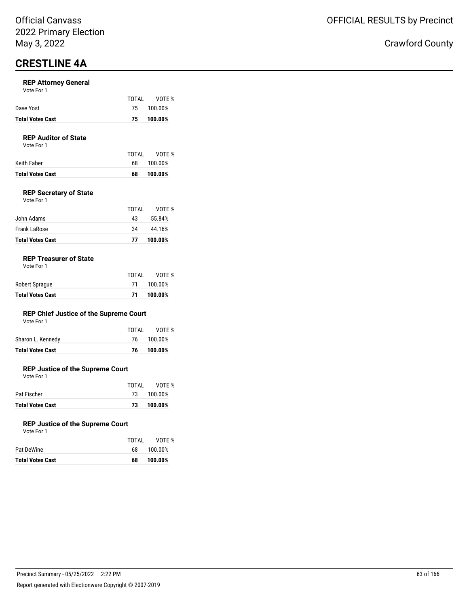## **CRESTLINE 4A**

#### **REP Attorney General**

| <b>Total Votes Cast</b> | 75.   | 100.00%    |
|-------------------------|-------|------------|
| Dave Yost               |       | 75 100.00% |
|                         | TOTAI | VOTE %     |

### **REP Auditor of State**

Vote For 1

| Keith Faber             | TOTAI<br>- 68 | VOTE %<br>100.00% |
|-------------------------|---------------|-------------------|
| <b>Total Votes Cast</b> | 68            | 100.00%           |

#### **REP Secretary of State**

| Vote For 1 |  |
|------------|--|
|            |  |

| <b>Total Votes Cast</b> | 77    | 100.00% |  |
|-------------------------|-------|---------|--|
| Frank LaRose            | 34    | 44.16%  |  |
| John Adams              | 43    | 55.84%  |  |
|                         | TOTAI | VOTF %  |  |

#### **REP Treasurer of State**

|                         | TOTAL | VOTE %     |
|-------------------------|-------|------------|
| Robert Sprague          |       | 71 100.00% |
| <b>Total Votes Cast</b> | 71.   | 100.00%    |

#### **REP Chief Justice of the Supreme Court**

| Sharon L. Kennedy<br>76 100.00% |  |
|---------------------------------|--|
|---------------------------------|--|

#### **REP Justice of the Supreme Court**

Vote For 1

|                         | TOTAI | VOTE %     |
|-------------------------|-------|------------|
| Pat Fischer             |       | 73 100.00% |
| <b>Total Votes Cast</b> | 73.   | 100.00%    |

#### **REP Justice of the Supreme Court**

| <b>Total Votes Cast</b> | 68    | 100.00% |
|-------------------------|-------|---------|
| Pat DeWine              | 68.   | 100.00% |
|                         | TOTAL | VOTE %  |
| Vote For 1              |       |         |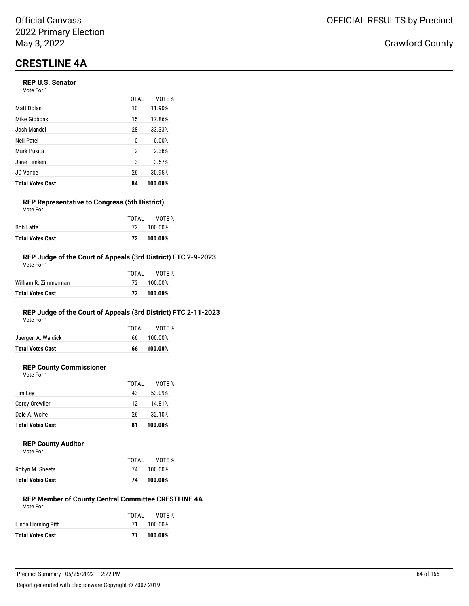# **CRESTLINE 4A**

#### **REP U.S. Senator**

| Vote For 1 |  |
|------------|--|
|------------|--|

|                         | TOTAL | VOTF %  |
|-------------------------|-------|---------|
| <b>Matt Dolan</b>       | 10    | 11.90%  |
| Mike Gibbons            | 15    | 17.86%  |
| Josh Mandel             | 28    | 33.33%  |
| Neil Patel              | 0     | 0.00%   |
| Mark Pukita             | 2     | 2.38%   |
| Jane Timken             | 3     | 3.57%   |
| <b>JD Vance</b>         | 26    | 30.95%  |
| <b>Total Votes Cast</b> | 84    | 100.00% |

#### **REP Representative to Congress (5th District)** Vote For 1

|                         | TOTAI | VOTE %     |
|-------------------------|-------|------------|
| Bob Latta               |       | 72 100.00% |
| <b>Total Votes Cast</b> |       | 72 100.00% |

#### **REP Judge of the Court of Appeals (3rd District) FTC 2-9-2023**

| Total Votes Cast     |  | 72 100.00%   |
|----------------------|--|--------------|
| William R. Zimmerman |  | 72 100.00%   |
|                      |  | TOTAL VOTE % |
| Vote For 1           |  |              |

### **REP Judge of the Court of Appeals (3rd District) FTC 2-11-2023**

Vote For 1

|                         | TOTAL | VOTE %     |
|-------------------------|-------|------------|
| Juergen A. Waldick      |       | 66 100.00% |
| <b>Total Votes Cast</b> | 66    | 100.00%    |
|                         |       |            |

### **REP County Commissioner**

Vote For 1

|                         | TOTAL | VOTE %  |
|-------------------------|-------|---------|
| Tim Ley                 | 43    | 53.09%  |
| Corey Orewiler          | 12    | 14.81%  |
| Dale A. Wolfe           | 26    | 32.10%  |
| <b>Total Votes Cast</b> | 81    | 100.00% |

#### **REP County Auditor**

| Vote For 1 |  |  |
|------------|--|--|
|            |  |  |
|            |  |  |

| Robyn M. Sheets  | 74 | 100.00% |  |
|------------------|----|---------|--|
| Total Votes Cast | 74 | 100.00% |  |

#### **REP Member of County Central Committee CRESTLINE 4A** Vote For 1

TOTAL VOTE %

| TOTAL | VOTE %  |
|-------|---------|
| 71    | 100.00% |
| 71    | 100.00% |
|       |         |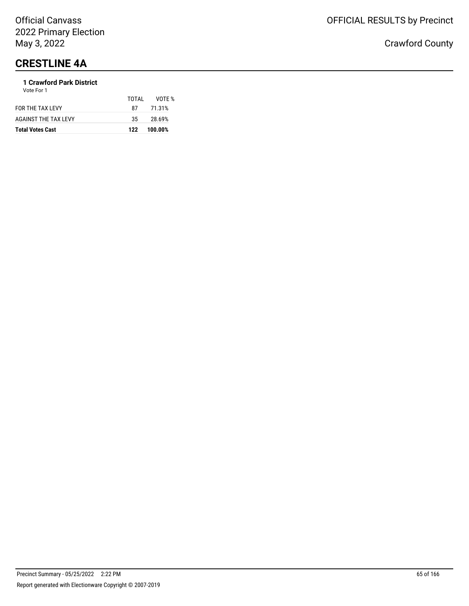# **CRESTLINE 4A**

#### **1 Crawford Park District** Vote For 1

| <b>Total Votes Cast</b>     | 122   | 100.00% |  |
|-----------------------------|-------|---------|--|
| <b>AGAINST THE TAX LEVY</b> | 35    | 28.69%  |  |
| FOR THE TAX LEVY            | 87    | 71.31%  |  |
|                             | TOTAL | VOTF %  |  |
| .                           |       |         |  |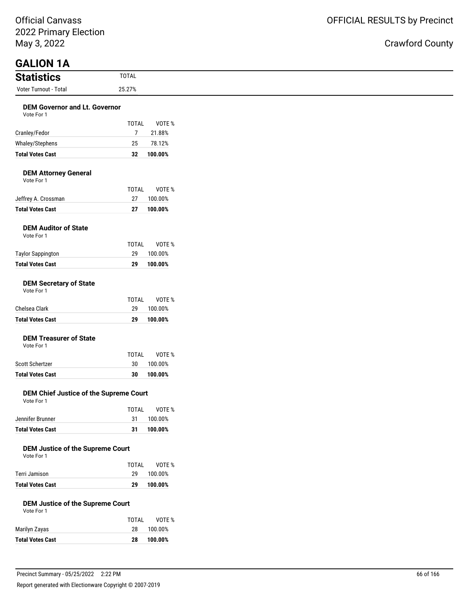### ıty

| May 3, 2022                                           |                                         | Crawford Coun |
|-------------------------------------------------------|-----------------------------------------|---------------|
| <b>GALION 1A</b><br><b>Statistics</b>                 | <b>TOTAL</b>                            |               |
| Voter Turnout - Total                                 | 25.27%                                  |               |
| <b>DEM Governor and Lt. Governor</b>                  |                                         |               |
| Vote For 1                                            | <b>TOTAL</b><br>VOTE %                  |               |
| Cranley/Fedor                                         | $\overline{7}$<br>21.88%                |               |
| Whaley/Stephens                                       | 25<br>78.12%                            |               |
| <b>Total Votes Cast</b>                               | 100.00%<br>32                           |               |
| <b>DEM Attorney General</b><br>Vote For 1             |                                         |               |
|                                                       | <b>TOTAL</b><br>VOTE %                  |               |
| Jeffrey A. Crossman                                   | 27<br>100.00%                           |               |
| <b>Total Votes Cast</b>                               | 100.00%<br>27                           |               |
| <b>DEM Auditor of State</b><br>Vote For 1             |                                         |               |
|                                                       | <b>TOTAL</b><br>VOTE %                  |               |
| <b>Taylor Sappington</b>                              | 29<br>100.00%                           |               |
| <b>Total Votes Cast</b>                               | 100.00%<br>29                           |               |
| <b>DEM Secretary of State</b><br>Vote For 1           |                                         |               |
|                                                       | <b>TOTAL</b><br>VOTE %                  |               |
| Chelsea Clark                                         | 29<br>100.00%                           |               |
| <b>Total Votes Cast</b>                               | 100.00%<br>29                           |               |
| <b>DEM Treasurer of State</b><br>Vote For 1           |                                         |               |
|                                                       | <b>TOTAL</b><br>VOTE %                  |               |
| Scott Schertzer                                       | 30<br>100.00%                           |               |
| <b>Total Votes Cast</b>                               | 100.00%<br>30                           |               |
| DEM Chief Justice of the Supreme Court<br>Vote For 1  |                                         |               |
|                                                       | <b>TOTAL</b><br>VOTE %                  |               |
| Jennifer Brunner                                      | 31<br>100.00%                           |               |
| <b>Total Votes Cast</b>                               | 100.00%<br>31                           |               |
| <b>DEM Justice of the Supreme Court</b><br>Vote For 1 |                                         |               |
| Terri Jamison                                         | <b>TOTAL</b><br>VOTE %<br>29<br>100.00% |               |
| <b>Total Votes Cast</b>                               | 100.00%                                 |               |
|                                                       | 29                                      |               |
| <b>DEM Justice of the Supreme Court</b><br>Vote For 1 |                                         |               |
|                                                       | <b>TOTAL</b><br>VOTE %                  |               |
| Marilyn Zayas                                         | 28<br>100.00%                           |               |
| <b>Total Votes Cast</b>                               | 100.00%<br>28                           |               |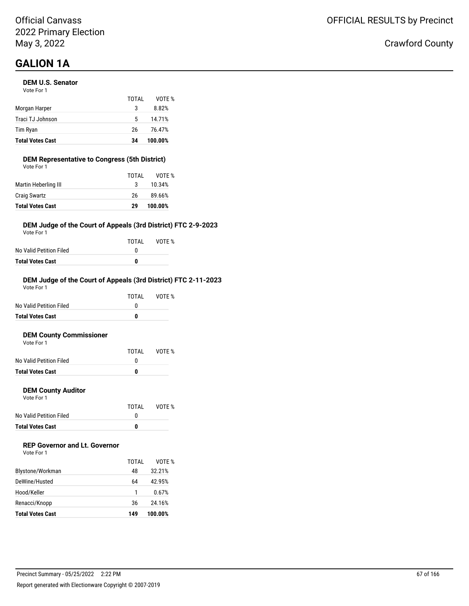# **GALION 1A**

#### **DEM U.S. Senator**

| <b>Total Votes Cast</b> | 34    | 100.00% |
|-------------------------|-------|---------|
| Tim Ryan                | 26    | 76.47%  |
| Traci TJ Johnson        | 5     | 14.71%  |
| Morgan Harper           | 3     | 8.82%   |
|                         | TOTAL | VOTF %  |
| Vote For 1              |       |         |

### **DEM Representative to Congress (5th District)**

| <b>Total Votes Cast</b> | 29    | 100.00% |
|-------------------------|-------|---------|
| <b>Craig Swartz</b>     | 26    | 89.66%  |
| Martin Heberling III    | 3     | 10.34%  |
|                         | TOTAL | VOTE %  |
| Vote For 1              |       |         |

#### **DEM Judge of the Court of Appeals (3rd District) FTC 2-9-2023**

Vote For 1

|                         | TOTAL | VOTE % |
|-------------------------|-------|--------|
| No Valid Petition Filed | n     |        |
| Total Votes Cast        | n     |        |

#### **DEM Judge of the Court of Appeals (3rd District) FTC 2-11-2023** Vote For 1

|                         | TOTAL | VOTF % |
|-------------------------|-------|--------|
| No Valid Petition Filed |       |        |
| <b>Total Votes Cast</b> | 0     |        |
|                         |       |        |

#### **DEM County Commissioner**

| <b>Total Votes Cast</b> |       |        |
|-------------------------|-------|--------|
| No Valid Petition Filed |       |        |
|                         | TOTAI | VOTE % |
| Vote For 1              |       |        |

#### **DEM County Auditor**

Vote For 1

|                         | TOTAL | VOTE % |
|-------------------------|-------|--------|
| No Valid Petition Filed |       |        |
| Total Votes Cast        | n     |        |

### **REP Governor and Lt. Governor**

| Vote For 1 |  |
|------------|--|
|------------|--|

| <b>Total Votes Cast</b> | 149   | 100.00% |
|-------------------------|-------|---------|
| Renacci/Knopp           | 36    | 24.16%  |
| Hood/Keller             |       | 0.67%   |
| DeWine/Husted           | 64    | 42.95%  |
| Blystone/Workman        | 48    | 32.21%  |
|                         | TOTAI | VOTF %  |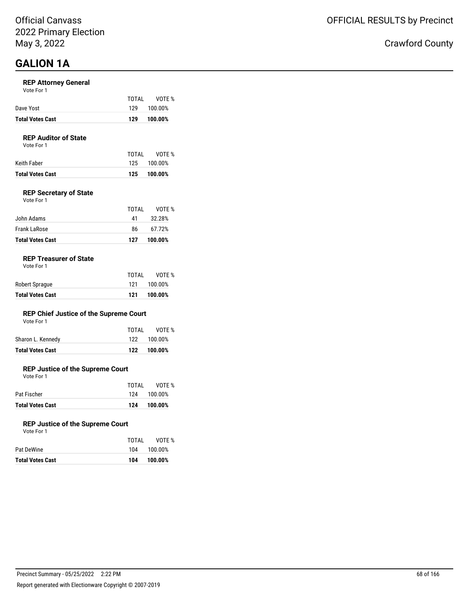## **GALION 1A**

#### **REP Attorney General**

| 129 100.00%<br>Dave Yost |  |
|--------------------------|--|
|--------------------------|--|

#### **REP Auditor of State**

Vote For 1

|                  | TOTAI | VOTE %      |
|------------------|-------|-------------|
| Keith Faber      |       | 125 100.00% |
| Total Votes Cast |       | 125 100.00% |

#### **REP Secretary of State**

| Vote For 1 |       |        |
|------------|-------|--------|
|            | TOTAL | VOTE % |
| John Adams | 41    | 32.28% |
|            |       |        |

| Frank LaRose            | 86. | 67.72%      |
|-------------------------|-----|-------------|
| <b>Total Votes Cast</b> |     | 127 100.00% |

#### **REP Treasurer of State**

| <b>Total Votes Cast</b> | 121   | 100.00% |
|-------------------------|-------|---------|
| Robert Sprague          | 121   | 100.00% |
|                         | TOTAI | VOTE %  |

#### **REP Chief Justice of the Supreme Court**

| Vote For 1 |  |  |
|------------|--|--|
|------------|--|--|

| <b>Total Votes Cast</b> |       | 122 100.00% |
|-------------------------|-------|-------------|
| Sharon L. Kennedy       |       | 122 100.00% |
|                         | TOTAI | VOTE %      |

#### **REP Justice of the Supreme Court**

Vote For 1

| <b>Total Votes Cast</b> | 124   | 100.00%     |
|-------------------------|-------|-------------|
| Pat Fischer             |       | 124 100.00% |
|                         | TOTAI | VOTE %      |

#### **REP Justice of the Supreme Court**

| Vote For 1 |  |  |
|------------|--|--|
|            |  |  |
| at DaWina  |  |  |

|                         | TOTAI | VOTE %  |
|-------------------------|-------|---------|
| Pat DeWine              | 104   | 100.00% |
| <b>Total Votes Cast</b> | 104   | 100.00% |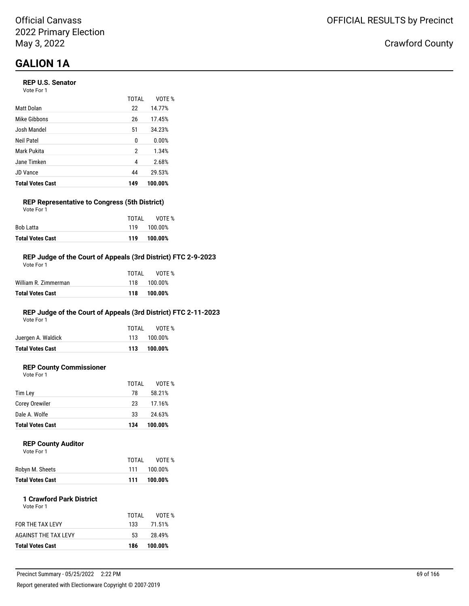## **GALION 1A**

#### **REP U.S. Senator**

| Vote For 1 |  |
|------------|--|
|------------|--|

|                         | <b>TOTAL</b> | VOTE %  |
|-------------------------|--------------|---------|
| Matt Dolan              | 22           | 14.77%  |
| Mike Gibbons            | 26           | 17.45%  |
| Josh Mandel             | 51           | 34.23%  |
| Neil Patel              | 0            | 0.00%   |
| Mark Pukita             | 2            | 1.34%   |
| Jane Timken             | 4            | 2.68%   |
| <b>JD Vance</b>         | 44           | 29.53%  |
| <b>Total Votes Cast</b> | 149          | 100.00% |

### **REP Representative to Congress (5th District)**

| <b>Total Votes Cast</b> |       | 119 100.00% |
|-------------------------|-------|-------------|
| Bob Latta               |       | 119 100.00% |
|                         | TOTAI | VOTE %      |
| Vote For 1              |       |             |

#### **REP Judge of the Court of Appeals (3rd District) FTC 2-9-2023**

| Total Votes Cast     | 118   | 100.00%     |
|----------------------|-------|-------------|
| William R. Zimmerman |       | 118 100.00% |
|                      | TOTAL | VOTF %      |
| Vote For 1           |       |             |

#### **REP Judge of the Court of Appeals (3rd District) FTC 2-11-2023**

Vote For 1

| <b>Total Votes Cast</b> |       | 113 100.00% |
|-------------------------|-------|-------------|
| Juergen A. Waldick      |       | 113 100.00% |
|                         | TOTAI | VOTE %      |

### **REP County Commissioner**

Vote For 1

|                         | TOTAL | VOTE %  |
|-------------------------|-------|---------|
| Tim Lev                 | 78    | 58.21%  |
| <b>Corey Orewiler</b>   | 23    | 17.16%  |
| Dale A. Wolfe           | 33    | 24.63%  |
| <b>Total Votes Cast</b> | 134   | 100.00% |

#### **REP County Auditor**

| <b>Total Votes Cast</b> | 111   | 100.00% |
|-------------------------|-------|---------|
| Robyn M. Sheets         | 111   | 100.00% |
|                         | TOTAI | VOTE %  |
| Vote For 1              |       |         |

### **1 Crawford Park District**

| <b>Total Votes Cast</b> | 186   | 100.00% |
|-------------------------|-------|---------|
| AGAINST THE TAX LEVY    | 53    | 28.49%  |
| <b>FOR THE TAX LEVY</b> | 133   | 71.51%  |
|                         | TOTAL | VOTF %  |
| Vote For 1              |       |         |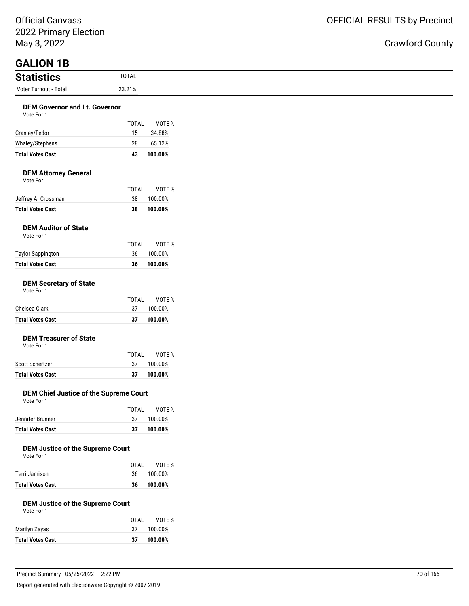### ty

| May 3, 2022                                           |                        | <b>Crawford Coun</b> |
|-------------------------------------------------------|------------------------|----------------------|
| <b>GALION 1B</b>                                      |                        |                      |
| <b>Statistics</b>                                     | <b>TOTAL</b>           |                      |
| Voter Turnout - Total                                 | 23.21%                 |                      |
| <b>DEM Governor and Lt. Governor</b><br>Vote For 1    |                        |                      |
|                                                       | VOTE %<br><b>TOTAL</b> |                      |
| Cranley/Fedor                                         | 15<br>34.88%           |                      |
| Whaley/Stephens                                       | 28<br>65.12%           |                      |
| <b>Total Votes Cast</b>                               | 43<br>100.00%          |                      |
| <b>DEM Attorney General</b><br>Vote For 1             |                        |                      |
|                                                       | <b>TOTAL</b><br>VOTE % |                      |
| Jeffrey A. Crossman                                   | 38<br>100.00%          |                      |
| <b>Total Votes Cast</b>                               | 38<br>100.00%          |                      |
| <b>DEM Auditor of State</b><br>Vote For 1             |                        |                      |
|                                                       | <b>TOTAL</b><br>VOTE % |                      |
| <b>Taylor Sappington</b>                              | 100.00%<br>36          |                      |
| <b>Total Votes Cast</b>                               | 100.00%<br>36          |                      |
| <b>DEM Secretary of State</b><br>Vote For 1           |                        |                      |
|                                                       | <b>TOTAL</b><br>VOTE % |                      |
| Chelsea Clark                                         | 37<br>100.00%          |                      |
| <b>Total Votes Cast</b>                               | 37<br>100.00%          |                      |
| <b>DEM Treasurer of State</b><br>Vote For 1           |                        |                      |
|                                                       | <b>TOTAL</b><br>VOTE % |                      |
| Scott Schertzer                                       | 37<br>100.00%          |                      |
| <b>Total Votes Cast</b>                               | 37<br>100.00%          |                      |
| DEM Chief Justice of the Supreme Court<br>Vote For 1  |                        |                      |
|                                                       | TOTAL<br>VOTE %        |                      |
| Jennifer Brunner                                      | 37<br>100.00%          |                      |
| <b>Total Votes Cast</b>                               | 37<br>100.00%          |                      |
| <b>DEM Justice of the Supreme Court</b><br>Vote For 1 |                        |                      |
|                                                       | TOTAL<br>VOTE %        |                      |
| Terri Jamison                                         | 36<br>100.00%          |                      |
| <b>Total Votes Cast</b>                               | 36<br>100.00%          |                      |
| <b>DEM Justice of the Supreme Court</b><br>Vote For 1 |                        |                      |
|                                                       | TOTAL<br>VOTE %        |                      |
| Marilyn Zayas                                         | 37<br>100.00%          |                      |
| <b>Total Votes Cast</b>                               | 37<br>100.00%          |                      |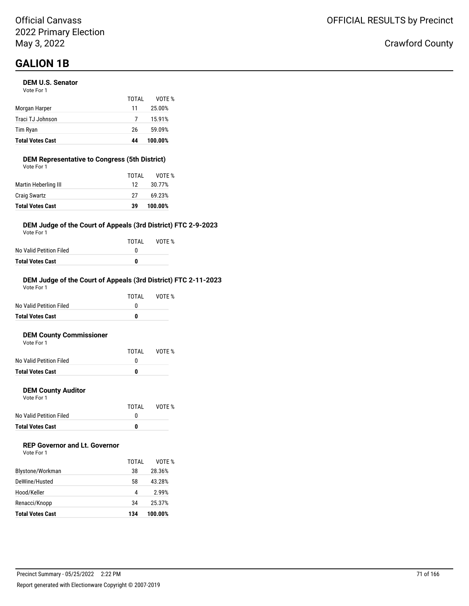# **GALION 1B**

#### **DEM U.S. Senator**

| <b>Total Votes Cast</b> | 44    | 100.00% |
|-------------------------|-------|---------|
| Tim Ryan                | 26    | 59.09%  |
| Traci TJ Johnson        | 7     | 15.91%  |
| Morgan Harper           | 11    | 25.00%  |
|                         | TOTAL | VOTE %  |
| Vote For 1              |       |         |

#### **DEM Representative to Congress (5th District)** Vote For 1

| <b>Total Votes Cast</b> | 39    | 100.00% |
|-------------------------|-------|---------|
| <b>Craig Swartz</b>     | 27    | 69.23%  |
| Martin Heberling III    | 12    | 30.77%  |
|                         | TOTAL | VOTF %  |
| VULE FUI I              |       |         |

#### **DEM Judge of the Court of Appeals (3rd District) FTC 2-9-2023**

Vote For 1

|                         | TOTAI | VOTE % |
|-------------------------|-------|--------|
| No Valid Petition Filed |       |        |
| Total Votes Cast        | n     |        |

#### **DEM Judge of the Court of Appeals (3rd District) FTC 2-11-2023**

| <b>Total Votes Cast</b> | 0     |        |
|-------------------------|-------|--------|
| No Valid Petition Filed | O     |        |
|                         | TOTAI | VOTF % |
| Vote For 1              |       |        |

#### **DEM County Commissioner**  $V$ ote

| <b>Total Votes Cast</b> | 0     |        |
|-------------------------|-------|--------|
| No Valid Petition Filed |       |        |
|                         | TOTAL | VOTE % |
| VOLE FOI T              |       |        |

#### **DEM County Auditor**

Vote For 1

|                         | TOTAL | VOTE % |
|-------------------------|-------|--------|
| No Valid Petition Filed |       |        |
| <b>Total Votes Cast</b> | o     |        |

### **REP Governor and Lt. Governor**

| Vote For 1 |  |
|------------|--|
|------------|--|

|                         | TOTAI | VOTF %  |
|-------------------------|-------|---------|
| Blystone/Workman        | 38    | 28.36%  |
| DeWine/Husted           | 58    | 43.28%  |
| Hood/Keller             | 4     | 2.99%   |
| Renacci/Knopp           | 34    | 25.37%  |
| <b>Total Votes Cast</b> | 134   | 100.00% |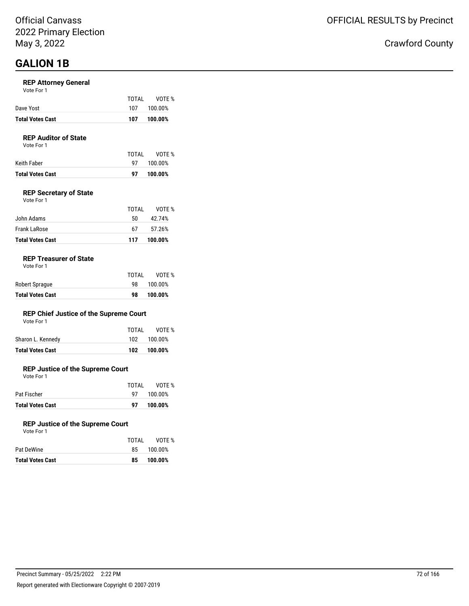## **GALION 1B**

#### **REP Attorney General**

| Vote For 1 |  |  |
|------------|--|--|
|------------|--|--|

| <b>Total Votes Cast</b> | 107   | 100.00% |
|-------------------------|-------|---------|
| Dave Yost               | 107   | 100.00% |
|                         | TOTAI | VOTE %  |

#### **REP Auditor of State**

Vote For 1

| Keith Faber             | TOTAL | VOTE %<br>97 100.00% |
|-------------------------|-------|----------------------|
| <b>Total Votes Cast</b> | 97    | 100.00%              |

#### **REP Secretary of State**

| <b>Total Votes Cast</b> | 117   | 100.00% |
|-------------------------|-------|---------|
| <b>Frank LaRose</b>     | 67    | 57.26%  |
| John Adams              | 50    | 42.74%  |
|                         | TOTAL | VOTE %  |
| Vote For 1              |       |         |

#### **REP Treasurer of State**

| <b>Total Votes Cast</b> | 98    | 100.00% |
|-------------------------|-------|---------|
| Robert Sprague          | 98.   | 100.00% |
|                         | TOTAL | VOTE %  |

#### **REP Chief Justice of the Supreme Court**

| Vote For 1        |       |            |
|-------------------|-------|------------|
|                   | TOTAI | VOTE %     |
| Sharon L. Kennedy | 102   | $100.00\%$ |

**Total Votes Cast 102 100.00%**

#### **REP Justice of the Supreme Court**

Vote For 1

|                         | TOTAL       | VOTE %  |
|-------------------------|-------------|---------|
| Pat Fischer             | 97 <b>D</b> | 100.00% |
| <b>Total Votes Cast</b> | 97          | 100.00% |

#### **REP Justice of the Supreme Court**

| <b>Total Votes Cast</b> | 85    | 100.00% |
|-------------------------|-------|---------|
| Pat DeWine              | 85.   | 100.00% |
|                         | TOTAL | VOTE %  |
| Vote For 1              |       |         |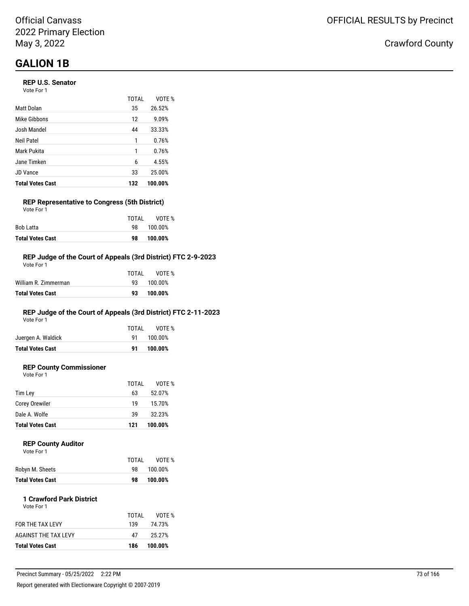# **GALION 1B**

#### **REP U.S. Senator**

| Vote For 1 |  |
|------------|--|
|------------|--|

|                         | TOTAL | VOTE %  |
|-------------------------|-------|---------|
| Matt Dolan              | 35    | 26.52%  |
| Mike Gibbons            | 12    | 9.09%   |
| Josh Mandel             | 44    | 33.33%  |
| Neil Patel              | 1     | 0.76%   |
| Mark Pukita             | 1     | 0.76%   |
| Jane Timken             | 6     | 4.55%   |
| <b>JD Vance</b>         | 33    | 25.00%  |
| <b>Total Votes Cast</b> | 132   | 100.00% |

#### **REP Representative to Congress (5th District)** Vote For 1

|                         | TOTAI | VOTE %  |
|-------------------------|-------|---------|
| Bob Latta               | 98.   | 100.00% |
| <b>Total Votes Cast</b> | 98    | 100.00% |

#### **REP Judge of the Court of Appeals (3rd District) FTC 2-9-2023**

| Vote For 1           |       |            |
|----------------------|-------|------------|
|                      | TOTAL | VOTE %     |
| William R. Zimmerman |       | 93 100.00% |
| Total Votes Cast     | 93    | 100.00%    |
|                      |       |            |

### **REP Judge of the Court of Appeals (3rd District) FTC 2-11-2023**

Vote For 1

|                         | TOTAI | VOTE %     |
|-------------------------|-------|------------|
| Juergen A. Waldick      |       | 91 100.00% |
| <b>Total Votes Cast</b> | 91.   | 100.00%    |
|                         |       |            |

### **REP County Commissioner**

Vote For 1

|                         | TOTAL | VOTE %  |
|-------------------------|-------|---------|
| Tim Lev                 | 63    | 52.07%  |
| <b>Corey Orewiler</b>   | 19    | 15.70%  |
| Dale A. Wolfe           | 39    | 32.23%  |
| <b>Total Votes Cast</b> | 121   | 100.00% |

#### **REP County Auditor**  $\sqrt{2}$

| <b>VOLE FOI</b> |  |  |
|-----------------|--|--|
|                 |  |  |
|                 |  |  |

|                         | TOTAL | VOTE %  |
|-------------------------|-------|---------|
| Robyn M. Sheets         | 98.   | 100.00% |
| <b>Total Votes Cast</b> | 98    | 100.00% |

#### **1 Crawford Park District** Vote For 1

| <b>Total Votes Cast</b> | 186   | 100.00% |
|-------------------------|-------|---------|
| AGAINST THE TAX LEVY    | 47    | 25.27%  |
| <b>FOR THE TAX LEVY</b> | 139   | 74.73%  |
|                         | TOTAL | VOTF %  |
|                         |       |         |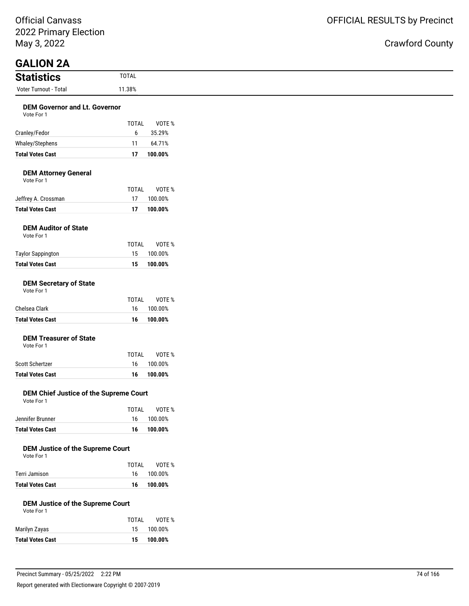Official Canvass 2022 Primary Election May 3, 2022

| $\sim$                                             |              |            |
|----------------------------------------------------|--------------|------------|
| May 3, 2022                                        |              |            |
| <b>GALION 2A</b>                                   |              |            |
| <b>Statistics</b>                                  | <b>TOTAL</b> |            |
| Voter Turnout - Total                              | 11.38%       |            |
| <b>DEM Governor and Lt. Governor</b><br>Vote For 1 |              |            |
|                                                    | <b>TOTAL</b> | VOTE %     |
| Cranley/Fedor                                      | 6            | 35.29%     |
| Whaley/Stephens                                    | 11           | 64.71%     |
| <b>Total Votes Cast</b>                            | 17           | 100.00%    |
| <b>DEM Attorney General</b><br>Vote For 1          |              |            |
|                                                    | <b>TOTAL</b> | VOTE %     |
| Jeffrey A. Crossman                                | 17           | 100.00%    |
| <b>Total Votes Cast</b>                            | 17           | 100.00%    |
| <b>DEM Auditor of State</b><br>Vote For 1          |              |            |
|                                                    | <b>TOTAL</b> | VOTE %     |
| <b>Taylor Sappington</b>                           | 15           | 100.00%    |
| <b>Total Votes Cast</b>                            | 15           | 100.00%    |
| <b>DEM Secretary of State</b><br>Vote For 1        |              |            |
|                                                    | <b>TOTAL</b> | VOTE %     |
| Chelsea Clark                                      | 16           | 100.00%    |
| <b>Total Votes Cast</b>                            | 16           | 100.00%    |
| <b>DEM Treasurer of State</b><br>Vote For 1        |              |            |
|                                                    | <b>TOTAL</b> | VOTE %     |
| Scott Schertzer                                    |              | 16 100.00% |

# **Total Votes Cast 16 100.00% DEM Chief Justice of the Supreme Court**

#### Vote For 1 TOTAL VOTE %

|                         | .   | .          |
|-------------------------|-----|------------|
| Jennifer Brunner        | 16. | 100.00%    |
| <b>Total Votes Cast</b> |     | 16 100.00% |
|                         |     |            |

### **DEM Justice of the Supreme Court**

| Vote For 1 |  |
|------------|--|
|            |  |

|                         | TOTAI | VOTE %     |
|-------------------------|-------|------------|
| Terri Jamison           |       | 16 100.00% |
| <b>Total Votes Cast</b> | 16    | 100.00%    |

#### **DEM Justice of the Supreme Court**

| Vote For 1 |  |
|------------|--|
|------------|--|

|                         | TOTAL | VOTE %  |
|-------------------------|-------|---------|
| Marilyn Zayas           | 15    | 100.00% |
| <b>Total Votes Cast</b> | 15.   | 100.00% |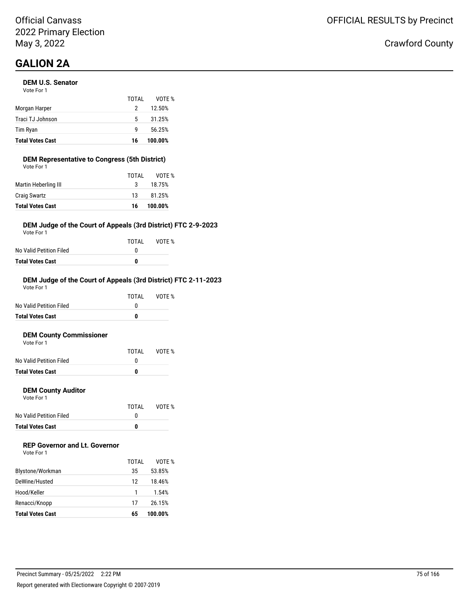# **GALION 2A**

#### **DEM U.S. Senator**

| <b>Total Votes Cast</b> | 16    | 100.00% |
|-------------------------|-------|---------|
| Tim Ryan                | q     | 56.25%  |
| Traci TJ Johnson        | 5     | 31.25%  |
| Morgan Harper           | 2     | 12.50%  |
|                         | TOTAL | VOTF %  |
| Vote For 1              |       |         |

#### **DEM Representative to Congress (5th District)**

| <b>Total Votes Cast</b> | 16    | 100.00% |
|-------------------------|-------|---------|
| <b>Craig Swartz</b>     | 13    | 81.25%  |
| Martin Heberling III    | 3     | 18.75%  |
|                         | TOTAL | VOTE %  |
| Vote For 1              |       |         |

#### **DEM Judge of the Court of Appeals (3rd District) FTC 2-9-2023**

Vote For 1

|                         | TOTAI | VOTE % |
|-------------------------|-------|--------|
| No Valid Petition Filed |       |        |
| Total Votes Cast        | n     |        |

#### **DEM Judge of the Court of Appeals (3rd District) FTC 2-11-2023**

| Total Votes Cast        | 0     |        |
|-------------------------|-------|--------|
| No Valid Petition Filed | O     |        |
|                         | TOTAI | VOTF % |
| Vote For 1              |       |        |

#### **DEM County Commissioner**

| <b>Total Votes Cast</b> |       |        |
|-------------------------|-------|--------|
| No Valid Petition Filed |       |        |
|                         | TOTAI | VOTE % |
| Vote For 1              |       |        |

#### **DEM County Auditor**

Vote For 1

|                         | TOTAL | VOTE % |
|-------------------------|-------|--------|
| No Valid Petition Filed |       |        |
| <b>Total Votes Cast</b> | n     |        |

### **REP Governor and Lt. Governor**

Vote For 1

|                         | TOTAI | VOTF %  |
|-------------------------|-------|---------|
| Blystone/Workman        | 35    | 53.85%  |
| DeWine/Husted           | 12    | 18.46%  |
| Hood/Keller             |       | 1.54%   |
| Renacci/Knopp           | 17    | 26.15%  |
| <b>Total Votes Cast</b> | 65    | 100.00% |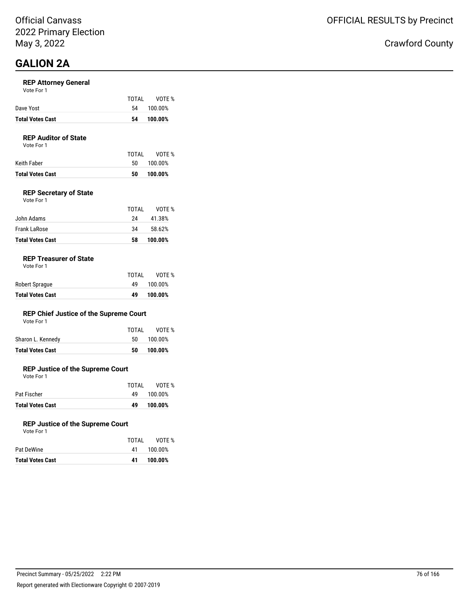# **GALION 2A**

#### **REP Attorney General**

| Vote For 1 |  |
|------------|--|
|------------|--|

|                         | TOTAI | VOTE %     |
|-------------------------|-------|------------|
| Dave Yost               |       | 54 100.00% |
| <b>Total Votes Cast</b> | 54    | 100.00%    |

#### **REP Auditor of State**

Vote For 1

| Keith Faber<br>50. | 100.00% |
|--------------------|---------|
|--------------------|---------|

#### **REP Secretary of State**

| <b>Total Votes Cast</b> | 58    | 100.00% |
|-------------------------|-------|---------|
| Frank LaRose            | 34    | 58.62%  |
| John Adams              | 24    | 41.38%  |
|                         | TOTAL | VOTE %  |
| Vote For 1              |       |         |

#### **REP Treasurer of State**

| <b>Total Votes Cast</b> | 49    | 100.00% |
|-------------------------|-------|---------|
| Robert Sprague          | 49.   | 100.00% |
|                         | TOTAI | VOTE %  |

#### **REP Chief Justice of the Supreme Court**

| Vote For 1 |  |
|------------|--|
|------------|--|

| <b>Total Votes Cast</b> | 50 | 100.00%      |
|-------------------------|----|--------------|
| Sharon L. Kennedy       |    | 50 100.00%   |
|                         |    | TOTAL VOTE % |

#### **REP Justice of the Supreme Court**

Vote For 1

|                         | TOTAI | VOTE %  |
|-------------------------|-------|---------|
| Pat Fischer             | 49.   | 100.00% |
| <b>Total Votes Cast</b> | 49    | 100.00% |

#### **REP Justice of the Supreme Court**

| Vote For 1 |  |  |
|------------|--|--|
|            |  |  |

|                         | TOTAI | VOTE %  |
|-------------------------|-------|---------|
| Pat DeWine              | 41    | 100.00% |
| <b>Total Votes Cast</b> | 41    | 100.00% |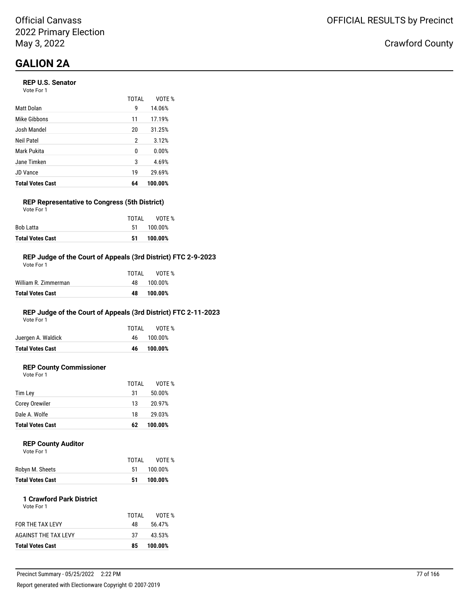# **GALION 2A**

#### **REP U.S. Senator**

Vote For 1

|                         | <b>TOTAL</b> | VOTE %  |
|-------------------------|--------------|---------|
| Matt Dolan              | 9            | 14.06%  |
| Mike Gibbons            | 11           | 17.19%  |
| Josh Mandel             | 20           | 31.25%  |
| Neil Patel              | 2            | 3.12%   |
| Mark Pukita             | 0            | 0.00%   |
| Jane Timken             | 3            | 4.69%   |
| JD Vance                | 19           | 29.69%  |
| <b>Total Votes Cast</b> | 64           | 100.00% |

#### **REP Representative to Congress (5th District)** Vote For 1

|                         | TOTAI | VOTE %  |
|-------------------------|-------|---------|
| Bob Latta               | 51    | 100.00% |
| <b>Total Votes Cast</b> | 51.   | 100.00% |

#### **REP Judge of the Court of Appeals (3rd District) FTC 2-9-2023**

| <b>Total Votes Cast</b> | 48    | 100.00% |
|-------------------------|-------|---------|
| William R. Zimmerman    | 48.   | 100.00% |
|                         | TOTAL | VOTF %  |
| Vote For 1              |       |         |

### **REP Judge of the Court of Appeals (3rd District) FTC 2-11-2023**

Vote For 1

| <b>Total Votes Cast</b> | 46.   | 100.00%    |
|-------------------------|-------|------------|
| Juergen A. Waldick      |       | 46 100.00% |
|                         | TOTAI | VOTE %     |

### **REP County Commissioner**

Vote For 1

|                         | TOTAL | VOTE %  |
|-------------------------|-------|---------|
| Tim Lev                 | 31    | 50.00%  |
| Corey Orewiler          | 13    | 20.97%  |
| Dale A. Wolfe           | 18    | 29.03%  |
| <b>Total Votes Cast</b> | 62    | 100.00% |

#### **REP County Auditor** Vote For 1

| <b>Total Votes Cast</b> | 51    | 100.00% |
|-------------------------|-------|---------|
| Robyn M. Sheets         | -51   | 100.00% |
|                         | TOTAL | VOTE %  |
| VULE FUI I              |       |         |

#### **1 Crawford Park District**

| <b>Total Votes Cast</b> | 85    | 100.00% |
|-------------------------|-------|---------|
| AGAINST THE TAX LEVY    | 37    | 43.53%  |
| FOR THE TAX LEVY        | 48    | 56.47%  |
|                         | TOTAL | VOTF %  |
| Vote For 1              |       |         |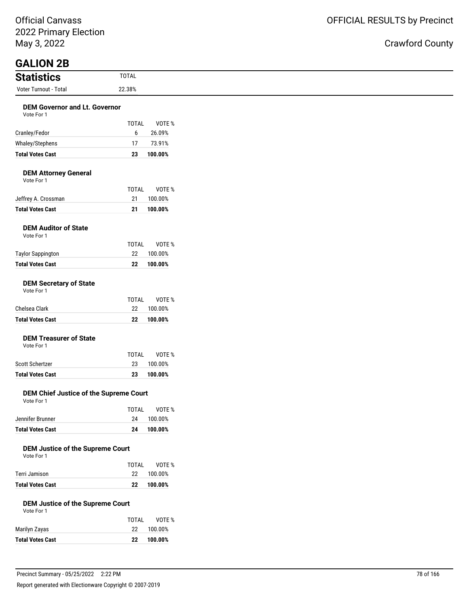Official Canvass 2022 Primary Election May 3, 2022

| 2022 Primary Election                       |                    |                   |
|---------------------------------------------|--------------------|-------------------|
| May 3, 2022                                 |                    |                   |
|                                             |                    |                   |
| <b>GALION 2B</b>                            |                    |                   |
| <b>Statistics</b>                           | <b>TOTAL</b>       |                   |
| Voter Turnout - Total                       | 22.38%             |                   |
| <b>DEM Governor and Lt. Governor</b>        |                    |                   |
| Vote For 1                                  |                    |                   |
|                                             | <b>TOTAL</b>       | VOTE %            |
| Cranley/Fedor                               | 6                  | 26.09%            |
| Whaley/Stephens                             | 17                 | 73.91%            |
| <b>Total Votes Cast</b>                     | 23                 | 100.00%           |
|                                             |                    |                   |
| <b>DEM Attorney General</b><br>Vote For 1   |                    |                   |
|                                             | <b>TOTAL</b>       | VOTE %            |
| Jeffrey A. Crossman                         | 21                 | 100.00%           |
| <b>Total Votes Cast</b>                     | 21                 | 100.00%           |
|                                             |                    |                   |
| <b>DEM Auditor of State</b><br>Vote For 1   |                    |                   |
|                                             | <b>TOTAL</b>       | VOTE %            |
| <b>Taylor Sappington</b>                    | 22                 | 100.00%           |
| <b>Total Votes Cast</b>                     | 22                 | 100.00%           |
|                                             |                    |                   |
| <b>DEM Secretary of State</b><br>Vote For 1 |                    |                   |
|                                             | <b>TOTAL</b>       | VOTE %            |
| Chelsea Clark                               | 22                 | 100.00%           |
| <b>Total Votes Cast</b>                     | 22                 | 100.00%           |
|                                             |                    |                   |
| <b>DEM Treasurer of State</b>               |                    |                   |
| Vote For 1                                  | <b>TOTAL</b>       | VOTE %            |
| Scott Schertzer                             | 23                 | 100.00%           |
| <b>Total Votes Cast</b>                     | 23                 | 100.00%           |
|                                             |                    |                   |
| DEM Chief Justice of the Supreme Court      |                    |                   |
| Vote For 1                                  |                    |                   |
|                                             | <b>TOTAL</b><br>24 | VOTE %<br>100.00% |
| Jennifer Brunner<br><b>Total Votes Cast</b> |                    |                   |
|                                             | 24                 | 100.00%           |
| <b>DEM Justice of the Supreme Court</b>     |                    |                   |
| Vote For 1                                  |                    |                   |
|                                             | <b>TOTAL</b>       | VOTE %            |
| Terri Jamison                               | 22                 | 100.00%           |

# **Total Votes Cast 22 100.00%**

### **DEM Justice of the Supreme Court**

Vote For 1

| <b>Total Votes Cast</b> | 22    | 100.00% |
|-------------------------|-------|---------|
| Marilyn Zayas           | 22    | 100.00% |
|                         | TOTAI | VOTE %  |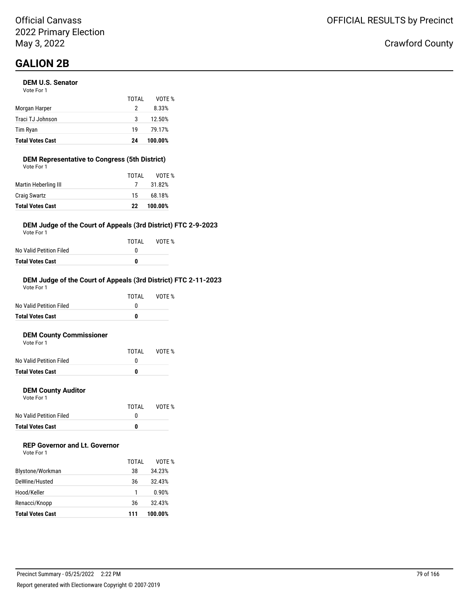# **GALION 2B**

#### **DEM U.S. Senator**

| <b>Total Votes Cast</b> | 24    | 100.00% |
|-------------------------|-------|---------|
| Tim Ryan                | 19    | 79.17%  |
| Traci TJ Johnson        | 3     | 12.50%  |
| Morgan Harper           | 2     | 8.33%   |
|                         | TOTAL | VOTE %  |
| Vote For 1              |       |         |

#### **DEM Representative to Congress (5th District)**

| <b>Total Votes Cast</b> | 22    | 100.00% |
|-------------------------|-------|---------|
| <b>Craig Swartz</b>     | 15    | 68.18%  |
| Martin Heberling III    |       | 31.82%  |
|                         | TOTAL | VOTE %  |
| Vote For 1              |       |         |

#### **DEM Judge of the Court of Appeals (3rd District) FTC 2-9-2023**

Vote For 1

|                         | TOTAI | VOTE % |
|-------------------------|-------|--------|
| No Valid Petition Filed |       |        |
| Total Votes Cast        | n     |        |

#### **DEM Judge of the Court of Appeals (3rd District) FTC 2-11-2023**

| <b>Total Votes Cast</b> | 0     |        |
|-------------------------|-------|--------|
| No Valid Petition Filed | O     |        |
|                         | TOTAI | VOTF % |
| Vote For 1              |       |        |

#### **DEM County Commissioner**

| <b>Total Votes Cast</b> | 0     |        |
|-------------------------|-------|--------|
| No Valid Petition Filed |       |        |
|                         | TOTAL | VOTE % |
| Vote For 1              |       |        |

#### **DEM County Auditor**

Vote For 1

|                         | TOTAL | VOTE % |
|-------------------------|-------|--------|
| No Valid Petition Filed |       |        |
| <b>Total Votes Cast</b> | o     |        |

#### **REP Governor and Lt. Governor**

Vote For 1

|                         | TOTAL | VOTE %  |
|-------------------------|-------|---------|
| Blystone/Workman        | 38    | 34.23%  |
| DeWine/Husted           | 36    | 32.43%  |
| Hood/Keller             |       | 0.90%   |
| Renacci/Knopp           | 36    | 32.43%  |
| <b>Total Votes Cast</b> | 111   | 100.00% |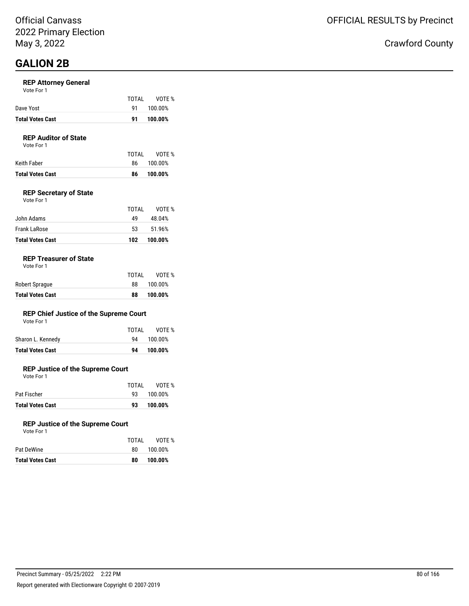### **GALION 2B**

#### **REP Attorney General**

|                         | TOTAI     | VOTE %  |
|-------------------------|-----------|---------|
| Dave Yost               | <b>Q1</b> | 100.00% |
| <b>Total Votes Cast</b> | 91        | 100.00% |

### **REP Auditor of State**

Vote For 1

|                  | TOTAL | VOTE %     |
|------------------|-------|------------|
| Keith Faber      |       | 86 100.00% |
| Total Votes Cast | 86.   | 100.00%    |
|                  |       |            |

#### **REP Secretary of State**

| Vote For 1 |  |  |
|------------|--|--|
|            |  |  |

| <b>Total Votes Cast</b> | 102   | 100.00% |
|-------------------------|-------|---------|
| Frank LaRose            | 53.   | 51.96%  |
| John Adams              | 49    | 48.04%  |
|                         | TOTAI | VOTF %  |

#### **REP Treasurer of State**

|                         | TOTAL | VOTE %  |
|-------------------------|-------|---------|
| Robert Sprague          | 88    | 100.00% |
| <b>Total Votes Cast</b> | 88    | 100.00% |

#### **REP Chief Justice of the Supreme Court**

| Vote For 1 |  |
|------------|--|
|------------|--|

| <b>Total Votes Cast</b> | 94 | 100.00%      |
|-------------------------|----|--------------|
| Sharon L. Kennedy       |    | 94 100.00%   |
|                         |    | TOTAL VOTE % |

#### **REP Justice of the Supreme Court**

Vote For 1

|                         | TOTAI | VOTE %     |
|-------------------------|-------|------------|
| Pat Fischer             |       | 93 100.00% |
| <b>Total Votes Cast</b> | 93.   | 100.00%    |

#### **REP Justice of the Supreme Court**

| <b>Total Votes Cast</b> | 100.00%<br>80   |
|-------------------------|-----------------|
| Pat DeWine              | 100.00%<br>80   |
|                         | VOTE %<br>TOTAI |
| Vote For 1              |                 |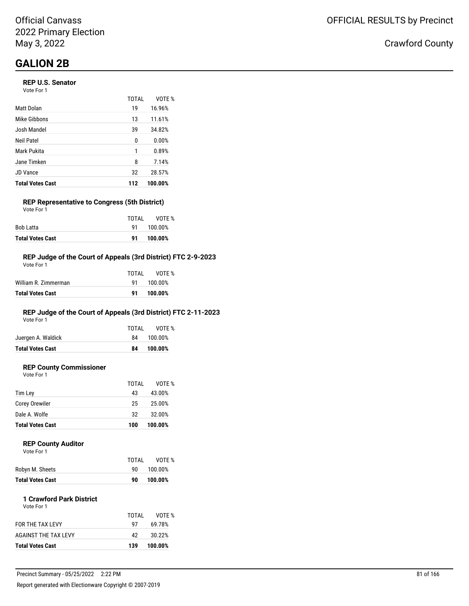# **GALION 2B**

#### **REP U.S. Senator**

Vote For 1

|                         | TOTAI | VOTF %  |
|-------------------------|-------|---------|
| Matt Dolan              | 19    | 16.96%  |
| Mike Gibbons            | 13    | 11.61%  |
| Josh Mandel             | 39    | 34.82%  |
| Neil Patel              | 0     | 0.00%   |
| Mark Pukita             | 1     | 0.89%   |
| Jane Timken             | 8     | 7.14%   |
| JD Vance                | 32    | 28.57%  |
| <b>Total Votes Cast</b> | 112   | 100.00% |

#### **REP Representative to Congress (5th District)** Vote For 1

| <b>Total Votes Cast</b> | 91    | 100.00% |
|-------------------------|-------|---------|
| Bob Latta               | 91 —  | 100.00% |
|                         | TOTAI | VOTE %  |

#### **REP Judge of the Court of Appeals (3rd District) FTC 2-9-2023**

| Total Votes Cast     | 91    | 100.00% |
|----------------------|-------|---------|
| William R. Zimmerman | 91.   | 100.00% |
|                      | TOTAL | VOTF %  |
| Vote For 1           |       |         |

### **REP Judge of the Court of Appeals (3rd District) FTC 2-11-2023**

Vote For 1

|                         | TOTAL | VOTE %     |
|-------------------------|-------|------------|
| Juergen A. Waldick      |       | 84 100.00% |
| <b>Total Votes Cast</b> | 84    | 100.00%    |
|                         |       |            |

### **REP County Commissioner**

Vote For 1

|                         | TOTAL | VOTE %  |
|-------------------------|-------|---------|
| Tim Ley                 | 43    | 43.00%  |
| Corey Orewiler          | 25    | 25.00%  |
| Dale A. Wolfe           | 32    | 32.00%  |
| <b>Total Votes Cast</b> | 100   | 100.00% |
|                         |       |         |

#### **REP County Auditor**

| Vote For 1 |  |
|------------|--|
|            |  |

| Robyn M. Sheets<br>100.00%<br>90. |
|-----------------------------------|
|                                   |

#### **1 Crawford Park District** Vote For 1

| <b>Total Votes Cast</b> | 139   | 100.00% |
|-------------------------|-------|---------|
| AGAINST THE TAX LEVY    | 42    | 30.22%  |
| <b>FOR THE TAX LEVY</b> | 97    | 69.78%  |
|                         | TOTAI | VOTF %  |
| <b>VULLET UIT</b>       |       |         |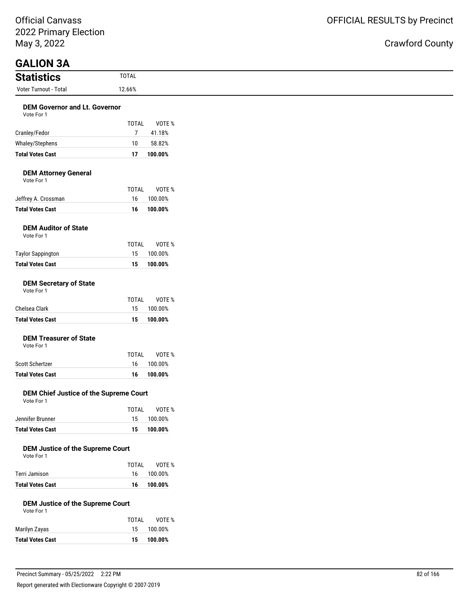Official Canvass 2022 Primary Election May 3, 2022

### Crawford County

### **GALION 3A**

| <b>Statistics</b>                                  | <b>TOTAL</b> |                  |
|----------------------------------------------------|--------------|------------------|
| Voter Turnout - Total                              | 12.66%       |                  |
| <b>DEM Governor and Lt. Governor</b><br>Vote For 1 | <b>TOTAL</b> | VOTE %           |
| Cranley/Fedor<br>Whaley/Stephens                   | 10           | 41.18%<br>58.82% |

#### **DEM Attorney General**

Vote For 1

|                         | TOTAI | VOTE %     |
|-------------------------|-------|------------|
| Jeffrey A. Crossman     |       | 16 100.00% |
| <b>Total Votes Cast</b> |       | 16 100.00% |

**Total Votes Cast 17 100.00%**

#### **DEM Auditor of State**

| Total Votes Cast  | 15.   | 100.00%    |
|-------------------|-------|------------|
| Taylor Sappington |       | 15 100.00% |
|                   | TOTAI | VOTE %     |
| Vote For 1        |       |            |

#### **DEM Secretary of State**

|  | Vote For 1 |  |
|--|------------|--|
|--|------------|--|

|                         | TOTAI | VOTE %  |
|-------------------------|-------|---------|
| Chelsea Clark           | 15.   | 100.00% |
| <b>Total Votes Cast</b> | 15.   | 100.00% |

### **DEM Treasurer of State**

Vote For 1

|                  | TOTAI | VOTE %     |
|------------------|-------|------------|
| Scott Schertzer  |       | 16 100.00% |
| Total Votes Cast |       | 16 100.00% |

#### **DEM Chief Justice of the Supreme Court** Vote For 1

|                         | TOTAI | VOTE %     |
|-------------------------|-------|------------|
| Jennifer Brunner        |       | 15 100.00% |
| <b>Total Votes Cast</b> | 15.   | 100.00%    |

#### **DEM Justice of the Supreme Court**

| Vote For 1 |  |
|------------|--|

|                         | TOTAI | VOTE %     |
|-------------------------|-------|------------|
| Terri Jamison           |       | 16 100.00% |
| <b>Total Votes Cast</b> |       | 16 100.00% |

#### **DEM Justice of the Supreme Court**

| Vote For 1 |  |
|------------|--|
|            |  |

| Marilyn Zayas           | TOTAI<br>15 | VOTE %<br>100.00% |
|-------------------------|-------------|-------------------|
| <b>Total Votes Cast</b> | 15.         | 100.00%           |
|                         |             |                   |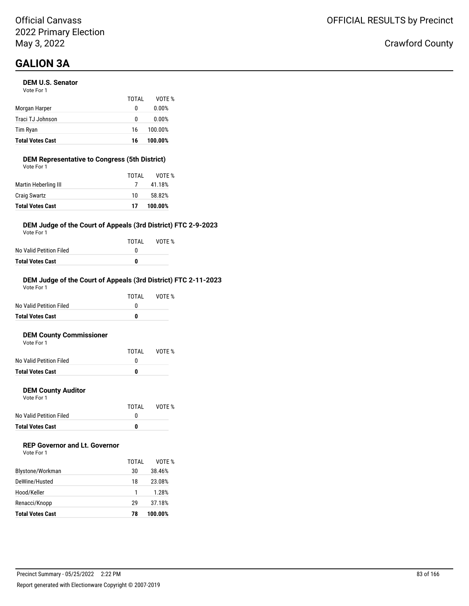#### **DEM U.S. Senator**

| <b>Total Votes Cast</b> | 16    | 100.00% |
|-------------------------|-------|---------|
| Tim Ryan                | 16    | 100.00% |
| Traci TJ Johnson        | 0     | 0.00%   |
| Morgan Harper           | 0     | 0.00%   |
|                         | TOTAI | VOTE %  |
| Vote For 1              |       |         |

#### **DEM Representative to Congress (5th District)**

| <b>Total Votes Cast</b> | 17    | 100.00% |
|-------------------------|-------|---------|
| <b>Craig Swartz</b>     | 10    | 58.82%  |
| Martin Heberling III    |       | 41.18%  |
|                         | TOTAL | VOTE %  |
| Vote For 1              |       |         |

#### **DEM Judge of the Court of Appeals (3rd District) FTC 2-9-2023**

Vote For 1

|                         | TOTAI | VOTE % |
|-------------------------|-------|--------|
| No Valid Petition Filed |       |        |
| Total Votes Cast        | n     |        |

#### **DEM Judge of the Court of Appeals (3rd District) FTC 2-11-2023**

| Total Votes Cast        | 0     |        |
|-------------------------|-------|--------|
| No Valid Petition Filed | O     |        |
|                         | TOTAI | VOTF % |
| Vote For 1              |       |        |

#### **DEM County Commissioner**

| <b>Total Votes Cast</b> | 0     |        |
|-------------------------|-------|--------|
| No Valid Petition Filed |       |        |
|                         | TOTAL | VOTE % |
| Vote For 1              |       |        |

#### **DEM County Auditor**

Vote For 1

|                         | TOTAI | VOTE % |
|-------------------------|-------|--------|
| No Valid Petition Filed |       |        |
| <b>Total Votes Cast</b> | n     |        |

### **REP Governor and Lt. Governor**

| Vote For 1 |  |
|------------|--|
|------------|--|

|                         | TOTAI | VOTF %  |
|-------------------------|-------|---------|
| Blystone/Workman        | 30    | 38.46%  |
| DeWine/Husted           | 18    | 23.08%  |
| Hood/Keller             |       | 1.28%   |
| Renacci/Knopp           | 29    | 37.18%  |
| <b>Total Votes Cast</b> | 78    | 100.00% |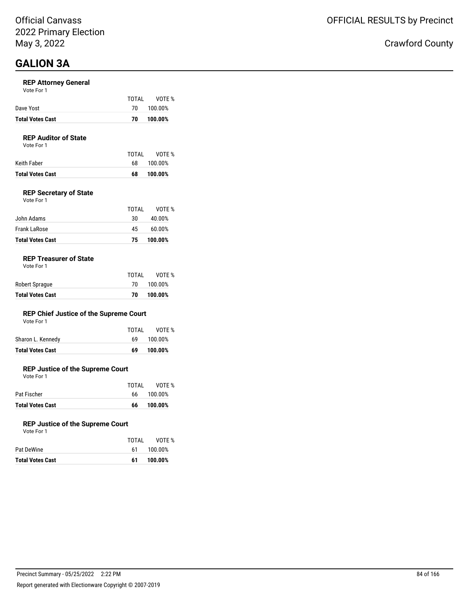#### **REP Attorney General**

|                  | TOTAI | VOTE %     |
|------------------|-------|------------|
| Dave Yost        |       | 70 100.00% |
| Total Votes Cast | 70.   | 100.00%    |
|                  |       |            |

#### **REP Auditor of State**

Vote For 1

| Keith Faber             | TOTAI<br>- 68 | VOTE %<br>100.00% |
|-------------------------|---------------|-------------------|
| <b>Total Votes Cast</b> | 68            | 100.00%           |

#### **REP Secretary of State**

| Vote For 1 |  |  |
|------------|--|--|
|            |  |  |

| <b>Total Votes Cast</b> | 75    | 100.00% |
|-------------------------|-------|---------|
| Frank LaRose            | 45    | 60.00%  |
| John Adams              | 30    | 40.00%  |
|                         | TOTAI | VOTF %  |

#### **REP Treasurer of State**

| <b>Total Votes Cast</b> | 70    | 100.00%    |
|-------------------------|-------|------------|
| Robert Sprague          |       | 70 100.00% |
|                         | TOTAI | VOTE %     |

#### **REP Chief Justice of the Supreme Court**

| Vote For 1 |  |  |
|------------|--|--|
|------------|--|--|

| Total Votes Cast  | 69    | 100.00% |
|-------------------|-------|---------|
| Sharon L. Kennedy | 69.   | 100.00% |
|                   | TOTAI | VOTE %  |

#### **REP Justice of the Supreme Court**

Vote For 1

|                         | TOTAI | VOTE %     |
|-------------------------|-------|------------|
| Pat Fischer             |       | 66 100.00% |
| <b>Total Votes Cast</b> | 66    | 100.00%    |

#### **REP Justice of the Supreme Court**

| Total Votes Cast | 61    | 100.00% |
|------------------|-------|---------|
| Pat DeWine       | 61    | 100.00% |
|                  | TOTAI | VOTE %  |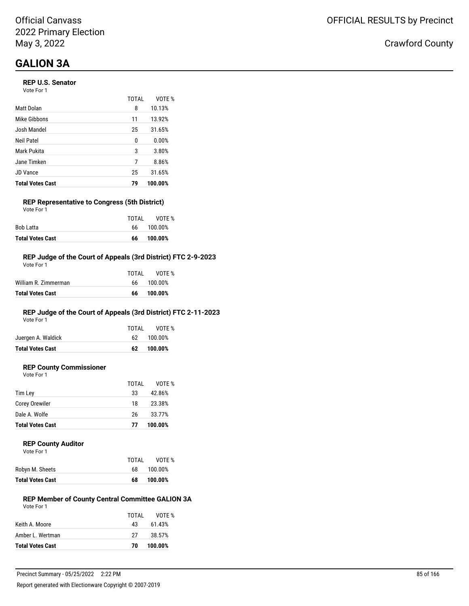#### **REP U.S. Senator**

Vote For 1

|                         | TOTAL | VOTF %  |
|-------------------------|-------|---------|
| Matt Dolan              | 8     | 10.13%  |
| Mike Gibbons            | 11    | 13.92%  |
| Josh Mandel             | 25    | 31.65%  |
| Neil Patel              | 0     | 0.00%   |
| Mark Pukita             | 3     | 3.80%   |
| Jane Timken             | 7     | 8.86%   |
| JD Vance                | 25    | 31.65%  |
| <b>Total Votes Cast</b> | 79    | 100.00% |

#### **REP Representative to Congress (5th District)** Vote For 1

|                         | TOTAI | VOTE %  |
|-------------------------|-------|---------|
| Bob Latta               |       | 100.00% |
| <b>Total Votes Cast</b> | 66    | 100.00% |

#### **REP Judge of the Court of Appeals (3rd District) FTC 2-9-2023**

| Total Votes Cast     | 66    | 100.00% |
|----------------------|-------|---------|
| William R. Zimmerman | 66.   | 100.00% |
|                      | TOTAL | VOTF %  |
| Vote For 1           |       |         |

### **REP Judge of the Court of Appeals (3rd District) FTC 2-11-2023**

Vote For 1

|                         | TOTAL | VOTE %     |
|-------------------------|-------|------------|
| Juergen A. Waldick      |       | 62 100.00% |
| <b>Total Votes Cast</b> |       | 62 100.00% |
|                         |       |            |

### **REP County Commissioner**

Vote For 1

|                         | TOTAL | VOTE %  |
|-------------------------|-------|---------|
| Tim Ley                 | 33    | 42.86%  |
| Corey Orewiler          | 18    | 23.38%  |
| Dale A. Wolfe           | 26    | 33.77%  |
| <b>Total Votes Cast</b> | 77    | 100.00% |

#### **REP County Auditor**

|                  | TOTAL | VOTE %  |
|------------------|-------|---------|
| Robyn M. Sheets  | 68    | 100.00% |
| Total Votes Cast | 68    | 100.00% |

#### **REP Member of County Central Committee GALION 3A** Vote For 1

| <b>Total Votes Cast</b> | 70.   | 100.00% |
|-------------------------|-------|---------|
| Amber L. Wertman        | 27    | 38.57%  |
| Keith A. Moore          | 43.   | 61.43%  |
|                         | TOTAL | VOTF %  |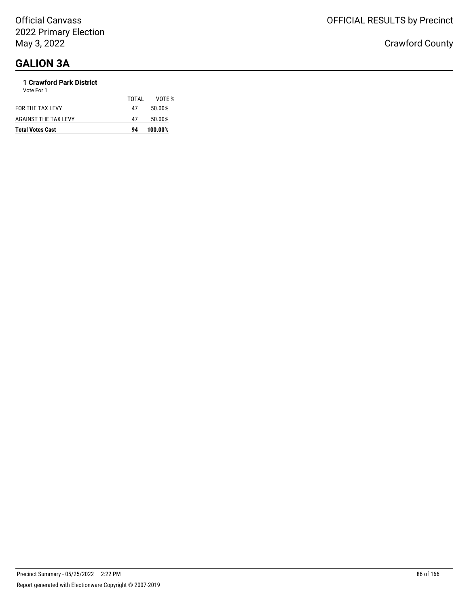### **1 Crawford Park District**

| <b>Total Votes Cast</b> | 94    | 100.00% |
|-------------------------|-------|---------|
| AGAINST THE TAX LEVY    | 47    | 50.00%  |
| FOR THE TAX LEVY        | 47    | 50.00%  |
| Vote For 1              | TOTAL | VOTE %  |
|                         |       |         |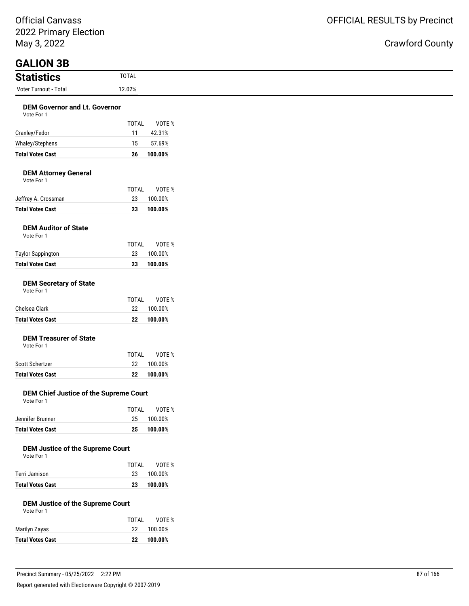Official Canvass 2022 Primary Election May 3, 2022

### ìty

| May 3, 2022                                           |                                | <b>Crawford Coun</b> |
|-------------------------------------------------------|--------------------------------|----------------------|
| <b>GALION 3B</b>                                      |                                |                      |
| <b>Statistics</b>                                     | <b>TOTAL</b>                   |                      |
| Voter Turnout - Total                                 | 12.02%                         |                      |
| <b>DEM Governor and Lt. Governor</b><br>Vote For 1    |                                |                      |
| Cranley/Fedor                                         | <b>TOTAL</b><br>VOTE %         |                      |
| Whaley/Stephens                                       | 11<br>42.31%<br>15<br>57.69%   |                      |
| <b>Total Votes Cast</b>                               | 26<br>100.00%                  |                      |
|                                                       |                                |                      |
| <b>DEM Attorney General</b><br>Vote For 1             |                                |                      |
|                                                       | <b>TOTAL</b><br>VOTE %         |                      |
| Jeffrey A. Crossman<br><b>Total Votes Cast</b>        | 23<br>100.00%<br>23<br>100.00% |                      |
|                                                       |                                |                      |
| <b>DEM Auditor of State</b><br>Vote For 1             |                                |                      |
|                                                       | VOTE %<br><b>TOTAL</b>         |                      |
| <b>Taylor Sappington</b><br><b>Total Votes Cast</b>   | 23<br>100.00%<br>23<br>100.00% |                      |
| <b>DEM Secretary of State</b><br>Vote For 1           | VOTE %<br><b>TOTAL</b>         |                      |
| Chelsea Clark                                         | 22<br>100.00%                  |                      |
| <b>Total Votes Cast</b>                               | 22<br>100.00%                  |                      |
| <b>DEM Treasurer of State</b><br>Vote For 1           |                                |                      |
|                                                       | <b>TOTAL</b><br>VOTE %         |                      |
| Scott Schertzer                                       | 22<br>100.00%                  |                      |
| <b>Total Votes Cast</b>                               | 100.00%<br>22                  |                      |
| DEM Chief Justice of the Supreme Court<br>Vote For 1  |                                |                      |
|                                                       | <b>TOTAL</b><br>VOTE %         |                      |
| Jennifer Brunner                                      | 25<br>100.00%                  |                      |
| <b>Total Votes Cast</b>                               | 25<br>100.00%                  |                      |
| <b>DEM Justice of the Supreme Court</b><br>Vote For 1 |                                |                      |
|                                                       | <b>TOTAL</b><br>VOTE %         |                      |
| Terri Jamison                                         | 23<br>100.00%                  |                      |
| <b>Total Votes Cast</b>                               | 23<br>100.00%                  |                      |
| <b>DEM Justice of the Supreme Court</b><br>Vote For 1 |                                |                      |
|                                                       | <b>TOTAL</b><br>VOTE %         |                      |
| Marilyn Zayas                                         | 22<br>100.00%                  |                      |

Precinct Summary - 05/25/2022 2:22 PM 87 of 166 Report generated with Electionware Copyright © 2007-2019

**Total Votes Cast 22 100.00%**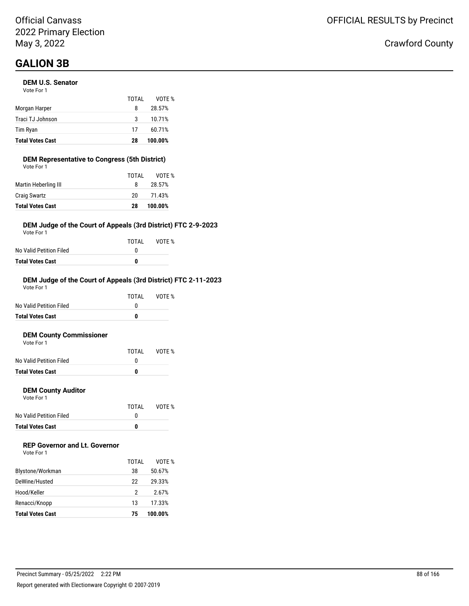# **GALION 3B**

#### **DEM U.S. Senator**

| <b>Total Votes Cast</b> | 28    | 100.00% |
|-------------------------|-------|---------|
| Tim Ryan                | 17    | 60.71%  |
| Traci TJ Johnson        | 3     | 10.71%  |
| Morgan Harper           | 8     | 28.57%  |
|                         | TOTAI | VOTE %  |
| Vote For 1              |       |         |

#### **DEM Representative to Congress (5th District)**

| <b>Total Votes Cast</b> | 28    | 100.00% |
|-------------------------|-------|---------|
| <b>Craig Swartz</b>     | 20    | 71.43%  |
| Martin Heberling III    | 8     | 28.57%  |
|                         | TOTAL | VOTE %  |
| Vote For 1              |       |         |

#### **DEM Judge of the Court of Appeals (3rd District) FTC 2-9-2023**

Vote For 1

|                         | TOTAI | VOTE % |
|-------------------------|-------|--------|
| No Valid Petition Filed |       |        |
| Total Votes Cast        | n     |        |

#### **DEM Judge of the Court of Appeals (3rd District) FTC 2-11-2023**

| Total Votes Cast        | 0     |        |
|-------------------------|-------|--------|
| No Valid Petition Filed | O     |        |
|                         | TOTAI | VOTF % |
| Vote For 1              |       |        |

#### **DEM County Commissioner**

| <b>Total Votes Cast</b> |       |        |
|-------------------------|-------|--------|
| No Valid Petition Filed |       |        |
|                         | TOTAI | VOTE % |
| Vote For 1              |       |        |

#### **DEM County Auditor**

Vote For 1

|                         | TOTAL | VOTE % |
|-------------------------|-------|--------|
| No Valid Petition Filed |       |        |
| <b>Total Votes Cast</b> | o     |        |

### **REP Governor and Lt. Governor**

| Vote For 1 |  |
|------------|--|
|------------|--|

|                         | TOTAI | VOTF %  |
|-------------------------|-------|---------|
| Blystone/Workman        | 38    | 50.67%  |
| DeWine/Husted           | 22    | 29.33%  |
| Hood/Keller             | 2     | 2.67%   |
| Renacci/Knopp           | 13    | 17.33%  |
| <b>Total Votes Cast</b> | 75    | 100.00% |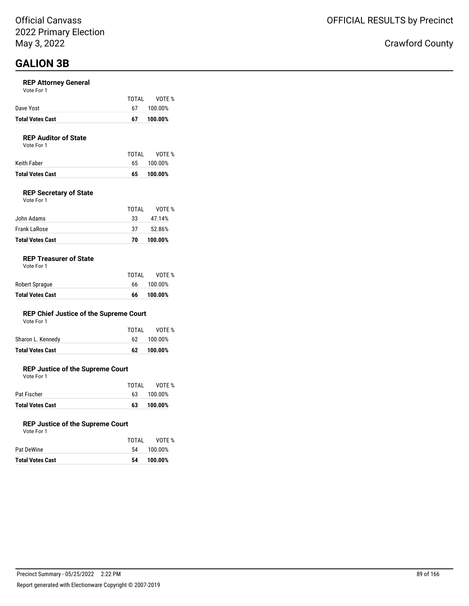# **GALION 3B**

#### **REP Attorney General**

| Vote For 1 |  |  |
|------------|--|--|
|------------|--|--|

| <b>Total Votes Cast</b> | 67    | 100.00% |
|-------------------------|-------|---------|
| Dave Yost               | 67 -  | 100.00% |
|                         | TOTAI | VOTE %  |

#### **REP Auditor of State**

Vote For 1

| Keith Faber             |     | 65 100.00% |
|-------------------------|-----|------------|
| <b>Total Votes Cast</b> | 65. | 100.00%    |

#### **REP Secretary of State**

| <b>Total Votes Cast</b> | 70    | 100.00% |
|-------------------------|-------|---------|
| Frank LaRose            | 37    | 52.86%  |
| John Adams              | 33    | 47.14%  |
|                         | TOTAL | VOTE %  |
| Vote For 1              |       |         |

#### **REP Treasurer of State**

| <b>Total Votes Cast</b> | 66    | 100.00%    |
|-------------------------|-------|------------|
| Robert Sprague          |       | 66 100.00% |
|                         | TOTAL | VOTE %     |

#### **REP Chief Justice of the Supreme Court**

| Vote For 1 |  |
|------------|--|
|------------|--|

| Total Votes Cast  | 62 | 100.00%      |
|-------------------|----|--------------|
| Sharon L. Kennedy |    | 62 100.00%   |
|                   |    | TOTAL VOTE % |

#### **REP Justice of the Supreme Court**

Vote For 1

|                         | TOTAI | VOTE %     |
|-------------------------|-------|------------|
| Pat Fischer             |       | 63 100.00% |
| <b>Total Votes Cast</b> | 63.   | 100.00%    |

#### **REP Justice of the Supreme Court**

| <b>Total Votes Cast</b> | 54    | 100.00% |
|-------------------------|-------|---------|
| Pat DeWine              | 54    | 100.00% |
|                         | TOTAI | VOTE %  |
| Vote For 1              |       |         |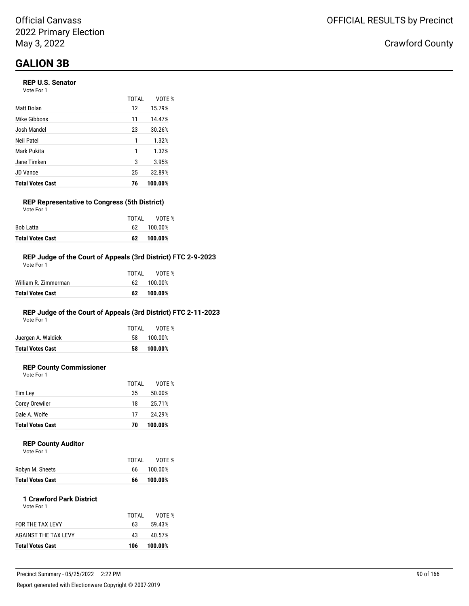# **GALION 3B**

#### **REP U.S. Senator**

| Vote For 1 |  |
|------------|--|
|------------|--|

|                         | <b>TOTAL</b> | VOTE %  |
|-------------------------|--------------|---------|
| Matt Dolan              | 12           | 15.79%  |
| Mike Gibbons            | 11           | 14.47%  |
| Josh Mandel             | 23           | 30.26%  |
| Neil Patel              | 1            | 1.32%   |
| Mark Pukita             | 1            | 1.32%   |
| Jane Timken             | 3            | 3.95%   |
| <b>JD Vance</b>         | 25           | 32.89%  |
| <b>Total Votes Cast</b> | 76           | 100.00% |

#### **REP Representative to Congress (5th District)** Vote For 1

|                         | TOTAI | VOTE %     |
|-------------------------|-------|------------|
| Bob Latta               |       | 62 100.00% |
| <b>Total Votes Cast</b> | 62.   | 100.00%    |

#### **REP Judge of the Court of Appeals (3rd District) FTC 2-9-2023**

| Total Votes Cast     | 62.   | 100.00%    |
|----------------------|-------|------------|
| William R. Zimmerman |       | 62 100.00% |
|                      | TOTAL | VOTF %     |
| Vote For 1           |       |            |

### **REP Judge of the Court of Appeals (3rd District) FTC 2-11-2023**

Vote For 1

|                         | TOTAL | VOTE %  |
|-------------------------|-------|---------|
| Juergen A. Waldick      | 58.   | 100.00% |
| <b>Total Votes Cast</b> | 58    | 100.00% |
|                         |       |         |

### **REP County Commissioner**

Vote For 1

| Corey Orewiler          |    |         |
|-------------------------|----|---------|
|                         | 18 | 25.71%  |
| Dale A. Wolfe           | 17 | 24.29%  |
| <b>Total Votes Cast</b> | 70 | 100.00% |

#### **REP County Auditor**

|                         | TOTAI | VOTE %  |
|-------------------------|-------|---------|
| Robyn M. Sheets         | 66.   | 100.00% |
| <b>Total Votes Cast</b> | 66    | 100.00% |

#### **1 Crawford Park District** Vote For 1

| <b>Total Votes Cast</b> | 106   | 100.00% |
|-------------------------|-------|---------|
| AGAINST THE TAX LEVY    | 43    | 40.57%  |
| FOR THE TAX LEVY        | 63    | 59.43%  |
|                         | TOTAL | VOTF %  |
|                         |       |         |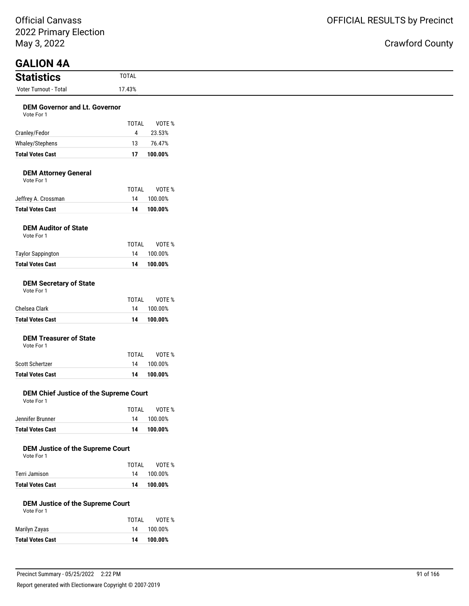Official Canvass 2022 Primary Election May 3, 2022

### Crawford County

| <b>GALION 4A</b>                                   |                        |
|----------------------------------------------------|------------------------|
| <b>Statistics</b>                                  | <b>TOTAL</b>           |
| Voter Turnout - Total                              | 17.43%                 |
| <b>DEM Governor and Lt. Governor</b><br>Vote For 1 |                        |
|                                                    | <b>TOTAL</b><br>VOTE % |
| Cranley/Fedor                                      | 23.53%<br>4            |
| Whaley/Stephens                                    | 13<br>76.47%           |
| <b>Total Votes Cast</b>                            | 17<br>100.00%          |
| <b>DEM Attorney General</b><br>Vote For 1          |                        |
|                                                    | <b>TOTAL</b><br>VOTE % |
| Jeffrey A. Crossman                                | 14<br>100.00%          |
| <b>Total Votes Cast</b>                            | 14<br>100.00%          |

|                          | TOTAI | VOTE %  |
|--------------------------|-------|---------|
| <b>Taylor Sappington</b> | 14    | 100.00% |
| <b>Total Votes Cast</b>  | 14    | 100.00% |
|                          |       |         |

#### **DEM Secretary of State**

| Vote For 1 |  |
|------------|--|
|------------|--|

|                         | TOTAI | VOTE %  |
|-------------------------|-------|---------|
| Chelsea Clark           | 14    | 100.00% |
| <b>Total Votes Cast</b> | 14    | 100.00% |

### **DEM Treasurer of State**

Vote For 1

|                  | TOTAI | VOTE %     |
|------------------|-------|------------|
| Scott Schertzer  |       | 14 100.00% |
| Total Votes Cast | 14    | 100.00%    |

#### **DEM Chief Justice of the Supreme Court** Vote For 1

|                  | TOTAI | VOTE %     |
|------------------|-------|------------|
| Jennifer Brunner |       | 14 100.00% |
| Total Votes Cast | 14    | 100.00%    |

#### **DEM Justice of the Supreme Court**

| Vote For 1 |  |
|------------|--|

|                         | TOTAI | VOTE %     |
|-------------------------|-------|------------|
| Terri Jamison           |       | 14 100.00% |
| <b>Total Votes Cast</b> |       | 14 100.00% |

#### **DEM Justice of the Supreme Court**

| Vote For 1 |  |
|------------|--|
|------------|--|

|                         | TOTAL | VOTE %  |
|-------------------------|-------|---------|
| Marilyn Zayas           | 14    | 100.00% |
| <b>Total Votes Cast</b> | 14    | 100.00% |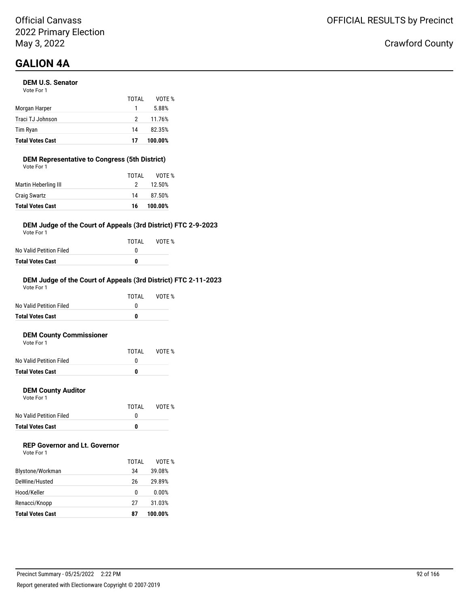# **GALION 4A**

#### **DEM U.S. Senator**

| <b>Total Votes Cast</b> | 17    | 100.00% |
|-------------------------|-------|---------|
| Tim Ryan                | 14    | 82.35%  |
| Traci TJ Johnson        | 2     | 11.76%  |
| Morgan Harper           |       | 5.88%   |
|                         | TOTAI | VOTF %  |
| Vote For 1              |       |         |

#### **DEM Representative to Congress (5th District)**

| <b>Total Votes Cast</b> | 16    | 100.00% |
|-------------------------|-------|---------|
| <b>Craig Swartz</b>     | 14    | 87.50%  |
| Martin Heberling III    | 2     | 12.50%  |
|                         | TOTAL | VOTE %  |
| Vote For 1              |       |         |

#### **DEM Judge of the Court of Appeals (3rd District) FTC 2-9-2023**

Vote For 1

|                         | TOTAI | VOTE % |
|-------------------------|-------|--------|
| No Valid Petition Filed | n     |        |
| <b>Total Votes Cast</b> | n     |        |

#### **DEM Judge of the Court of Appeals (3rd District) FTC 2-11-2023**

| Total Votes Cast        | 0     |        |
|-------------------------|-------|--------|
| No Valid Petition Filed | O     |        |
|                         | TOTAI | VOTF % |
| Vote For 1              |       |        |

#### **DEM County Commissioner**

| <b>Total Votes Cast</b> |       |        |
|-------------------------|-------|--------|
| No Valid Petition Filed |       |        |
|                         | TOTAI | VOTE % |
| Vote For 1              |       |        |

#### **DEM County Auditor**

Vote For 1

|                         | TOTAL | VOTE % |
|-------------------------|-------|--------|
| No Valid Petition Filed |       |        |
| Total Votes Cast        | n     |        |

### **REP Governor and Lt. Governor**

Vote For 1

|                         | TOTAL | VOTE %  |
|-------------------------|-------|---------|
| Blystone/Workman        | 34    | 39.08%  |
| DeWine/Husted           | 26    | 29.89%  |
| Hood/Keller             | 0     | 0.00%   |
| Renacci/Knopp           | 27    | 31.03%  |
| <b>Total Votes Cast</b> | 87    | 100.00% |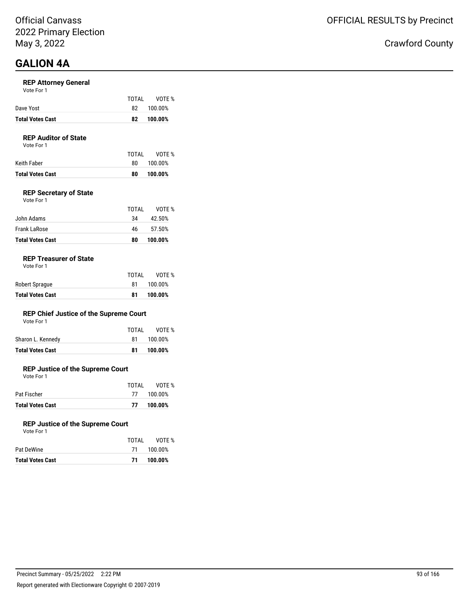# **GALION 4A**

#### **REP Attorney General**

| Dave Yost<br>100.00%<br>82.<br>Total Votes Cast<br>100.00%<br>82 |
|------------------------------------------------------------------|
|------------------------------------------------------------------|

#### **REP Auditor of State**

Vote For 1

| Keith Faber             | 80. | 100.00% |
|-------------------------|-----|---------|
| <b>Total Votes Cast</b> | 80  | 100.00% |

#### **REP Secretary of State**

| <b>Total Votes Cast</b> | 80    | 100.00% |
|-------------------------|-------|---------|
| <b>Frank LaRose</b>     | 46    | 57.50%  |
| John Adams              | 34    | 42.50%  |
|                         | TOTAL | VOTF %  |
| Vote For 1              |       |         |

#### **REP Treasurer of State**

Vote For 1

| <b>Total Votes Cast</b> | 81    | 100.00% |
|-------------------------|-------|---------|
| Robert Sprague          | 81    | 100.00% |
|                         | TOTAL | VOTE %  |

VOTE %

#### **REP Chief Justice of the Supreme Court**

| Vote For 1        |       |             |
|-------------------|-------|-------------|
|                   | TOTAL | <b>VOTE</b> |
| Sharon L. Kennedy | 81    | 100.00%     |

#### **REP Justice of the Supreme Court**

Vote For 1

|                         | TOTAI | VOTE %     |
|-------------------------|-------|------------|
| Pat Fischer             |       | 77 100.00% |
| <b>Total Votes Cast</b> | 77    | 100.00%    |

**Total Votes Cast 81 100.00%**

#### **REP Justice of the Supreme Court** Vote For 1

| <b>Total Votes Cast</b> | -71   | 100.00%    |
|-------------------------|-------|------------|
| Pat DeWine              |       | 71 100.00% |
|                         | TOTAL | VOTE %     |
| VULE FUIL               |       |            |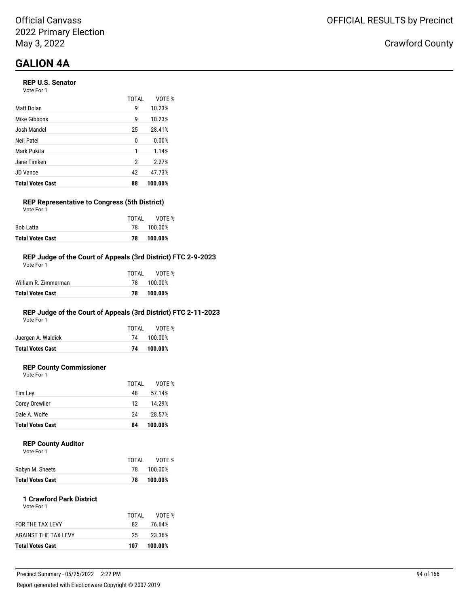# **GALION 4A**

#### **REP U.S. Senator**

Vote For 1

|                         | <b>TOTAL</b> | VOTE %  |
|-------------------------|--------------|---------|
| Matt Dolan              | 9            | 10.23%  |
| Mike Gibbons            | 9            | 10.23%  |
| Josh Mandel             | 25           | 28.41%  |
| Neil Patel              | 0            | 0.00%   |
| Mark Pukita             | 1            | 1.14%   |
| Jane Timken             | 2            | 2.27%   |
| JD Vance                | 42           | 47.73%  |
| <b>Total Votes Cast</b> | 88           | 100.00% |

#### **REP Representative to Congress (5th District)** Vote For 1

|                         | TOTAI | VOTE %  |
|-------------------------|-------|---------|
| Bob Latta               | 78.   | 100.00% |
| <b>Total Votes Cast</b> | 78    | 100.00% |

#### **REP Judge of the Court of Appeals (3rd District) FTC 2-9-2023**

| Total Votes Cast     | 78.   | 100.00%    |
|----------------------|-------|------------|
| William R. Zimmerman |       | 78 100.00% |
|                      | TOTAL | VOTF %     |
| Vote For 1           |       |            |

### **REP Judge of the Court of Appeals (3rd District) FTC 2-11-2023**

Vote For 1

|                         | TOTAL | VOTE %     |  |
|-------------------------|-------|------------|--|
| Juergen A. Waldick      |       | 74 100.00% |  |
| <b>Total Votes Cast</b> | 74    | 100.00%    |  |
|                         |       |            |  |

### **REP County Commissioner**

Vote For 1

|                         | TOTAL | VOTE %  |
|-------------------------|-------|---------|
| Tim Lev                 | 48    | 57.14%  |
| <b>Corey Orewiler</b>   | 12    | 14.29%  |
| Dale A. Wolfe           | 24    | 28.57%  |
| <b>Total Votes Cast</b> | 84    | 100.00% |
|                         |       |         |

#### **REP County Auditor**  $\sqrt{2}$

| <b>VOLE FOI</b> |  |  |  |
|-----------------|--|--|--|
|                 |  |  |  |
|                 |  |  |  |
|                 |  |  |  |

| TOTAL | VOTE %  |
|-------|---------|
| 78.   | 100.00% |
| 78    | 100.00% |
|       |         |

#### **1 Crawford Park District** Vote For 1

| 23.36%<br>25    |
|-----------------|
|                 |
| 76.64%<br>82.   |
| VOTF %<br>TOTAL |
|                 |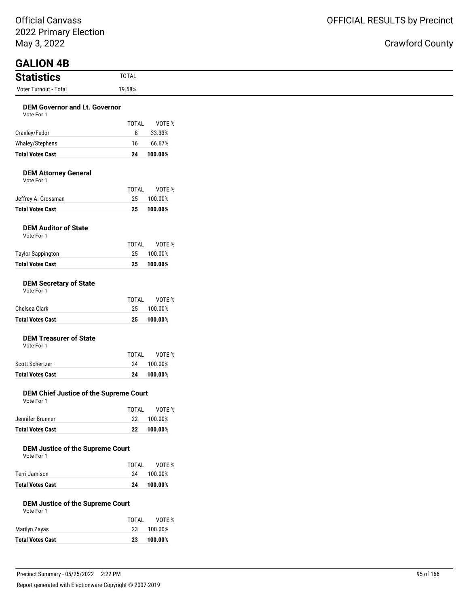Official Canvass 2022 Primary Election May 3, 2022

| May 3, 2022                                           |              |                    |
|-------------------------------------------------------|--------------|--------------------|
| <b>GALION 4B</b><br><b>Statistics</b>                 | <b>TOTAL</b> |                    |
| Voter Turnout - Total                                 | 19.58%       |                    |
| <b>DEM Governor and Lt. Governor</b>                  |              |                    |
| Vote For 1                                            |              |                    |
|                                                       | <b>TOTAL</b> | VOTE %             |
| Cranley/Fedor                                         | 8            | 33.33%             |
| Whaley/Stephens<br><b>Total Votes Cast</b>            | 16<br>24     | 66.67%<br>100.00%  |
|                                                       |              |                    |
| <b>DEM Attorney General</b>                           |              |                    |
| Vote For 1                                            | <b>TOTAL</b> | VOTE %             |
| Jeffrey A. Crossman                                   | 25           | 100.00%            |
| <b>Total Votes Cast</b>                               | 25           | 100.00%            |
| <b>DEM Auditor of State</b>                           |              |                    |
| Vote For 1                                            |              |                    |
|                                                       | <b>TOTAL</b> | VOTE %             |
| <b>Taylor Sappington</b><br><b>Total Votes Cast</b>   | 25<br>25     | 100.00%<br>100.00% |
|                                                       |              |                    |
| <b>DEM Secretary of State</b>                         |              |                    |
| Vote For 1                                            | <b>TOTAL</b> | VOTE %             |
| Chelsea Clark                                         | 25           | 100.00%            |
| <b>Total Votes Cast</b>                               | 25           | 100.00%            |
| <b>DEM Treasurer of State</b>                         |              |                    |
| Vote For 1                                            |              |                    |
|                                                       | <b>TOTAL</b> | VOTE %             |
| Scott Schertzer                                       | 24           | 100.00%            |
| <b>Total Votes Cast</b>                               | ${\bf 24}$   | 100.00%            |
| DEM Chief Justice of the Supreme Court                |              |                    |
| Vote For 1                                            | TOTAL        | VOTE %             |
| Jennifer Brunner                                      | 22           | 100.00%            |
| <b>Total Votes Cast</b>                               | 22           | 100.00%            |
|                                                       |              |                    |
| <b>DEM Justice of the Supreme Court</b><br>Vote For 1 |              |                    |
|                                                       | <b>TOTAL</b> | VOTE %             |
| Terri Jamison                                         | 24           | 100.00%            |
| <b>Total Votes Cast</b>                               | 24           | 100.00%            |

|                         | TOTAI | VOTE %  |
|-------------------------|-------|---------|
| Marilyn Zayas           | 23    | 100.00% |
| <b>Total Votes Cast</b> | 23    | 100.00% |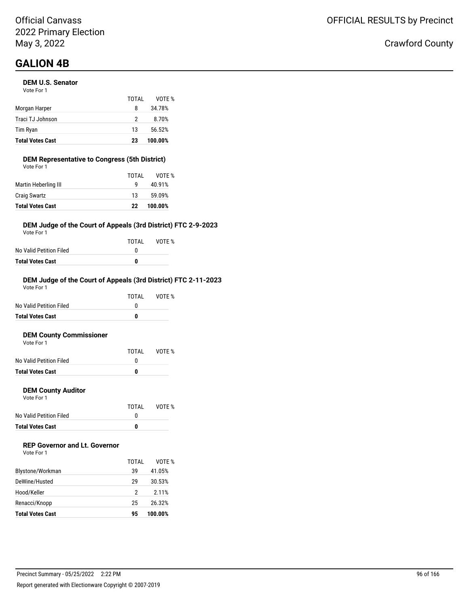#### **DEM U.S. Senator**

| <b>Total Votes Cast</b> | 23    | 100.00% |
|-------------------------|-------|---------|
| Tim Ryan                | 13    | 56.52%  |
| Traci TJ Johnson        | 2     | 8.70%   |
| Morgan Harper           | 8     | 34.78%  |
|                         | TOTAI | VOTF %  |
| Vote For 1              |       |         |

#### **DEM Representative to Congress (5th District)** Vote For 1

| Martin Heberling III<br>40.91%<br>q<br><b>Craig Swartz</b><br>13 | 59.09% |
|------------------------------------------------------------------|--------|
|                                                                  |        |
|                                                                  |        |
| TOTAL                                                            | VOTE % |

#### **DEM Judge of the Court of Appeals (3rd District) FTC 2-9-2023**

Vote For 1

|                         | TOTAI | VOTE % |
|-------------------------|-------|--------|
| No Valid Petition Filed | n     |        |
| Total Votes Cast        | 0     |        |

#### **DEM Judge of the Court of Appeals (3rd District) FTC 2-11-2023**

| <b>Total Votes Cast</b> |       |        |
|-------------------------|-------|--------|
| No Valid Petition Filed |       |        |
|                         | TOTAI | VOTF % |
| Vote For 1              |       |        |

#### **DEM County Commissioner** Vote For 1

| <b>Total Votes Cast</b> | o     |        |
|-------------------------|-------|--------|
| No Valid Petition Filed |       |        |
|                         | TOTAL | VOTE % |
| VOLE FOI T              |       |        |

#### **DEM County Auditor**

Vote For 1

|                         | TOTAL | VOTE % |
|-------------------------|-------|--------|
| No Valid Petition Filed |       |        |
| <b>Total Votes Cast</b> | o     |        |

### **REP Governor and Lt. Governor**

| Vote For 1 |  |
|------------|--|
|------------|--|

|                         | TOTAL | VOTF %  |
|-------------------------|-------|---------|
| Blystone/Workman        | 39    | 41.05%  |
| DeWine/Husted           | 29    | 30.53%  |
| Hood/Keller             | 2     | 2.11%   |
| Renacci/Knopp           | 25    | 26.32%  |
| <b>Total Votes Cast</b> | 95    | 100.00% |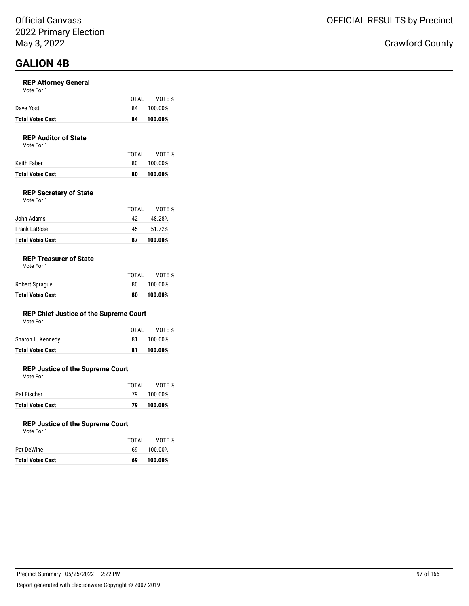#### **REP Attorney General**

| Vote For 1 |  |
|------------|--|
|------------|--|

| 100.00%<br>Dave Yost<br>84 |  |
|----------------------------|--|
|----------------------------|--|

### **REP Auditor of State**

Vote For 1

| Keith Faber             | 80. | 100.00% |
|-------------------------|-----|---------|
| <b>Total Votes Cast</b> | 80  | 100.00% |

#### **REP Secretary of State**

| Vote For 1 |  |
|------------|--|
|            |  |

|                         | TOTAI | VOTF %  |
|-------------------------|-------|---------|
| John Adams              | 42    | 48.28%  |
| <b>Frank LaRose</b>     | 45    | 51.72%  |
| <b>Total Votes Cast</b> | 87    | 100.00% |

#### **REP Treasurer of State**

| <b>Total Votes Cast</b> | 80    | 100.00% |
|-------------------------|-------|---------|
| Robert Sprague          | 80.   | 100.00% |
|                         | TOTAL | VOTE %  |

#### **REP Chief Justice of the Supreme Court**

|  | Vote For 1 |  |
|--|------------|--|
|  |            |  |

| Total Votes Cast  | 81    | 100.00% |
|-------------------|-------|---------|
| Sharon L. Kennedy | 81.   | 100.00% |
|                   | TOTAL | VOTE %  |

#### **REP Justice of the Supreme Court**

Vote For 1

|                         | TOTAI | VOTE %     |
|-------------------------|-------|------------|
| Pat Fischer             |       | 79 100.00% |
| <b>Total Votes Cast</b> | 79    | 100.00%    |

#### **REP Justice of the Supreme Court**

| Vote For 1 |  |
|------------|--|
|------------|--|

| Total Votes Cast | 69    | 100.00% |
|------------------|-------|---------|
| Pat DeWine       | 69.   | 100.00% |
|                  | TOTAL | VOTE %  |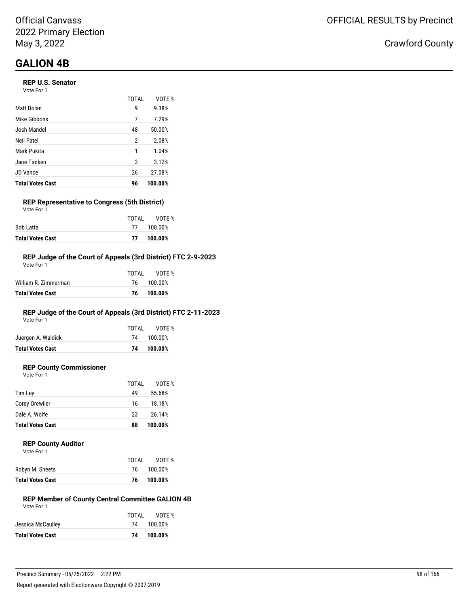#### **REP U.S. Senator**

| Vote For 1 |  |
|------------|--|
|------------|--|

|                         | <b>TOTAL</b> | VOTE %  |
|-------------------------|--------------|---------|
| Matt Dolan              | 9            | 9.38%   |
| Mike Gibbons            | 7            | 7.29%   |
| Josh Mandel             | 48           | 50.00%  |
| Neil Patel              | 2            | 2.08%   |
| Mark Pukita             | 1            | 1.04%   |
| Jane Timken             | 3            | 3.12%   |
| <b>JD Vance</b>         | 26           | 27.08%  |
| <b>Total Votes Cast</b> | 96           | 100.00% |

#### **REP Representative to Congress (5th District)** Vote For 1

|                         | TOTAI | VOTE %     |
|-------------------------|-------|------------|
| Bob Latta               |       | 77 100.00% |
| <b>Total Votes Cast</b> |       | 77 100.00% |

#### **REP Judge of the Court of Appeals (3rd District) FTC 2-9-2023**

| Total Votes Cast     | 76    | 100.00% |
|----------------------|-------|---------|
| William R. Zimmerman | 76.   | 100.00% |
|                      | TOTAL | VOTF %  |
| Vote For 1           |       |         |

### **REP Judge of the Court of Appeals (3rd District) FTC 2-11-2023**

Vote For 1

|                         | TOTAL | VOTE %     |
|-------------------------|-------|------------|
| Juergen A. Waldick      |       | 74 100.00% |
| <b>Total Votes Cast</b> |       | 74 100.00% |
|                         |       |            |

### **REP County Commissioner**

Vote For 1

|                         | TOTAL | VOTE %  |  |
|-------------------------|-------|---------|--|
| Tim Lev                 | 49    | 55.68%  |  |
| <b>Corey Orewiler</b>   | 16    | 18.18%  |  |
| Dale A. Wolfe           | 23    | 26.14%  |  |
| <b>Total Votes Cast</b> | 88    | 100.00% |  |
|                         |       |         |  |

#### **REP County Auditor**

| Vote For 1 |  |
|------------|--|
|            |  |

|                         | TOTAI | VOTF %  |
|-------------------------|-------|---------|
| Robyn M. Sheets         | 76    | 100.00% |
| <b>Total Votes Cast</b> | 76    | 100.00% |

#### **REP Member of County Central Committee GALION 4B** Vote For 1

| VOTE %     |
|------------|
| 74 100.00% |
| 100.00%    |
|            |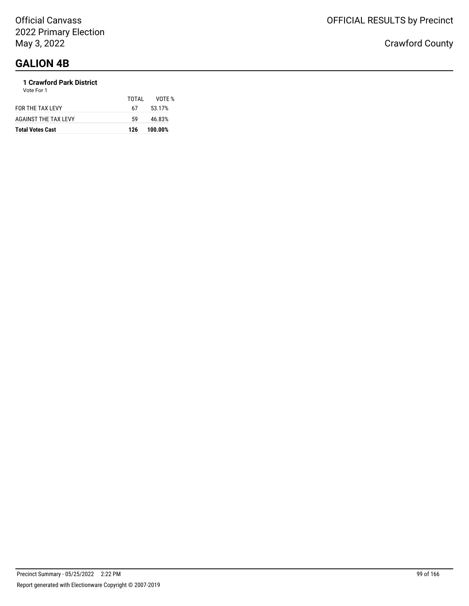#### **1 Crawford Park District** Vote For 1

| <b>Total Votes Cast</b>     | 126   | 100.00% |
|-----------------------------|-------|---------|
| <b>AGAINST THE TAX LEVY</b> | 59    | 46.83%  |
| FOR THE TAX LEVY            | 67    | 53.17%  |
|                             | TOTAI | VOTF %  |
| <b>VULLET UIT</b>           |       |         |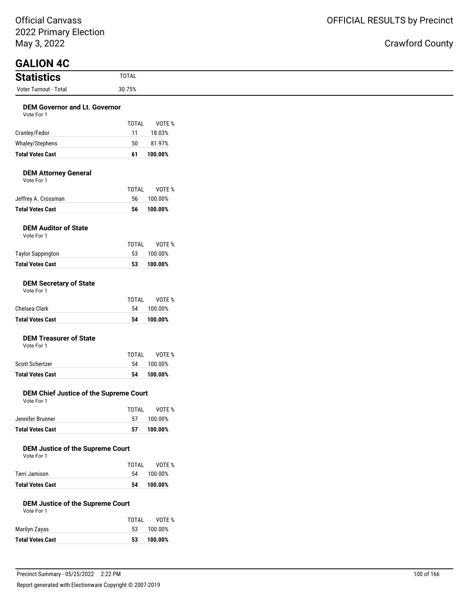ty

| <b>GALION 4C</b>                                      |              |                   |  |
|-------------------------------------------------------|--------------|-------------------|--|
|                                                       |              |                   |  |
| <b>Statistics</b>                                     | <b>TOTAL</b> |                   |  |
| Voter Turnout - Total                                 | 30.75%       |                   |  |
|                                                       |              |                   |  |
| <b>DEM Governor and Lt. Governor</b><br>Vote For 1    |              |                   |  |
|                                                       | <b>TOTAL</b> | VOTE %            |  |
| Cranley/Fedor                                         | 11           | 18.03%            |  |
| Whaley/Stephens<br><b>Total Votes Cast</b>            | 50<br>61     | 81.97%<br>100.00% |  |
| <b>DEM Attorney General</b><br>Vote For 1             |              |                   |  |
|                                                       | <b>TOTAL</b> | VOTE %            |  |
| Jeffrey A. Crossman                                   | 56           | 100.00%           |  |
| <b>Total Votes Cast</b>                               | 56           | 100.00%           |  |
| <b>DEM Auditor of State</b><br>Vote For 1             |              |                   |  |
|                                                       | <b>TOTAL</b> | VOTE%             |  |
| <b>Taylor Sappington</b>                              | 53           | 100.00%           |  |
| <b>Total Votes Cast</b>                               | 53           | 100.00%           |  |
| <b>DEM Secretary of State</b><br>Vote For 1           |              |                   |  |
|                                                       | <b>TOTAL</b> | VOTE %            |  |
| Chelsea Clark                                         | 54           | 100.00%           |  |
| <b>Total Votes Cast</b>                               | 54           | 100.00%           |  |
| <b>DEM Treasurer of State</b><br>Vote For 1           |              |                   |  |
|                                                       | <b>TOTAL</b> | VOTE%             |  |
| Scott Schertzer                                       | 54           | 100.00%           |  |
| <b>Total Votes Cast</b>                               | 54           | 100.00%           |  |
| DEM Chief Justice of the Supreme Court<br>Vote For 1  |              |                   |  |
|                                                       | <b>TOTAL</b> | VOTE %            |  |
| Jennifer Brunner                                      | 57           | 100.00%           |  |
| <b>Total Votes Cast</b>                               | 57           | 100.00%           |  |
| <b>DEM Justice of the Supreme Court</b><br>Vote For 1 |              |                   |  |
|                                                       | <b>TOTAL</b> | VOTE %<br>100.00% |  |
| Terri Jamison                                         | 54           |                   |  |

Vote For 1

| <b>Total Votes Cast</b> | 53.   | 100.00% |
|-------------------------|-------|---------|
| Marilyn Zayas           | 53.   | 100.00% |
|                         | TOTAL | VOTE %  |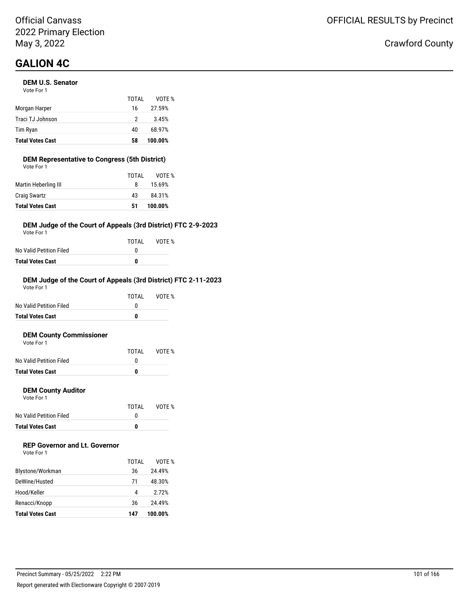#### **DEM U.S. Senator**

| <b>Total Votes Cast</b> | 58    | 100.00% |
|-------------------------|-------|---------|
| Tim Ryan                | 40    | 68.97%  |
| Traci TJ Johnson        | 2     | 3.45%   |
| Morgan Harper           | 16    | 27.59%  |
|                         | TOTAI | VOTF %  |
| Vote For 1              |       |         |

#### **DEM Representative to Congress (5th District)**

| <b>Total Votes Cast</b> | 51    | 100.00% |
|-------------------------|-------|---------|
| <b>Craig Swartz</b>     | 43    | 84.31%  |
| Martin Heberling III    | 8     | 15.69%  |
|                         | TOTAL | VOTE %  |
| Vote For 1              |       |         |

#### **DEM Judge of the Court of Appeals (3rd District) FTC 2-9-2023**

Vote For 1

|                         | TOTAI | VOTE % |
|-------------------------|-------|--------|
| No Valid Petition Filed |       |        |
| Total Votes Cast        | n     |        |

#### **DEM Judge of the Court of Appeals (3rd District) FTC 2-11-2023**

| <b>Total Votes Cast</b> | 0     |        |
|-------------------------|-------|--------|
| No Valid Petition Filed | O     |        |
|                         | TOTAI | VOTF % |
| Vote For 1              |       |        |

#### **DEM County Commissioner**  $V \cap$ te

| <b>Total Votes Cast</b> | O     |        |
|-------------------------|-------|--------|
| No Valid Petition Filed |       |        |
|                         | TOTAL | VOTE % |
| VOTE FOL L              |       |        |

#### **DEM County Auditor**

Vote For 1

|                         | TOTAL | VOTE % |
|-------------------------|-------|--------|
| No Valid Petition Filed |       |        |
| <b>Total Votes Cast</b> | o     |        |

### **REP Governor and Lt. Governor**

| Vote For 1 |  |
|------------|--|
|------------|--|

|                         | TOTAI | VOTF %  |
|-------------------------|-------|---------|
| Blystone/Workman        | 36    | 24.49%  |
| DeWine/Husted           | 71    | 48.30%  |
| Hood/Keller             | 4     | 2.72%   |
| Renacci/Knopp           | 36    | 24.49%  |
| <b>Total Votes Cast</b> | 147   | 100.00% |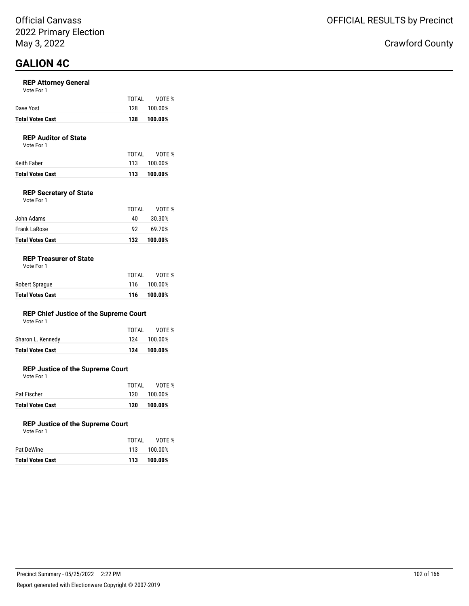#### **REP Attorney General**

| Vote For 1 |  |  |
|------------|--|--|
|------------|--|--|

| <b>Total Votes Cast</b> | 128   | 100.00%     |
|-------------------------|-------|-------------|
| Dave Yost               |       | 128 100.00% |
|                         | TOTAI | VOTE %      |

#### **REP Auditor of State**

Vote For 1

|                  | TOTAI | VOTE %      |
|------------------|-------|-------------|
| Keith Faber      |       | 113 100.00% |
| Total Votes Cast |       | 113 100.00% |

#### **REP Secretary of State**

| Vote For 1 |  |  |
|------------|--|--|
|            |  |  |

|                         | TOTAL | VOTF %  |
|-------------------------|-------|---------|
| John Adams              | 40    | 30.30%  |
| Frank LaRose            | 92.   | 69.70%  |
| <b>Total Votes Cast</b> | 132   | 100.00% |

#### **REP Treasurer of State**

| <b>Total Votes Cast</b> | 116   | 100.00%     |
|-------------------------|-------|-------------|
| Robert Sprague          |       | 116 100.00% |
|                         | TOTAI | VOTE %      |

#### **REP Chief Justice of the Supreme Court**

|  | Vote For 1 |  |
|--|------------|--|
|  |            |  |

| <b>Total Votes Cast</b> | 124   | 100.00%     |
|-------------------------|-------|-------------|
| Sharon L. Kennedy       |       | 124 100.00% |
|                         | TOTAL | VOTE %      |

#### **REP Justice of the Supreme Court**

Vote For 1

| <b>Total Votes Cast</b> | 120   | 100.00%     |
|-------------------------|-------|-------------|
| Pat Fischer             |       | 120 100.00% |
|                         | TOTAI | VOTE %      |

#### **REP Justice of the Supreme Court**

| Vote For 1 |       |             |
|------------|-------|-------------|
|            | TOTAL | VOTE %      |
| Pat DeWine |       | 113 100.00% |

| <b>Total Votes Cast</b> | 113  | 100.00%        |
|-------------------------|------|----------------|
| Pat Dewine              | 11.5 | <b>100.00%</b> |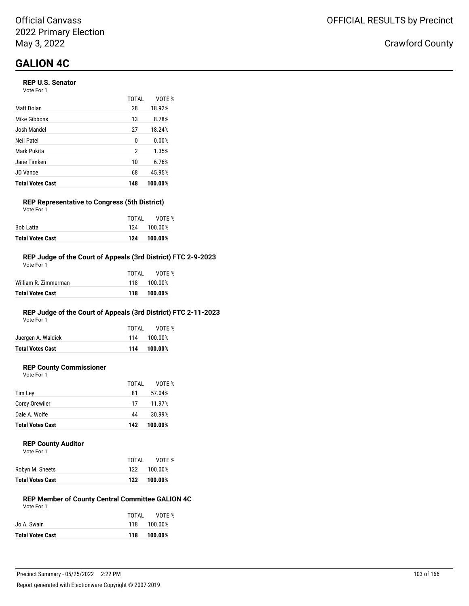#### **REP U.S. Senator**

| Vote For 1 |  |
|------------|--|
|------------|--|

|                         | TOTAL | VOTE %  |
|-------------------------|-------|---------|
| Matt Dolan              | 28    | 18.92%  |
| Mike Gibbons            | 13    | 8.78%   |
| Josh Mandel             | 27    | 18.24%  |
| Neil Patel              | 0     | 0.00%   |
| Mark Pukita             | 2     | 1.35%   |
| Jane Timken             | 10    | 6.76%   |
| <b>JD Vance</b>         | 68    | 45.95%  |
| <b>Total Votes Cast</b> | 148   | 100.00% |

### **REP Representative to Congress (5th District)**

| <b>Total Votes Cast</b> | 124   | 100.00%     |  |
|-------------------------|-------|-------------|--|
| Bob Latta               |       | 124 100.00% |  |
|                         | TOTAI | VOTE %      |  |
| Vote For 1              |       |             |  |

#### **REP Judge of the Court of Appeals (3rd District) FTC 2-9-2023**

| Total Votes Cast     | 118   | 100.00%     |
|----------------------|-------|-------------|
| William R. Zimmerman |       | 118 100.00% |
|                      | TOTAL | VOTF %      |
| Vote For 1           |       |             |

### **REP Judge of the Court of Appeals (3rd District) FTC 2-11-2023**

Vote For 1

|                         | TOTAL | VOTE %      |
|-------------------------|-------|-------------|
| Juergen A. Waldick      |       | 114 100.00% |
| <b>Total Votes Cast</b> |       | 114 100.00% |

### **REP County Commissioner**

Vote For 1

|                         | TOTAL | VOTE %  |
|-------------------------|-------|---------|
| Tim Lev                 | 81    | 57.04%  |
| <b>Corey Orewiler</b>   | 17    | 11.97%  |
| Dale A. Wolfe           | 44    | 30.99%  |
| <b>Total Votes Cast</b> | 142   | 100.00% |
|                         |       |         |

#### **REP County Auditor**

| TOTAL | VOTF %  |
|-------|---------|
| 122   | 100.00% |
| 122   | 100.00% |
|       |         |

#### **REP Member of County Central Committee GALION 4C** Vote For 1

|                         | TOTAI | VOTE %      |
|-------------------------|-------|-------------|
| Jo A. Swain             |       | 118 100.00% |
| <b>Total Votes Cast</b> | 118   | 100.00%     |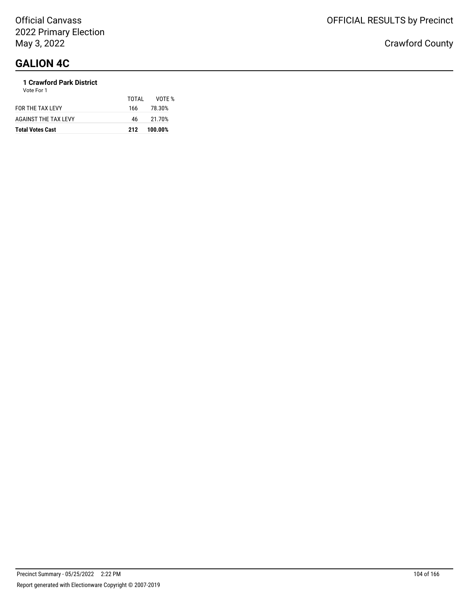#### **1 Crawford Park District** Vote For 1

| <b>Total Votes Cast</b>     | 212   | 100.00% |
|-----------------------------|-------|---------|
| <b>AGAINST THE TAX LEVY</b> | 46    | 21.70%  |
| FOR THE TAX LEVY            | 166   | 78.30%  |
|                             | TOTAI | VOTF %  |
| <b>VULLET UIT</b>           |       |         |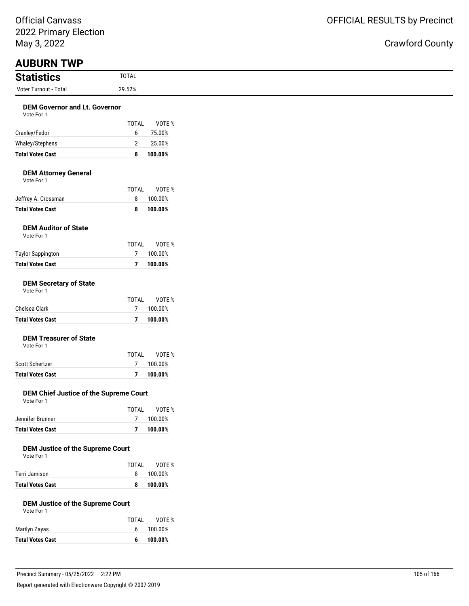| May 3, 2022                                           |                          |                   |
|-------------------------------------------------------|--------------------------|-------------------|
| <b>AUBURN TWP</b><br><b>Statistics</b>                | <b>TOTAL</b>             |                   |
| Voter Turnout - Total                                 | 29.52%                   |                   |
| <b>DEM Governor and Lt. Governor</b>                  |                          |                   |
| Vote For 1                                            |                          |                   |
|                                                       | <b>TOTAL</b>             | VOTE %            |
| Cranley/Fedor                                         | 6                        | 75.00%            |
| Whaley/Stephens                                       | $\overline{2}$           | 25.00%            |
| <b>Total Votes Cast</b>                               | 8                        | 100.00%           |
| <b>DEM Attorney General</b><br>Vote For 1             |                          |                   |
|                                                       | <b>TOTAL</b>             | VOTE %            |
| Jeffrey A. Crossman                                   | 8                        | 100.00%           |
| <b>Total Votes Cast</b>                               | 8                        | 100.00%           |
| <b>DEM Auditor of State</b><br>Vote For 1             |                          |                   |
|                                                       | <b>TOTAL</b>             | VOTE %            |
| <b>Taylor Sappington</b>                              | 7                        | 100.00%           |
| <b>Total Votes Cast</b>                               | $\overline{7}$           | 100.00%           |
| <b>DEM Secretary of State</b><br>Vote For 1           |                          |                   |
|                                                       | <b>TOTAL</b>             | VOTE %            |
| Chelsea Clark                                         | 7                        | 100.00%           |
| <b>Total Votes Cast</b>                               | $\overline{7}$           | 100.00%           |
| <b>DEM Treasurer of State</b><br>Vote For 1           |                          |                   |
|                                                       | <b>TOTAL</b>             | VOTE %            |
| Scott Schertzer                                       | 7                        | 100.00%           |
| <b>Total Votes Cast</b>                               | $\overline{\phantom{a}}$ | 100.00%           |
| DEM Chief Justice of the Supreme Court<br>Vote For 1  |                          |                   |
|                                                       | <b>TOTAL</b>             | VOTE %            |
| Jennifer Brunner                                      | $\overline{7}$           | 100.00%           |
| <b>Total Votes Cast</b>                               | $\overline{7}$           | 100.00%           |
| <b>DEM Justice of the Supreme Court</b><br>Vote For 1 |                          |                   |
| Terri Jamison                                         | <b>TOTAL</b><br>8        | VOTE %<br>100.00% |
| <b>Total Votes Cast</b>                               | 8                        | 100.00%           |
| <b>DEM Justice of the Supreme Court</b><br>Vote For 1 |                          |                   |
|                                                       | <b>TOTAL</b>             | VOTE %            |
| Marilyn Zayas                                         | 6                        | 100.00%           |
| <b>Total Votes Cast</b>                               | 6                        | 100.00%           |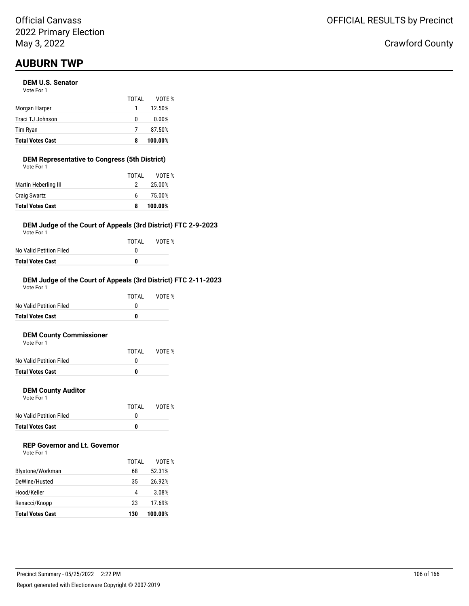### Official Canvass 2022 Primary Election May 3, 2022

# **AUBURN TWP**

#### **DEM U.S. Senator**

| <b>Total Votes Cast</b> | 8     | 100.00% |
|-------------------------|-------|---------|
| Tim Ryan                |       | 87.50%  |
| Traci TJ Johnson        | 0     | 0.00%   |
| Morgan Harper           |       | 12.50%  |
|                         | TOTAI | VOTF %  |
| Vote For 1              |       |         |

#### **DEM Representative to Congress (5th District)** Vote For 1

| <b>Total Votes Cast</b> | 8     | 100.00% |
|-------------------------|-------|---------|
| <b>Craig Swartz</b>     | 6.    | 75.00%  |
| Martin Heberling III    | 2     | 25.00%  |
|                         | TOTAL | VOTE %  |
| VOLE FOI I              |       |         |

#### **DEM Judge of the Court of Appeals (3rd District) FTC 2-9-2023**

Vote For 1

|                         | TOTAL | VOTE % |
|-------------------------|-------|--------|
| No Valid Petition Filed |       |        |
| Total Votes Cast        | n     |        |

#### **DEM Judge of the Court of Appeals (3rd District) FTC 2-11-2023**

| <b>Total Votes Cast</b> | 0     |        |
|-------------------------|-------|--------|
| No Valid Petition Filed | O     |        |
|                         | TOTAI | VOTF % |
| Vote For 1              |       |        |

#### **DEM County Commissioner**  $V$ ote

| <b>Total Votes Cast</b> | n     |        |
|-------------------------|-------|--------|
| No Valid Petition Filed |       |        |
|                         | TOTAL | VOTE % |
| VOTE FOL L              |       |        |

#### **DEM County Auditor**

Vote For 1

|                         | TOTAL | VOTE % |
|-------------------------|-------|--------|
| No Valid Petition Filed |       |        |
| <b>Total Votes Cast</b> | o     |        |

### **REP Governor and Lt. Governor**

| Vote For 1 |  |
|------------|--|
|------------|--|

| DeWine/Husted                            | 35      | 26.92%            |
|------------------------------------------|---------|-------------------|
| Hood/Keller                              | 4<br>23 | 3.08%             |
| Renacci/Knopp<br><b>Total Votes Cast</b> | 130     | 17.69%<br>100.00% |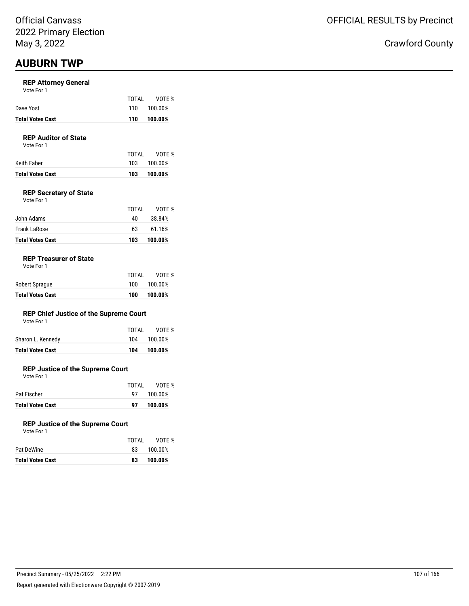### **AUBURN TWP**

#### **REP Attorney General**

| Vote For 1 |  |
|------------|--|
|------------|--|

| <b>Total Votes Cast</b> | 110   | 100.00%     |
|-------------------------|-------|-------------|
| Dave Yost               |       | 110 100.00% |
|                         | TOTAI | VOTE %      |

#### **REP Auditor of State**

Vote For 1

| Keith Faber             |     | 103 100.00% |
|-------------------------|-----|-------------|
| <b>Total Votes Cast</b> | 103 | 100.00%     |

#### **REP Secretary of State**

| Vote For 1 |  |  |
|------------|--|--|
|------------|--|--|

| <b>Total Votes Cast</b>    | 103      | 100.00%          |
|----------------------------|----------|------------------|
| John Adams<br>Frank LaRose | 40<br>63 | 38.84%<br>61.16% |
|                            | TOTAL    | VOTF %           |

#### **REP Treasurer of State**

| <b>Total Votes Cast</b> | 100   | 100.00% |
|-------------------------|-------|---------|
| Robert Sprague          | 100   | 100.00% |
|                         | TOTAL | VOTE %  |

#### **REP Chief Justice of the Supreme Court**

| <b>Total Votes Cast</b> | 104   | 100.00%     |
|-------------------------|-------|-------------|
| Sharon L. Kennedy       |       | 104 100.00% |
|                         | TOTAL | VOTE %      |

#### **REP Justice of the Supreme Court**

Vote For 1

|                         | TOTAL       | VOTE %  |
|-------------------------|-------------|---------|
| Pat Fischer             | 97 <b>D</b> | 100.00% |
| <b>Total Votes Cast</b> | 97          | 100.00% |

#### **REP Justice of the Supreme Court**

| <b>Total Votes Cast</b> | 83    | 100.00% |
|-------------------------|-------|---------|
| Pat DeWine              | 83.   | 100.00% |
|                         | TOTAL | VOTE %  |
| Vote For 1              |       |         |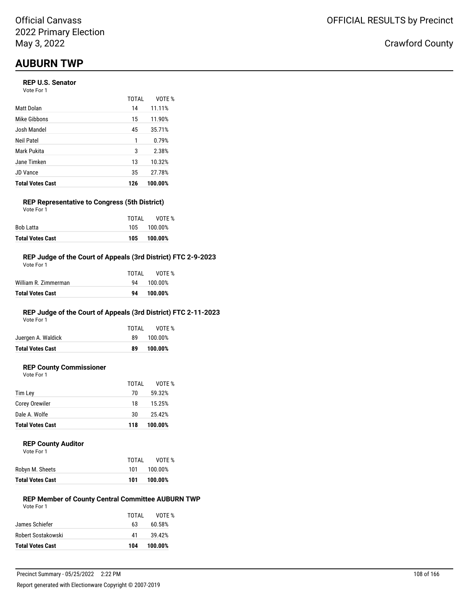# **AUBURN TWP**

#### **REP U.S. Senator**

| Vote For 1 |  |
|------------|--|
|------------|--|

|                         | TOTAI | VOTE %  |
|-------------------------|-------|---------|
| Matt Dolan              | 14    | 11.11%  |
| Mike Gibbons            | 15    | 11.90%  |
| Josh Mandel             | 45    | 35.71%  |
| Neil Patel              | 1     | 0.79%   |
| Mark Pukita             | 3     | 2.38%   |
| Jane Timken             | 13    | 10.32%  |
| <b>JD Vance</b>         | 35    | 27.78%  |
| <b>Total Votes Cast</b> | 126   | 100.00% |

#### **REP Representative to Congress (5th District)** Vote For 1

|                         | TOTAI | VOTE %      |
|-------------------------|-------|-------------|
| Bob Latta               |       | 105 100.00% |
| <b>Total Votes Cast</b> | 105   | 100.00%     |

#### **REP Judge of the Court of Appeals (3rd District) FTC 2-9-2023**

| Total Votes Cast     | 94    | 100.00% |
|----------------------|-------|---------|
| William R. Zimmerman | 94    | 100.00% |
|                      | TOTAL | VOTF %  |
| Vote For 1           |       |         |

### **REP Judge of the Court of Appeals (3rd District) FTC 2-11-2023**

Vote For 1

|                         | TOTAL | VOTE %  |
|-------------------------|-------|---------|
| Juergen A. Waldick      | 89.   | 100.00% |
| <b>Total Votes Cast</b> | 89    | 100.00% |
|                         |       |         |

### **REP County Commissioner**

Vote For 1

|                         | TOTAL | VOTE %  |
|-------------------------|-------|---------|
| Tim Ley                 | 70    | 59.32%  |
| Corey Orewiler          | 18    | 15.25%  |
| Dale A. Wolfe           | 30    | 25.42%  |
| <b>Total Votes Cast</b> | 118   | 100.00% |

#### **REP County Auditor**

| <b>Total Votes Cast</b> | 101   | 100.00% |
|-------------------------|-------|---------|
| Robyn M. Sheets         | 101   | 100.00% |
|                         | TOTAL | VOTE %  |
| Vote For 1              |       |         |

#### **REP Member of County Central Committee AUBURN TWP** Vote For 1

| <b>Total Votes Cast</b> | 104   | 100.00% |
|-------------------------|-------|---------|
| Robert Sostakowski      | 41    | 39.42%  |
| James Schiefer          | 63    | 60.58%  |
|                         | TOTAL | VOTF %  |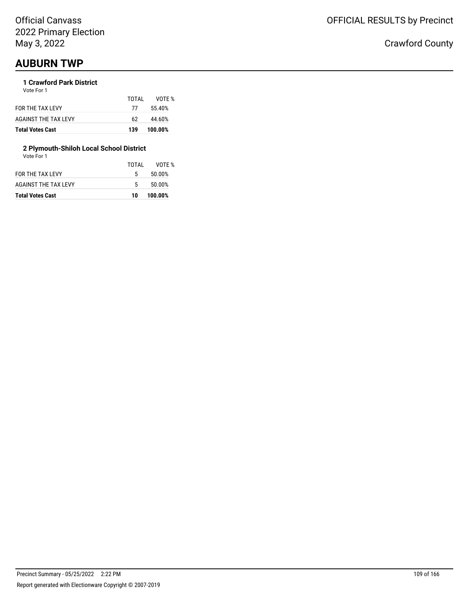## **AUBURN TWP**

#### **1 Crawford Park District** Vote For 1

| <b>Total Votes Cast</b> | 139   | 100.00% |  |
|-------------------------|-------|---------|--|
| AGAINST THE TAX LEVY    | 62.   | 44.60%  |  |
| FOR THE TAX LEVY        | - 77  | 55.40%  |  |
|                         | TOTAL | VOTF %  |  |
|                         |       |         |  |

## **2 Plymouth-Shiloh Local School District**

| Vote For 1 |  |
|------------|--|

| <b>Total Votes Cast</b> | 10    | 100.00% |
|-------------------------|-------|---------|
| AGAINST THE TAX LEVY    | 5.    | 50.00%  |
| <b>FOR THE TAX LEVY</b> | 5.    | 50.00%  |
|                         | TOTAL | VOTF %  |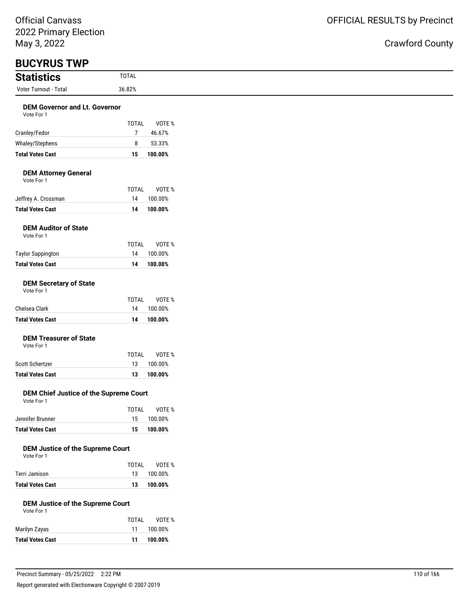## OFFICIAL RESULTS by Precinct

| <b>Statistics</b>                                     | <b>TOTAL</b>                   |
|-------------------------------------------------------|--------------------------------|
| Voter Turnout - Total                                 | 36.82%                         |
| <b>DEM Governor and Lt. Governor</b><br>Vote For 1    |                                |
|                                                       | <b>TOTAL</b><br>VOTE %         |
| Cranley/Fedor                                         | $\overline{7}$<br>46.67%       |
| Whaley/Stephens                                       | 8<br>53.33%                    |
| <b>Total Votes Cast</b>                               | 15<br>100.00%                  |
| <b>DEM Attorney General</b><br>Vote For 1             |                                |
|                                                       | <b>TOTAL</b><br>VOTE %         |
| Jeffrey A. Crossman                                   | 14<br>100.00%                  |
| <b>Total Votes Cast</b>                               | 100.00%<br>14                  |
| <b>DEM Auditor of State</b><br>Vote For 1             |                                |
|                                                       | <b>TOTAL</b><br>VOTE %         |
| <b>Taylor Sappington</b>                              | 14<br>100.00%                  |
| <b>Total Votes Cast</b>                               | 100.00%<br>14                  |
| <b>DEM Secretary of State</b><br>Vote For 1           |                                |
|                                                       | <b>TOTAL</b><br>VOTE %         |
| Chelsea Clark                                         | 14<br>100.00%                  |
| <b>Total Votes Cast</b>                               | 100.00%<br>14                  |
| <b>DEM Treasurer of State</b><br>Vote For 1           |                                |
|                                                       | <b>TOTAL</b><br>VOTE %         |
| Scott Schertzer                                       | 13<br>100.00%                  |
| <b>Total Votes Cast</b>                               | 100.00%<br>13                  |
| DEM Chief Justice of the Supreme Court<br>Vote For 1  |                                |
|                                                       | TOTAL<br>VOTE %                |
| Jennifer Brunner                                      | 15<br>100.00%                  |
| <b>Total Votes Cast</b>                               | 15<br>100.00%                  |
| <b>DEM Justice of the Supreme Court</b><br>Vote For 1 |                                |
|                                                       | VOTE %<br><b>TOTAL</b>         |
| Terri Jamison<br><b>Total Votes Cast</b>              | 13<br>100.00%<br>100.00%<br>13 |
| <b>DEM Justice of the Supreme Court</b><br>Vote For 1 |                                |
|                                                       | <b>TOTAL</b><br>VOTE %         |
| Marilyn Zayas                                         | 11<br>100.00%                  |
| <b>Total Votes Cast</b>                               | 100.00%<br>11                  |
|                                                       |                                |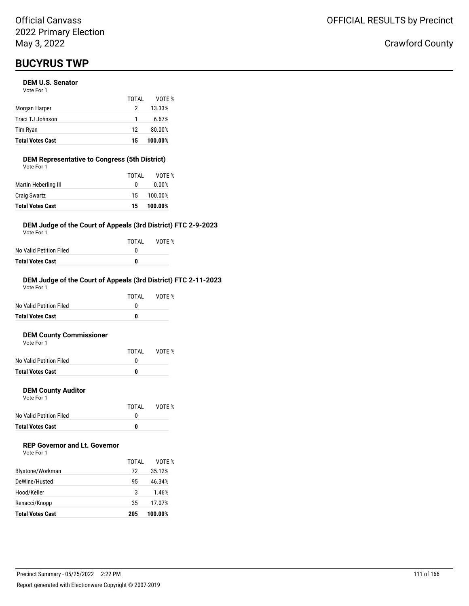## **BUCYRUS TWP**

## **DEM U.S. Senator**

| <b>Total Votes Cast</b> | 15    | 100.00% |
|-------------------------|-------|---------|
| Tim Ryan                | 12    | 80.00%  |
| Traci TJ Johnson        | 1     | 6.67%   |
| Morgan Harper           | 2     | 13.33%  |
|                         | TOTAI | VOTF %  |
| Vote For 1              |       |         |

## **DEM Representative to Congress (5th District)**

| <b>Total Votes Cast</b> | 15    | 100.00% |
|-------------------------|-------|---------|
| <b>Craig Swartz</b>     | 15    | 100.00% |
| Martin Heberling III    | 0     | 0.00%   |
|                         | TOTAL | VOTE %  |
| Vote For 1              |       |         |

## **DEM Judge of the Court of Appeals (3rd District) FTC 2-9-2023**

Vote For 1

|                         | TOTAL | VOTE % |
|-------------------------|-------|--------|
| No Valid Petition Filed |       |        |
| Total Votes Cast        | n     |        |

#### **DEM Judge of the Court of Appeals (3rd District) FTC 2-11-2023** Vote For 1

VOTE %

|                         | TOTAL | VOTF % |
|-------------------------|-------|--------|
| No Valid Petition Filed |       |        |
| <b>Total Votes Cast</b> | 0     |        |
|                         |       |        |

### **DEM County Commissioner**

| Vote For 1              |       |
|-------------------------|-------|
|                         | TOTAL |
| No Valid Petition Filed |       |

| <b>Total Votes Cast</b> |  |
|-------------------------|--|
|                         |  |
|                         |  |

## **DEM County Auditor**

Vote For 1

|                         | TOTAI | VOTE % |
|-------------------------|-------|--------|
| No Valid Petition Filed |       |        |
| <b>Total Votes Cast</b> | n     |        |

## **REP Governor and Lt. Governor**

| Vote For 1 |  |
|------------|--|
|------------|--|

|                         | TOTAI | VOTF %  |
|-------------------------|-------|---------|
| Blystone/Workman        | 72    | 35.12%  |
| DeWine/Husted           | 95    | 46.34%  |
| Hood/Keller             | 3     | 1.46%   |
| Renacci/Knopp           | 35    | 17.07%  |
| <b>Total Votes Cast</b> | 205   | 100.00% |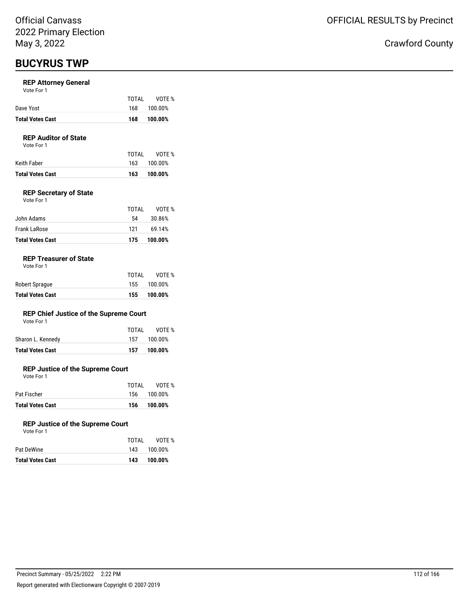## **BUCYRUS TWP**

### **REP Attorney General**

Vote For 1

| <b>Total Votes Cast</b> | 168   | 100.00%     |
|-------------------------|-------|-------------|
| Dave Yost               |       | 168 100.00% |
|                         | TOTAI | VOTE %      |

## **REP Auditor of State**

Vote For 1

|                  | TOTAI | VOTE %      |
|------------------|-------|-------------|
| Keith Faber      |       | 163 100.00% |
| Total Votes Cast | 163   | 100.00%     |

## **REP Secretary of State**

| Vote For 1 |  |  |
|------------|--|--|
|            |  |  |

| <b>Total Votes Cast</b> | 175   | 100.00% |
|-------------------------|-------|---------|
| Frank LaRose            | 121   | 69.14%  |
| John Adams              | 54    | 30.86%  |
|                         | TOTAI | VOTF %  |

## **REP Treasurer of State**

| <b>Total Votes Cast</b> | 155   | 100.00%     |
|-------------------------|-------|-------------|
| Robert Sprague          |       | 155 100.00% |
|                         | TOTAI | VOTE %      |

## **REP Chief Justice of the Supreme Court**

| Vote For 1 |  |
|------------|--|
|------------|--|

| <b>Total Votes Cast</b> | 157   | 100.00%     |
|-------------------------|-------|-------------|
| Sharon L. Kennedy       |       | 157 100.00% |
|                         | TOTAL | VOTE %      |

## **REP Justice of the Supreme Court**

Vote For 1

| <b>Total Votes Cast</b> | 156   | 100.00%     |
|-------------------------|-------|-------------|
| Pat Fischer             |       | 156 100.00% |
|                         | TOTAI | VOTE %      |

### **REP Justice of the Supreme Court**

| Vote For 1 |       |             |
|------------|-------|-------------|
|            | TOTAL | VOTE %      |
| Pat DeWine |       | 143 100.00% |

| <b>Total Votes Cast</b> | 143 | 100.00% |
|-------------------------|-----|---------|
| Pat DeWine              | 143 | 100.00% |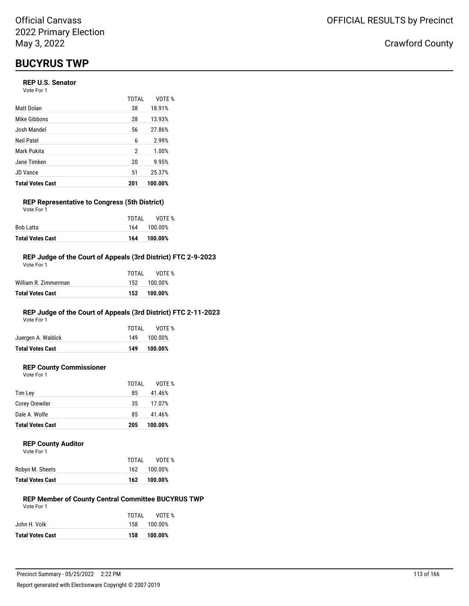## **BUCYRUS TWP**

## **REP U.S. Senator**

Vote For 1

|                         | TOTAL | VOTE %  |
|-------------------------|-------|---------|
| Matt Dolan              | 38    | 18.91%  |
| Mike Gibbons            | 28    | 13.93%  |
| Josh Mandel             | 56    | 27.86%  |
| Neil Patel              | 6     | 2.99%   |
| Mark Pukita             | 2     | 1.00%   |
| Jane Timken             | 20    | 9.95%   |
| <b>JD Vance</b>         | 51    | 25.37%  |
| <b>Total Votes Cast</b> | 201   | 100.00% |

#### **REP Representative to Congress (5th District)** Vote For 1

| <b>Total Votes Cast</b> | 164   | 100.00%     |
|-------------------------|-------|-------------|
| <b>Bob Latta</b>        |       | 164 100.00% |
|                         | TOTAI | VOTE %      |

## **REP Judge of the Court of Appeals (3rd District) FTC 2-9-2023**

| <b>Total Votes Cast</b> |       | 152 100.00% |
|-------------------------|-------|-------------|
| William R. Zimmerman    |       | 152 100.00% |
|                         | TOTAI | VOTF %      |
| Vote For 1              |       |             |

## **REP Judge of the Court of Appeals (3rd District) FTC 2-11-2023**

Vote For 1

| <b>Total Votes Cast</b> | 149   | 100.00% |
|-------------------------|-------|---------|
| Juergen A. Waldick      | 149   | 100.00% |
|                         | TOTAI | VOTE %  |

## **REP County Commissioner**

Vote For 1

|                         | TOTAL | VOTE %  |
|-------------------------|-------|---------|
| Tim Lev                 | 85    | 41.46%  |
| <b>Corey Orewiler</b>   | 35    | 17.07%  |
| Dale A. Wolfe           | 85    | 41.46%  |
| <b>Total Votes Cast</b> | 205   | 100.00% |
|                         |       |         |

### **REP County Auditor**

| Vote For 1 |  |
|------------|--|
|            |  |

| TOTAI | VOTF %  |
|-------|---------|
| 162.  | 100.00% |
| 162   | 100.00% |
|       |         |

#### **REP Member of County Central Committee BUCYRUS TWP** Vote For 1

|                         | TOTAI | VOTE %      |
|-------------------------|-------|-------------|
| John H. Volk            |       | 158 100.00% |
| <b>Total Votes Cast</b> | 158   | 100.00%     |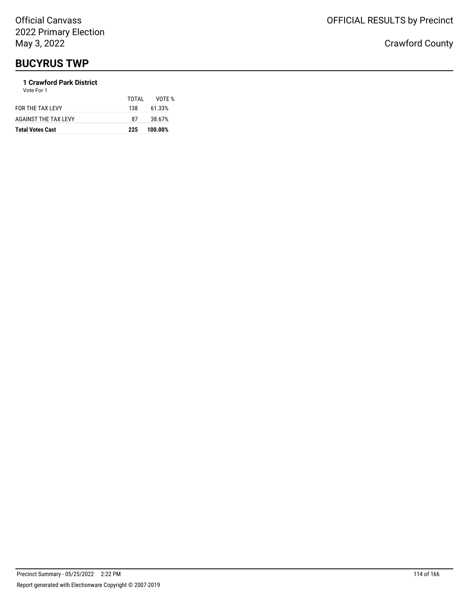## **BUCYRUS TWP**

## **1 Crawford Park District**

| <b>Total Votes Cast</b> | 225   | 100.00% |
|-------------------------|-------|---------|
| AGAINST THE TAX LEVY    | 87    | 38.67%  |
| FOR THE TAX LEVY        | 138.  | 61.33%  |
| Vote For 1              | TOTAL | VOTE %  |
|                         |       |         |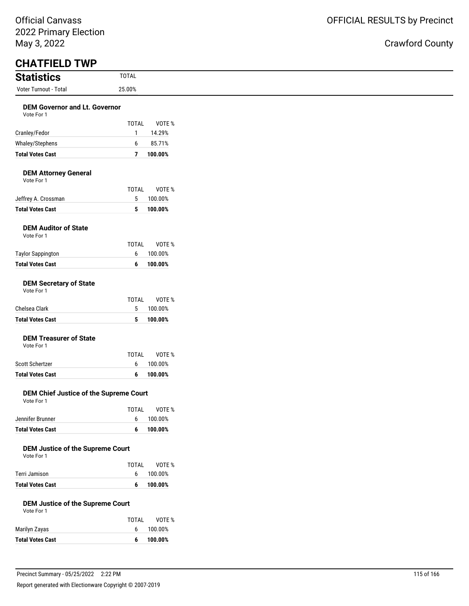| <b>Statistics</b>                                     | <b>TOTAL</b>      |                   |
|-------------------------------------------------------|-------------------|-------------------|
| <b>Voter Turnout - Total</b>                          | 25.00%            |                   |
| <b>DEM Governor and Lt. Governor</b><br>Vote For 1    | <b>TOTAL</b>      | VOTE %            |
| Cranley/Fedor                                         | $\mathbf{1}$      | 14.29%            |
| Whaley/Stephens                                       | 6                 | 85.71%            |
| <b>Total Votes Cast</b>                               | $\overline{7}$    | 100.00%           |
| <b>DEM Attorney General</b><br>Vote For 1             | <b>TOTAL</b>      | VOTE %            |
| Jeffrey A. Crossman                                   | 5                 | 100.00%           |
| <b>Total Votes Cast</b>                               | 5                 | 100.00%           |
| <b>DEM Auditor of State</b><br>Vote For 1             | <b>TOTAL</b>      | VOTE %            |
| <b>Taylor Sappington</b>                              | 6                 | 100.00%           |
| <b>Total Votes Cast</b>                               | 6                 | 100.00%           |
| <b>DEM Secretary of State</b><br>Vote For 1           |                   |                   |
| Chelsea Clark                                         | <b>TOTAL</b><br>5 | VOTE %<br>100.00% |
| <b>Total Votes Cast</b>                               | 5                 | 100.00%           |
| <b>DEM Treasurer of State</b><br>Vote For 1           | <b>TOTAL</b>      | VOTE %            |
| Scott Schertzer                                       | 6                 | 100.00%           |
| <b>Total Votes Cast</b>                               | 6                 | 100.00%           |
| DEM Chief Justice of the Supreme Court<br>Vote For 1  | <b>TOTAL</b>      | VOTE %            |
| Jennifer Brunner                                      | 6                 | 100.00%           |
| <b>Total Votes Cast</b>                               | 6                 | 100.00%           |
| <b>DEM Justice of the Supreme Court</b><br>Vote For 1 |                   |                   |
| Terri Jamison                                         | <b>TOTAL</b><br>6 | VOTE %<br>100.00% |
| <b>Total Votes Cast</b>                               | 6                 | 100.00%           |
| <b>DEM Justice of the Supreme Court</b>               |                   |                   |
| Vote For 1                                            |                   |                   |
| Marilyn Zayas                                         | <b>TOTAL</b><br>6 | VOTE %<br>100.00% |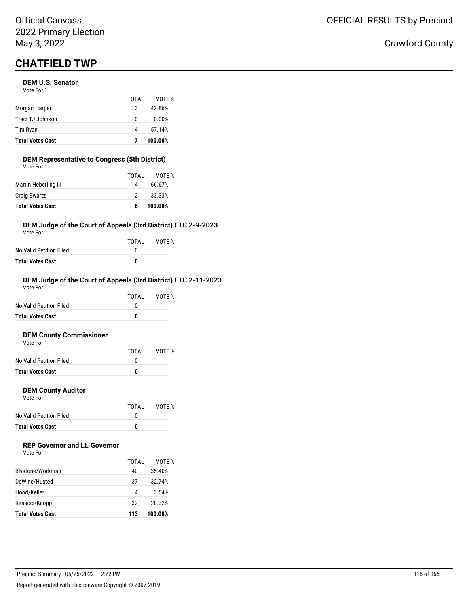## **CHATFIELD TWP**

### **DEM U.S. Senator**

| <b>Total Votes Cast</b> |       | 100.00% |
|-------------------------|-------|---------|
| Tim Ryan                | 4     | 57.14%  |
| Traci TJ Johnson        | 0     | 0.00%   |
| Morgan Harper           | 3     | 42.86%  |
|                         | TOTAL | VOTE %  |
| Vote For 1              |       |         |

## **DEM Representative to Congress (5th District)**

| <b>Total Votes Cast</b> | 6     | 100.00% |
|-------------------------|-------|---------|
| <b>Craig Swartz</b>     | 2     | 33.33%  |
| Martin Heberling III    | 4     | 66.67%  |
|                         | TOTAL | VOTE %  |
| Vote For 1              |       |         |

## **DEM Judge of the Court of Appeals (3rd District) FTC 2-9-2023**

Vote For 1

|                         | TOTAL | VOTE % |
|-------------------------|-------|--------|
| No Valid Petition Filed |       |        |
| Total Votes Cast        | n     |        |

#### **DEM Judge of the Court of Appeals (3rd District) FTC 2-11-2023** Vote For 1

|                         | TOTAL | VOTE % |
|-------------------------|-------|--------|
| No Valid Petition Filed | O     |        |
| <b>Total Votes Cast</b> |       |        |
|                         |       |        |

## **DEM County Commissioner**

| <b>Total Votes Cast</b> | n     |        |
|-------------------------|-------|--------|
| No Valid Petition Filed |       |        |
|                         | TOTAI | VOTF % |
| Vote For 1              |       |        |

## **DEM County Auditor**

Vote For 1

|                         | TOTAL | VOTE % |
|-------------------------|-------|--------|
| No Valid Petition Filed |       |        |
| <b>Total Votes Cast</b> | o     |        |

## **REP Governor and Lt. Governor**

|                         | TOTAI | VOTF %  |
|-------------------------|-------|---------|
| Blystone/Workman        | 40    | 35.40%  |
| DeWine/Husted           | 37    | 32.74%  |
| Hood/Keller             | 4     | 3.54%   |
| Renacci/Knopp           | 32    | 28.32%  |
| <b>Total Votes Cast</b> | 113   | 100.00% |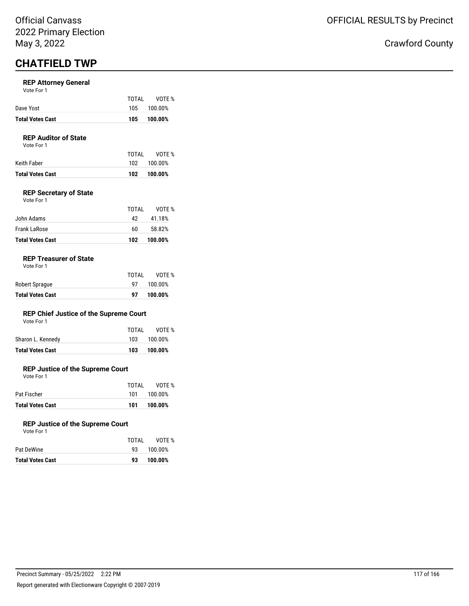## **CHATFIELD TWP**

## **REP Attorney General**

| Vote For 1 |  |  |  |
|------------|--|--|--|
|------------|--|--|--|

| <b>Total Votes Cast</b> | 105   | 100.00%     |
|-------------------------|-------|-------------|
| Dave Yost               |       | 105 100.00% |
|                         | TOTAI | VOTE %      |

## **REP Auditor of State**

Vote For 1

| Total Votes Cast | 102   | 100.00%     |
|------------------|-------|-------------|
| Keith Faber      |       | 102 100.00% |
|                  | TOTAI | VOTE %      |

## **REP Secretary of State**

| <b>Total Votes Cast</b> | 102   | 100.00% |
|-------------------------|-------|---------|
| Frank LaRose            | 60    | 58.82%  |
| John Adams              | 42    | 41.18%  |
|                         | TOTAL | VOTE %  |
| Vote For 1              |       |         |

## **REP Treasurer of State**

|                         | TOTAL | VOTE %  |
|-------------------------|-------|---------|
| Robert Sprague          | 97    | 100.00% |
| <b>Total Votes Cast</b> | 97    | 100.00% |

## **REP Chief Justice of the Supreme Court**

| Total Votes Cast  | 103   | 100.00%     |
|-------------------|-------|-------------|
| Sharon L. Kennedy |       | 103 100.00% |
|                   | TOTAI | VOTE %      |

## **REP Justice of the Supreme Court**

Vote For 1

|                         | TOTAI | VOTE %      |
|-------------------------|-------|-------------|
| Pat Fischer             |       | 101 100.00% |
| <b>Total Votes Cast</b> | 101.  | 100.00%     |

### **REP Justice of the Supreme Court**

|  | Vote For 1 |  |
|--|------------|--|
|  |            |  |

|                         | TOTAI | VOTE %  |
|-------------------------|-------|---------|
| Pat DeWine              | 93.   | 100.00% |
| <b>Total Votes Cast</b> | 93    | 100.00% |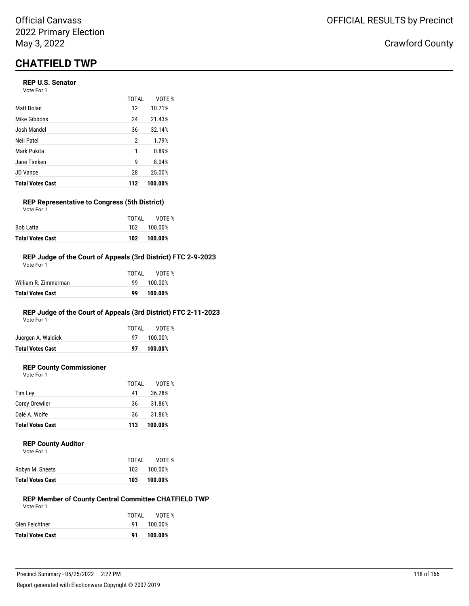## **CHATFIELD TWP**

## **REP U.S. Senator**

| Vote For 1 |  |
|------------|--|
|------------|--|

|                         | TOTAL | VOTF %  |
|-------------------------|-------|---------|
| Matt Dolan              | 12    | 10.71%  |
| Mike Gibbons            | 24    | 21.43%  |
| Josh Mandel             | 36    | 32.14%  |
| Neil Patel              | 2     | 1.79%   |
| Mark Pukita             | 1     | 0.89%   |
| Jane Timken             | 9     | 8.04%   |
| <b>JD</b> Vance         | 28    | 25.00%  |
| <b>Total Votes Cast</b> | 112   | 100.00% |

#### **REP Representative to Congress (5th District)** Vote For 1

| <b>Total Votes Cast</b> | 102   | 100.00%     |
|-------------------------|-------|-------------|
| Bob Latta               |       | 102 100.00% |
|                         | TOTAI | VOTE %      |

### **REP Judge of the Court of Appeals (3rd District) FTC 2-9-2023**

| Total Votes Cast     | 99    | 100.00% |
|----------------------|-------|---------|
| William R. Zimmerman | ٩q    | 100.00% |
|                      | TOTAL | VOTF %  |
| Vote For 1           |       |         |

## **REP Judge of the Court of Appeals (3rd District) FTC 2-11-2023**

Vote For 1

|                                               | TOTAL<br>97 <b>D</b> | VOTE %<br>100.00% |
|-----------------------------------------------|----------------------|-------------------|
| Juergen A. Waldick<br><b>Total Votes Cast</b> | 97                   | 100.00%           |
|                                               |                      |                   |

## **REP County Commissioner**

Vote For 1

|                         | TOTAL | VOTE %  |
|-------------------------|-------|---------|
| Tim Lev                 | 41    | 36.28%  |
| <b>Corey Orewiler</b>   | 36    | 31.86%  |
| Dale A. Wolfe           | 36    | 31.86%  |
| <b>Total Votes Cast</b> | 113   | 100.00% |

### **REP County Auditor**

| Vote For 1 |  |
|------------|--|
|------------|--|

|                         | TOTAI | VOTE %  |
|-------------------------|-------|---------|
| Robyn M. Sheets         | 103   | 100.00% |
| <b>Total Votes Cast</b> | 103   | 100.00% |

#### **REP Member of County Central Committee CHATFIELD TWP** Vote For 1

|                         | TOTAI | VOTE %     |
|-------------------------|-------|------------|
| Glen Feichtner          |       | 91 100.00% |
| <b>Total Votes Cast</b> |       | 91 100.00% |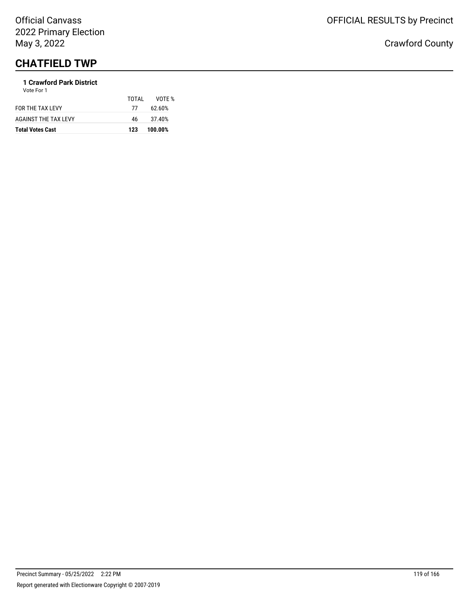# **CHATFIELD TWP**

#### **1 Crawford Park District** Vote For 1

| <b>Total Votes Cast</b>     | 123   | 100.00% |
|-----------------------------|-------|---------|
| <b>AGAINST THE TAX LEVY</b> | 46.   | 37.40%  |
| FOR THE TAX LEVY            | 77    | 62.60%  |
|                             | TOTAI | VOTF %  |
| <b>VULLET UIT</b>           |       |         |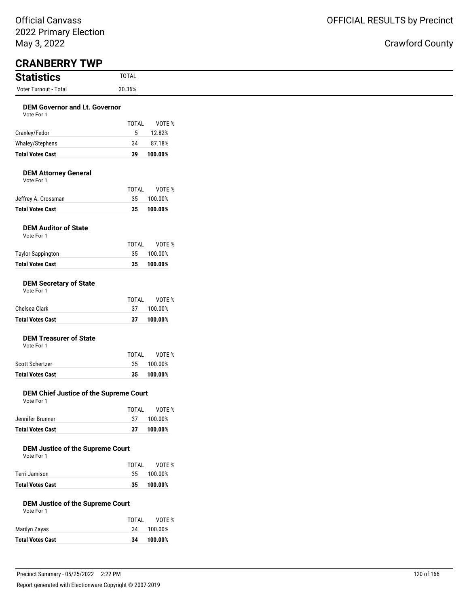| <b>Statistics</b>                                     | <b>TOTAL</b>       |                   |
|-------------------------------------------------------|--------------------|-------------------|
| Voter Turnout - Total                                 | 30.36%             |                   |
| <b>DEM Governor and Lt. Governor</b>                  |                    |                   |
| Vote For 1                                            |                    |                   |
| Cranley/Fedor                                         | <b>TOTAL</b><br>5  | VOTE %<br>12.82%  |
| Whaley/Stephens                                       | 34                 | 87.18%            |
| <b>Total Votes Cast</b>                               | 39                 | 100.00%           |
|                                                       |                    |                   |
| <b>DEM Attorney General</b><br>Vote For 1             |                    |                   |
|                                                       | <b>TOTAL</b><br>35 | VOTE %<br>100.00% |
| Jeffrey A. Crossman<br><b>Total Votes Cast</b>        | 35                 | 100.00%           |
|                                                       |                    |                   |
| <b>DEM Auditor of State</b><br>Vote For 1             |                    |                   |
|                                                       | <b>TOTAL</b>       | VOTE %            |
| <b>Taylor Sappington</b>                              | 35                 | 100.00%           |
| <b>Total Votes Cast</b>                               | 35                 | 100.00%           |
| <b>DEM Secretary of State</b><br>Vote For 1           |                    |                   |
|                                                       | <b>TOTAL</b>       | VOTE %            |
| Chelsea Clark                                         | 37                 | 100.00%           |
| <b>Total Votes Cast</b>                               | 37                 | 100.00%           |
| <b>DEM Treasurer of State</b><br>Vote For 1           |                    |                   |
|                                                       | <b>TOTAL</b>       | VOTE %            |
| Scott Schertzer                                       | 35                 | 100.00%           |
| <b>Total Votes Cast</b>                               | 35                 | 100.00%           |
| DEM Chief Justice of the Supreme Court<br>Vote For 1  |                    |                   |
|                                                       | <b>TOTAL</b>       | VOTE %            |
| Jennifer Brunner                                      | 37                 | 100.00%           |
| <b>Total Votes Cast</b>                               | 37                 | 100.00%           |
| <b>DEM Justice of the Supreme Court</b><br>Vote For 1 |                    |                   |
| Terri Jamison                                         | <b>TOTAL</b><br>35 | VOTE %<br>100.00% |
| <b>Total Votes Cast</b>                               | 35                 | 100.00%           |
| <b>DEM Justice of the Supreme Court</b><br>Vote For 1 |                    |                   |
|                                                       | <b>TOTAL</b>       | VOTE %            |
| Marilyn Zayas                                         | 34                 | 100.00%           |
| <b>Total Votes Cast</b>                               | 34                 | 100.00%           |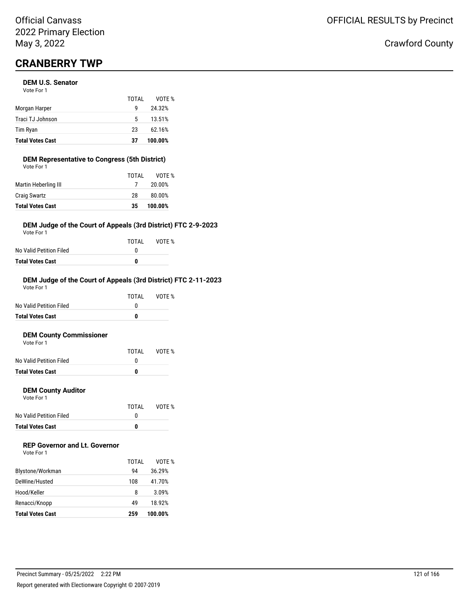## **CRANBERRY TWP**

## **DEM U.S. Senator**

| <b>Total Votes Cast</b> | 37    | 100.00% |
|-------------------------|-------|---------|
| Tim Ryan                | 23    | 62.16%  |
| Traci TJ Johnson        | 5     | 13.51%  |
| Morgan Harper           | q     | 24.32%  |
|                         | TOTAI | VOTE %  |
| Vote For 1              |       |         |

## **DEM Representative to Congress (5th District)**

| <b>Total Votes Cast</b> | 35    | 100.00% |
|-------------------------|-------|---------|
| <b>Craig Swartz</b>     | 28    | 80.00%  |
| Martin Heberling III    |       | 20.00%  |
|                         | TOTAL | VOTE %  |
| Vote For 1              |       |         |

## **DEM Judge of the Court of Appeals (3rd District) FTC 2-9-2023**

Vote For 1

|                         | TOTAI | VOTE % |
|-------------------------|-------|--------|
| No Valid Petition Filed |       |        |
| Total Votes Cast        | n     |        |

## **DEM Judge of the Court of Appeals (3rd District) FTC 2-11-2023**

| <b>Total Votes Cast</b> | 0     |        |
|-------------------------|-------|--------|
| No Valid Petition Filed | O     |        |
|                         | TOTAI | VOTF % |
| Vote For 1              |       |        |

### **DEM County Commissioner**

| <b>Total Votes Cast</b> | n     |        |
|-------------------------|-------|--------|
| No Valid Petition Filed |       |        |
|                         | TOTAI | VOTE % |
| Vote For 1              |       |        |

## **DEM County Auditor**

Vote For 1

|                         | TOTAL | VOTE % |
|-------------------------|-------|--------|
| No Valid Petition Filed |       |        |
| Total Votes Cast        | n     |        |

## **REP Governor and Lt. Governor**

| Vote For 1 |  |
|------------|--|
|------------|--|

|                         | TOTAL | VOTF %  |
|-------------------------|-------|---------|
| Blystone/Workman        | 94    | 36.29%  |
| DeWine/Husted           | 108   | 41.70%  |
| Hood/Keller             | 8     | 3.09%   |
| Renacci/Knopp           | 49    | 18.92%  |
| <b>Total Votes Cast</b> | 259   | 100.00% |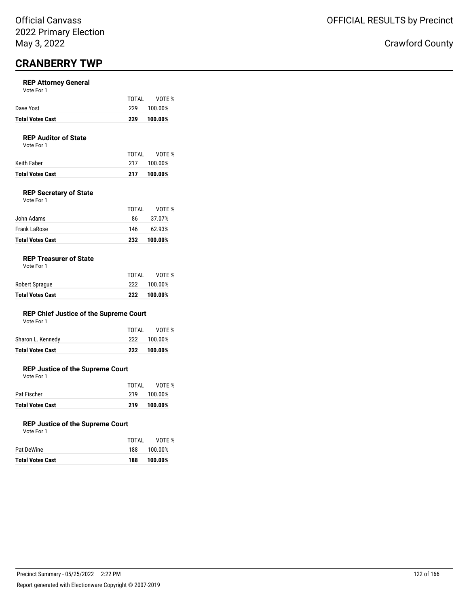## **CRANBERRY TWP**

## **REP Attorney General**

| Vote For 1 |  |  |  |
|------------|--|--|--|
|------------|--|--|--|

|                         | TOTAI | VOTE %  |
|-------------------------|-------|---------|
| Dave Yost               | 229   | 100.00% |
| <b>Total Votes Cast</b> | 229   | 100.00% |

## **REP Auditor of State**

Vote For 1

|                  | TOTAL | VOTE %      |
|------------------|-------|-------------|
| Keith Faber      |       | 217 100.00% |
| Total Votes Cast | 217   | 100.00%     |

## **REP Secretary of State**

| Vote For 1 |  |
|------------|--|
|            |  |

| Frank LaRose<br><b>Total Votes Cast</b> | 146<br>232 | 62.93%<br>100.00% |
|-----------------------------------------|------------|-------------------|
| John Adams                              | 86.        | 37.07%            |
|                                         | TOTAL      | VOTF %            |

## **REP Treasurer of State**

| <b>Total Votes Cast</b> | 222   | 100.00% |
|-------------------------|-------|---------|
| Robert Sprague          | 222   | 100.00% |
|                         | TOTAI | VOTE %  |

## **REP Chief Justice of the Supreme Court**

|  | Vote For 1 |  |
|--|------------|--|
|  |            |  |

| <b>Total Votes Cast</b> | 222   | 100.00%     |
|-------------------------|-------|-------------|
| Sharon L. Kennedy       |       | 222 100.00% |
|                         | TOTAL | VOTE %      |

## **REP Justice of the Supreme Court**

Vote For 1

|                         | TOTAL | VOTE %  |
|-------------------------|-------|---------|
| Pat Fischer             | 219   | 100.00% |
| <b>Total Votes Cast</b> | 219   | 100.00% |

### **REP Justice of the Supreme Court**

| Vote For 1 |  |
|------------|--|
|            |  |

| Total Votes Cast | 188   | 100.00% |
|------------------|-------|---------|
| Pat DeWine       | 188   | 100.00% |
|                  | TOTAI | VOTE %  |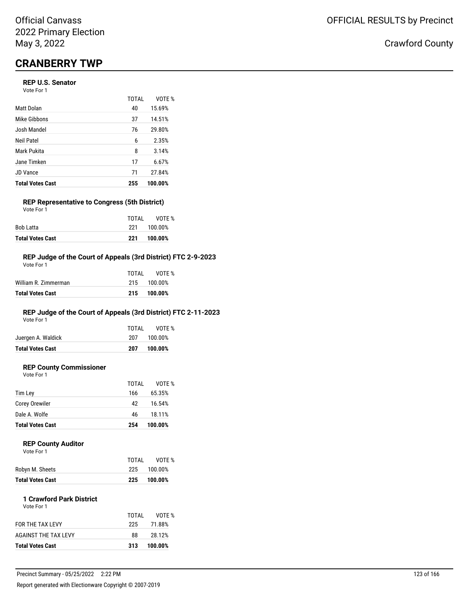## **CRANBERRY TWP**

## **REP U.S. Senator**

Vote For 1

|                         | <b>TOTAL</b> | VOTE %  |
|-------------------------|--------------|---------|
| Matt Dolan              | 40           | 15.69%  |
| Mike Gibbons            | 37           | 14.51%  |
| Josh Mandel             | 76           | 29.80%  |
| Neil Patel              | 6            | 2.35%   |
| Mark Pukita             | 8            | 3.14%   |
| Jane Timken             | 17           | 6.67%   |
| JD Vance                | 71           | 27.84%  |
| <b>Total Votes Cast</b> | 255          | 100.00% |

#### **REP Representative to Congress (5th District)** Vote For 1

| <b>Total Votes Cast</b> | 221   | 100.00% |
|-------------------------|-------|---------|
| Bob Latta               | 221   | 100.00% |
|                         | TOTAI | VOTE %  |

## **REP Judge of the Court of Appeals (3rd District) FTC 2-9-2023**

| Total Votes Cast     | 215   | 100.00%     |
|----------------------|-------|-------------|
| William R. Zimmerman |       | 215 100.00% |
|                      | TOTAL | VOTF %      |
| Vote For 1           |       |             |

## **REP Judge of the Court of Appeals (3rd District) FTC 2-11-2023**

Vote For 1

| <b>Total Votes Cast</b> | 207   | 100.00%     |
|-------------------------|-------|-------------|
| Juergen A. Waldick      |       | 207 100.00% |
|                         | TOTAI | VOTE %      |

## **REP County Commissioner**

Vote For 1

|                         | TOTAL | VOTE %  |
|-------------------------|-------|---------|
| Tim Lev                 | 166   | 65.35%  |
| <b>Corey Orewiler</b>   | 42    | 16.54%  |
| Dale A. Wolfe           | 46    | 18.11%  |
| <b>Total Votes Cast</b> | 254   | 100.00% |
|                         |       |         |

## **REP County Auditor**

| <b>Total Votes Cast</b> | 225   | 100.00% |
|-------------------------|-------|---------|
| Robyn M. Sheets         | 225   | 100.00% |
|                         | TOTAI | VOTE %  |
| Vote For 1              |       |         |

| <b>Total Votes Cast</b> | 313   | 100.00% |
|-------------------------|-------|---------|
| AGAINST THE TAX LEVY    | 88    | 28.12%  |
| FOR THE TAX LEVY        | 225.  | 71.88%  |
| Vote For 1              | TOTAL | VOTE %  |
|                         |       |         |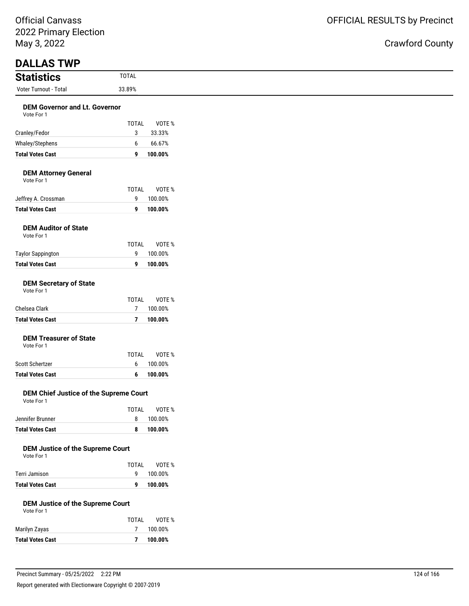## OFFICIAL RESULTS by Precinct

| <b>Statistics</b>                                     | <b>TOTAL</b>      |         |
|-------------------------------------------------------|-------------------|---------|
| Voter Turnout - Total                                 | 33.89%            |         |
| <b>DEM Governor and Lt. Governor</b>                  |                   |         |
| Vote For 1                                            |                   |         |
|                                                       | <b>TOTAL</b>      | VOTE %  |
| Cranley/Fedor                                         | 3                 | 33.33%  |
| Whaley/Stephens                                       | 6                 | 66.67%  |
| <b>Total Votes Cast</b>                               | 9                 | 100.00% |
| <b>DEM Attorney General</b><br>Vote For 1             |                   |         |
|                                                       | <b>TOTAL</b><br>9 | VOTE %  |
| Jeffrey A. Crossman<br><b>Total Votes Cast</b>        |                   | 100.00% |
|                                                       | 9                 | 100.00% |
| <b>DEM Auditor of State</b><br>Vote For 1             |                   |         |
|                                                       | <b>TOTAL</b>      | VOTE %  |
| <b>Taylor Sappington</b>                              | 9                 | 100.00% |
| <b>Total Votes Cast</b>                               | 9                 | 100.00% |
| <b>DEM Secretary of State</b><br>Vote For 1           |                   |         |
|                                                       | <b>TOTAL</b>      | VOTE %  |
| Chelsea Clark                                         | $\overline{7}$    | 100.00% |
| <b>Total Votes Cast</b>                               | $\overline{7}$    | 100.00% |
| <b>DEM Treasurer of State</b><br>Vote For 1           |                   |         |
|                                                       | <b>TOTAL</b>      | VOTE %  |
| Scott Schertzer                                       | 6                 | 100.00% |
| <b>Total Votes Cast</b>                               | 6                 | 100.00% |
| DEM Chief Justice of the Supreme Court<br>Vote For 1  |                   |         |
|                                                       | <b>TOTAL</b>      | VOTE %  |
| Jennifer Brunner                                      | 8                 | 100.00% |
| <b>Total Votes Cast</b>                               | 8                 | 100.00% |
| <b>DEM Justice of the Supreme Court</b><br>Vote For 1 | <b>TOTAL</b>      | VOTE %  |
| Terri Jamison                                         | 9                 | 100.00% |
| <b>Total Votes Cast</b>                               | 9                 | 100.00% |
| <b>DEM Justice of the Supreme Court</b><br>Vote For 1 |                   |         |
|                                                       | <b>TOTAL</b>      | VOTE %  |
| Marilyn Zayas                                         | 7                 | 100.00% |
| <b>Total Votes Cast</b>                               | $\overline{7}$    | 100.00% |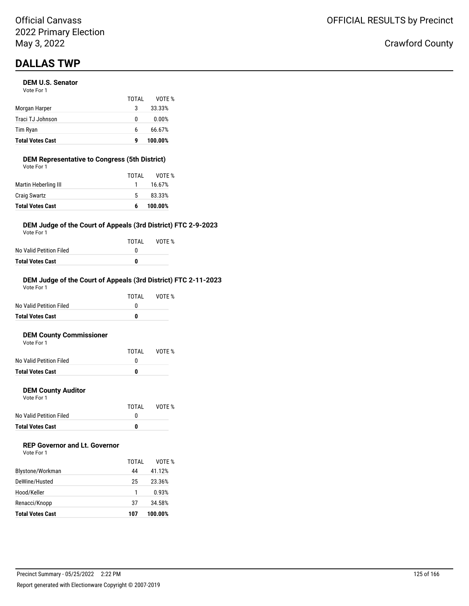## **DALLAS TWP**

## **DEM U.S. Senator**

| <b>Total Votes Cast</b> | g     | 100.00% |
|-------------------------|-------|---------|
| Tim Ryan                | 6     | 66.67%  |
| Traci TJ Johnson        | 0     | 0.00%   |
| Morgan Harper           | 3     | 33.33%  |
|                         | TOTAI | VOTF %  |
| Vote For 1              |       |         |

#### **DEM Representative to Congress (5th District)** Vote For 1

| <b>Total Votes Cast</b> | 6     | 100.00% |
|-------------------------|-------|---------|
| <b>Craig Swartz</b>     | 5.    | 83.33%  |
| Martin Heberling III    |       | 16.67%  |
|                         | TOTAL | VOTE %  |
| VOLE FOI T              |       |         |

## **DEM Judge of the Court of Appeals (3rd District) FTC 2-9-2023**

Vote For 1

|                         | TOTAL | VOTE % |
|-------------------------|-------|--------|
| No Valid Petition Filed |       |        |
| Total Votes Cast        | n     |        |

## **DEM Judge of the Court of Appeals (3rd District) FTC 2-11-2023**

| Total Votes Cast        | 0     |        |
|-------------------------|-------|--------|
| No Valid Petition Filed | O     |        |
|                         | TOTAI | VOTF % |
| Vote For 1              |       |        |

### **DEM County Commissioner**

| <b>Total Votes Cast</b> |       |        |
|-------------------------|-------|--------|
| No Valid Petition Filed |       |        |
|                         | TOTAI | VOTE % |
| Vote For 1              |       |        |

## **DEM County Auditor**

Vote For 1

|                         | TOTAL | VOTE % |
|-------------------------|-------|--------|
| No Valid Petition Filed |       |        |
| <b>Total Votes Cast</b> | n     |        |

## **REP Governor and Lt. Governor**

| Vote For 1 |  |
|------------|--|
|------------|--|

|                         | TOTAI | VOTF %  |
|-------------------------|-------|---------|
| Blystone/Workman        | 44    | 41.12%  |
| DeWine/Husted           | 25    | 23.36%  |
| Hood/Keller             |       | 0.93%   |
| Renacci/Knopp           | 37    | 34.58%  |
| <b>Total Votes Cast</b> | 107   | 100.00% |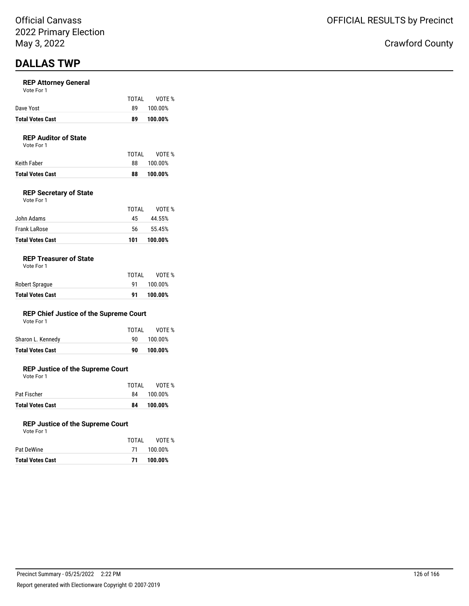## **DALLAS TWP**

### **REP Attorney General**

|  | Vote For 1 |  |  |
|--|------------|--|--|
|  |            |  |  |

| <b>Total Votes Cast</b> | 89    | 100.00% |
|-------------------------|-------|---------|
| Dave Yost               | 89.   | 100.00% |
|                         | TOTAI | VOTE %  |

## **REP Auditor of State**

Vote For 1

| <b>Total Votes Cast</b> | 88    | 100.00% |
|-------------------------|-------|---------|
| Keith Faber             | 88    | 100.00% |
|                         | TOTAI | VOTE %  |

## **REP Secretary of State**

| <b>Total Votes Cast</b> | 101   | 100.00% |
|-------------------------|-------|---------|
| Frank LaRose            | 56    | 55.45%  |
| John Adams              | 45    | 44.55%  |
|                         | TOTAL | VOTE %  |
| Vote For 1              |       |         |

## **REP Treasurer of State**

Vote For 1

| <b>Total Votes Cast</b> | 91        | 100.00% |
|-------------------------|-----------|---------|
| Robert Sprague          | <b>91</b> | 100.00% |
|                         | TOTAL     | VOTE %  |

## **REP Chief Justice of the Supreme Court**

| <b>Total Votes Cast</b> | 90    | 100.00% |
|-------------------------|-------|---------|
| Sharon L. Kennedy       | 90.   | 100.00% |
|                         | TOTAL | VOTE %  |
| Vote For 1              |       |         |

## **REP Justice of the Supreme Court**

Vote For 1

| <b>Total Votes Cast</b> | 84    | 100.00%    |
|-------------------------|-------|------------|
| Pat Fischer             |       | 84 100.00% |
|                         | TOTAI | VOTE %     |

### **REP Justice of the Supreme Court**

| <b>Total Votes Cast</b> | 71    | 100.00%    |
|-------------------------|-------|------------|
| Pat DeWine              |       | 71 100.00% |
|                         | TOTAL | VOTE %     |
| Vote For 1              |       |            |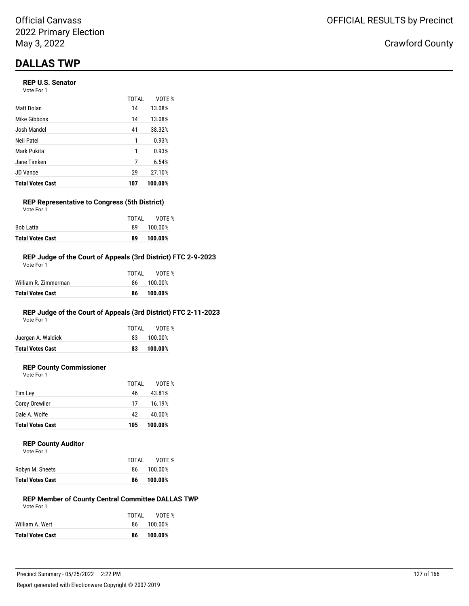## **DALLAS TWP**

## **REP U.S. Senator**

Vote For 1

|                         | <b>TOTAL</b> | VOTE %  |
|-------------------------|--------------|---------|
| Matt Dolan              | 14           | 13.08%  |
| Mike Gibbons            | 14           | 13.08%  |
| Josh Mandel             | 41           | 38.32%  |
| Neil Patel              | 1            | 0.93%   |
| Mark Pukita             | 1            | 0.93%   |
| Jane Timken             | 7            | 6.54%   |
| JD Vance                | 29           | 27.10%  |
| <b>Total Votes Cast</b> | 107          | 100.00% |

### **REP Representative to Congress (5th District)** Vote For 1

|                         | TOTAI | VOTE %  |
|-------------------------|-------|---------|
| Bob Latta               | 89.   | 100.00% |
| <b>Total Votes Cast</b> | 89    | 100.00% |

## **REP Judge of the Court of Appeals (3rd District) FTC 2-9-2023**

| Total Votes Cast     | 86    | 100.00%    |
|----------------------|-------|------------|
| William R. Zimmerman |       | 86 100.00% |
|                      | TOTAL | VOTE %     |
| Vote For 1           |       |            |

## **REP Judge of the Court of Appeals (3rd District) FTC 2-11-2023**

Vote For 1

|                         | TOTAL | VOTE %     |
|-------------------------|-------|------------|
| Juergen A. Waldick      |       | 83 100.00% |
| <b>Total Votes Cast</b> | 83    | 100.00%    |
|                         |       |            |

## **REP County Commissioner**

Vote For 1

|                         | TOTAL | VOTE %  |
|-------------------------|-------|---------|
| Tim Ley                 | 46    | 43.81%  |
| Corey Orewiler          | 17    | 16.19%  |
| Dale A. Wolfe           | 42    | 40.00%  |
| <b>Total Votes Cast</b> | 105   | 100.00% |

### **REP County Auditor**

| Vote For 1 |  |
|------------|--|
|            |  |

|                         | TOTAL | VOTE %  |
|-------------------------|-------|---------|
| Robyn M. Sheets         | 86.   | 100.00% |
| <b>Total Votes Cast</b> | 86    | 100.00% |

#### **REP Member of County Central Committee DALLAS TWP** Vote For 1

|                         | TOTAI | VOTE %     |
|-------------------------|-------|------------|
| William A. Wert         |       | 86 100.00% |
| <b>Total Votes Cast</b> | 86    | 100.00%    |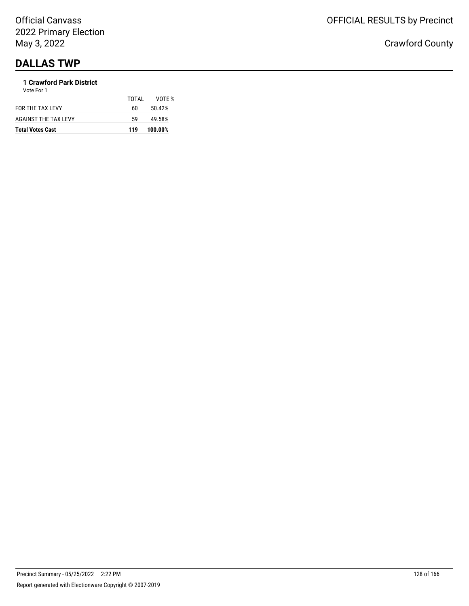## **DALLAS TWP**

#### **1 Crawford Park District** Vote For 1

| <b>AGAINST THE TAX LEVY</b><br>59 | 49.58% |
|-----------------------------------|--------|
|                                   |        |
| FOR THE TAX LEVY<br>60            | 50.42% |
| TOTAL                             | VOTE % |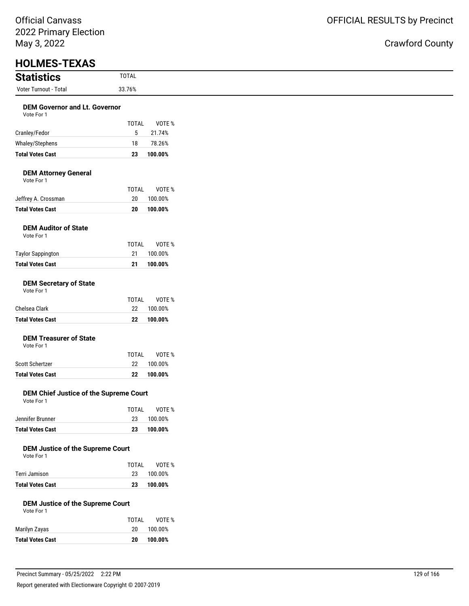# OFFICIAL RESULTS by Precinct

Crawford County

 $\overline{\phantom{0}}$ 

| <b>HOLMES-TEXAS</b>                                   |                    |                    |
|-------------------------------------------------------|--------------------|--------------------|
| <b>Statistics</b>                                     | <b>TOTAL</b>       |                    |
| Voter Turnout - Total                                 | 33.76%             |                    |
| <b>DEM Governor and Lt. Governor</b>                  |                    |                    |
| Vote For 1                                            |                    |                    |
|                                                       | <b>TOTAL</b>       | VOTE %             |
| Cranley/Fedor                                         | 5                  | 21.74%             |
| Whaley/Stephens                                       | 18                 | 78.26%             |
| <b>Total Votes Cast</b>                               | 23                 | 100.00%            |
| <b>DEM Attorney General</b><br>Vote For 1             |                    |                    |
|                                                       | <b>TOTAL</b>       | VOTE %             |
| Jeffrey A. Crossman                                   | 20                 | 100.00%            |
| <b>Total Votes Cast</b>                               | 20                 | 100.00%            |
| <b>DEM Auditor of State</b><br>Vote For 1             |                    |                    |
|                                                       | <b>TOTAL</b>       | VOTE %             |
| <b>Taylor Sappington</b><br><b>Total Votes Cast</b>   | 21<br>21           | 100.00%<br>100.00% |
| Chelsea Clark                                         | <b>TOTAL</b><br>22 | VOTE %<br>100.00%  |
| <b>Total Votes Cast</b>                               | 22                 | 100.00%            |
| <b>DEM Treasurer of State</b><br>Vote For 1           |                    |                    |
| Scott Schertzer                                       | <b>TOTAL</b>       | VOTE %<br>100.00%  |
| <b>Total Votes Cast</b>                               | 22<br>22           | 100.00%            |
|                                                       |                    |                    |
| DEM Chief Justice of the Supreme Court<br>Vote For 1  |                    |                    |
| Jennifer Brunner                                      | <b>TOTAL</b><br>23 | VOTE %<br>100.00%  |
| <b>Total Votes Cast</b>                               | 23                 | 100.00%            |
|                                                       |                    |                    |
| <b>DEM Justice of the Supreme Court</b><br>Vote For 1 | <b>TOTAL</b>       | VOTE %             |
| Terri Jamison                                         | 23                 | 100.00%            |
| <b>Total Votes Cast</b>                               | 23                 | 100.00%            |
| <b>DEM Justice of the Supreme Court</b><br>Vote For 1 |                    |                    |
|                                                       | <b>TOTAL</b>       | VOTE %             |
| Marilyn Zayas                                         | 20                 | 100.00%            |
|                                                       |                    |                    |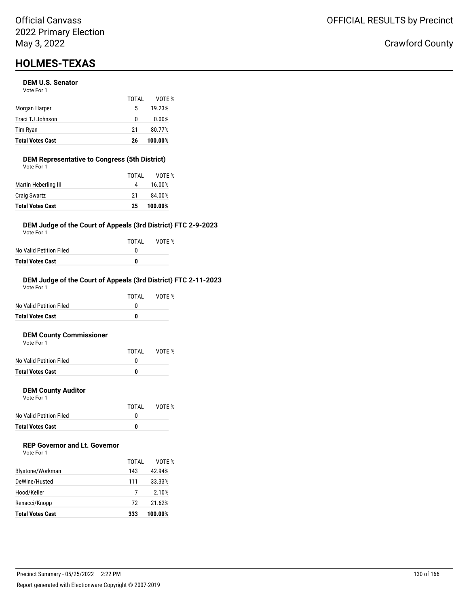## **HOLMES-TEXAS**

### **DEM U.S. Senator**

| <b>Total Votes Cast</b> | 26    | 100.00% |
|-------------------------|-------|---------|
| Tim Ryan                | 21    | 80.77%  |
| Traci TJ Johnson        | 0     | 0.00%   |
| Morgan Harper           | 5     | 19.23%  |
|                         | TOTAL | VOTE %  |
| Vote For 1              |       |         |

## **DEM Representative to Congress (5th District)**

| <b>Total Votes Cast</b> | 25    | 100.00% |
|-------------------------|-------|---------|
| <b>Craig Swartz</b>     | -21   | 84.00%  |
| Martin Heberling III    | 4     | 16.00%  |
|                         | TOTAI | VOTF %  |
| Vote For 1              |       |         |

## **DEM Judge of the Court of Appeals (3rd District) FTC 2-9-2023**

Vote For 1

|                         | TOTAI | VOTE % |
|-------------------------|-------|--------|
| No Valid Petition Filed |       |        |
| Total Votes Cast        | n     |        |

## **DEM Judge of the Court of Appeals (3rd District) FTC 2-11-2023**

| <b>Total Votes Cast</b> | 0     |        |
|-------------------------|-------|--------|
| No Valid Petition Filed | O     |        |
|                         | TOTAI | VOTF % |
| Vote For 1              |       |        |

#### **DEM County Commissioner**  $V \cap$ te

| <b>Total Votes Cast</b> | O     |        |
|-------------------------|-------|--------|
| No Valid Petition Filed |       |        |
|                         | TOTAI | VOTE % |
| VOLE FOI I              |       |        |

## **DEM County Auditor**

Vote For 1

|                         | TOTAL | VOTE % |
|-------------------------|-------|--------|
| No Valid Petition Filed |       |        |
| <b>Total Votes Cast</b> | o     |        |

## **REP Governor and Lt. Governor**

| Vote For 1 |  |
|------------|--|
|------------|--|

|                         | TOTAL | VOTF %  |
|-------------------------|-------|---------|
| Blystone/Workman        | 143   | 42.94%  |
| DeWine/Husted           | 111   | 33.33%  |
| Hood/Keller             |       | 2.10%   |
| Renacci/Knopp           | 72    | 21.62%  |
| <b>Total Votes Cast</b> | 333   | 100.00% |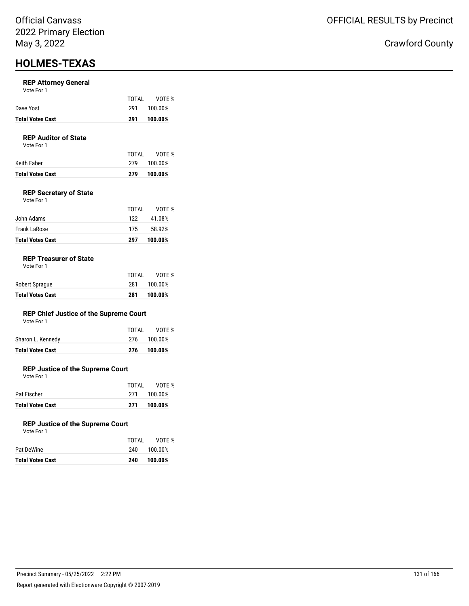## **HOLMES-TEXAS**

### **REP Attorney General**

| Vote For 1 |  |  |
|------------|--|--|
|------------|--|--|

|                         | TOTAI | VOTE %  |
|-------------------------|-------|---------|
| Dave Yost               | 291   | 100.00% |
| <b>Total Votes Cast</b> | 291   | 100.00% |

## **REP Auditor of State**

Vote For 1

| Total Votes Cast | 279   | 100.00%     |
|------------------|-------|-------------|
| Keith Faber      |       | 279 100.00% |
|                  | TOTAI | VOTE %      |

## **REP Secretary of State**

| <b>Total Votes Cast</b> | 297   | 100.00% |
|-------------------------|-------|---------|
| <b>Frank LaRose</b>     | 175   | 58.92%  |
| John Adams              | 122   | 41.08%  |
|                         | TOTAL | VOTE %  |
| Vote For 1              |       |         |

## **REP Treasurer of State**

| <b>Total Votes Cast</b> | 281   | 100.00% |
|-------------------------|-------|---------|
| Robert Sprague          | 281   | 100.00% |
|                         | TOTAI | VOTE %  |

## **REP Chief Justice of the Supreme Court**

| <b>Total Votes Cast</b> | 276   | 100.00%     |
|-------------------------|-------|-------------|
| Sharon L. Kennedy       |       | 276 100.00% |
|                         | TOTAL | VOTE %      |
| Vote For 1              |       |             |

## **REP Justice of the Supreme Court**

Vote For 1

|                         | TOTAI | VOTE %      |
|-------------------------|-------|-------------|
| Pat Fischer             |       | 271 100.00% |
| <b>Total Votes Cast</b> | 271   | 100.00%     |

### **REP Justice of the Supreme Court**

| Vote For 1 |  |  |
|------------|--|--|
|            |  |  |

| Total Votes Cast | 240   | 100.00% |
|------------------|-------|---------|
| Pat DeWine       | 240.  | 100.00% |
|                  | TOTAI | VOTE %  |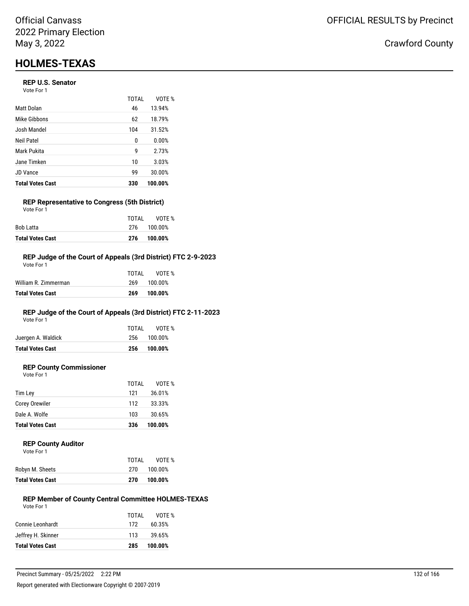## **HOLMES-TEXAS**

## **REP U.S. Senator**

Vote For 1

|                         | <b>TOTAL</b> | VOTE %  |
|-------------------------|--------------|---------|
| Matt Dolan              | 46           | 13.94%  |
| Mike Gibbons            | 62           | 18.79%  |
| Josh Mandel             | 104          | 31.52%  |
| Neil Patel              | 0            | 0.00%   |
| Mark Pukita             | 9            | 2.73%   |
| Jane Timken             | 10           | 3.03%   |
| <b>JD</b> Vance         | 99           | 30.00%  |
| <b>Total Votes Cast</b> | 330          | 100.00% |

#### **REP Representative to Congress (5th District)** Vote For 1

| 276 100.00% |
|-------------|
| 276 100.00% |
| VOTE %      |
| TOTAI       |

### **REP Judge of the Court of Appeals (3rd District) FTC 2-9-2023**

| Total Votes Cast     | 269   | 100.00% |
|----------------------|-------|---------|
| William R. Zimmerman | 269   | 100.00% |
|                      | TOTAL | VOTF %  |
| Vote For 1           |       |         |

## **REP Judge of the Court of Appeals (3rd District) FTC 2-11-2023**

Vote For 1

| <b>Total Votes Cast</b> | 256   | 100.00%     |
|-------------------------|-------|-------------|
| Juergen A. Waldick      |       | 256 100.00% |
|                         | TOTAI | VOTE %      |

## **REP County Commissioner**

Vote For 1

|                         | TOTAL | VOTE %  |
|-------------------------|-------|---------|
| Tim Lev                 | 121   | 36.01%  |
| Corey Orewiler          | 112   | 33.33%  |
| Dale A. Wolfe           | 103   | 30.65%  |
| <b>Total Votes Cast</b> | 336   | 100.00% |

### **REP County Auditor**

| Vote For 1 |
|------------|

|                         | TOTAL | VOTE %  |
|-------------------------|-------|---------|
| Robyn M. Sheets         | 270   | 100.00% |
| <b>Total Votes Cast</b> | 270   | 100.00% |

#### **REP Member of County Central Committee HOLMES-TEXAS** Vote For 1

|                         | TOTAL | VOTF %  |
|-------------------------|-------|---------|
| Connie Leonhardt        | 172   | 60.35%  |
| Jeffrey H. Skinner      | 113   | 39.65%  |
| <b>Total Votes Cast</b> | 285   | 100.00% |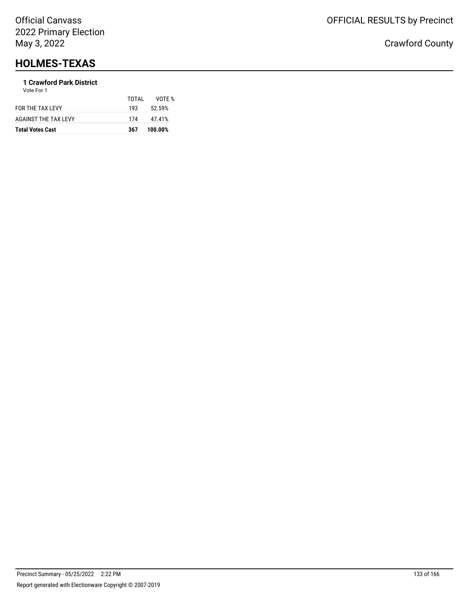## **HOLMES-TEXAS**

#### **1 Crawford Park District** Vote For 1

| <b>Total Votes Cast</b>     | 367   | 100.00% |
|-----------------------------|-------|---------|
| <b>AGAINST THE TAX LEVY</b> | 174   | 47.41%  |
| FOR THE TAX LEVY            | 193   | 52.59%  |
|                             | TOTAL | VOTF %  |
| .                           |       |         |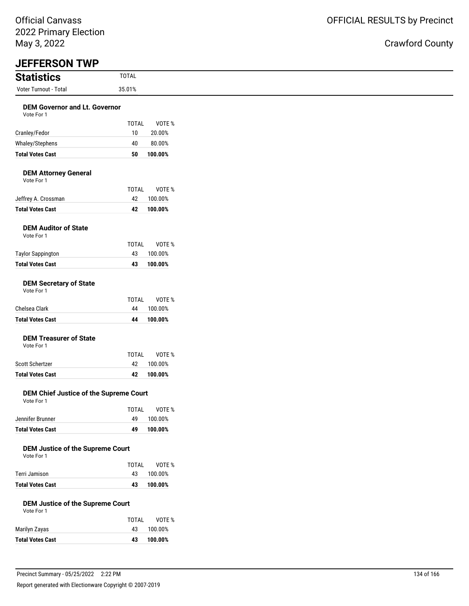| <b>Statistics</b>                                                                   | <b>TOTAL</b>       |                              |
|-------------------------------------------------------------------------------------|--------------------|------------------------------|
| Voter Turnout - Total                                                               | 35.01%             |                              |
| <b>DEM Governor and Lt. Governor</b><br>Vote For 1                                  |                    |                              |
|                                                                                     | <b>TOTAL</b>       | VOTE %                       |
| Cranley/Fedor                                                                       | 10                 | 20.00%                       |
| Whaley/Stephens                                                                     | 40                 | 80.00%                       |
| <b>Total Votes Cast</b>                                                             | 50                 | 100.00%                      |
| <b>DEM Attorney General</b><br>Vote For 1                                           |                    |                              |
|                                                                                     | <b>TOTAL</b>       | VOTE %                       |
| Jeffrey A. Crossman<br><b>Total Votes Cast</b>                                      | 42<br>42           | 100.00%<br>100.00%           |
|                                                                                     |                    |                              |
| <b>DEM Auditor of State</b><br>Vote For 1                                           |                    |                              |
|                                                                                     | <b>TOTAL</b>       | VOTE %                       |
| <b>Taylor Sappington</b>                                                            | 43                 | 100.00%                      |
| <b>Total Votes Cast</b>                                                             | 43                 | 100.00%                      |
| <b>DEM Secretary of State</b><br>Vote For 1                                         |                    |                              |
| Chelsea Clark                                                                       | <b>TOTAL</b><br>44 | VOTE %<br>100.00%            |
| <b>Total Votes Cast</b>                                                             | 44                 | 100.00%                      |
|                                                                                     |                    |                              |
| <b>DEM Treasurer of State</b><br>Vote For 1                                         |                    |                              |
|                                                                                     | <b>TOTAL</b>       | VOTE %                       |
| Scott Schertzer                                                                     | 42                 | 100.00%                      |
| <b>Total Votes Cast</b>                                                             | 42                 | 100.00%                      |
| DEM Chief Justice of the Supreme Court<br>Vote For 1                                |                    |                              |
|                                                                                     | <b>TOTAL</b>       | VOTE %                       |
| Jennifer Brunner                                                                    | 49                 | 100.00%                      |
| <b>Total Votes Cast</b>                                                             | 49                 | 100.00%                      |
| <b>DEM Justice of the Supreme Court</b><br>Vote For 1                               |                    |                              |
|                                                                                     | <b>TOTAL</b><br>43 | VOTE %<br>100.00%            |
|                                                                                     |                    | 100.00%                      |
|                                                                                     |                    |                              |
| Terri Jamison<br><b>Total Votes Cast</b><br><b>DEM Justice of the Supreme Court</b> | 43                 |                              |
| Vote For 1                                                                          |                    |                              |
| Marilyn Zayas                                                                       | <b>TOTAL</b>       |                              |
| <b>Total Votes Cast</b>                                                             | 43<br>43           | VOTE %<br>100.00%<br>100.00% |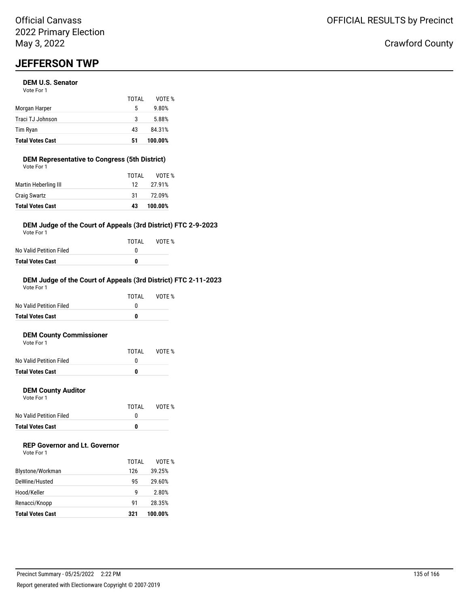## **JEFFERSON TWP**

### **DEM U.S. Senator**

| <b>Total Votes Cast</b> | 51    | 100.00% |
|-------------------------|-------|---------|
| Tim Ryan                | 43    | 84.31%  |
| Traci TJ Johnson        | 3     | 5.88%   |
| Morgan Harper           | 5     | 9.80%   |
|                         | TOTAL | VOTE %  |
| Vote For 1              |       |         |

#### **DEM Representative to Congress (5th District)** Vote For 1

| <b>Total Votes Cast</b> | 43              | 100.00% |
|-------------------------|-----------------|---------|
| <b>Craig Swartz</b>     | 31              | 72.09%  |
| Martin Heberling III    | 12 <sup>1</sup> | 27.91%  |
|                         | TOTAL           | VOTE %  |
| VULE FUI I              |                 |         |

## **DEM Judge of the Court of Appeals (3rd District) FTC 2-9-2023**

Vote For 1

|                         | TOTAI | VOTE % |
|-------------------------|-------|--------|
| No Valid Petition Filed |       |        |
| Total Votes Cast        | n     |        |

## **DEM Judge of the Court of Appeals (3rd District) FTC 2-11-2023**

| <b>Total Votes Cast</b> | 0     |        |
|-------------------------|-------|--------|
| No Valid Petition Filed | O     |        |
|                         | TOTAI | VOTF % |
| Vote For 1              |       |        |

#### **DEM County Commissioner**  $V$ ote

| <b>Total Votes Cast</b> | n     |        |
|-------------------------|-------|--------|
| No Valid Petition Filed |       |        |
|                         | TOTAL | VOTE % |
| VOTE FOL L              |       |        |

## **DEM County Auditor**

Vote For 1

|                         | TOTAL | VOTE % |
|-------------------------|-------|--------|
| No Valid Petition Filed |       |        |
| <b>Total Votes Cast</b> | o     |        |

## **REP Governor and Lt. Governor**

| Vote For 1 |  |
|------------|--|
|------------|--|

|                         | TOTAL | VOTF %  |
|-------------------------|-------|---------|
| Blystone/Workman        | 126   | 39.25%  |
| DeWine/Husted           | 95    | 29.60%  |
| Hood/Keller             | q     | 2.80%   |
| Renacci/Knopp           | 91    | 28.35%  |
| <b>Total Votes Cast</b> | 321   | 100.00% |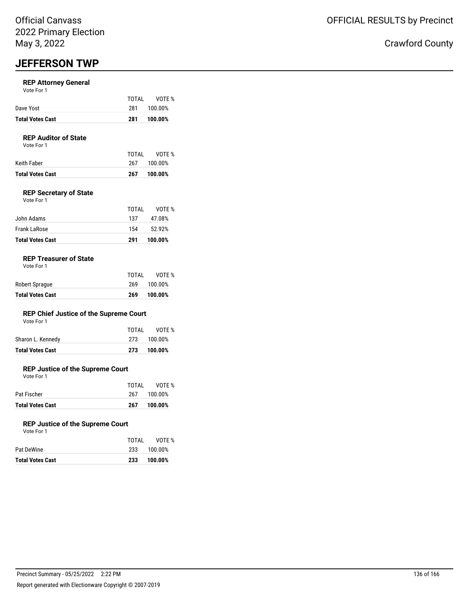## **JEFFERSON TWP**

## **REP Attorney General**

|                         | TOTAL | VOTE %  |
|-------------------------|-------|---------|
| Dave Yost               | 281   | 100.00% |
| <b>Total Votes Cast</b> | 281   | 100.00% |

### **REP Auditor of State**

Vote For 1

|                  | TOTAI | VOTE %  |
|------------------|-------|---------|
| Keith Faber      | 267   | 100.00% |
| Total Votes Cast | 267   | 100.00% |

## **REP Secretary of State**

| <b>Total Votes Cast</b> | 291   | 100.00% |
|-------------------------|-------|---------|
| Frank LaRose            | 154   | 52.92%  |
| John Adams              | 137   | 47.08%  |
|                         | TOTAL | VOTE %  |
| Vote For 1              |       |         |

### **REP Treasurer of State**

Vote For 1

| Robert Sprague          | 269 | 100.00% |
|-------------------------|-----|---------|
| <b>Total Votes Cast</b> | 269 | 100.00% |

## **REP Chief Justice of the Supreme Court**

| <b>Total Votes Cast</b> | 273   | 100.00%     |
|-------------------------|-------|-------------|
| Sharon L. Kennedy       |       | 273 100.00% |
|                         | TOTAL | VOTE %      |

## **REP Justice of the Supreme Court**

Vote For 1

| <b>Total Votes Cast</b> | 267   | 100.00% |
|-------------------------|-------|---------|
| Pat Fischer             | 267   | 100.00% |
|                         | TOTAL | VOTE %  |

### **REP Justice of the Supreme Court**

| Vote For 1 |       |    |
|------------|-------|----|
|            | TOTAL |    |
| Pat DeWine | 233   | 10 |

| <b>Total Votes Cast</b> | 233 | 100.00% |
|-------------------------|-----|---------|
| Pat DeWine              | 233 | 100.00% |

VOTE %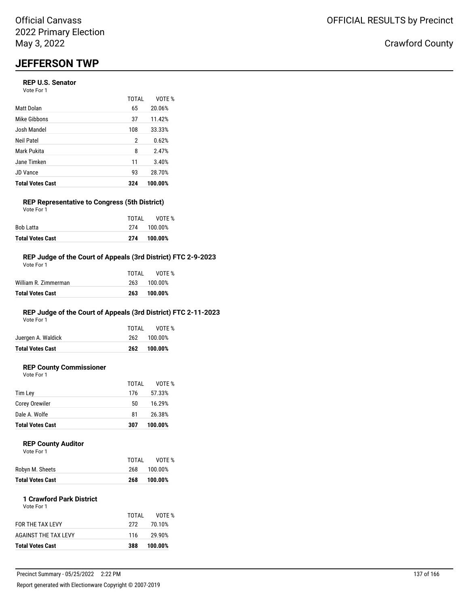## **JEFFERSON TWP**

## **REP U.S. Senator**

Vote For 1

|                         | <b>TOTAL</b> | VOTE %  |
|-------------------------|--------------|---------|
| Matt Dolan              | 65           | 20.06%  |
| Mike Gibbons            | 37           | 11.42%  |
| Josh Mandel             | 108          | 33.33%  |
| Neil Patel              | 2            | 0.62%   |
| Mark Pukita             | 8            | 2.47%   |
| Jane Timken             | 11           | 3.40%   |
| <b>JD Vance</b>         | 93           | 28.70%  |
| <b>Total Votes Cast</b> | 324          | 100.00% |

### **REP Representative to Congress (5th District)** Vote For 1

|                         | TOTAI | VOTE %      |
|-------------------------|-------|-------------|
| Bob Latta               |       | 274 100.00% |
| <b>Total Votes Cast</b> | 274   | 100.00%     |

## **REP Judge of the Court of Appeals (3rd District) FTC 2-9-2023**

| <b>Total Votes Cast</b> | 263   | 100.00% |
|-------------------------|-------|---------|
| William R. Zimmerman    | 263   | 100.00% |
|                         | TOTAL | VOTF %  |
| Vote For 1              |       |         |

## **REP Judge of the Court of Appeals (3rd District) FTC 2-11-2023**

Vote For 1

| Juergen A. Waldick      |     | 262 100.00% |
|-------------------------|-----|-------------|
| <b>Total Votes Cast</b> | 262 | 100.00%     |

## **REP County Commissioner**

Vote For 1

|                         | TOTAL | VOTE %  |
|-------------------------|-------|---------|
| Tim Lev                 | 176   | 57.33%  |
| <b>Corey Orewiler</b>   | 50    | 16.29%  |
| Dale A. Wolfe           | 81    | 26.38%  |
| <b>Total Votes Cast</b> | 307   | 100.00% |

#### **REP County Auditor**  $\sqrt{2}$

| <b>VOLE FOI</b> I |  |  |
|-------------------|--|--|
|                   |  |  |
|                   |  |  |

|                         | TOTAI | VOTE %  |
|-------------------------|-------|---------|
| Robyn M. Sheets         | 268   | 100.00% |
| <b>Total Votes Cast</b> | 268   | 100.00% |

#### **1 Crawford Park District** Vote For 1

| <b>Total Votes Cast</b> | 388   | 100.00% |
|-------------------------|-------|---------|
| AGAINST THE TAX LEVY    | 116   | 29.90%  |
| <b>FOR THE TAX LEVY</b> | 272   | 70.10%  |
|                         | TOTAL | VOTE %  |
|                         |       |         |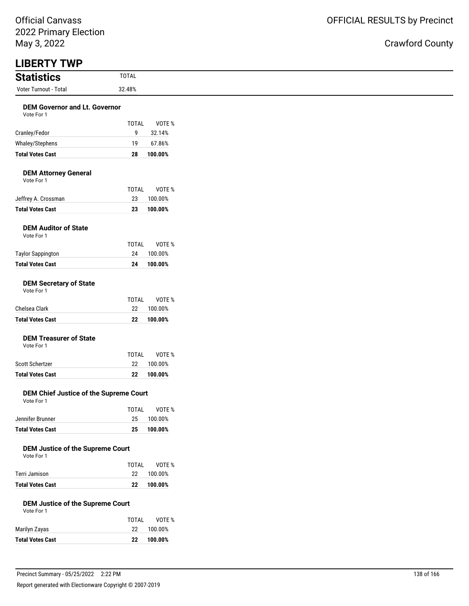## OFFICIAL RESULTS by Precinct

| <b>LIBERTY TWP</b>                                    |              |         |
|-------------------------------------------------------|--------------|---------|
| <b>Statistics</b>                                     | <b>TOTAL</b> |         |
| Voter Turnout - Total                                 | 32.48%       |         |
|                                                       |              |         |
| <b>DEM Governor and Lt. Governor</b><br>Vote For 1    |              |         |
|                                                       | <b>TOTAL</b> | VOTE %  |
| Cranley/Fedor                                         | 9            | 32.14%  |
| Whaley/Stephens                                       | 19           | 67.86%  |
| <b>Total Votes Cast</b>                               | 28           | 100.00% |
| <b>DEM Attorney General</b>                           |              |         |
| Vote For 1                                            |              |         |
|                                                       | <b>TOTAL</b> | VOTE %  |
| Jeffrey A. Crossman                                   | 23           | 100.00% |
| <b>Total Votes Cast</b>                               | 23           | 100.00% |
| <b>DEM Auditor of State</b><br>Vote For 1             |              |         |
|                                                       | <b>TOTAL</b> | VOTE %  |
| <b>Taylor Sappington</b>                              | 24           | 100.00% |
| <b>Total Votes Cast</b>                               | 24           | 100.00% |
| <b>DEM Secretary of State</b><br>Vote For 1           |              |         |
|                                                       | <b>TOTAL</b> | VOTE %  |
| Chelsea Clark                                         | 22           | 100.00% |
| <b>Total Votes Cast</b>                               | 22           | 100.00% |
|                                                       |              |         |
| <b>DEM Treasurer of State</b>                         |              |         |
| Vote For 1                                            | <b>TOTAL</b> | VOTE %  |
| Scott Schertzer                                       | 22           | 100.00% |
| <b>Total Votes Cast</b>                               | 22           | 100.00% |
|                                                       |              |         |
| DEM Chief Justice of the Supreme Court                |              |         |
| Vote For 1                                            | <b>TOTAL</b> | VOTE %  |
| Jennifer Brunner                                      | 25           | 100.00% |
| <b>Total Votes Cast</b>                               | 25           | 100.00% |
|                                                       |              |         |
| <b>DEM Justice of the Supreme Court</b>               |              |         |
| Vote For 1                                            | <b>TOTAL</b> | VOTE %  |
| Terri Jamison                                         | 22           | 100.00% |
| <b>Total Votes Cast</b>                               | 22           | 100.00% |
|                                                       |              |         |
| <b>DEM Justice of the Supreme Court</b><br>Vote For 1 |              |         |
|                                                       | <b>TOTAL</b> | VOTE %  |
| Marilyn Zayas                                         | 22           | 100.00% |
| <b>Total Votes Cast</b>                               | ${\bf 22}$   | 100.00% |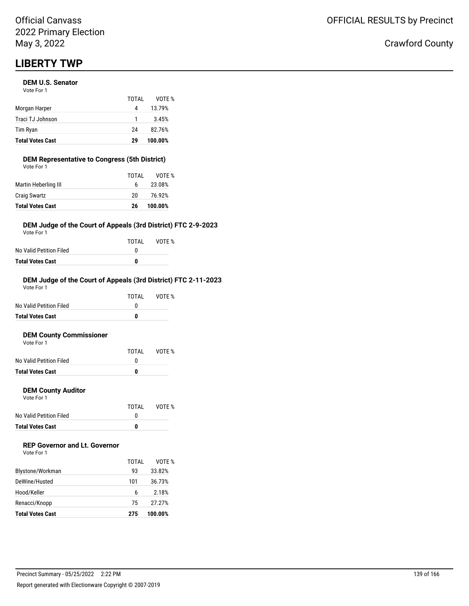## **DEM U.S. Senator**

| <b>Total Votes Cast</b> | 29    | 100.00% |
|-------------------------|-------|---------|
| Tim Ryan                | 24    | 82.76%  |
| Traci TJ Johnson        | -1    | 3.45%   |
| Morgan Harper           | 4     | 13.79%  |
|                         | TOTAI | VOTF %  |
| Vote For 1              |       |         |

#### **DEM Representative to Congress (5th District)** Vote For 1

| <b>Total Votes Cast</b> | 26    | 100.00% |
|-------------------------|-------|---------|
| <b>Craig Swartz</b>     | 20    | 76.92%  |
| Martin Heberling III    | 6.    | 23.08%  |
|                         | TOTAL | VOTE %  |
| VULE FUI I              |       |         |

## **DEM Judge of the Court of Appeals (3rd District) FTC 2-9-2023**

Vote For 1

|                         | TOTAI | VOTE % |
|-------------------------|-------|--------|
| No Valid Petition Filed |       |        |
| Total Votes Cast        | n     |        |

## **DEM Judge of the Court of Appeals (3rd District) FTC 2-11-2023**

| <b>Total Votes Cast</b> | 0     |        |
|-------------------------|-------|--------|
| No Valid Petition Filed | O     |        |
|                         | TOTAI | VOTF % |
| Vote For 1              |       |        |

#### **DEM County Commissioner**  $V$ ote

| <b>Total Votes Cast</b> | O     |        |
|-------------------------|-------|--------|
| No Valid Petition Filed |       |        |
|                         | TOTAI | VOTE % |
| VOLE FOI I              |       |        |

## **DEM County Auditor**

Vote For 1

|                         | TOTAL | VOTE % |
|-------------------------|-------|--------|
| No Valid Petition Filed |       |        |
| <b>Total Votes Cast</b> | o     |        |

## **REP Governor and Lt. Governor**

| Vote For 1 |  |
|------------|--|
|------------|--|

|                         | TOTAI | VOTF %  |
|-------------------------|-------|---------|
| Blystone/Workman        | 93    | 33.82%  |
| DeWine/Husted           | 101   | 36.73%  |
| Hood/Keller             | 6     | 2.18%   |
| Renacci/Knopp           | 75    | 27.27%  |
| <b>Total Votes Cast</b> | 275   | 100.00% |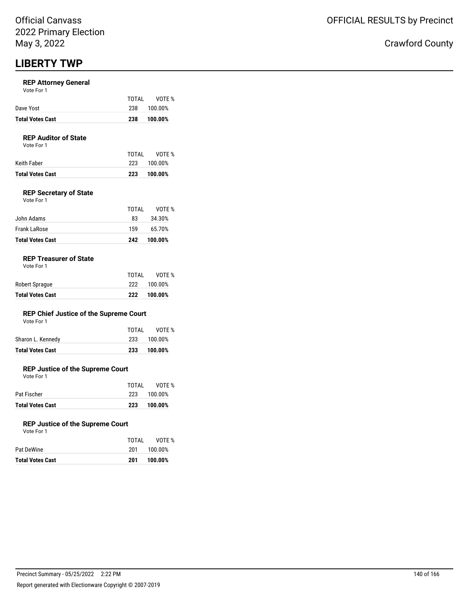### **REP Attorney General**

|                         | TOTAI | VOTE %  |
|-------------------------|-------|---------|
| Dave Yost               | 238   | 100.00% |
| <b>Total Votes Cast</b> | 238   | 100.00% |

## **REP Auditor of State**

Vote For 1

|                  | TOTAL | VOTE %  |
|------------------|-------|---------|
| Keith Faber      | 223   | 100.00% |
| Total Votes Cast | 223   | 100.00% |

## **REP Secretary of State**

| Vote For 1 |  |
|------------|--|
|            |  |

| John Adams              | 83  | 34.30%  |
|-------------------------|-----|---------|
| Frank LaRose            | 159 | 65.70%  |
| <b>Total Votes Cast</b> | 242 | 100.00% |

TOTAL VOTE %

## **REP Treasurer of State**

| Robert Sprague          | TOTAI<br>222 | VOTE %<br>100.00% |
|-------------------------|--------------|-------------------|
| <b>Total Votes Cast</b> | 222          | 100.00%           |

## **REP Chief Justice of the Supreme Court**

| Vote For 1 |  |
|------------|--|
|------------|--|

| <b>Total Votes Cast</b> | 233   | 100.00%     |
|-------------------------|-------|-------------|
| Sharon L. Kennedy       |       | 233 100.00% |
|                         | TOTAL | VOTE %      |

## **REP Justice of the Supreme Court**

Vote For 1

| <b>Total Votes Cast</b> | 223   | 100.00%     |
|-------------------------|-------|-------------|
| Pat Fischer             |       | 223 100.00% |
|                         | TOTAI | VOTE %      |

### **REP Justice of the Supreme Court**

| Vote For 1 |  |
|------------|--|
|            |  |
|            |  |

| TOTAI | VOTE %  |
|-------|---------|
| 201   | 100.00% |
| 201   | 100.00% |
|       |         |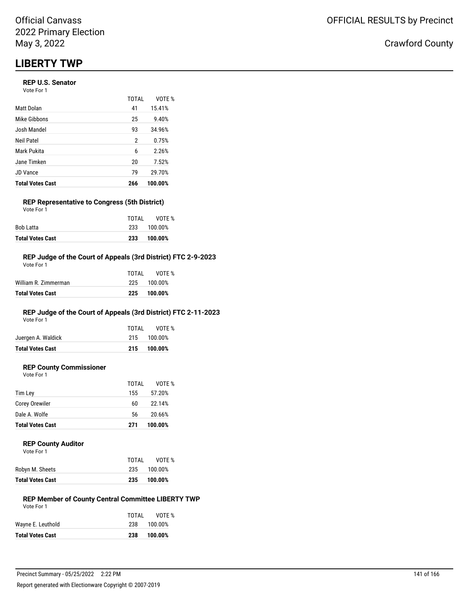## **REP U.S. Senator**

| Vote For 1 |  |
|------------|--|
|------------|--|

|                         | TOTAL | VOTF %  |
|-------------------------|-------|---------|
| <b>Matt Dolan</b>       | 41    | 15.41%  |
| Mike Gibbons            | 25    | 9.40%   |
| Josh Mandel             | 93    | 34.96%  |
| <b>Neil Patel</b>       | 2     | 0.75%   |
| Mark Pukita             | 6     | 2.26%   |
| Jane Timken             | 20    | 7.52%   |
| <b>JD Vance</b>         | 79    | 29.70%  |
| <b>Total Votes Cast</b> | 266   | 100.00% |

#### **REP Representative to Congress (5th District)** Vote For 1

| <b>Total Votes Cast</b> | 233   | 100.00%     |
|-------------------------|-------|-------------|
| Bob Latta               |       | 233 100.00% |
|                         | TOTAI | VOTE %      |

## **REP Judge of the Court of Appeals (3rd District) FTC 2-9-2023**

| <b>Total Votes Cast</b> | 225   | 100.00% |
|-------------------------|-------|---------|
| William R. Zimmerman    | 225   | 100.00% |
|                         | TOTAL | VOTF %  |
| Vote For 1              |       |         |

## **REP Judge of the Court of Appeals (3rd District) FTC 2-11-2023**

Vote For 1

| <b>Total Votes Cast</b> |       | 215 100.00% |
|-------------------------|-------|-------------|
| Juergen A. Waldick      |       | 215 100.00% |
|                         | TOTAI | VOTE %      |

## **REP County Commissioner**

Vote For 1 TOTAL VOTE % Tim Ley 2008 2012 2012 2014 2020 2021 2022 2034 2021 2022 2034 2022 2034 2022 2034 2022 2034 2022 2034 2022 20 Corey Orewiler 60 22.14% Dale A. Wolfe 6 20.66% **Total Votes Cast 271 100.00%**

### **REP County Auditor**

|                         | TOTAI | VOTF %  |
|-------------------------|-------|---------|
| Robyn M. Sheets         | 235   | 100.00% |
| <b>Total Votes Cast</b> | 235   | 100.00% |

#### **REP Member of County Central Committee LIBERTY TWP** Vote For 1

|                         | TOTAI | VOTE %      |
|-------------------------|-------|-------------|
| Wayne E. Leuthold       |       | 238 100.00% |
| <b>Total Votes Cast</b> | 238   | 100.00%     |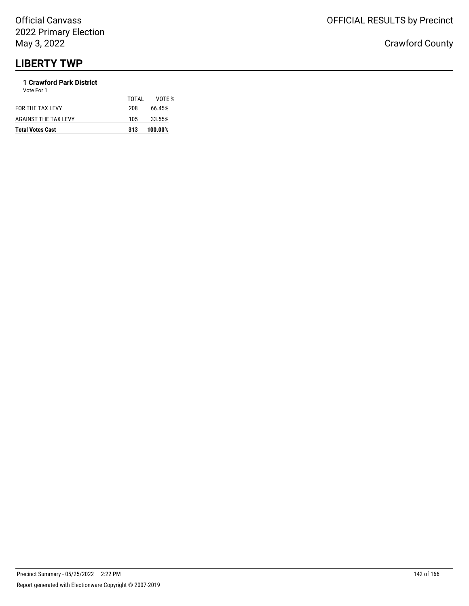## **1 Crawford Park District**

| <b>Total Votes Cast</b> | 313   | 100.00% |
|-------------------------|-------|---------|
| AGAINST THE TAX LEVY    | 105.  | 33.55%  |
| FOR THE TAX LEVY        | 208   | 66.45%  |
| Vote For 1              | TOTAL | VOTF %  |
|                         |       |         |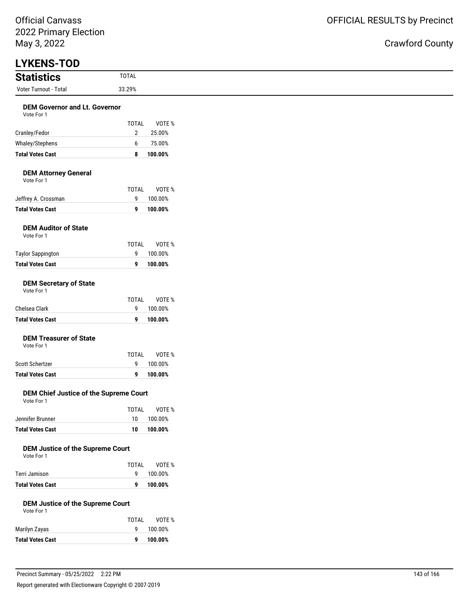## Crawford County

| <b>LYKENS-TOD</b><br><b>Statistics</b><br>Voter Turnout - Total | <b>TOTAL</b>                            |
|-----------------------------------------------------------------|-----------------------------------------|
|                                                                 |                                         |
|                                                                 | 33.29%                                  |
|                                                                 |                                         |
| <b>DEM Governor and Lt. Governor</b><br>Vote For 1              |                                         |
|                                                                 | <b>TOTAL</b><br>VOTE %                  |
| Cranley/Fedor                                                   | $\overline{2}$<br>25.00%                |
| Whaley/Stephens                                                 | 75.00%<br>6                             |
| <b>Total Votes Cast</b>                                         | 8<br>100.00%                            |
| <b>DEM Attorney General</b><br>Vote For 1                       |                                         |
|                                                                 | TOTAL<br>VOTE %                         |
| Jeffrey A. Crossman                                             | 9<br>100.00%                            |
| <b>Total Votes Cast</b>                                         | 100.00%<br>9                            |
| <b>DEM Auditor of State</b><br>Vote For 1                       |                                         |
|                                                                 | TOTAL<br>VOTE %                         |
| <b>Taylor Sappington</b><br><b>Total Votes Cast</b>             | 9<br>100.00%<br>100.00%<br>9            |
| Vote For 1<br>Chelsea Clark                                     | TOTAL<br>VOTE %<br>9<br>100.00%         |
| <b>Total Votes Cast</b>                                         | 100.00%<br>9                            |
| <b>DEM Treasurer of State</b><br>Vote For 1                     | <b>TOTAL</b><br>VOTE %                  |
| Scott Schertzer                                                 | 100.00%<br>9                            |
| <b>Total Votes Cast</b>                                         | 100.00%<br>9                            |
| DEM Chief Justice of the Supreme Court<br>Vote For 1            |                                         |
|                                                                 | VOTE %<br><b>TOTAL</b><br>100.00%<br>10 |
| Jennifer Brunner                                                |                                         |

**Total Votes Cast 9 100.00%**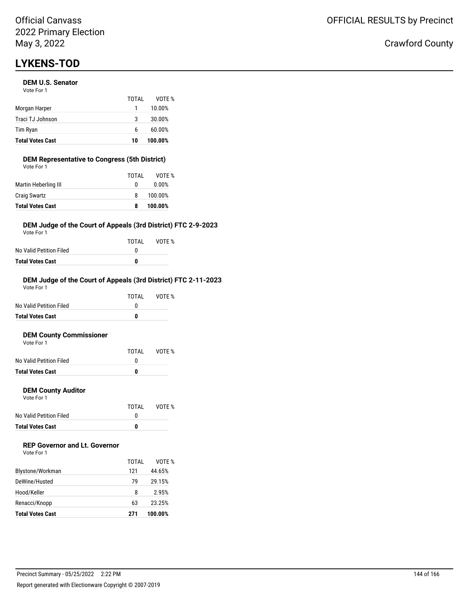## **LYKENS-TOD**

## **DEM U.S. Senator**

| <b>Total Votes Cast</b> | 10    | 100.00% |
|-------------------------|-------|---------|
| Tim Ryan                | 6     | 60.00%  |
| Traci TJ Johnson        | 3     | 30.00%  |
| Morgan Harper           | 1     | 10.00%  |
|                         | TOTAI | VOTF %  |
| Vote For 1              |       |         |

## **DEM Representative to Congress (5th District)**

| <b>Total Votes Cast</b> | 8     | 100.00% |
|-------------------------|-------|---------|
| <b>Craig Swartz</b>     | 8     | 100.00% |
| Martin Heberling III    | 0     | 0.00%   |
|                         | TOTAL | VOTE %  |
| Vote For 1              |       |         |

## **DEM Judge of the Court of Appeals (3rd District) FTC 2-9-2023**

Vote For 1

| TOTAL | VOTE % |
|-------|--------|
| n     |        |
| n     |        |
|       |        |

#### **DEM Judge of the Court of Appeals (3rd District) FTC 2-11-2023** Vote For 1

|                         | TOTAL | VOTE % |
|-------------------------|-------|--------|
| No Valid Petition Filed | O     |        |
| <b>Total Votes Cast</b> |       |        |
|                         |       |        |

#### **DEM County Commissioner**  $V$ ote

| <b>Total Votes Cast</b> | o     |        |
|-------------------------|-------|--------|
| No Valid Petition Filed |       |        |
|                         | TOTAL | VOTE % |
| VOLE FOI T              |       |        |

## **DEM County Auditor**

Vote For 1

|                         | TOTAL | VOTE % |
|-------------------------|-------|--------|
| No Valid Petition Filed |       |        |
| <b>Total Votes Cast</b> | o     |        |

## **REP Governor and Lt. Governor**

| Vote For 1 |  |
|------------|--|
|------------|--|

|                         | TOTAL | VOTF %  |
|-------------------------|-------|---------|
| Blystone/Workman        | 121   | 44.65%  |
| DeWine/Husted           | 79    | 29.15%  |
| Hood/Keller             | 8     | 2.95%   |
| Renacci/Knopp           | 63    | 23.25%  |
| <b>Total Votes Cast</b> | 271   | 100.00% |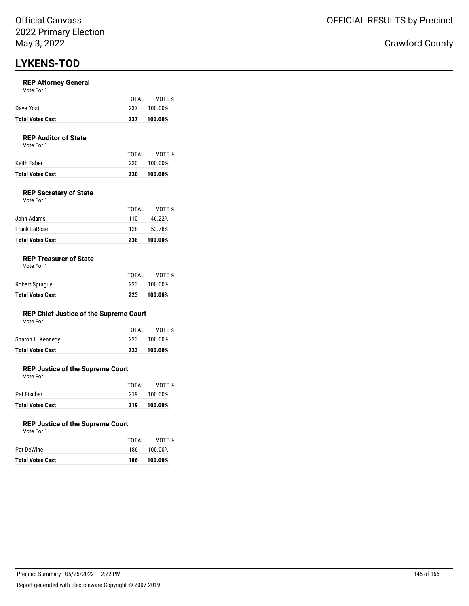# **LYKENS-TOD**

### **REP Attorney General**

| Vote For 1 |  |  |
|------------|--|--|
|------------|--|--|

| Dave Yost               | TOTAI<br>237 | VOTE %<br>100.00% |
|-------------------------|--------------|-------------------|
| <b>Total Votes Cast</b> | 237          | 100.00%           |

# **REP Auditor of State**

Vote For 1

| Keith Faber      | 220. | 100.00% |
|------------------|------|---------|
| Total Votes Cast | 220  | 100.00% |

# **REP Secretary of State**

| <b>Total Votes Cast</b> | 238   | 100.00% |
|-------------------------|-------|---------|
| Frank LaRose            | 128   | 53.78%  |
| John Adams              | 110   | 46.22%  |
|                         | TOTAL | VOTE %  |
| Vote For 1              |       |         |

### **REP Treasurer of State**

Vote For 1

|                         | TOTAL | VOTE %  |
|-------------------------|-------|---------|
| Robert Sprague          | 223   | 100.00% |
| <b>Total Votes Cast</b> | 223   | 100.00% |

# **REP Chief Justice of the Supreme Court**

|  |  | Vote For 1 |  |  |
|--|--|------------|--|--|
|  |  |            |  |  |

| Total Votes Cast  | 223   | 100.00%     |
|-------------------|-------|-------------|
| Sharon L. Kennedy |       | 223 100.00% |
|                   | TOTAL | VOTE %      |

# **REP Justice of the Supreme Court**

Vote For 1

|                         | TOTAL | VOTE %  |
|-------------------------|-------|---------|
| Pat Fischer             | 219   | 100.00% |
| <b>Total Votes Cast</b> | 219   | 100.00% |

### **REP Justice of the Supreme Court**

Vote For 1

|                         | TOTAL | VOTE %      |
|-------------------------|-------|-------------|
| Pat DeWine              |       | 186 100.00% |
| <b>Total Votes Cast</b> | 186   | 100.00%     |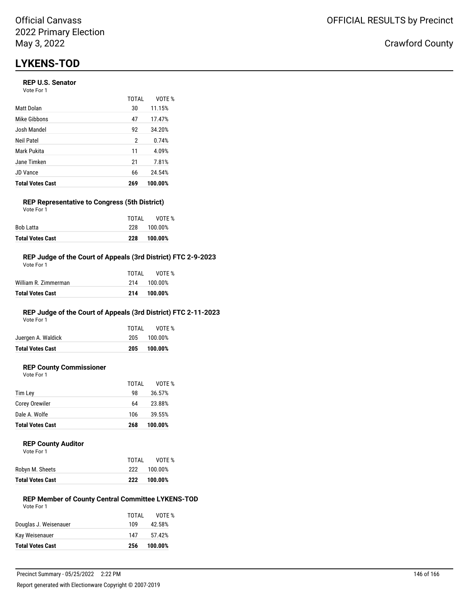# **LYKENS-TOD**

# **REP U.S. Senator**

| Vote For 1 |  |
|------------|--|
|------------|--|

|                         | TOTAL | VOTF %  |
|-------------------------|-------|---------|
| Matt Dolan              | 30    | 11.15%  |
| Mike Gibbons            | 47    | 17.47%  |
| Josh Mandel             | 92    | 34.20%  |
| Neil Patel              | 2     | 0.74%   |
| Mark Pukita             | 11    | 4.09%   |
| Jane Timken             | 21    | 7.81%   |
| <b>JD</b> Vance         | 66    | 24.54%  |
| <b>Total Votes Cast</b> | 269   | 100.00% |

#### **REP Representative to Congress (5th District)** Vote For 1

| <b>Total Votes Cast</b> | 228   | 100.00% |
|-------------------------|-------|---------|
| Bob Latta               | 228   | 100.00% |
|                         | TOTAI | VOTE %  |

## **REP Judge of the Court of Appeals (3rd District) FTC 2-9-2023**

| Total Votes Cast     | 214   | 100.00% |
|----------------------|-------|---------|
| William R. Zimmerman | 214   | 100.00% |
|                      | TOTAL | VOTF %  |
| Vote For 1           |       |         |

# **REP Judge of the Court of Appeals (3rd District) FTC 2-11-2023**

Vote For 1

| <b>Total Votes Cast</b> | 205   | 100.00%     |
|-------------------------|-------|-------------|
| Juergen A. Waldick      |       | 205 100.00% |
|                         | TOTAI | VOTE %      |

# **REP County Commissioner**

Vote For 1

|                         | TOTAL | VOTE %  |
|-------------------------|-------|---------|
| Tim Ley                 | 98    | 36.57%  |
| Corey Orewiler          | 64    | 23.88%  |
| Dale A. Wolfe           | 106   | 39.55%  |
| <b>Total Votes Cast</b> | 268   | 100.00% |
|                         |       |         |

#### **REP County Auditor**

| Vote For 1 |  |  |
|------------|--|--|
|            |  |  |

|                  | TOTAL | VOTF %  |
|------------------|-------|---------|
| Robyn M. Sheets  | 222   | 100.00% |
| Total Votes Cast | 222   | 100.00% |

#### **REP Member of County Central Committee LYKENS-TOD** Vote For 1

|                         | TOTAL | VOTE %  |
|-------------------------|-------|---------|
| Douglas J. Weisenauer   | 109   | 42.58%  |
| Kay Weisenauer          | 147   | 57.42%  |
| <b>Total Votes Cast</b> | 256   | 100.00% |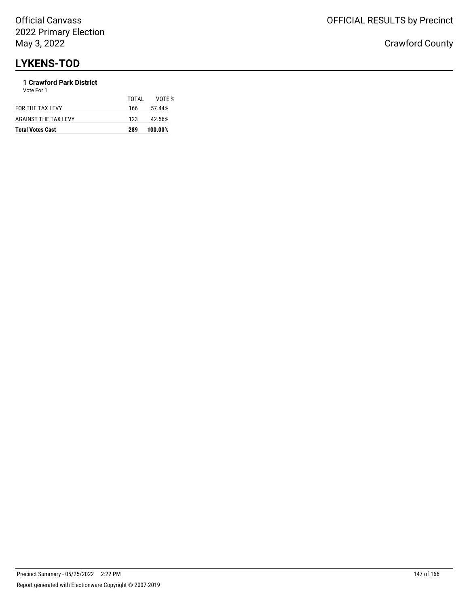# **LYKENS-TOD**

# **1 Crawford Park District**

| <b>Total Votes Cast</b> | 289   | 100.00% |
|-------------------------|-------|---------|
| AGAINST THE TAX LEVY    | 123   | 42.56%  |
| FOR THE TAX LEVY        | 166   | 57.44%  |
| Vote For 1              | TOTAL | VOTF %  |
|                         |       |         |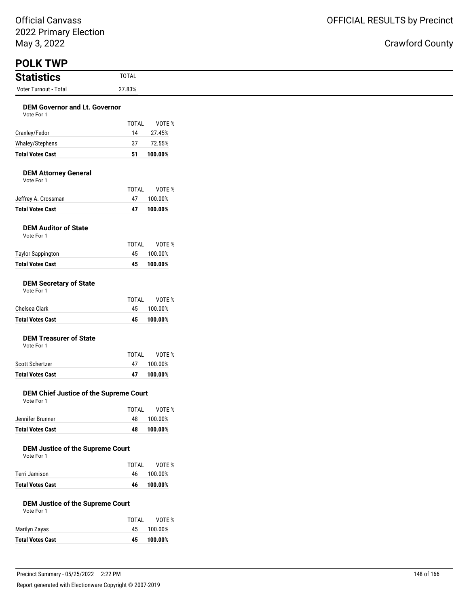Official Canvass 2022 Primary Election May 3, 2022

| May 3, 2022                                           |                    |                    |
|-------------------------------------------------------|--------------------|--------------------|
| <b>POLK TWP</b>                                       | <b>TOTAL</b>       |                    |
| <b>Statistics</b><br>Voter Turnout - Total            | 27.83%             |                    |
|                                                       |                    |                    |
| <b>DEM Governor and Lt. Governor</b><br>Vote For 1    |                    |                    |
|                                                       | <b>TOTAL</b>       | VOTE %             |
| Cranley/Fedor                                         | 14                 | 27.45%             |
| Whaley/Stephens                                       | 37                 | 72.55%             |
| <b>Total Votes Cast</b>                               | 51                 | 100.00%            |
| <b>DEM Attorney General</b><br>Vote For 1             |                    |                    |
|                                                       | <b>TOTAL</b>       | VOTE %             |
| Jeffrey A. Crossman<br><b>Total Votes Cast</b>        | 47<br>47           | 100.00%<br>100.00% |
|                                                       |                    |                    |
| <b>DEM Auditor of State</b><br>Vote For 1             |                    |                    |
|                                                       | <b>TOTAL</b>       | VOTE %             |
| <b>Taylor Sappington</b><br><b>Total Votes Cast</b>   | 45<br>45           | 100.00%<br>100.00% |
| <b>DEM Secretary of State</b>                         |                    |                    |
| Vote For 1                                            |                    |                    |
|                                                       | <b>TOTAL</b>       | VOTE %             |
| Chelsea Clark<br><b>Total Votes Cast</b>              | 45<br>45           | 100.00%            |
|                                                       |                    | 100.00%            |
| <b>DEM Treasurer of State</b><br>Vote For 1           |                    |                    |
|                                                       | <b>TOTAL</b>       | VOTE %             |
| Scott Schertzer<br><b>Total Votes Cast</b>            | 47                 | 100.00%            |
|                                                       | 47                 | 100.00%            |
| DEM Chief Justice of the Supreme Court<br>Vote For 1  |                    |                    |
|                                                       | <b>TOTAL</b>       | VOTE %             |
| Jennifer Brunner                                      | 48                 | 100.00%            |
| <b>Total Votes Cast</b>                               | 48                 | 100.00%            |
| <b>DEM Justice of the Supreme Court</b><br>Vote For 1 |                    |                    |
| Terri Jamison                                         | <b>TOTAL</b><br>46 | VOTE %<br>100.00%  |
| <b>Total Votes Cast</b>                               | 46                 | 100.00%            |
| <b>DEM Justice of the Supreme Court</b><br>Vote For 1 |                    |                    |
|                                                       | <b>TOTAL</b>       | VOTE %             |
| Marilyn Zayas                                         | 45                 | 100.00%            |
| <b>Total Votes Cast</b>                               | 45                 | 100.00%            |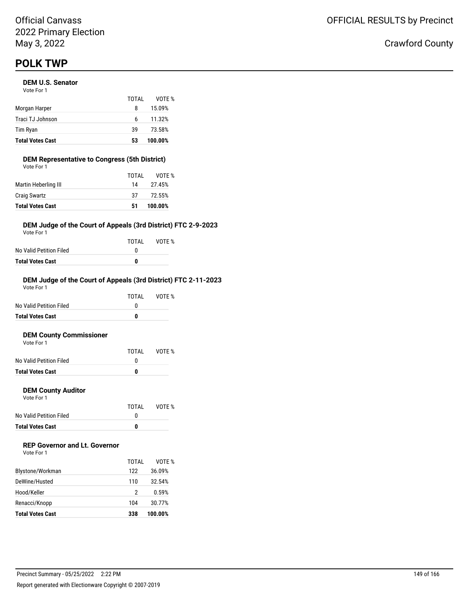# **DEM U.S. Senator**

| <b>Total Votes Cast</b> | 53    | 100.00% |
|-------------------------|-------|---------|
| Tim Ryan                | 39    | 73.58%  |
| Traci TJ Johnson        | 6     | 11.32%  |
| Morgan Harper           | 8     | 15.09%  |
|                         | TOTAI | VOTF %  |
| Vote For 1              |       |         |

#### **DEM Representative to Congress (5th District)** Vote For 1

| <b>Total Votes Cast</b> | 51    | 100.00% |
|-------------------------|-------|---------|
| <b>Craig Swartz</b>     | 37    | 72.55%  |
| Martin Heberling III    | 14    | 27.45%  |
|                         | TOTAL | VOTE %  |
| VULE FUI I              |       |         |

# **DEM Judge of the Court of Appeals (3rd District) FTC 2-9-2023**

Vote For 1

|                         | TOTAI | VOTE % |
|-------------------------|-------|--------|
| No Valid Petition Filed | n     |        |
| Total Votes Cast        | 0     |        |

# **DEM Judge of the Court of Appeals (3rd District) FTC 2-11-2023**

| <b>Total Votes Cast</b> | 0     |        |
|-------------------------|-------|--------|
| No Valid Petition Filed | O     |        |
|                         | TOTAI | VOTF % |
| Vote For 1              |       |        |

#### **DEM County Commissioner**  $V$ ote

| <b>Total Votes Cast</b> | 0     |        |
|-------------------------|-------|--------|
| No Valid Petition Filed |       |        |
|                         | TOTAL | VOTE % |
| VOLE FOI T              |       |        |

# **DEM County Auditor**

Vote For 1

|                         | TOTAL | VOTE % |
|-------------------------|-------|--------|
| No Valid Petition Filed |       |        |
| <b>Total Votes Cast</b> | o     |        |

# **REP Governor and Lt. Governor**

| Vote For 1 |  |
|------------|--|
|------------|--|

| <b>Total Votes Cast</b> | 338          | 100.00% |
|-------------------------|--------------|---------|
| Renacci/Knopp           | 104          | 30.77%  |
| Hood/Keller             | 2            | 0.59%   |
| DeWine/Husted           | 110          | 32.54%  |
| Blystone/Workman        | TOTAL<br>122 | 36.09%  |
|                         |              | VOTF %  |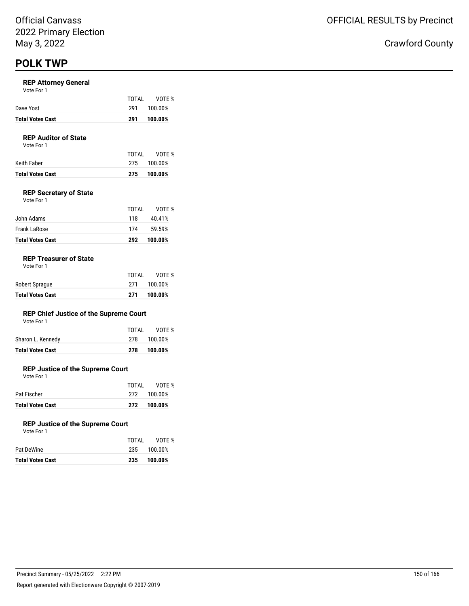### **REP Attorney General**

|                         | TOTAI | VOTE %  |
|-------------------------|-------|---------|
| Dave Yost               | 291   | 100.00% |
| <b>Total Votes Cast</b> | 291   | 100.00% |

# **REP Auditor of State**

Vote For 1

| Total Votes Cast |       | 275 100.00% |
|------------------|-------|-------------|
| Keith Faber      |       | 275 100.00% |
|                  | TOTAI | VOTE %      |

# **REP Secretary of State**

| <b>Total Votes Cast</b> | 292   | 100.00% |
|-------------------------|-------|---------|
| Frank LaRose            | 174   | 59.59%  |
| John Adams              | 118   | 40.41%  |
|                         | TOTAL | VOTE %  |
| Vote For 1              |       |         |

### **REP Treasurer of State**

Vote For 1

| Robert Sprague          | TOTAL<br>271 | VOTE %<br>100.00% |
|-------------------------|--------------|-------------------|
| <b>Total Votes Cast</b> | 271          | 100.00%           |

# **REP Chief Justice of the Supreme Court**

Vote For 1

| Total Votes Cast  | 278   | 100.00%     |
|-------------------|-------|-------------|
| Sharon L. Kennedy |       | 278 100.00% |
|                   | TOTAI | VOTE %      |

# **REP Justice of the Supreme Court**

Vote For 1

|                         | TOTAI | VOTE %      |
|-------------------------|-------|-------------|
| Pat Fischer             |       | 272 100.00% |
| <b>Total Votes Cast</b> | 272   | 100.00%     |

### **REP Justice of the Supreme Court**

| Vote For 1 |  |
|------------|--|
|            |  |

| TOTAI | VOTE %      |
|-------|-------------|
|       | 235 100.00% |
| 235   | 100.00%     |
|       |             |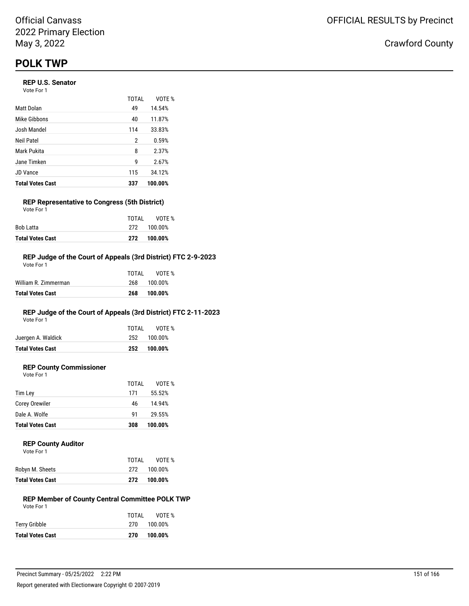# **REP U.S. Senator**

Vote For 1

|                         | <b>TOTAL</b> | VOTE %  |
|-------------------------|--------------|---------|
| Matt Dolan              | 49           | 14.54%  |
| Mike Gibbons            | 40           | 11.87%  |
| Josh Mandel             | 114          | 33.83%  |
| Neil Patel              | 2            | 0.59%   |
| Mark Pukita             | 8            | 2.37%   |
| Jane Timken             | g            | 2.67%   |
| JD Vance                | 115          | 34.12%  |
| <b>Total Votes Cast</b> | 337          | 100.00% |

# **REP Representative to Congress (5th District)**

| <b>Total Votes Cast</b> |       | 272 100.00% |
|-------------------------|-------|-------------|
| Bob Latta               |       | 272 100.00% |
|                         | TOTAI | VOTE %      |
| Vote For 1              |       |             |

# **REP Judge of the Court of Appeals (3rd District) FTC 2-9-2023**

| <b>Total Votes Cast</b> | 268   | 100.00% |
|-------------------------|-------|---------|
| William R. Zimmerman    | 268   | 100.00% |
|                         | TOTAL | VOTF %  |
| Vote For 1              |       |         |

# **REP Judge of the Court of Appeals (3rd District) FTC 2-11-2023**

Vote For 1

| <b>Total Votes Cast</b> |       | 252 100.00% |
|-------------------------|-------|-------------|
| Juergen A. Waldick      |       | 252 100.00% |
|                         | TOTAI | VOTE %      |

# **REP County Commissioner**

Vote For 1

|                         | TOTAL | VOTE %  |
|-------------------------|-------|---------|
| Tim Lev                 | 171   | 55.52%  |
| <b>Corey Orewiler</b>   | 46    | 14.94%  |
| Dale A. Wolfe           | 91    | 29.55%  |
| <b>Total Votes Cast</b> | 308   | 100.00% |

# **REP County Auditor**

| Vote For 1      |       |             |
|-----------------|-------|-------------|
|                 | TOTAI | VOTE %      |
| Robyn M. Sheets |       | 272 100.00% |

| Robyn M. Sheets  | 272 | 100.00%     |
|------------------|-----|-------------|
| Total Votes Cast |     | 272 100.00% |

#### **REP Member of County Central Committee POLK TWP** Vote For 1

| TOTAL | VOTE %      |
|-------|-------------|
|       | 270 100.00% |
| 270   | 100.00%     |
|       |             |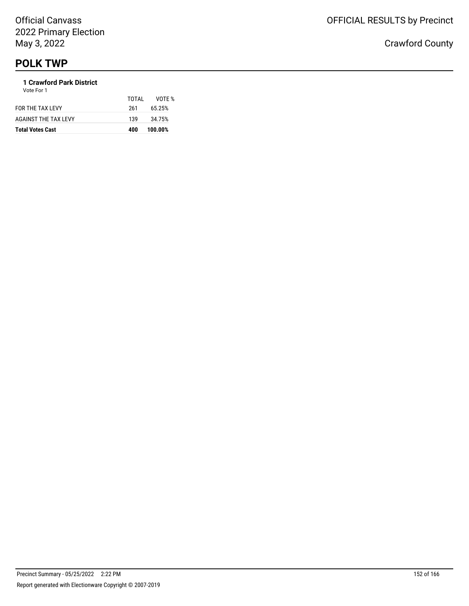#### **1 Crawford Park District** Vote For 1

| <b>Total Votes Cast</b>     | 400   | 100.00% |
|-----------------------------|-------|---------|
| <b>AGAINST THE TAX LEVY</b> | 139   | 34.75%  |
| FOR THE TAX LEVY            | 261   | 65.25%  |
|                             | TOTAL | VOTF %  |
| <b>VULLET UIT</b>           |       |         |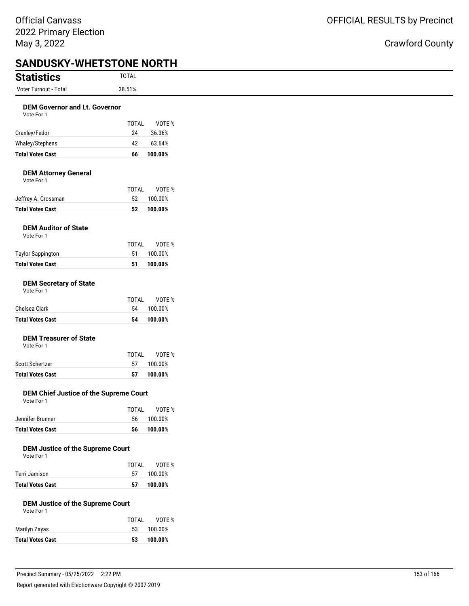| <b>Statistics</b>                                     | <b>TOTAL</b>       |                    |
|-------------------------------------------------------|--------------------|--------------------|
| Voter Turnout - Total                                 | 38.51%             |                    |
| <b>DEM Governor and Lt. Governor</b><br>Vote For 1    |                    |                    |
| Cranley/Fedor                                         | <b>TOTAL</b><br>24 | VOTE %<br>36.36%   |
| Whaley/Stephens                                       | 42                 | 63.64%             |
| <b>Total Votes Cast</b>                               | 66                 | 100.00%            |
| <b>DEM Attorney General</b><br>Vote For 1             |                    |                    |
| Jeffrey A. Crossman                                   | TOTAL<br>52        | VOTE %<br>100.00%  |
| <b>Total Votes Cast</b>                               | 52                 | 100.00%            |
| <b>DEM Auditor of State</b><br>Vote For 1             | TOTAL              | VOTE %             |
| <b>Taylor Sappington</b>                              | 51                 | 100.00%            |
| <b>Total Votes Cast</b>                               | 51                 | 100.00%            |
| <b>DEM Secretary of State</b><br>Vote For 1           | TOTAL              | VOTE %             |
| Chelsea Clark                                         | 54                 | 100.00%            |
| <b>Total Votes Cast</b>                               | 54                 | 100.00%            |
| <b>DEM Treasurer of State</b><br>Vote For 1           |                    |                    |
| Scott Schertzer                                       | <b>TOTAL</b><br>57 | VOTE %<br>100.00%  |
| <b>Total Votes Cast</b>                               | 57                 | 100.00%            |
| DEM Chief Justice of the Supreme Court<br>Vote For 1  | <b>TOTAL</b>       | VOTE %             |
| Jennifer Brunner                                      | 56                 | 100.00%            |
| <b>Total Votes Cast</b>                               | 56                 | 100.00%            |
| <b>DEM Justice of the Supreme Court</b><br>Vote For 1 | <b>TOTAL</b>       | VOTE %             |
| Terri Jamison                                         | 57                 | 100.00%            |
| <b>Total Votes Cast</b>                               | 57                 | 100.00%            |
| <b>DEM Justice of the Supreme Court</b><br>Vote For 1 |                    |                    |
|                                                       | <b>TOTAL</b>       | VOTE %             |
| Marilyn Zayas                                         | 53                 | 100.00%<br>100.00% |
|                                                       |                    |                    |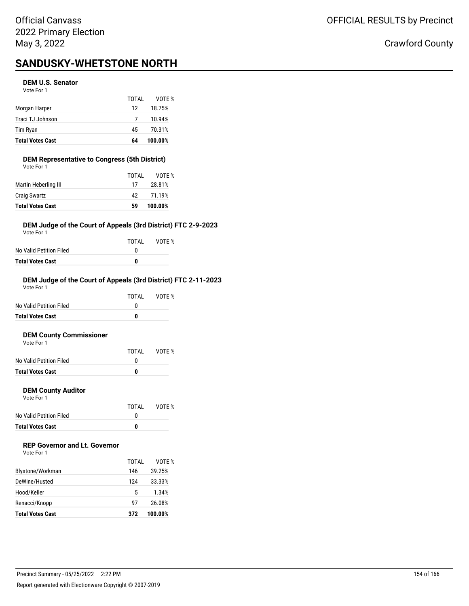# **SANDUSKY-WHETSTONE NORTH**

### **DEM U.S. Senator**

Vote For 1

|                         | TOTAL | VOTE %  |
|-------------------------|-------|---------|
| Morgan Harper           | 12    | 18.75%  |
| Traci TJ Johnson        | 7     | 10.94%  |
| Tim Ryan                | 45    | 70.31%  |
| <b>Total Votes Cast</b> | 64    | 100.00% |

# **DEM Representative to Congress (5th District)**

| <b>Total Votes Cast</b> | 59    | 100.00% |
|-------------------------|-------|---------|
| <b>Craig Swartz</b>     | 42    | 71.19%  |
| Martin Heberling III    | 17    | 28.81%  |
|                         | TOTAL | VOTE %  |
| Vote For 1              |       |         |

# **DEM Judge of the Court of Appeals (3rd District) FTC 2-9-2023**

Vote For 1

|                         | TOTAL | VOTE % |
|-------------------------|-------|--------|
| No Valid Petition Filed |       |        |
| Total Votes Cast        | n     |        |

# **DEM Judge of the Court of Appeals (3rd District) FTC 2-11-2023**

| Total Votes Cast        | 0     |        |
|-------------------------|-------|--------|
| No Valid Petition Filed | O     |        |
|                         | TOTAI | VOTF % |
| Vote For 1              |       |        |

### **DEM County Commissioner**

| Vote For 1              |       |        |
|-------------------------|-------|--------|
|                         | TOTAI | VOTE % |
| No Valid Petition Filed |       |        |
|                         |       |        |

**Total Votes Cast 0**

# **DEM County Auditor**

Vote For 1

|                         | TOTAL | VOTE % |
|-------------------------|-------|--------|
| No Valid Petition Filed |       |        |
| Total Votes Cast        | n     |        |

# **REP Governor and Lt. Governor**

Vote For 1

|                         | TOTAL | VOTE %  |
|-------------------------|-------|---------|
| Blystone/Workman        | 146   | 39.25%  |
| DeWine/Husted           | 124   | 33.33%  |
| Hood/Keller             | 5     | 1.34%   |
| Renacci/Knopp           | 97    | 26.08%  |
| <b>Total Votes Cast</b> | 372   | 100.00% |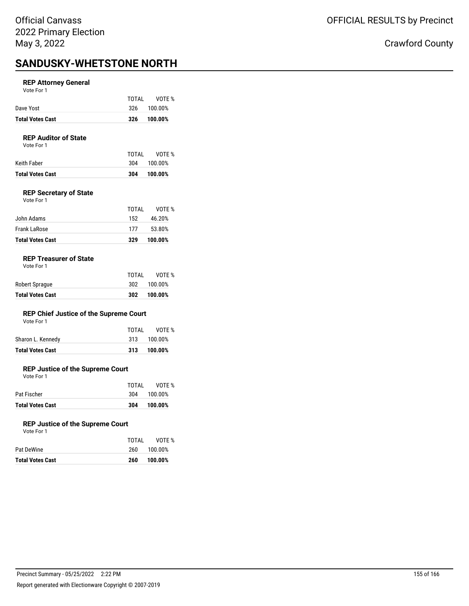# **SANDUSKY-WHETSTONE NORTH**

# **REP Attorney General**

Vote For 1

| Total Votes Cast | 326   | 100.00%     |
|------------------|-------|-------------|
| Dave Yost        |       | 326 100.00% |
|                  | TOTAI | VOTE %      |

### **REP Auditor of State**

Vote For 1

| Keith Faber      |     | 304 100.00% |
|------------------|-----|-------------|
| Total Votes Cast | 304 | 100.00%     |

# **REP Secretary of State**

| <b>Total Votes Cast</b> | 329   | 100.00% |
|-------------------------|-------|---------|
| Frank LaRose            | 177   | 53.80%  |
| John Adams              | 152   | 46.20%  |
|                         | TOTAL | VOTF %  |
| Vote For 1              |       |         |

### **REP Treasurer of State**

Vote For 1

| <b>Total Votes Cast</b> | 302   | 100.00%     |
|-------------------------|-------|-------------|
| Robert Sprague          |       | 302 100.00% |
|                         | TOTAI | VOTE %      |

# **REP Chief Justice of the Supreme Court**

Vote For 1

| Sharon L. Kennedy       | 313 100.00% |
|-------------------------|-------------|
| <b>Total Votes Cast</b> | 313 100.00% |

# **REP Justice of the Supreme Court**

Vote For 1

| <b>Total Votes Cast</b> | 304   | 100.00%     |
|-------------------------|-------|-------------|
| Pat Fischer             |       | 304 100.00% |
|                         | TOTAL | VOTE %      |

### **REP Justice of the Supreme Court**

| Vote For 1 |  |  |
|------------|--|--|
|            |  |  |
|            |  |  |

| Pat DeWine       | 260 | 100.00% |
|------------------|-----|---------|
| Total Votes Cast | 260 | 100.00% |

TOTAL VOTE %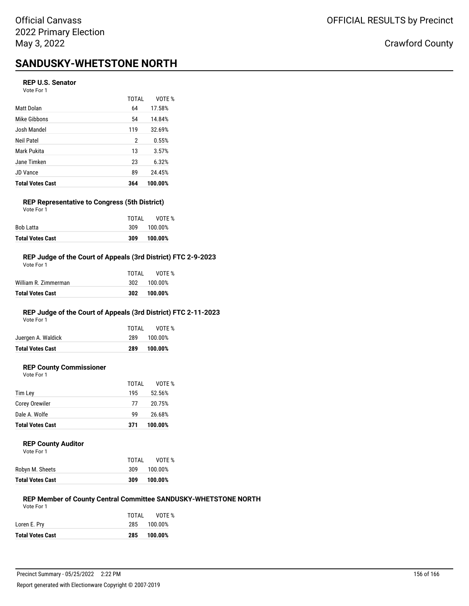# **SANDUSKY-WHETSTONE NORTH**

# **REP U.S. Senator**

Vote For 1

|                         | TOTAL | VOTF %  |
|-------------------------|-------|---------|
| Matt Dolan              | 64    | 17.58%  |
| Mike Gibbons            | 54    | 14.84%  |
| Josh Mandel             | 119   | 32.69%  |
| Neil Patel              | 2     | 0.55%   |
| Mark Pukita             | 13    | 3.57%   |
| Jane Timken             | 23    | 6.32%   |
| <b>JD Vance</b>         | 89    | 24.45%  |
| <b>Total Votes Cast</b> | 364   | 100.00% |

# **REP Representative to Congress (5th District)**

| <b>Total Votes Cast</b> | 309   | 100.00% |
|-------------------------|-------|---------|
| Bob Latta               | 309   | 100.00% |
|                         | TOTAI | VOTF %  |
| Vote For 1              |       |         |

## **REP Judge of the Court of Appeals (3rd District) FTC 2-9-2023**

| Total Votes Cast     | 302   | 100.00% |
|----------------------|-------|---------|
| William R. Zimmerman | 302   | 100.00% |
|                      | TOTAL | VOTF %  |
| Vote For 1           |       |         |

# **REP Judge of the Court of Appeals (3rd District) FTC 2-11-2023**

Vote For 1

| Juergen A. Waldick      | TOTAI<br>289 | VOTE %<br>100.00% |
|-------------------------|--------------|-------------------|
| <b>Total Votes Cast</b> | 289          | 100.00%           |

# **REP County Commissioner**

Vote For 1 TOTAL VOTE % Tim Ley 195 52.56% Corey Orewiler 20.75%

| Dale A. Wolfe           | ۹Q  | 26.68%  |
|-------------------------|-----|---------|
| <b>Total Votes Cast</b> | 371 | 100.00% |

#### **REP County Auditor**

| Vote For 1 |  |
|------------|--|
|------------|--|

| TOTAL | VOTE %  |
|-------|---------|
| 309   | 100.00% |
| 309   | 100.00% |
|       |         |

#### **REP Member of County Central Committee SANDUSKY-WHETSTONE NORTH** Vote For 1

|                         | TOTAI | VOTE %      |
|-------------------------|-------|-------------|
| Loren E. Pry            |       | 285 100.00% |
| <b>Total Votes Cast</b> | 285   | 100.00%     |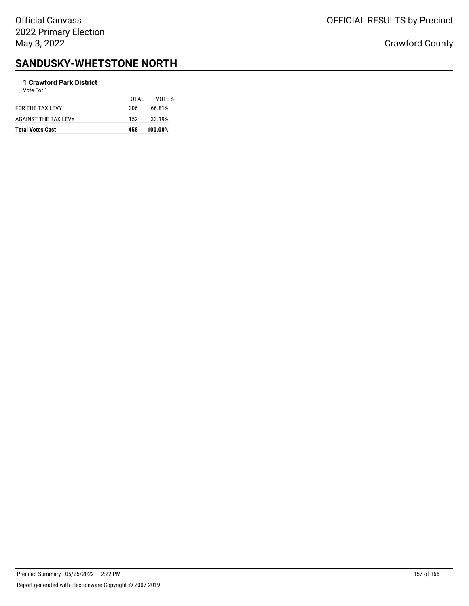# OFFICIAL RESULTS by Precinct

Crawford County

# **SANDUSKY-WHETSTONE NORTH**

# **1 Crawford Park District**

| <b>Total Votes Cast</b> | 458   | 100.00% |
|-------------------------|-------|---------|
| AGAINST THE TAX LEVY    | 152   | 33.19%  |
| FOR THE TAX LEVY        | 306   | 66.81%  |
| Vote For 1              | TOTAL | VOTF %  |
|                         |       |         |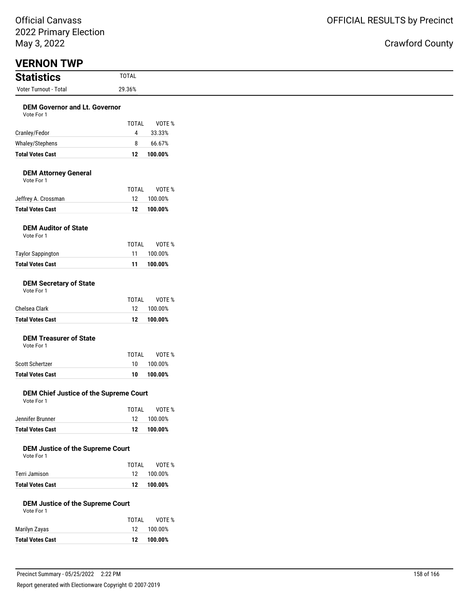| May 3, 2022                                           |                |                   |
|-------------------------------------------------------|----------------|-------------------|
| <b>VERNON TWP</b>                                     |                |                   |
| <b>Statistics</b>                                     | <b>TOTAL</b>   |                   |
| Voter Turnout - Total                                 | 29.36%         |                   |
| <b>DEM Governor and Lt. Governor</b>                  |                |                   |
| Vote For 1                                            | <b>TOTAL</b>   | VOTE %            |
| Cranley/Fedor                                         | $\overline{4}$ | 33.33%            |
| Whaley/Stephens                                       | 8              | 66.67%            |
| <b>Total Votes Cast</b>                               | 12             | 100.00%           |
| <b>DEM Attorney General</b><br>Vote For 1             |                |                   |
|                                                       | <b>TOTAL</b>   | VOTE %            |
| Jeffrey A. Crossman                                   | 12             | 100.00%           |
| <b>Total Votes Cast</b>                               | 12             | 100.00%           |
| <b>DEM Auditor of State</b><br>Vote For 1             |                |                   |
|                                                       | TOTAL          | VOTE %            |
| <b>Taylor Sappington</b>                              | 11             | 100.00%           |
| <b>Total Votes Cast</b>                               | 11             | 100.00%           |
| <b>DEM Secretary of State</b><br>Vote For 1           |                |                   |
| Chelsea Clark                                         | TOTAL<br>12    | VOTE %<br>100.00% |
| <b>Total Votes Cast</b>                               | 12             | 100.00%           |
| <b>DEM Treasurer of State</b><br>Vote For 1           | <b>TOTAL</b>   | VOTE %            |
| Scott Schertzer                                       | 10             | 100.00%           |
| <b>Total Votes Cast</b>                               | 10             | 100.00%           |
| DEM Chief Justice of the Supreme Court<br>Vote For 1  |                |                   |
|                                                       | TOTAL          | VOTE %            |
| Jennifer Brunner                                      | 12             | 100.00%           |
| <b>Total Votes Cast</b>                               | 12             | 100.00%           |
| <b>DEM Justice of the Supreme Court</b><br>Vote For 1 | TOTAL          | VOTE %            |
| Terri Jamison                                         | 12             | 100.00%           |
| <b>Total Votes Cast</b>                               | 12             | 100.00%           |
| <b>DEM Justice of the Supreme Court</b><br>Vote For 1 |                |                   |
|                                                       | TOTAL          | VOTE %            |
| Marilyn Zayas                                         | 12             | 100.00%           |
| <b>Total Votes Cast</b>                               | 12             | 100.00%           |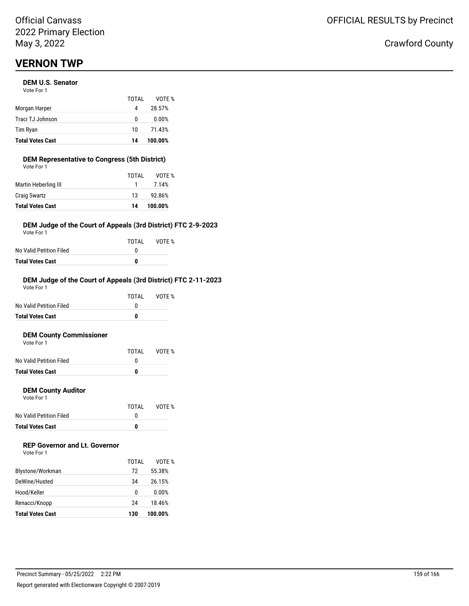# **VERNON TWP**

# **DEM U.S. Senator**

| <b>Total Votes Cast</b> | 14    | 100.00% |
|-------------------------|-------|---------|
| Tim Ryan                | 10    | 71.43%  |
| Traci TJ Johnson        | 0     | 0.00%   |
| Morgan Harper           | 4     | 28.57%  |
|                         | TOTAI | VOTE %  |
| Vote For 1              |       |         |

#### **DEM Representative to Congress (5th District)** Vote For 1

| <b>Total Votes Cast</b> | 14    | 100.00% |
|-------------------------|-------|---------|
| <b>Craig Swartz</b>     | 13    | 92.86%  |
| Martin Heberling III    | 1.    | 7.14%   |
|                         | TOTAL | VOTE %  |
| VULE FUI I              |       |         |

# **DEM Judge of the Court of Appeals (3rd District) FTC 2-9-2023**

Vote For 1

|                         | TOTAI | VOTE % |
|-------------------------|-------|--------|
| No Valid Petition Filed |       |        |
| <b>Total Votes Cast</b> |       |        |

# **DEM Judge of the Court of Appeals (3rd District) FTC 2-11-2023**

| <b>Total Votes Cast</b> |       |        |
|-------------------------|-------|--------|
| No Valid Petition Filed |       |        |
|                         | TOTAI | VOTF % |
| Vote For 1              |       |        |

# **DEM County Commissioner**

| <b>Total Votes Cast</b> |       |        |
|-------------------------|-------|--------|
| No Valid Petition Filed |       |        |
|                         | TOTAI | VOTE % |
| Vote For 1              |       |        |

# **DEM County Auditor**

Vote For 1

|                         | TOTAL | VOTE % |
|-------------------------|-------|--------|
| No Valid Petition Filed |       |        |
| Total Votes Cast        | n     |        |

# **REP Governor and Lt. Governor**

| Vote For 1 |  |
|------------|--|
|------------|--|

|                         | TOTAI | VOTF %  |
|-------------------------|-------|---------|
| Blystone/Workman        | 72    | 55.38%  |
| DeWine/Husted           | 34    | 26.15%  |
| Hood/Keller             | 0     | 0.00%   |
| Renacci/Knopp           | 24    | 18.46%  |
| <b>Total Votes Cast</b> | 130   | 100.00% |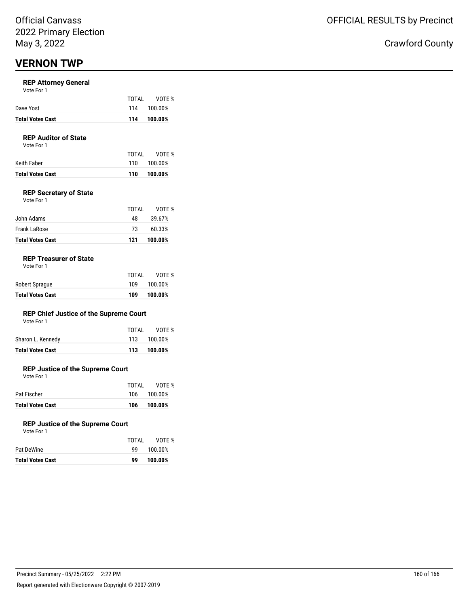# **VERNON TWP**

# **REP Attorney General**

| Vote For 1 |  |
|------------|--|
|------------|--|

|                         | TOTAL | VOTE %      |
|-------------------------|-------|-------------|
| Dave Yost               |       | 114 100.00% |
| <b>Total Votes Cast</b> | 114   | 100.00%     |

# **REP Auditor of State**

Vote For 1

|                  | TOTAI | VOTE %      |
|------------------|-------|-------------|
| Keith Faber      |       | 110 100.00% |
| Total Votes Cast | 110   | 100.00%     |

# **REP Secretary of State**

| Vote For 1 |  |
|------------|--|
|            |  |

| John Adams              | 48  | 39.67%  |
|-------------------------|-----|---------|
| Frank LaRose            | 73. | 60.33%  |
| <b>Total Votes Cast</b> | 121 | 100.00% |

# **REP Treasurer of State**

| <b>Total Votes Cast</b> | 109   | 100.00% |
|-------------------------|-------|---------|
| Robert Sprague          | 109   | 100.00% |
|                         | TOTAI | VOTE %  |

# **REP Chief Justice of the Supreme Court**

|  | Vote For 1 |  |
|--|------------|--|
|  |            |  |

| Total Votes Cast  |       | 113 100.00% |
|-------------------|-------|-------------|
| Sharon L. Kennedy |       | 113 100.00% |
|                   | TOTAI | VOTE %      |

# **REP Justice of the Supreme Court**

Vote For 1

| <b>Total Votes Cast</b> | 106   | 100.00%     |
|-------------------------|-------|-------------|
| Pat Fischer             |       | 106 100.00% |
|                         | TOTAI | VOTE %      |

### **REP Justice of the Supreme Court**

| Total Votes Cast | 99    | 100.00% |
|------------------|-------|---------|
| Pat DeWine       | 99.   | 100.00% |
|                  | TOTAL | VOTE %  |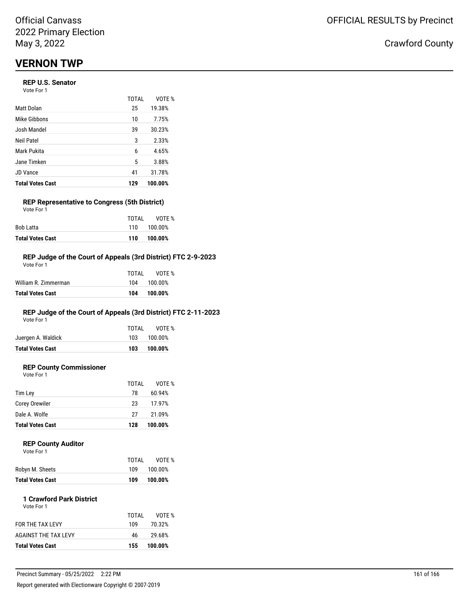# **VERNON TWP**

# **REP U.S. Senator**

Vote For 1

|                         | <b>TOTAL</b> | VOTE %  |
|-------------------------|--------------|---------|
| Matt Dolan              | 25           | 19.38%  |
| Mike Gibbons            | 10           | 7.75%   |
| Josh Mandel             | 39           | 30.23%  |
| Neil Patel              | 3            | 2.33%   |
| Mark Pukita             | 6            | 4.65%   |
| Jane Timken             | 5            | 3.88%   |
| <b>JD Vance</b>         | 41           | 31.78%  |
| <b>Total Votes Cast</b> | 129          | 100.00% |

# **REP Representative to Congress (5th District)**

| <b>Total Votes Cast</b> | 110   | 100.00%     |
|-------------------------|-------|-------------|
| Bob Latta               |       | 110 100.00% |
|                         | TOTAI | VOTE %      |
| Vote For 1              |       |             |

# **REP Judge of the Court of Appeals (3rd District) FTC 2-9-2023**

| Total Votes Cast     | 104   | 100.00% |
|----------------------|-------|---------|
| William R. Zimmerman | 104   | 100.00% |
|                      | TOTAL | VOTF %  |
| Vote For 1           |       |         |

# **REP Judge of the Court of Appeals (3rd District) FTC 2-11-2023**

Vote For 1

| <b>Total Votes Cast</b> | 103   | 100.00%     |
|-------------------------|-------|-------------|
| Juergen A. Waldick      |       | 103 100.00% |
|                         | TOTAI | VOTE %      |

# **REP County Commissioner**

Vote For 1

|     | VOTE %  |
|-----|---------|
| 78  | 60.94%  |
| 23  | 17.97%  |
| 27  | 21.09%  |
| 128 | 100.00% |
|     | TOTAL   |

# **REP County Auditor**

| Vote For 1 |  |  |
|------------|--|--|
|            |  |  |
|            |  |  |

| Robyn M. Sheets         | 109 | 100.00% |
|-------------------------|-----|---------|
| <b>Total Votes Cast</b> | 109 | 100.00% |

TOTAL VOTE %

#### **1 Crawford Park District** Vote For 1

| <b>Total Votes Cast</b> | 155.  | 100.00% |
|-------------------------|-------|---------|
| AGAINST THE TAX LEVY    | 46    | 29.68%  |
| FOR THE TAX LEVY        | 109   | 70.32%  |
|                         | TOTAL | VOTE %  |
|                         |       |         |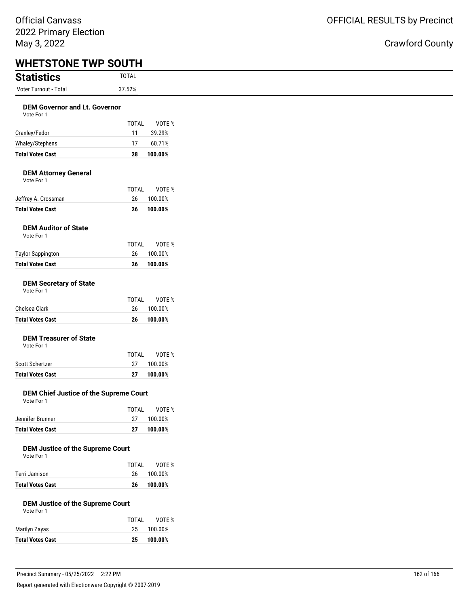| <b>Statistics</b>                                     | <b>TOTAL</b>       |                   |
|-------------------------------------------------------|--------------------|-------------------|
| Voter Turnout - Total                                 | 37.52%             |                   |
| <b>DEM Governor and Lt. Governor</b><br>Vote For 1    |                    |                   |
| Cranley/Fedor                                         | TOTAL<br>11        | VOTE %<br>39.29%  |
| Whaley/Stephens                                       | 17                 | 60.71%            |
| <b>Total Votes Cast</b>                               | 28                 | 100.00%           |
| <b>DEM Attorney General</b><br>Vote For 1             | <b>TOTAL</b>       | VOTE %            |
| Jeffrey A. Crossman                                   | 26                 | 100.00%           |
| <b>Total Votes Cast</b>                               | 26                 | 100.00%           |
| <b>DEM Auditor of State</b><br>Vote For 1             | <b>TOTAL</b>       | VOTE %            |
| <b>Taylor Sappington</b>                              | 26                 | 100.00%           |
| <b>Total Votes Cast</b>                               | 26                 | 100.00%           |
| Vote For 1<br>Chelsea Clark                           | <b>TOTAL</b><br>26 | VOTE %<br>100.00% |
|                                                       |                    |                   |
| <b>Total Votes Cast</b>                               | 26                 | 100.00%           |
| <b>DEM Treasurer of State</b><br>Vote For 1           | <b>TOTAL</b>       | VOTE %            |
| Scott Schertzer                                       | 27                 | 100.00%           |
| <b>Total Votes Cast</b>                               | 27                 | 100.00%           |
| DEM Chief Justice of the Supreme Court<br>Vote For 1  |                    |                   |
| Jennifer Brunner                                      | <b>TOTAL</b><br>27 | VOTE %<br>100.00% |
| <b>Total Votes Cast</b>                               | 27                 | 100.00%           |
| <b>DEM Justice of the Supreme Court</b><br>Vote For 1 | <b>TOTAL</b>       | VOTE %            |
| Terri Jamison                                         | 26                 | 100.00%           |
| <b>Total Votes Cast</b>                               | 26                 | 100.00%           |
| <b>DEM Justice of the Supreme Court</b><br>Vote For 1 |                    |                   |
|                                                       | <b>TOTAL</b>       | VOTE %            |
| Marilyn Zayas                                         | 25                 | 100.00%           |
| <b>Total Votes Cast</b>                               | 25                 | 100.00%           |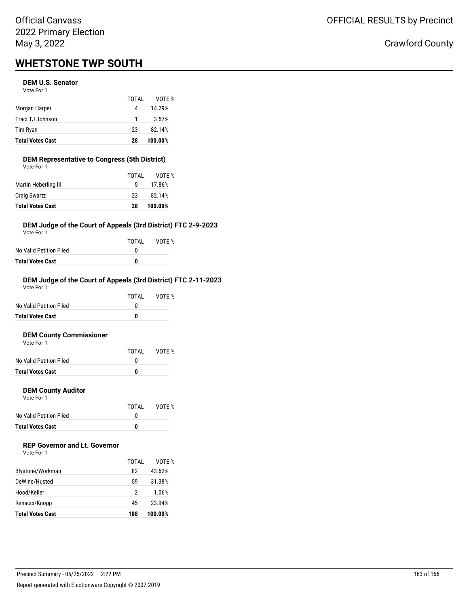# Official Canvass 2022 Primary Election May 3, 2022

# **WHETSTONE TWP SOUTH**

# **DEM U.S. Senator**

|                         | TOTAL | VOTE %  |
|-------------------------|-------|---------|
| Morgan Harper           | 4     | 14.29%  |
| Traci TJ Johnson        | -1    | 3.57%   |
| Tim Ryan                | 23    | 82.14%  |
| <b>Total Votes Cast</b> | 28    | 100.00% |

# **DEM Representative to Congress (5th District)**

| <b>Total Votes Cast</b> | 28    | 100.00% |
|-------------------------|-------|---------|
| <b>Craig Swartz</b>     | 23    | 82.14%  |
| Martin Heberling III    | 5.    | 17.86%  |
|                         | TOTAL | VOTF %  |
| Vote For 1              |       |         |

# **DEM Judge of the Court of Appeals (3rd District) FTC 2-9-2023**

Vote For 1

|                         | TOTAL | VOTE % |
|-------------------------|-------|--------|
| No Valid Petition Filed |       |        |
| Total Votes Cast        | n     |        |

# **DEM Judge of the Court of Appeals (3rd District) FTC 2-11-2023**

| <b>Total Votes Cast</b> | 0     |        |
|-------------------------|-------|--------|
| No Valid Petition Filed | O     |        |
|                         | TOTAI | VOTF % |
| Vote For 1              |       |        |

# **DEM County Commissioner**

| <b>Total Votes Cast</b> |       |        |
|-------------------------|-------|--------|
| No Valid Petition Filed |       |        |
|                         | TOTAI | VOTE % |
| Vote For 1              |       |        |

# **DEM County Auditor**

Vote For 1

|                         | TOTAL | VOTE % |
|-------------------------|-------|--------|
| No Valid Petition Filed |       |        |
| <b>Total Votes Cast</b> | o     |        |

# **REP Governor and Lt. Governor**

| Vote For 1 |  |
|------------|--|
|------------|--|

|                         | TOTAI | VOTF %  |
|-------------------------|-------|---------|
| Blystone/Workman        | 82    | 43.62%  |
| DeWine/Husted           | 59    | 31.38%  |
| Hood/Keller             | 2     | 1.06%   |
| Renacci/Knopp           | 45    | 23.94%  |
| <b>Total Votes Cast</b> | 188   | 100.00% |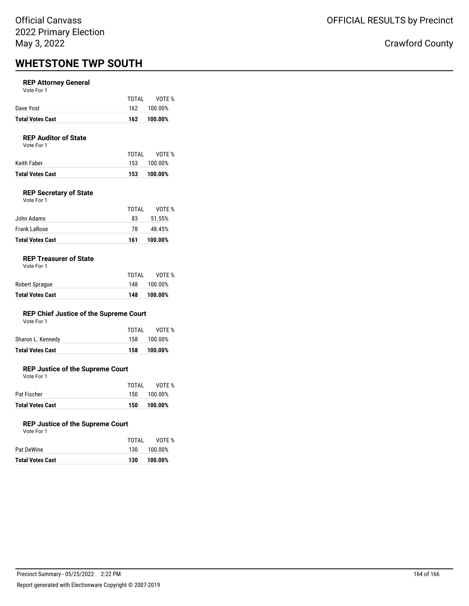# Official Canvass 2022 Primary Election May 3, 2022

# **WHETSTONE TWP SOUTH**

# **REP Attorney General**

Vote For 1

| <b>Total Votes Cast</b> |       | 162 100.00% |
|-------------------------|-------|-------------|
| Dave Yost               |       | 162 100.00% |
|                         | TOTAI | VOTE %      |

# **REP Auditor of State**

Vote For 1

|                  | TOTAI | VOTE %      |
|------------------|-------|-------------|
| Keith Faber      |       | 153 100.00% |
| Total Votes Cast | 153   | 100.00%     |

# **REP Secretary of State**

| Vote For 1 |  |
|------------|--|
|            |  |

| <b>Total Votes Cast</b> | 161   | 100.00% |
|-------------------------|-------|---------|
| Frank LaRose            | 78.   | 48.45%  |
| John Adams              | 83    | 51.55%  |
|                         | TOTAI | VOTF %  |

# **REP Treasurer of State**

| <b>Total Votes Cast</b> | 148   | 100.00% |
|-------------------------|-------|---------|
| Robert Sprague          | 148   | 100.00% |
|                         | TOTAL | VOTE %  |

# **REP Chief Justice of the Supreme Court**

|  | Vote For 1 |  |
|--|------------|--|
|  |            |  |

| Total Votes Cast  | 158   | 100.00%     |
|-------------------|-------|-------------|
| Sharon L. Kennedy |       | 158 100.00% |
|                   | TOTAI | VOTE %      |

# **REP Justice of the Supreme Court**

Vote For 1

| <b>Total Votes Cast</b> | 150   | 100.00%     |
|-------------------------|-------|-------------|
| Pat Fischer             |       | 150 100.00% |
|                         | TOTAI | VOTE %      |

### **REP Justice of the Supreme Court**

| Vote For 1 |  |
|------------|--|
|            |  |

|                         | TOTAI | VOTE %  |
|-------------------------|-------|---------|
| Pat DeWine              | 130   | 100.00% |
| <b>Total Votes Cast</b> | 130   | 100.00% |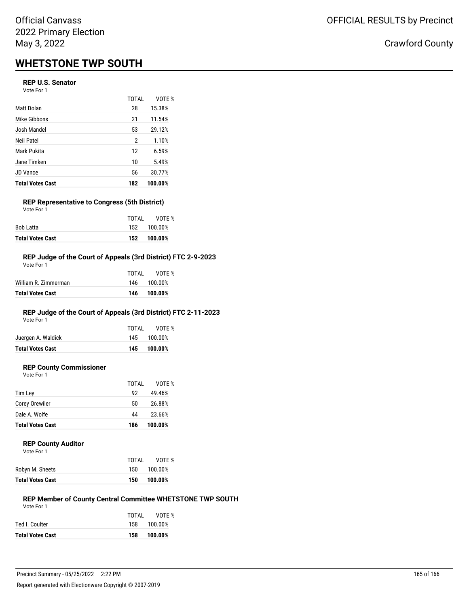# **WHETSTONE TWP SOUTH**

# **REP U.S. Senator**

Vote For 1

| <b>Total Votes Cast</b> | 182          | 100.00% |
|-------------------------|--------------|---------|
| <b>JD Vance</b>         | 56           | 30.77%  |
| Jane Timken             | 10           | 5.49%   |
| Mark Pukita             | 12           | 6.59%   |
| Neil Patel              | 2            | 1.10%   |
| Josh Mandel             | 53           | 29.12%  |
| Mike Gibbons            | 21           | 11.54%  |
| Matt Dolan              | 28           | 15.38%  |
|                         | <b>TOTAL</b> | VOTE %  |

#### **REP Representative to Congress (5th District)** Vote For 1

| <b>Total Votes Cast</b> |       | 152 100.00% |
|-------------------------|-------|-------------|
| Bob Latta               |       | 152 100.00% |
|                         | TOTAI | VOTE %      |

#### **REP Judge of the Court of Appeals (3rd District) FTC 2-9-2023** Vote For 1

|                      | TOTAL | VOTF %      |
|----------------------|-------|-------------|
| William R. Zimmerman |       | 146 100.00% |
| Total Votes Cast     | 146   | 100.00%     |
|                      |       |             |

# **REP Judge of the Court of Appeals (3rd District) FTC 2-11-2023**

Vote For 1

| <b>Total Votes Cast</b> | 145   | 100.00%     |
|-------------------------|-------|-------------|
| Juergen A. Waldick      |       | 145 100.00% |
|                         | TOTAI | VOTE %      |

# **REP County Commissioner**

Vote For 1

|                         | TOTAL | VOTE %  |
|-------------------------|-------|---------|
| Tim Lev                 | 92    | 49.46%  |
| <b>Corey Orewiler</b>   | 50    | 26.88%  |
| Dale A. Wolfe           | 44    | 23.66%  |
| <b>Total Votes Cast</b> | 186   | 100.00% |

#### **REP County Auditor**

| TOTAL | VOTF %  |
|-------|---------|
| 150   | 100.00% |
| 150   | 100.00% |
|       |         |

#### **REP Member of County Central Committee WHETSTONE TWP SOUTH** Vote For 1

|                         | TOTAL | VOTE %      |
|-------------------------|-------|-------------|
| Ted I. Coulter          |       | 158 100.00% |
| <b>Total Votes Cast</b> | 158   | 100.00%     |